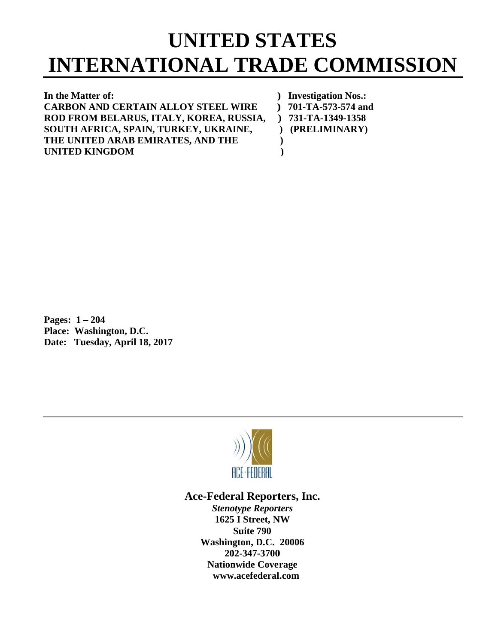## **INTERNATIONAL TRADE COMMISSION**<br>
In the Matter of:<br>
CARBON AND CERTAIN ALLOY STEEL WIRE ) 701-TA-573-574 and **UNITED STATES**

**)** 

In the Matter of:  $C$ **ARBON AND CERTAIN ALLOY STEEL WIRE R ROD FROM M BELARU US, ITALY, KOREA, R RUSSIA, ) SOUTH AFRICA, SPAIN, TURKEY, UKRAINE, T THE UNITE ED ARAB E EMIRATES S, AND THE E U UNITED KI INGDOM )**

**)** Investigation Nos.: **) 701-TA-5 573-574 and ) 731-TA-1 1349-1358 ) (PRELIM MINARY) )** 

**P Pages: 1 – 2 204 P Place: Was hington, D.C C. Date: Tuesday, April 18, 2017** 



## Ace-Federal Reporters, Inc.

**Stenotype Reporters 1625 I Street, NW Washin gton, D.C. 20006 20 02-347-3700** 202-347-3700<br>Nationwide Coverage **www w.acefederal l.com Suite 790**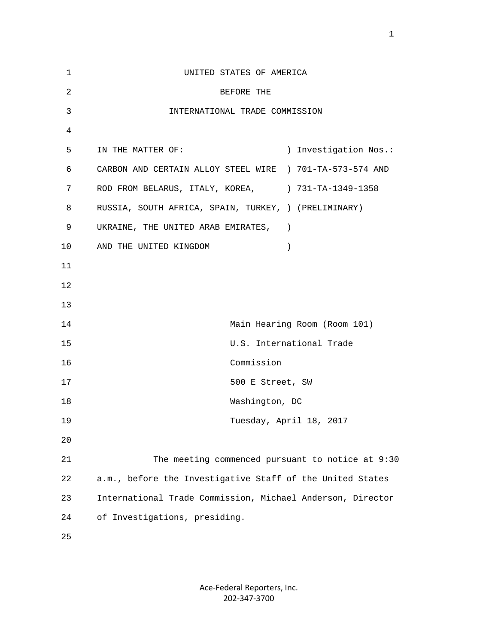| $\mathbf 1$    | UNITED STATES OF AMERICA                                   |
|----------------|------------------------------------------------------------|
| $\overline{c}$ | BEFORE THE                                                 |
| 3              | INTERNATIONAL TRADE COMMISSION                             |
| 4              |                                                            |
| 5              | ) Investigation Nos.:<br>IN THE MATTER OF:                 |
| 6              | CARBON AND CERTAIN ALLOY STEEL WIRE ) 701-TA-573-574 AND   |
| 7              | ROD FROM BELARUS, ITALY, KOREA, ) 731-TA-1349-1358         |
| 8              | RUSSIA, SOUTH AFRICA, SPAIN, TURKEY, ) (PRELIMINARY)       |
| 9              | UKRAINE, THE UNITED ARAB EMIRATES,                         |
| 10             | AND THE UNITED KINGDOM<br>$\lambda$                        |
| 11             |                                                            |
| 12             |                                                            |
| 13             |                                                            |
| 14             | Main Hearing Room (Room 101)                               |
| 15             | U.S. International Trade                                   |
| 16             | Commission                                                 |
| 17             | 500 E Street, SW                                           |
| 18             | Washington, DC                                             |
| 19             | Tuesday, April 18, 2017                                    |
| 20             |                                                            |
| 21             | The meeting commenced pursuant to notice at 9:30           |
| 22             | a.m., before the Investigative Staff of the United States  |
| 23             | International Trade Commission, Michael Anderson, Director |
| 24             | of Investigations, presiding.                              |
| 25             |                                                            |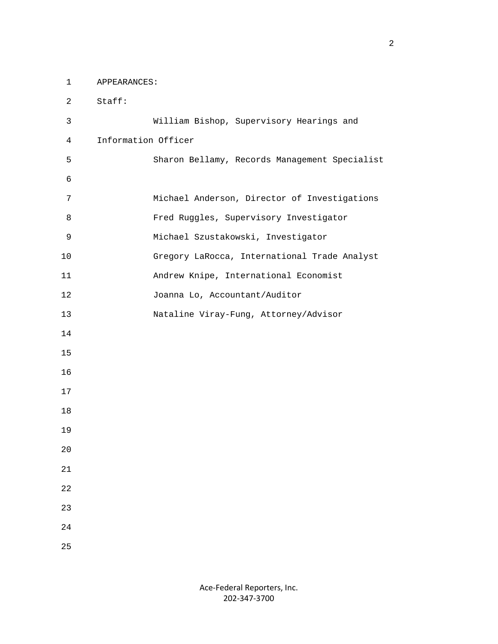1 APPEARANCES:

 2 Staff: 3 William Bishop, Supervisory Hearings and 4 Information Officer 5 Sharon Bellamy, Records Management Specialist 6 7 Michael Anderson, Director of Investigations 8 Fred Ruggles, Supervisory Investigator 9 Michael Szustakowski, Investigator 10 Gregory LaRocca, International Trade Analyst 11 Andrew Knipe, International Economist 12 Joanna Lo, Accountant/Auditor 13 Nataline Viray-Fung, Attorney/Advisor 14 15 16 17 18 19 20 21 22 23 24 25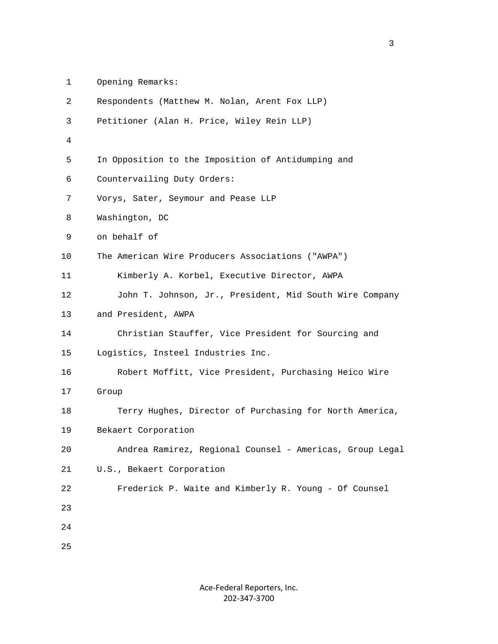| Opening Remarks: |
|------------------|
|                  |

| 2  | Respondents (Matthew M. Nolan, Arent Fox LLP)            |
|----|----------------------------------------------------------|
| 3  | Petitioner (Alan H. Price, Wiley Rein LLP)               |
| 4  |                                                          |
| 5  | In Opposition to the Imposition of Antidumping and       |
| 6  | Countervailing Duty Orders:                              |
| 7  | Vorys, Sater, Seymour and Pease LLP                      |
| 8  | Washington, DC                                           |
| 9  | on behalf of                                             |
| 10 | The American Wire Producers Associations ("AWPA")        |
| 11 | Kimberly A. Korbel, Executive Director, AWPA             |
| 12 | John T. Johnson, Jr., President, Mid South Wire Company  |
| 13 | and President, AWPA                                      |
| 14 | Christian Stauffer, Vice President for Sourcing and      |
| 15 | Logistics, Insteel Industries Inc.                       |
| 16 | Robert Moffitt, Vice President, Purchasing Heico Wire    |
| 17 | Group                                                    |
| 18 | Terry Hughes, Director of Purchasing for North America,  |
| 19 | Bekaert Corporation                                      |
| 20 | Andrea Ramirez, Regional Counsel - Americas, Group Legal |
| 21 | U.S., Bekaert Corporation                                |
| 22 | Frederick P. Waite and Kimberly R. Young - Of Counsel    |
| 23 |                                                          |
| 24 |                                                          |
| 25 |                                                          |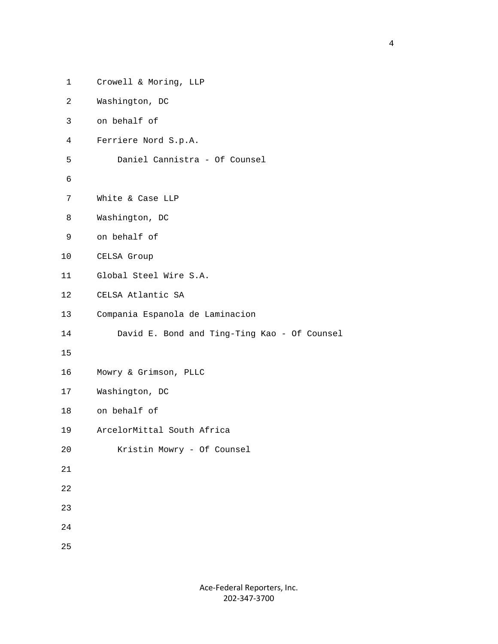| $\mathbf 1$     | Crowell & Moring, LLP                        |
|-----------------|----------------------------------------------|
| 2               | Washington, DC                               |
| 3               | on behalf of                                 |
| 4               | Ferriere Nord S.p.A.                         |
| 5               | Daniel Cannistra - Of Counsel                |
| 6               |                                              |
| 7               | White & Case LLP                             |
| 8               | Washington, DC                               |
| 9               | on behalf of                                 |
| 10              | CELSA Group                                  |
| 11              | Global Steel Wire S.A.                       |
| 12 <sub>2</sub> | CELSA Atlantic SA                            |
| 13              | Compania Espanola de Laminacion              |
| 14              | David E. Bond and Ting-Ting Kao - Of Counsel |
| 15              |                                              |
| 16              | Mowry & Grimson, PLLC                        |
| 17              | Washington, DC                               |
| 18              | on behalf of                                 |
| 19              | ArcelorMittal South Africa                   |
| 20              | Kristin Mowry - Of Counsel                   |
| 21              |                                              |
| 22              |                                              |
| 23              |                                              |
| 24              |                                              |
| 25              |                                              |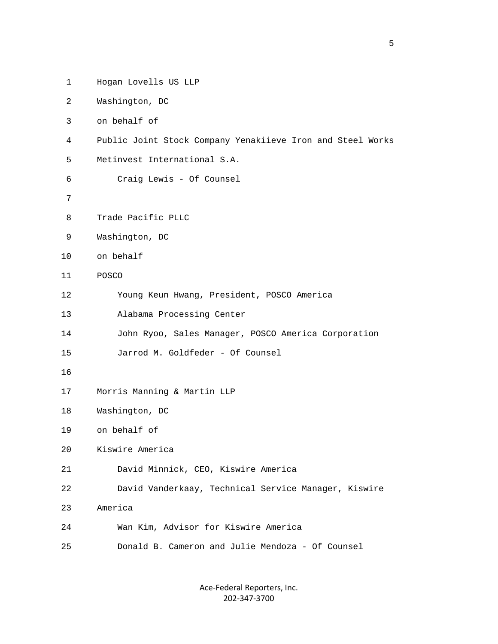| $\mathbf 1$ | Hogan Lovells US LLP                                       |
|-------------|------------------------------------------------------------|
| 2           | Washington, DC                                             |
| 3           | on behalf of                                               |
| 4           | Public Joint Stock Company Yenakiieve Iron and Steel Works |
| 5           | Metinvest International S.A.                               |
| 6           | Craig Lewis - Of Counsel                                   |
| 7           |                                                            |
| 8           | Trade Pacific PLLC                                         |
| 9           | Washington, DC                                             |
| 10          | on behalf                                                  |
| 11          | POSCO                                                      |
| 12          | Young Keun Hwang, President, POSCO America                 |
| 13          | Alabama Processing Center                                  |
| 14          | John Ryoo, Sales Manager, POSCO America Corporation        |
| 15          | Jarrod M. Goldfeder - Of Counsel                           |
| 16          |                                                            |
| 17          | Morris Manning & Martin LLP                                |
| 18          | Washington, DC                                             |
| 19          | on behalf of                                               |
| 20          | Kiswire America                                            |
| 21          | David Minnick, CEO, Kiswire America                        |
| 22          | David Vanderkaay, Technical Service Manager, Kiswire       |
| 23          | America                                                    |
| 24          | Wan Kim, Advisor for Kiswire America                       |
| 25          | Donald B. Cameron and Julie Mendoza - Of Counsel           |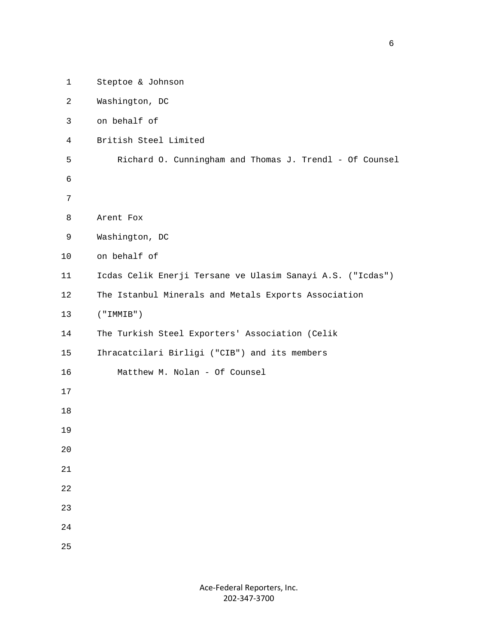| Steptoe & Johnson                                          |
|------------------------------------------------------------|
| Washington, DC                                             |
| on behalf of                                               |
| British Steel Limited                                      |
| Richard O. Cunningham and Thomas J. Trendl - Of Counsel    |
|                                                            |
|                                                            |
| Arent Fox                                                  |
| Washington, DC                                             |
| on behalf of                                               |
| Icdas Celik Enerji Tersane ve Ulasim Sanayi A.S. ("Icdas") |
| The Istanbul Minerals and Metals Exports Association       |
| ('IMMIB")                                                  |
| The Turkish Steel Exporters' Association (Celik            |
| Ihracatcilari Birligi ("CIB") and its members              |
| Matthew M. Nolan - Of Counsel                              |
|                                                            |
|                                                            |
|                                                            |
|                                                            |
|                                                            |
|                                                            |
|                                                            |
|                                                            |
|                                                            |
|                                                            |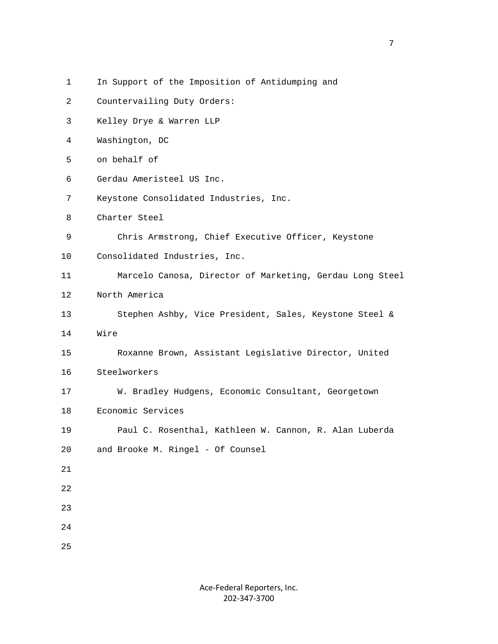```
 2 Countervailing Duty Orders: 
  3 Kelley Drye & Warren LLP 
  4 Washington, DC 
  5 on behalf of 
  6 Gerdau Ameristeel US Inc. 
  7 Keystone Consolidated Industries, Inc. 
  8 Charter Steel 
  9 Chris Armstrong, Chief Executive Officer, Keystone 
 10 Consolidated Industries, Inc. 
 11 Marcelo Canosa, Director of Marketing, Gerdau Long Steel 
 12 North America 
 13 Stephen Ashby, Vice President, Sales, Keystone Steel & 
 14 Wire 
 15 Roxanne Brown, Assistant Legislative Director, United 
 16 Steelworkers 
 17 W. Bradley Hudgens, Economic Consultant, Georgetown 
 18 Economic Services 
 19 Paul C. Rosenthal, Kathleen W. Cannon, R. Alan Luberda 
 20 and Brooke M. Ringel - Of Counsel 
 21 
 22 
 23 
 24 
 25
```
1 In Support of the Imposition of Antidumping and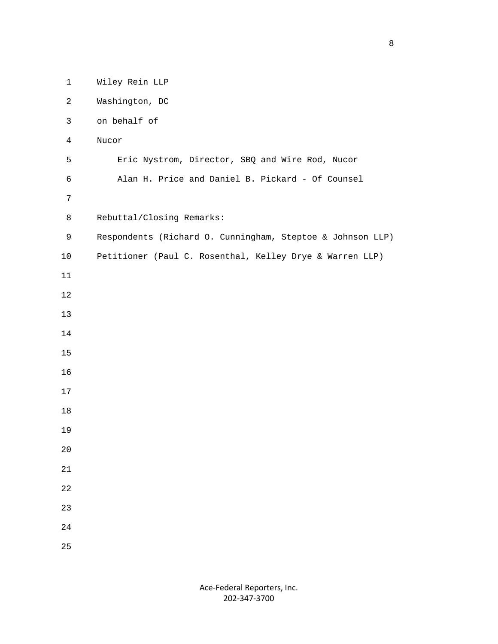| $\mathbf 1$    | Wiley Rein LLP                                             |
|----------------|------------------------------------------------------------|
| $\overline{2}$ | Washington, DC                                             |
| $\mathfrak{Z}$ | on behalf of                                               |
| $\overline{4}$ | Nucor                                                      |
| 5              | Eric Nystrom, Director, SBQ and Wire Rod, Nucor            |
| $\epsilon$     | Alan H. Price and Daniel B. Pickard - Of Counsel           |
| $\overline{7}$ |                                                            |
| 8              | Rebuttal/Closing Remarks:                                  |
| $\mathsf 9$    | Respondents (Richard O. Cunningham, Steptoe & Johnson LLP) |
| 10             | Petitioner (Paul C. Rosenthal, Kelley Drye & Warren LLP)   |
| $11\,$         |                                                            |
| $1\,2$         |                                                            |
| $13$           |                                                            |
| 14             |                                                            |
| 15             |                                                            |
| 16             |                                                            |
| 17             |                                                            |
| 18             |                                                            |
| 19             |                                                            |
| 20             |                                                            |
| $21\,$         |                                                            |
| 22             |                                                            |
| 23             |                                                            |
| 24             |                                                            |
| 25             |                                                            |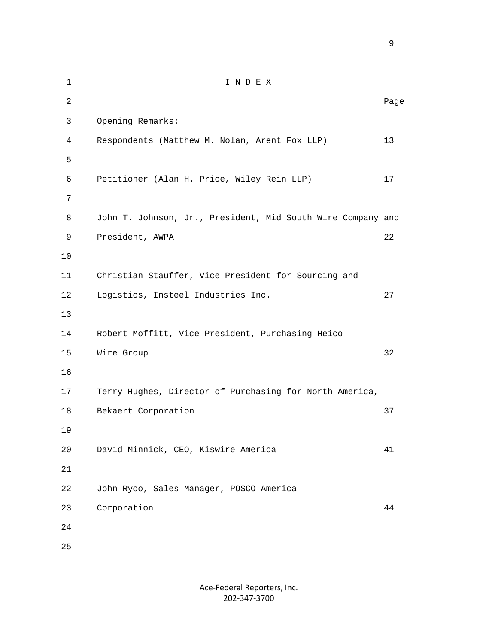1 I N D E X 2 **Page 12** Page 2 **Page 2** Page 2 Page 2 Page 2 Page 2 Page 2 Page 2 Page 2 Page 2 Page 2 Page 2 Page 2 Page 2 Page 2 Page 2 Page 2 Page 2 Page 2 Page 2 Page 2 Page 2 Page 2 Page 2 Page 2 Page 2 Page 2 Page 2 Page 2 Page 3 Opening Remarks: 4 Respondents (Matthew M. Nolan, Arent Fox LLP) 13  $5<sub>5</sub>$  6 Petitioner (Alan H. Price, Wiley Rein LLP) 17 7 8 John T. Johnson, Jr., President, Mid South Wire Company and 9 President, AWPA 22 10 11 Christian Stauffer, Vice President for Sourcing and 12 Logistics, Insteel Industries Inc. 27 13 14 Robert Moffitt, Vice President, Purchasing Heico 15 Wire Group 32 16 17 Terry Hughes, Director of Purchasing for North America, 18 Bekaert Corporation 37 19 20 David Minnick, CEO, Kiswire America 41 21 22 John Ryoo, Sales Manager, POSCO America 23 Corporation 44 24 25

> Ace‐Federal Reporters, Inc. 202‐347‐3700

en de la provincia de la provincia de la provincia de la provincia de la provincia de la provincia de la provi<br>1900 : la provincia de la provincia de la provincia de la provincia de la provincia de la provincia de la prov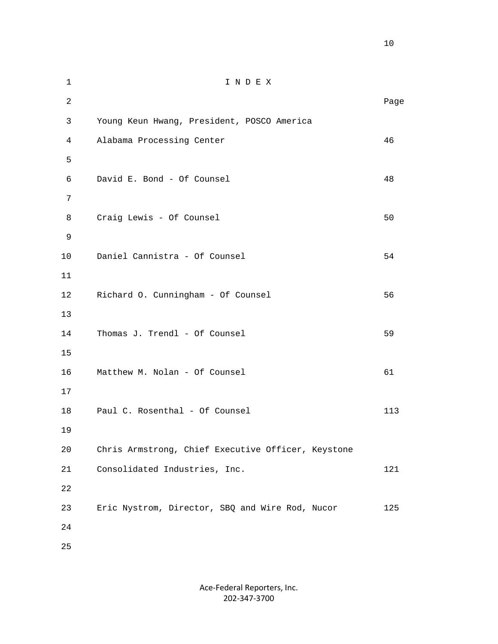| $\mathbf 1$    | INDEX                                              |      |
|----------------|----------------------------------------------------|------|
| $\overline{2}$ |                                                    | Page |
| 3              | Young Keun Hwang, President, POSCO America         |      |
| $\overline{4}$ | Alabama Processing Center                          | 46   |
| 5              |                                                    |      |
| 6              | David E. Bond - Of Counsel                         | 48   |
| 7              |                                                    |      |
| 8              | Craig Lewis - Of Counsel                           | 50   |
| 9              |                                                    |      |
| $10$           | Daniel Cannistra - Of Counsel                      | 54   |
| 11             |                                                    |      |
| 12             | Richard O. Cunningham - Of Counsel                 | 56   |
| 13             |                                                    |      |
| 14             | Thomas J. Trendl - Of Counsel                      | 59   |
| 15             |                                                    |      |
| 16             | Matthew M. Nolan - Of Counsel                      | 61   |
| 17             |                                                    |      |
| 18             | Paul C. Rosenthal - Of Counsel                     | 113  |
| 19             |                                                    |      |
| 20             | Chris Armstrong, Chief Executive Officer, Keystone |      |
| 21             | Consolidated Industries, Inc.                      | 121  |
| 22             |                                                    |      |
| 23             | Eric Nystrom, Director, SBQ and Wire Rod, Nucor    | 125  |
| 24             |                                                    |      |
| 25             |                                                    |      |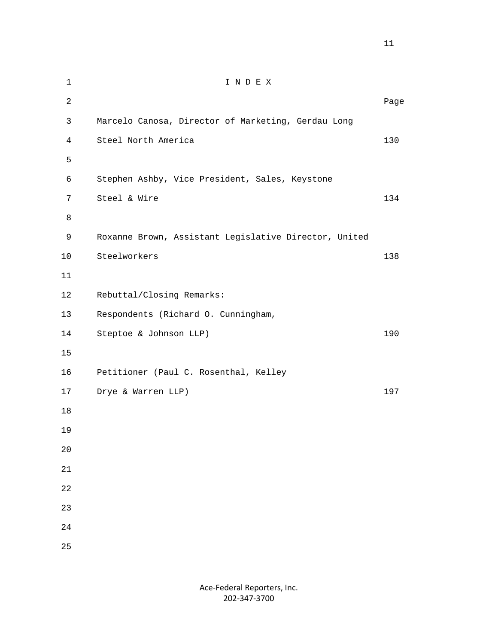| $\mathbf 1$    | INDEX                                                 |      |
|----------------|-------------------------------------------------------|------|
| $\overline{2}$ |                                                       | Page |
| 3              | Marcelo Canosa, Director of Marketing, Gerdau Long    |      |
| $\overline{4}$ | Steel North America                                   | 130  |
| 5              |                                                       |      |
| 6              | Stephen Ashby, Vice President, Sales, Keystone        |      |
| 7              | Steel & Wire                                          | 134  |
| 8              |                                                       |      |
| 9              | Roxanne Brown, Assistant Legislative Director, United |      |
| 10             | Steelworkers                                          | 138  |
| 11             |                                                       |      |
| 12             | Rebuttal/Closing Remarks:                             |      |
| 13             | Respondents (Richard O. Cunningham,                   |      |
| 14             | Steptoe & Johnson LLP)                                | 190  |
| 15             |                                                       |      |
| 16             | Petitioner (Paul C. Rosenthal, Kelley                 |      |
| 17             | Drye & Warren LLP)                                    | 197  |
| $18\,$         |                                                       |      |
| 19             |                                                       |      |
| $20$           |                                                       |      |
| 21             |                                                       |      |
| 22             |                                                       |      |
| 23             |                                                       |      |
| 24             |                                                       |      |
| 25             |                                                       |      |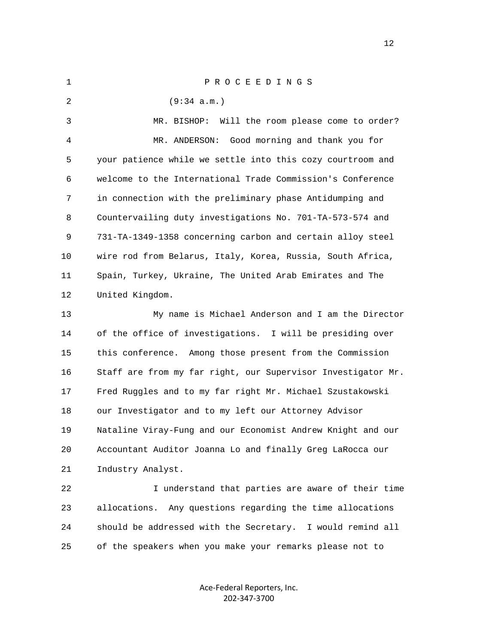1 P R O C E E D I N G S 2 (9:34 a.m.) 3 MR. BISHOP: Will the room please come to order? 4 MR. ANDERSON: Good morning and thank you for 5 your patience while we settle into this cozy courtroom and 6 welcome to the International Trade Commission's Conference 7 in connection with the preliminary phase Antidumping and 8 Countervailing duty investigations No. 701-TA-573-574 and 9 731-TA-1349-1358 concerning carbon and certain alloy steel 10 wire rod from Belarus, Italy, Korea, Russia, South Africa, 11 Spain, Turkey, Ukraine, The United Arab Emirates and The 12 United Kingdom. 13 My name is Michael Anderson and I am the Director 14 of the office of investigations. I will be presiding over 15 this conference. Among those present from the Commission 16 Staff are from my far right, our Supervisor Investigator Mr. 17 Fred Ruggles and to my far right Mr. Michael Szustakowski 18 our Investigator and to my left our Attorney Advisor 19 Nataline Viray-Fung and our Economist Andrew Knight and our 20 Accountant Auditor Joanna Lo and finally Greg LaRocca our 21 Industry Analyst. 22 I understand that parties are aware of their time 23 allocations. Any questions regarding the time allocations 24 should be addressed with the Secretary. I would remind all 25 of the speakers when you make your remarks please not to

> Ace‐Federal Reporters, Inc. 202‐347‐3700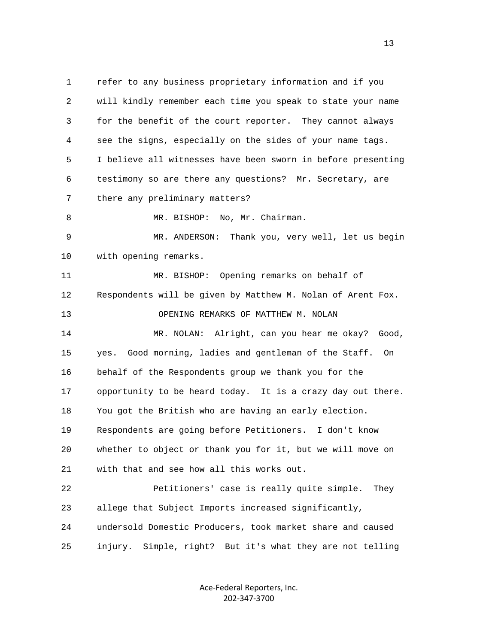1 refer to any business proprietary information and if you 2 will kindly remember each time you speak to state your name 3 for the benefit of the court reporter. They cannot always 4 see the signs, especially on the sides of your name tags. 5 I believe all witnesses have been sworn in before presenting 6 testimony so are there any questions? Mr. Secretary, are 7 there any preliminary matters? 8 MR. BISHOP: No, Mr. Chairman. 9 MR. ANDERSON: Thank you, very well, let us begin 10 with opening remarks. 11 MR. BISHOP: Opening remarks on behalf of 12 Respondents will be given by Matthew M. Nolan of Arent Fox. 13 OPENING REMARKS OF MATTHEW M. NOLAN 14 MR. NOLAN: Alright, can you hear me okay? Good, 15 yes. Good morning, ladies and gentleman of the Staff. On 16 behalf of the Respondents group we thank you for the 17 opportunity to be heard today. It is a crazy day out there. 18 You got the British who are having an early election. 19 Respondents are going before Petitioners. I don't know 20 whether to object or thank you for it, but we will move on 21 with that and see how all this works out. 22 Petitioners' case is really quite simple. They 23 allege that Subject Imports increased significantly, 24 undersold Domestic Producers, took market share and caused 25 injury. Simple, right? But it's what they are not telling

> Ace‐Federal Reporters, Inc. 202‐347‐3700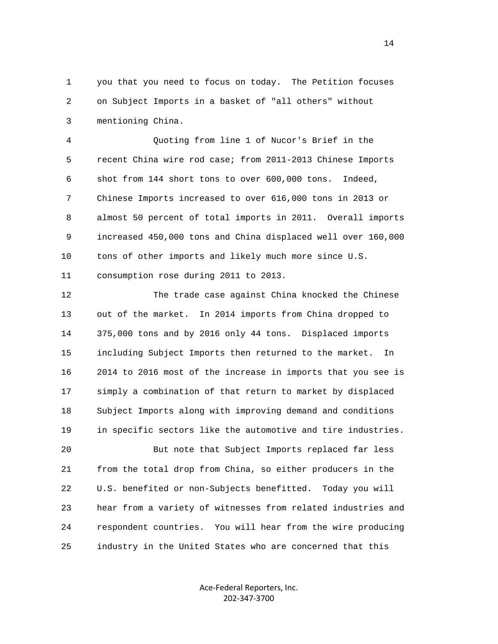1 you that you need to focus on today. The Petition focuses 2 on Subject Imports in a basket of "all others" without 3 mentioning China.

 4 Quoting from line 1 of Nucor's Brief in the 5 recent China wire rod case; from 2011-2013 Chinese Imports 6 shot from 144 short tons to over 600,000 tons. Indeed, 7 Chinese Imports increased to over 616,000 tons in 2013 or 8 almost 50 percent of total imports in 2011. Overall imports 9 increased 450,000 tons and China displaced well over 160,000 10 tons of other imports and likely much more since U.S. 11 consumption rose during 2011 to 2013.

 12 The trade case against China knocked the Chinese 13 out of the market. In 2014 imports from China dropped to 14 375,000 tons and by 2016 only 44 tons. Displaced imports 15 including Subject Imports then returned to the market. In 16 2014 to 2016 most of the increase in imports that you see is 17 simply a combination of that return to market by displaced 18 Subject Imports along with improving demand and conditions 19 in specific sectors like the automotive and tire industries.

 20 But note that Subject Imports replaced far less 21 from the total drop from China, so either producers in the 22 U.S. benefited or non-Subjects benefitted. Today you will 23 hear from a variety of witnesses from related industries and 24 respondent countries. You will hear from the wire producing 25 industry in the United States who are concerned that this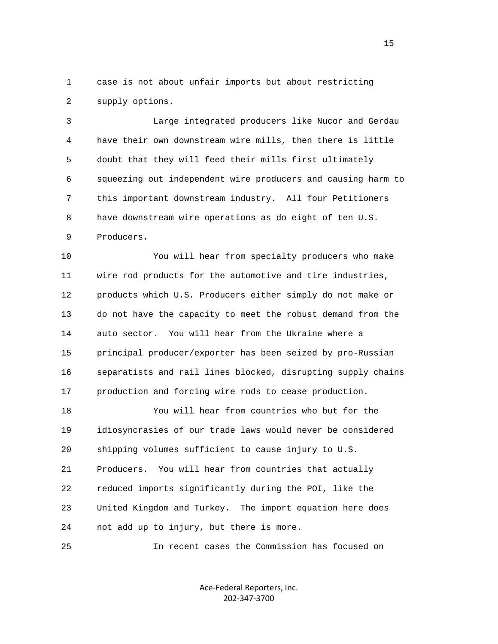1 case is not about unfair imports but about restricting 2 supply options.

 3 Large integrated producers like Nucor and Gerdau 4 have their own downstream wire mills, then there is little 5 doubt that they will feed their mills first ultimately 6 squeezing out independent wire producers and causing harm to 7 this important downstream industry. All four Petitioners 8 have downstream wire operations as do eight of ten U.S. 9 Producers.

 10 You will hear from specialty producers who make 11 wire rod products for the automotive and tire industries, 12 products which U.S. Producers either simply do not make or 13 do not have the capacity to meet the robust demand from the 14 auto sector. You will hear from the Ukraine where a 15 principal producer/exporter has been seized by pro-Russian 16 separatists and rail lines blocked, disrupting supply chains 17 production and forcing wire rods to cease production.

 18 You will hear from countries who but for the 19 idiosyncrasies of our trade laws would never be considered 20 shipping volumes sufficient to cause injury to U.S. 21 Producers. You will hear from countries that actually 22 reduced imports significantly during the POI, like the 23 United Kingdom and Turkey. The import equation here does 24 not add up to injury, but there is more.

25 In recent cases the Commission has focused on

Ace‐Federal Reporters, Inc. 202‐347‐3700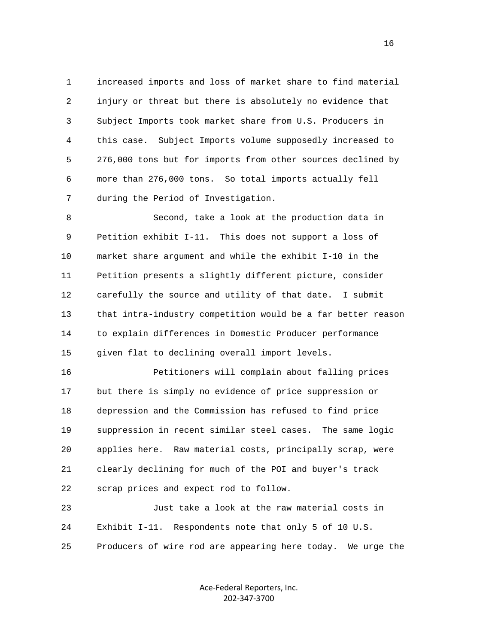1 increased imports and loss of market share to find material 2 injury or threat but there is absolutely no evidence that 3 Subject Imports took market share from U.S. Producers in 4 this case. Subject Imports volume supposedly increased to 5 276,000 tons but for imports from other sources declined by 6 more than 276,000 tons. So total imports actually fell 7 during the Period of Investigation.

 8 Second, take a look at the production data in 9 Petition exhibit I-11. This does not support a loss of 10 market share argument and while the exhibit I-10 in the 11 Petition presents a slightly different picture, consider 12 carefully the source and utility of that date. I submit 13 that intra-industry competition would be a far better reason 14 to explain differences in Domestic Producer performance 15 given flat to declining overall import levels.

 16 Petitioners will complain about falling prices 17 but there is simply no evidence of price suppression or 18 depression and the Commission has refused to find price 19 suppression in recent similar steel cases. The same logic 20 applies here. Raw material costs, principally scrap, were 21 clearly declining for much of the POI and buyer's track 22 scrap prices and expect rod to follow.

 23 Just take a look at the raw material costs in 24 Exhibit I-11. Respondents note that only 5 of 10 U.S. 25 Producers of wire rod are appearing here today. We urge the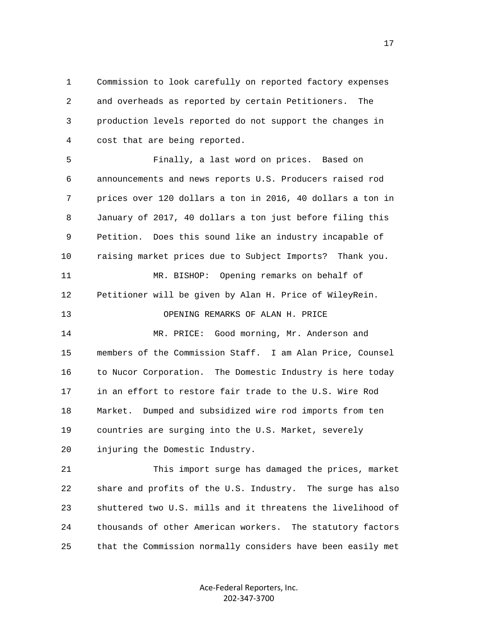1 Commission to look carefully on reported factory expenses 2 and overheads as reported by certain Petitioners. The 3 production levels reported do not support the changes in 4 cost that are being reported.

 5 Finally, a last word on prices. Based on 6 announcements and news reports U.S. Producers raised rod 7 prices over 120 dollars a ton in 2016, 40 dollars a ton in 8 January of 2017, 40 dollars a ton just before filing this 9 Petition. Does this sound like an industry incapable of 10 raising market prices due to Subject Imports? Thank you. 11 MR. BISHOP: Opening remarks on behalf of 12 Petitioner will be given by Alan H. Price of WileyRein. 13 OPENING REMARKS OF ALAN H. PRICE 14 MR. PRICE: Good morning, Mr. Anderson and 15 members of the Commission Staff. I am Alan Price, Counsel 16 to Nucor Corporation. The Domestic Industry is here today 17 in an effort to restore fair trade to the U.S. Wire Rod 18 Market. Dumped and subsidized wire rod imports from ten 19 countries are surging into the U.S. Market, severely 20 injuring the Domestic Industry.

 21 This import surge has damaged the prices, market 22 share and profits of the U.S. Industry. The surge has also 23 shuttered two U.S. mills and it threatens the livelihood of 24 thousands of other American workers. The statutory factors 25 that the Commission normally considers have been easily met

> Ace‐Federal Reporters, Inc. 202‐347‐3700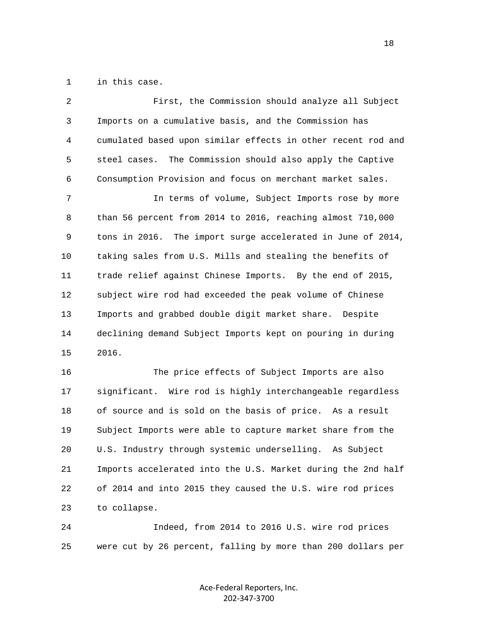1 in this case.

| $\overline{2}$ | First, the Commission should analyze all Subject             |
|----------------|--------------------------------------------------------------|
| $\mathsf{3}$   | Imports on a cumulative basis, and the Commission has        |
| 4              | cumulated based upon similar effects in other recent rod and |
| 5              | steel cases. The Commission should also apply the Captive    |
| 6              | Consumption Provision and focus on merchant market sales.    |
| 7              | In terms of volume, Subject Imports rose by more             |
| 8              | than 56 percent from 2014 to 2016, reaching almost 710,000   |
| 9              | tons in 2016. The import surge accelerated in June of 2014,  |
| $10$           | taking sales from U.S. Mills and stealing the benefits of    |
| 11             | trade relief against Chinese Imports. By the end of 2015,    |
| 12             | subject wire rod had exceeded the peak volume of Chinese     |
| 13             | Imports and grabbed double digit market share. Despite       |
| 14             | declining demand Subject Imports kept on pouring in during   |
| 15             | 2016.                                                        |
| 16             | The price effects of Subject Imports are also                |
| 17             | significant. Wire rod is highly interchangeable regardless   |
| 18             | of source and is sold on the basis of price. As a result     |
|                |                                                              |

 19 Subject Imports were able to capture market share from the 20 U.S. Industry through systemic underselling. As Subject 21 Imports accelerated into the U.S. Market during the 2nd half 22 of 2014 and into 2015 they caused the U.S. wire rod prices 23 to collapse.

 24 Indeed, from 2014 to 2016 U.S. wire rod prices 25 were cut by 26 percent, falling by more than 200 dollars per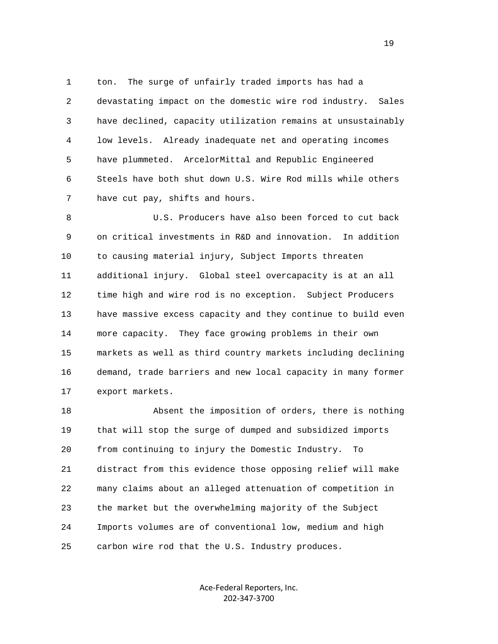1 ton. The surge of unfairly traded imports has had a 2 devastating impact on the domestic wire rod industry. Sales 3 have declined, capacity utilization remains at unsustainably 4 low levels. Already inadequate net and operating incomes 5 have plummeted. ArcelorMittal and Republic Engineered 6 Steels have both shut down U.S. Wire Rod mills while others 7 have cut pay, shifts and hours.

 8 U.S. Producers have also been forced to cut back 9 on critical investments in R&D and innovation. In addition 10 to causing material injury, Subject Imports threaten 11 additional injury. Global steel overcapacity is at an all 12 time high and wire rod is no exception. Subject Producers 13 have massive excess capacity and they continue to build even 14 more capacity. They face growing problems in their own 15 markets as well as third country markets including declining 16 demand, trade barriers and new local capacity in many former 17 export markets.

 18 Absent the imposition of orders, there is nothing 19 that will stop the surge of dumped and subsidized imports 20 from continuing to injury the Domestic Industry. To 21 distract from this evidence those opposing relief will make 22 many claims about an alleged attenuation of competition in 23 the market but the overwhelming majority of the Subject 24 Imports volumes are of conventional low, medium and high 25 carbon wire rod that the U.S. Industry produces.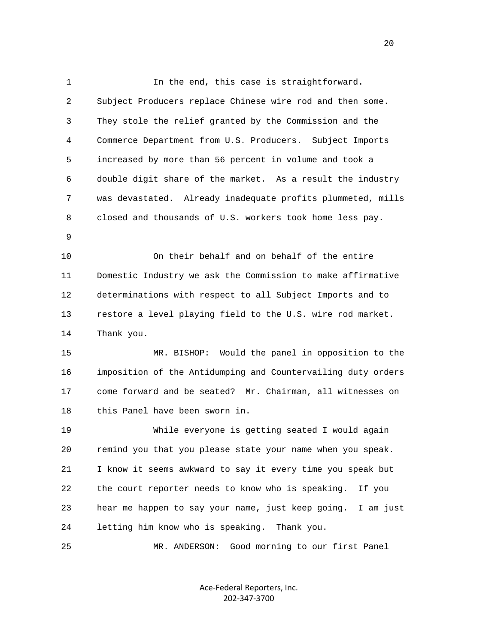1 In the end, this case is straightforward. 2 Subject Producers replace Chinese wire rod and then some. 3 They stole the relief granted by the Commission and the 4 Commerce Department from U.S. Producers. Subject Imports 5 increased by more than 56 percent in volume and took a 6 double digit share of the market. As a result the industry 7 was devastated. Already inadequate profits plummeted, mills 8 closed and thousands of U.S. workers took home less pay. 9 10 On their behalf and on behalf of the entire 11 Domestic Industry we ask the Commission to make affirmative 12 determinations with respect to all Subject Imports and to 13 restore a level playing field to the U.S. wire rod market. 14 Thank you. 15 MR. BISHOP: Would the panel in opposition to the 16 imposition of the Antidumping and Countervailing duty orders 17 come forward and be seated? Mr. Chairman, all witnesses on 18 this Panel have been sworn in. 19 While everyone is getting seated I would again 20 remind you that you please state your name when you speak. 21 I know it seems awkward to say it every time you speak but 22 the court reporter needs to know who is speaking. If you 23 hear me happen to say your name, just keep going. I am just 24 letting him know who is speaking. Thank you. 25 MR. ANDERSON: Good morning to our first Panel

> Ace‐Federal Reporters, Inc. 202‐347‐3700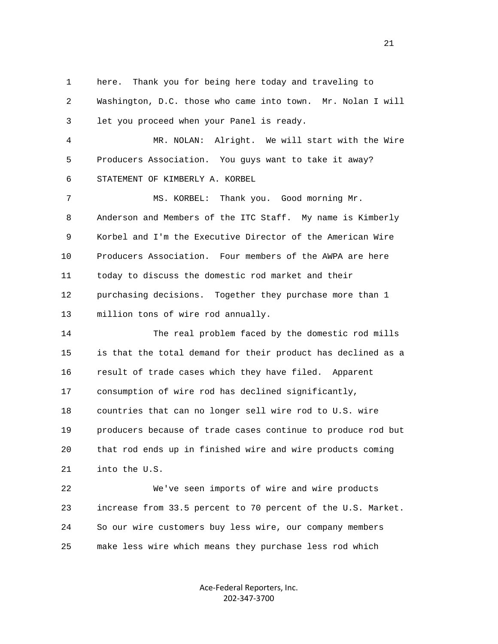1 here. Thank you for being here today and traveling to

 2 Washington, D.C. those who came into town. Mr. Nolan I will 3 let you proceed when your Panel is ready.

 4 MR. NOLAN: Alright. We will start with the Wire 5 Producers Association. You guys want to take it away? 6 STATEMENT OF KIMBERLY A. KORBEL

 7 MS. KORBEL: Thank you. Good morning Mr. 8 Anderson and Members of the ITC Staff. My name is Kimberly 9 Korbel and I'm the Executive Director of the American Wire 10 Producers Association. Four members of the AWPA are here 11 today to discuss the domestic rod market and their 12 purchasing decisions. Together they purchase more than 1 13 million tons of wire rod annually.

 14 The real problem faced by the domestic rod mills 15 is that the total demand for their product has declined as a 16 result of trade cases which they have filed. Apparent 17 consumption of wire rod has declined significantly, 18 countries that can no longer sell wire rod to U.S. wire 19 producers because of trade cases continue to produce rod but 20 that rod ends up in finished wire and wire products coming 21 into the U.S.

 22 We've seen imports of wire and wire products 23 increase from 33.5 percent to 70 percent of the U.S. Market. 24 So our wire customers buy less wire, our company members 25 make less wire which means they purchase less rod which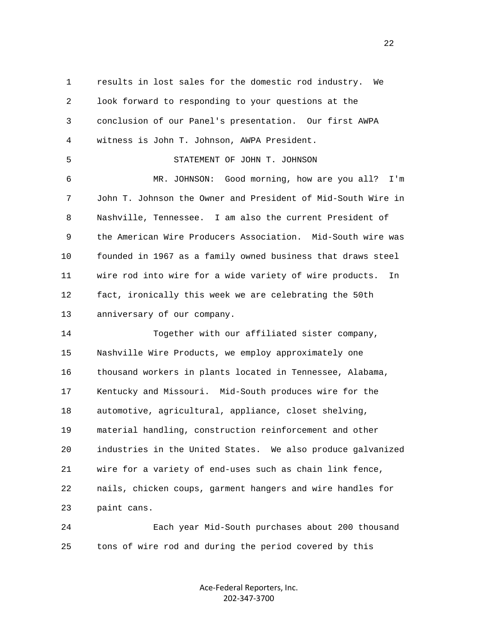1 results in lost sales for the domestic rod industry. We 2 look forward to responding to your questions at the 3 conclusion of our Panel's presentation. Our first AWPA 4 witness is John T. Johnson, AWPA President. 5 STATEMENT OF JOHN T. JOHNSON 6 MR. JOHNSON: Good morning, how are you all? I'm 7 John T. Johnson the Owner and President of Mid-South Wire in 8 Nashville, Tennessee. I am also the current President of 9 the American Wire Producers Association. Mid-South wire was 10 founded in 1967 as a family owned business that draws steel 11 wire rod into wire for a wide variety of wire products. In 12 fact, ironically this week we are celebrating the 50th 13 anniversary of our company. 14 Together with our affiliated sister company, 15 Nashville Wire Products, we employ approximately one 16 thousand workers in plants located in Tennessee, Alabama, 17 Kentucky and Missouri. Mid-South produces wire for the 18 automotive, agricultural, appliance, closet shelving, 19 material handling, construction reinforcement and other 20 industries in the United States. We also produce galvanized 21 wire for a variety of end-uses such as chain link fence, 22 nails, chicken coups, garment hangers and wire handles for 23 paint cans.

 24 Each year Mid-South purchases about 200 thousand 25 tons of wire rod and during the period covered by this

> Ace‐Federal Reporters, Inc. 202‐347‐3700

22 a set of the state of the state of the state of the state of the state of the state of the state of the state of the state of the state of the state of the state of the state of the state of the state of the state of th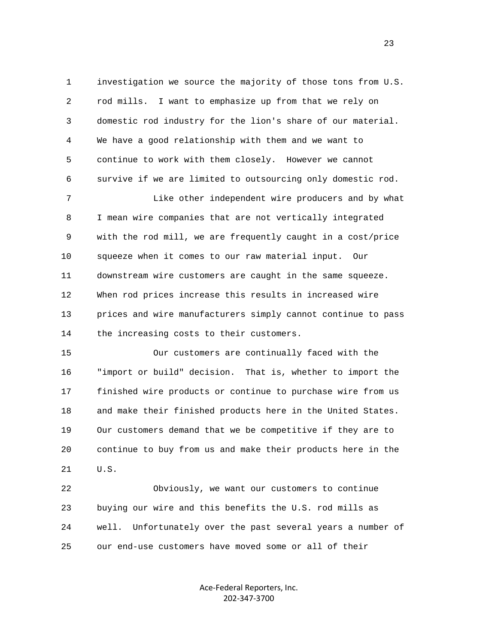1 investigation we source the majority of those tons from U.S. 2 rod mills. I want to emphasize up from that we rely on 3 domestic rod industry for the lion's share of our material. 4 We have a good relationship with them and we want to 5 continue to work with them closely. However we cannot 6 survive if we are limited to outsourcing only domestic rod.

 7 Like other independent wire producers and by what 8 I mean wire companies that are not vertically integrated 9 with the rod mill, we are frequently caught in a cost/price 10 squeeze when it comes to our raw material input. Our 11 downstream wire customers are caught in the same squeeze. 12 When rod prices increase this results in increased wire 13 prices and wire manufacturers simply cannot continue to pass 14 the increasing costs to their customers.

 15 Our customers are continually faced with the 16 "import or build" decision. That is, whether to import the 17 finished wire products or continue to purchase wire from us 18 and make their finished products here in the United States. 19 Our customers demand that we be competitive if they are to 20 continue to buy from us and make their products here in the 21 U.S.

 22 Obviously, we want our customers to continue 23 buying our wire and this benefits the U.S. rod mills as 24 well. Unfortunately over the past several years a number of 25 our end-use customers have moved some or all of their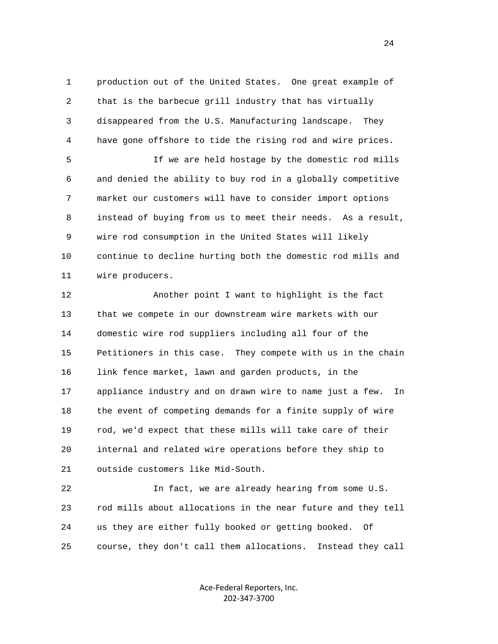1 production out of the United States. One great example of 2 that is the barbecue grill industry that has virtually 3 disappeared from the U.S. Manufacturing landscape. They 4 have gone offshore to tide the rising rod and wire prices.

 5 If we are held hostage by the domestic rod mills 6 and denied the ability to buy rod in a globally competitive 7 market our customers will have to consider import options 8 instead of buying from us to meet their needs. As a result, 9 wire rod consumption in the United States will likely 10 continue to decline hurting both the domestic rod mills and 11 wire producers.

 12 Another point I want to highlight is the fact 13 that we compete in our downstream wire markets with our 14 domestic wire rod suppliers including all four of the 15 Petitioners in this case. They compete with us in the chain 16 link fence market, lawn and garden products, in the 17 appliance industry and on drawn wire to name just a few. In 18 the event of competing demands for a finite supply of wire 19 rod, we'd expect that these mills will take care of their 20 internal and related wire operations before they ship to 21 outside customers like Mid-South.

 22 In fact, we are already hearing from some U.S. 23 rod mills about allocations in the near future and they tell 24 us they are either fully booked or getting booked. Of 25 course, they don't call them allocations. Instead they call

> Ace‐Federal Reporters, Inc. 202‐347‐3700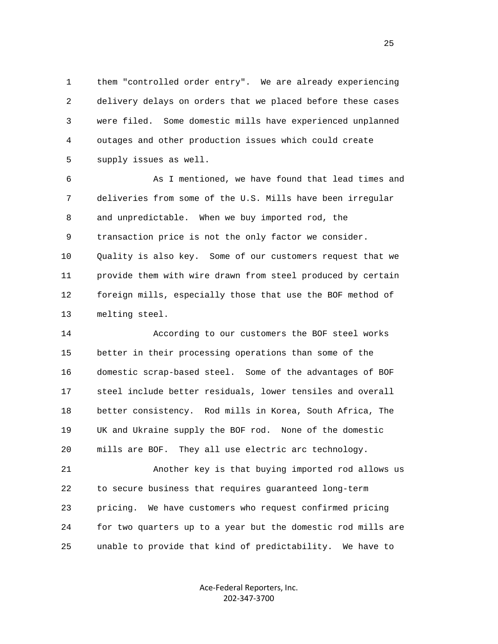1 them "controlled order entry". We are already experiencing 2 delivery delays on orders that we placed before these cases 3 were filed. Some domestic mills have experienced unplanned 4 outages and other production issues which could create 5 supply issues as well.

 6 As I mentioned, we have found that lead times and 7 deliveries from some of the U.S. Mills have been irregular 8 and unpredictable. When we buy imported rod, the 9 transaction price is not the only factor we consider. 10 Quality is also key. Some of our customers request that we 11 provide them with wire drawn from steel produced by certain 12 foreign mills, especially those that use the BOF method of 13 melting steel.

 14 According to our customers the BOF steel works 15 better in their processing operations than some of the 16 domestic scrap-based steel. Some of the advantages of BOF 17 steel include better residuals, lower tensiles and overall 18 better consistency. Rod mills in Korea, South Africa, The 19 UK and Ukraine supply the BOF rod. None of the domestic 20 mills are BOF. They all use electric arc technology.

 21 Another key is that buying imported rod allows us 22 to secure business that requires guaranteed long-term 23 pricing. We have customers who request confirmed pricing 24 for two quarters up to a year but the domestic rod mills are 25 unable to provide that kind of predictability. We have to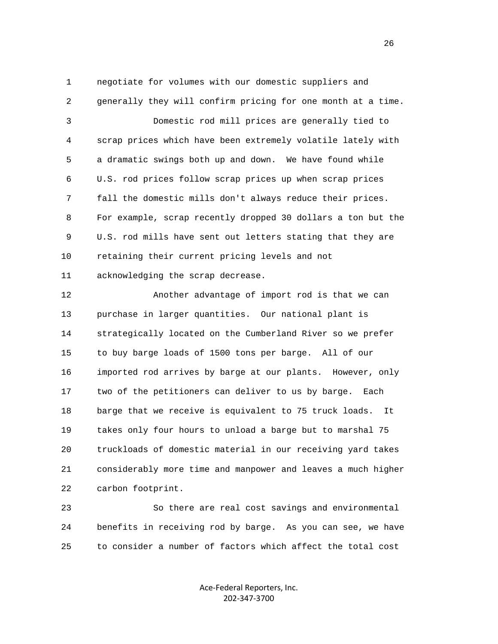1 negotiate for volumes with our domestic suppliers and 2 generally they will confirm pricing for one month at a time. 3 Domestic rod mill prices are generally tied to 4 scrap prices which have been extremely volatile lately with 5 a dramatic swings both up and down. We have found while 6 U.S. rod prices follow scrap prices up when scrap prices 7 fall the domestic mills don't always reduce their prices. 8 For example, scrap recently dropped 30 dollars a ton but the 9 U.S. rod mills have sent out letters stating that they are 10 retaining their current pricing levels and not 11 acknowledging the scrap decrease.

 12 Another advantage of import rod is that we can 13 purchase in larger quantities. Our national plant is 14 strategically located on the Cumberland River so we prefer 15 to buy barge loads of 1500 tons per barge. All of our 16 imported rod arrives by barge at our plants. However, only 17 two of the petitioners can deliver to us by barge. Each 18 barge that we receive is equivalent to 75 truck loads. It 19 takes only four hours to unload a barge but to marshal 75 20 truckloads of domestic material in our receiving yard takes 21 considerably more time and manpower and leaves a much higher 22 carbon footprint.

 23 So there are real cost savings and environmental 24 benefits in receiving rod by barge. As you can see, we have 25 to consider a number of factors which affect the total cost

> Ace‐Federal Reporters, Inc. 202‐347‐3700

<u>26</u>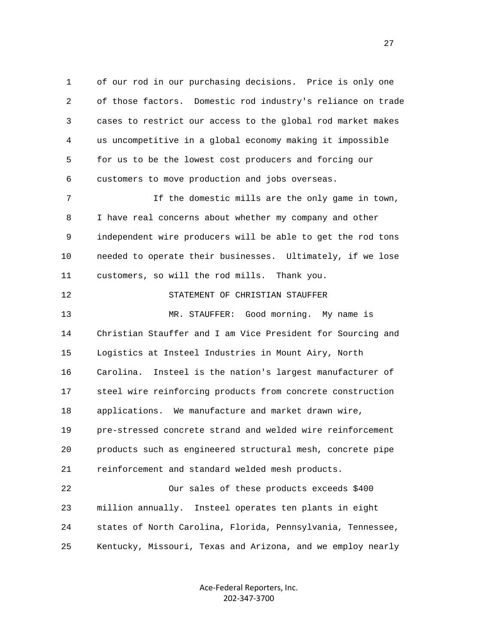1 of our rod in our purchasing decisions. Price is only one 2 of those factors. Domestic rod industry's reliance on trade 3 cases to restrict our access to the global rod market makes 4 us uncompetitive in a global economy making it impossible 5 for us to be the lowest cost producers and forcing our 6 customers to move production and jobs overseas. 7 If the domestic mills are the only game in town, 8 I have real concerns about whether my company and other 9 independent wire producers will be able to get the rod tons

 10 needed to operate their businesses. Ultimately, if we lose 11 customers, so will the rod mills. Thank you.

## 12 STATEMENT OF CHRISTIAN STAUFFER

 13 MR. STAUFFER: Good morning. My name is 14 Christian Stauffer and I am Vice President for Sourcing and 15 Logistics at Insteel Industries in Mount Airy, North 16 Carolina. Insteel is the nation's largest manufacturer of 17 steel wire reinforcing products from concrete construction 18 applications. We manufacture and market drawn wire, 19 pre-stressed concrete strand and welded wire reinforcement 20 products such as engineered structural mesh, concrete pipe 21 reinforcement and standard welded mesh products.

 22 Our sales of these products exceeds \$400 23 million annually. Insteel operates ten plants in eight 24 states of North Carolina, Florida, Pennsylvania, Tennessee, 25 Kentucky, Missouri, Texas and Arizona, and we employ nearly

> Ace‐Federal Reporters, Inc. 202‐347‐3700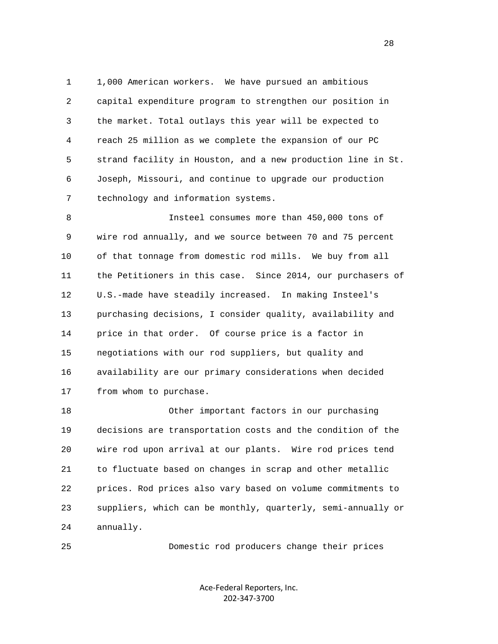1 1,000 American workers. We have pursued an ambitious 2 capital expenditure program to strengthen our position in 3 the market. Total outlays this year will be expected to 4 reach 25 million as we complete the expansion of our PC 5 strand facility in Houston, and a new production line in St. 6 Joseph, Missouri, and continue to upgrade our production 7 technology and information systems.

 8 Insteel consumes more than 450,000 tons of 9 wire rod annually, and we source between 70 and 75 percent 10 of that tonnage from domestic rod mills. We buy from all 11 the Petitioners in this case. Since 2014, our purchasers of 12 U.S.-made have steadily increased. In making Insteel's 13 purchasing decisions, I consider quality, availability and 14 price in that order. Of course price is a factor in 15 negotiations with our rod suppliers, but quality and 16 availability are our primary considerations when decided 17 from whom to purchase.

 18 Other important factors in our purchasing 19 decisions are transportation costs and the condition of the 20 wire rod upon arrival at our plants. Wire rod prices tend 21 to fluctuate based on changes in scrap and other metallic 22 prices. Rod prices also vary based on volume commitments to 23 suppliers, which can be monthly, quarterly, semi-annually or 24 annually.

25 Domestic rod producers change their prices

Ace‐Federal Reporters, Inc. 202‐347‐3700

28 and 28 and 28 and 28 and 28 and 28 and 28 and 28 and 28 and 28 and 28 and 28 and 28 and 28 and 28 and 28 and 28 and 28 and 28 and 28 and 28 and 28 and 28 and 28 and 28 and 28 and 28 and 28 and 28 and 28 and 28 and 28 an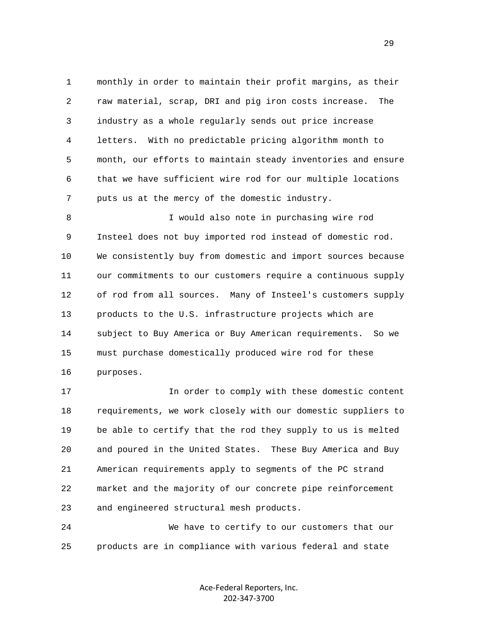1 monthly in order to maintain their profit margins, as their 2 raw material, scrap, DRI and pig iron costs increase. The 3 industry as a whole regularly sends out price increase 4 letters. With no predictable pricing algorithm month to 5 month, our efforts to maintain steady inventories and ensure 6 that we have sufficient wire rod for our multiple locations 7 puts us at the mercy of the domestic industry.

 8 I would also note in purchasing wire rod 9 Insteel does not buy imported rod instead of domestic rod. 10 We consistently buy from domestic and import sources because 11 our commitments to our customers require a continuous supply 12 of rod from all sources. Many of Insteel's customers supply 13 products to the U.S. infrastructure projects which are 14 subject to Buy America or Buy American requirements. So we 15 must purchase domestically produced wire rod for these 16 purposes.

 17 In order to comply with these domestic content 18 requirements, we work closely with our domestic suppliers to 19 be able to certify that the rod they supply to us is melted 20 and poured in the United States. These Buy America and Buy 21 American requirements apply to segments of the PC strand 22 market and the majority of our concrete pipe reinforcement 23 and engineered structural mesh products.

 24 We have to certify to our customers that our 25 products are in compliance with various federal and state

> Ace‐Federal Reporters, Inc. 202‐347‐3700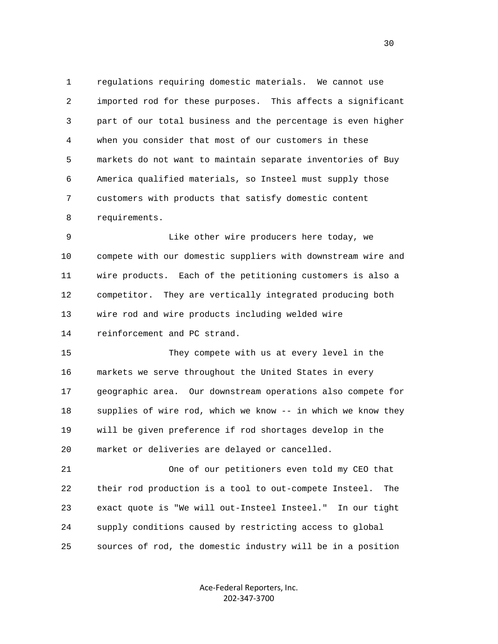1 regulations requiring domestic materials. We cannot use 2 imported rod for these purposes. This affects a significant 3 part of our total business and the percentage is even higher 4 when you consider that most of our customers in these 5 markets do not want to maintain separate inventories of Buy 6 America qualified materials, so Insteel must supply those 7 customers with products that satisfy domestic content 8 requirements.

 9 Like other wire producers here today, we 10 compete with our domestic suppliers with downstream wire and 11 wire products. Each of the petitioning customers is also a 12 competitor. They are vertically integrated producing both 13 wire rod and wire products including welded wire 14 reinforcement and PC strand.

 15 They compete with us at every level in the 16 markets we serve throughout the United States in every 17 geographic area. Our downstream operations also compete for 18 supplies of wire rod, which we know -- in which we know they 19 will be given preference if rod shortages develop in the 20 market or deliveries are delayed or cancelled.

 21 One of our petitioners even told my CEO that 22 their rod production is a tool to out-compete Insteel. The 23 exact quote is "We will out-Insteel Insteel." In our tight 24 supply conditions caused by restricting access to global 25 sources of rod, the domestic industry will be in a position

> Ace‐Federal Reporters, Inc. 202‐347‐3700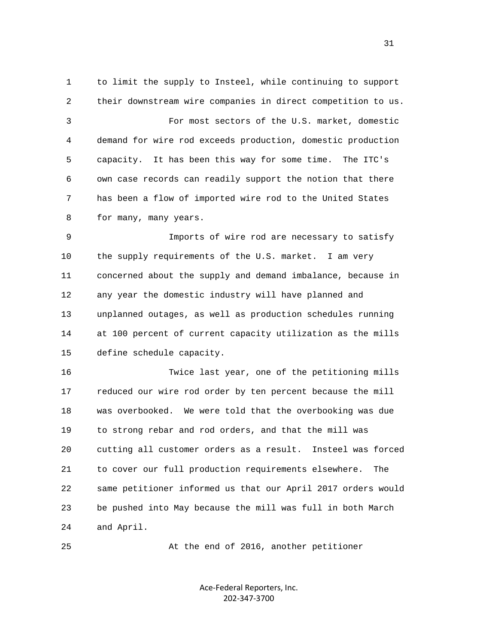1 to limit the supply to Insteel, while continuing to support 2 their downstream wire companies in direct competition to us. 3 For most sectors of the U.S. market, domestic 4 demand for wire rod exceeds production, domestic production 5 capacity. It has been this way for some time. The ITC's 6 own case records can readily support the notion that there 7 has been a flow of imported wire rod to the United States 8 for many, many years. 9 Imports of wire rod are necessary to satisfy 10 the supply requirements of the U.S. market. I am very 11 concerned about the supply and demand imbalance, because in 12 any year the domestic industry will have planned and 13 unplanned outages, as well as production schedules running 14 at 100 percent of current capacity utilization as the mills 15 define schedule capacity. 16 Twice last year, one of the petitioning mills 17 reduced our wire rod order by ten percent because the mill 18 was overbooked. We were told that the overbooking was due 19 to strong rebar and rod orders, and that the mill was 20 cutting all customer orders as a result. Insteel was forced

 21 to cover our full production requirements elsewhere. The 22 same petitioner informed us that our April 2017 orders would 23 be pushed into May because the mill was full in both March 24 and April.

25 At the end of 2016, another petitioner

Ace‐Federal Reporters, Inc. 202‐347‐3700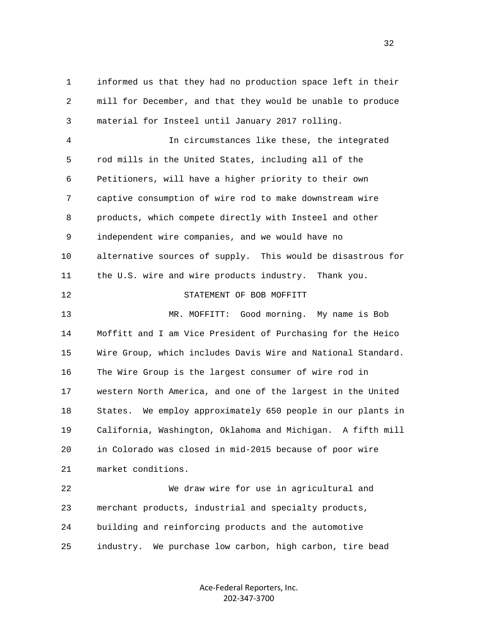1 informed us that they had no production space left in their 2 mill for December, and that they would be unable to produce 3 material for Insteel until January 2017 rolling.

 4 In circumstances like these, the integrated 5 rod mills in the United States, including all of the 6 Petitioners, will have a higher priority to their own 7 captive consumption of wire rod to make downstream wire 8 products, which compete directly with Insteel and other 9 independent wire companies, and we would have no 10 alternative sources of supply. This would be disastrous for 11 the U.S. wire and wire products industry. Thank you. 12 STATEMENT OF BOB MOFFITT 13 MR. MOFFITT: Good morning. My name is Bob 14 Moffitt and I am Vice President of Purchasing for the Heico 15 Wire Group, which includes Davis Wire and National Standard. 16 The Wire Group is the largest consumer of wire rod in 17 western North America, and one of the largest in the United 18 States. We employ approximately 650 people in our plants in 19 California, Washington, Oklahoma and Michigan. A fifth mill 20 in Colorado was closed in mid-2015 because of poor wire 21 market conditions. 22 We draw wire for use in agricultural and

 23 merchant products, industrial and specialty products, 24 building and reinforcing products and the automotive 25 industry. We purchase low carbon, high carbon, tire bead

> Ace‐Federal Reporters, Inc. 202‐347‐3700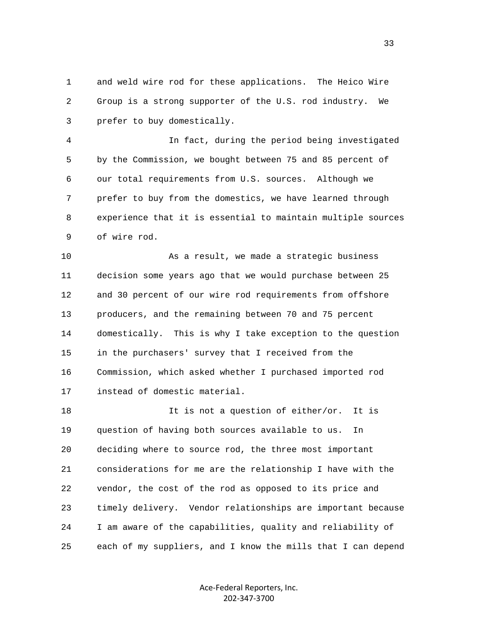1 and weld wire rod for these applications. The Heico Wire 2 Group is a strong supporter of the U.S. rod industry. We 3 prefer to buy domestically.

 4 In fact, during the period being investigated 5 by the Commission, we bought between 75 and 85 percent of 6 our total requirements from U.S. sources. Although we 7 prefer to buy from the domestics, we have learned through 8 experience that it is essential to maintain multiple sources 9 of wire rod.

 10 As a result, we made a strategic business 11 decision some years ago that we would purchase between 25 12 and 30 percent of our wire rod requirements from offshore 13 producers, and the remaining between 70 and 75 percent 14 domestically. This is why I take exception to the question 15 in the purchasers' survey that I received from the 16 Commission, which asked whether I purchased imported rod 17 instead of domestic material.

18 18 It is not a question of either/or. It is 19 question of having both sources available to us. In 20 deciding where to source rod, the three most important 21 considerations for me are the relationship I have with the 22 vendor, the cost of the rod as opposed to its price and 23 timely delivery. Vendor relationships are important because 24 I am aware of the capabilities, quality and reliability of 25 each of my suppliers, and I know the mills that I can depend

> Ace‐Federal Reporters, Inc. 202‐347‐3700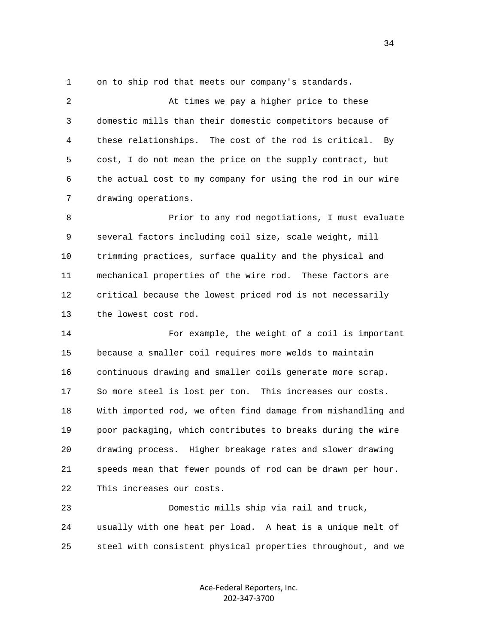1 on to ship rod that meets our company's standards.

 2 At times we pay a higher price to these 3 domestic mills than their domestic competitors because of 4 these relationships. The cost of the rod is critical. By 5 cost, I do not mean the price on the supply contract, but 6 the actual cost to my company for using the rod in our wire 7 drawing operations.

8 Prior to any rod negotiations, I must evaluate 9 several factors including coil size, scale weight, mill 10 trimming practices, surface quality and the physical and 11 mechanical properties of the wire rod. These factors are 12 critical because the lowest priced rod is not necessarily 13 the lowest cost rod.

 14 For example, the weight of a coil is important 15 because a smaller coil requires more welds to maintain 16 continuous drawing and smaller coils generate more scrap. 17 So more steel is lost per ton. This increases our costs. 18 With imported rod, we often find damage from mishandling and 19 poor packaging, which contributes to breaks during the wire 20 drawing process. Higher breakage rates and slower drawing 21 speeds mean that fewer pounds of rod can be drawn per hour. 22 This increases our costs.

 23 Domestic mills ship via rail and truck, 24 usually with one heat per load. A heat is a unique melt of 25 steel with consistent physical properties throughout, and we

> Ace‐Federal Reporters, Inc. 202‐347‐3700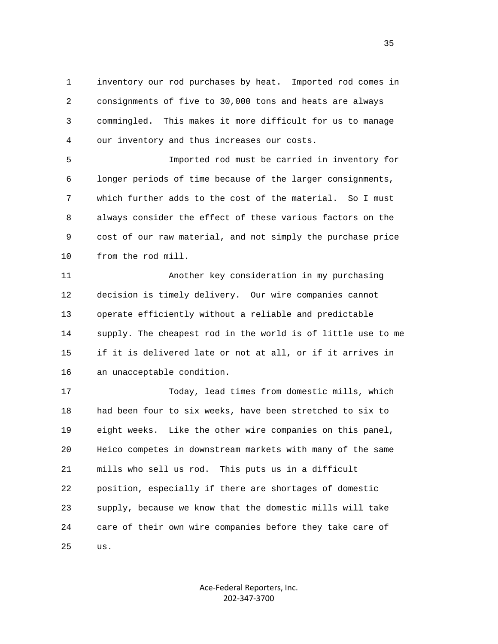1 inventory our rod purchases by heat. Imported rod comes in 2 consignments of five to 30,000 tons and heats are always 3 commingled. This makes it more difficult for us to manage 4 our inventory and thus increases our costs.

 5 Imported rod must be carried in inventory for 6 longer periods of time because of the larger consignments, 7 which further adds to the cost of the material. So I must 8 always consider the effect of these various factors on the 9 cost of our raw material, and not simply the purchase price 10 from the rod mill.

 11 Another key consideration in my purchasing 12 decision is timely delivery. Our wire companies cannot 13 operate efficiently without a reliable and predictable 14 supply. The cheapest rod in the world is of little use to me 15 if it is delivered late or not at all, or if it arrives in 16 an unacceptable condition.

 17 Today, lead times from domestic mills, which 18 had been four to six weeks, have been stretched to six to 19 eight weeks. Like the other wire companies on this panel, 20 Heico competes in downstream markets with many of the same 21 mills who sell us rod. This puts us in a difficult 22 position, especially if there are shortages of domestic 23 supply, because we know that the domestic mills will take 24 care of their own wire companies before they take care of 25 us.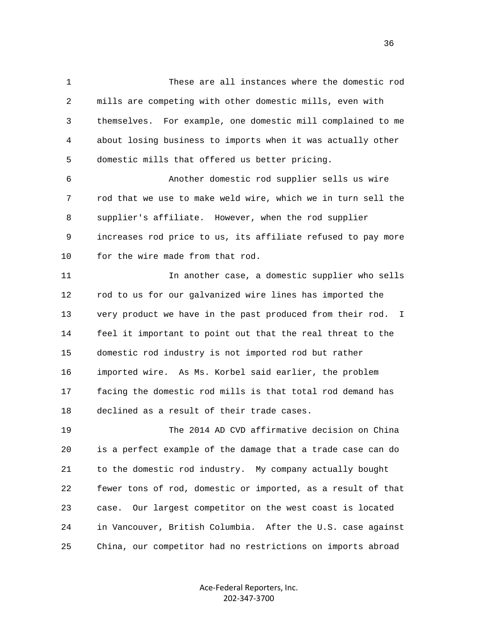1 These are all instances where the domestic rod 2 mills are competing with other domestic mills, even with 3 themselves. For example, one domestic mill complained to me 4 about losing business to imports when it was actually other 5 domestic mills that offered us better pricing. 6 Another domestic rod supplier sells us wire

 7 rod that we use to make weld wire, which we in turn sell the 8 supplier's affiliate. However, when the rod supplier 9 increases rod price to us, its affiliate refused to pay more 10 for the wire made from that rod.

 11 In another case, a domestic supplier who sells 12 rod to us for our galvanized wire lines has imported the 13 very product we have in the past produced from their rod. I 14 feel it important to point out that the real threat to the 15 domestic rod industry is not imported rod but rather 16 imported wire. As Ms. Korbel said earlier, the problem 17 facing the domestic rod mills is that total rod demand has 18 declined as a result of their trade cases.

 19 The 2014 AD CVD affirmative decision on China 20 is a perfect example of the damage that a trade case can do 21 to the domestic rod industry. My company actually bought 22 fewer tons of rod, domestic or imported, as a result of that 23 case. Our largest competitor on the west coast is located 24 in Vancouver, British Columbia. After the U.S. case against 25 China, our competitor had no restrictions on imports abroad

> Ace‐Federal Reporters, Inc. 202‐347‐3700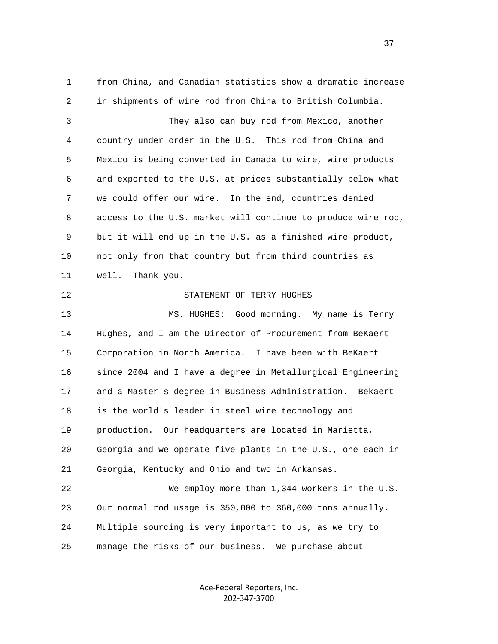1 from China, and Canadian statistics show a dramatic increase 2 in shipments of wire rod from China to British Columbia. 3 They also can buy rod from Mexico, another 4 country under order in the U.S. This rod from China and 5 Mexico is being converted in Canada to wire, wire products 6 and exported to the U.S. at prices substantially below what 7 we could offer our wire. In the end, countries denied 8 access to the U.S. market will continue to produce wire rod, 9 but it will end up in the U.S. as a finished wire product, 10 not only from that country but from third countries as 11 well. Thank you. 12 STATEMENT OF TERRY HUGHES 13 MS. HUGHES: Good morning. My name is Terry 14 Hughes, and I am the Director of Procurement from BeKaert 15 Corporation in North America. I have been with BeKaert 16 since 2004 and I have a degree in Metallurgical Engineering 17 and a Master's degree in Business Administration. Bekaert 18 is the world's leader in steel wire technology and 19 production. Our headquarters are located in Marietta, 20 Georgia and we operate five plants in the U.S., one each in 21 Georgia, Kentucky and Ohio and two in Arkansas. 22 We employ more than 1,344 workers in the U.S. 23 Our normal rod usage is 350,000 to 360,000 tons annually. 24 Multiple sourcing is very important to us, as we try to 25 manage the risks of our business. We purchase about

> Ace‐Federal Reporters, Inc. 202‐347‐3700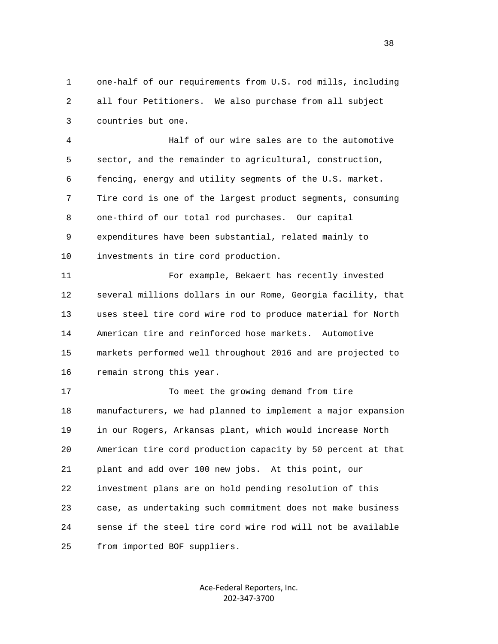1 one-half of our requirements from U.S. rod mills, including 2 all four Petitioners. We also purchase from all subject 3 countries but one.

 4 Half of our wire sales are to the automotive 5 sector, and the remainder to agricultural, construction, 6 fencing, energy and utility segments of the U.S. market. 7 Tire cord is one of the largest product segments, consuming 8 one-third of our total rod purchases. Our capital 9 expenditures have been substantial, related mainly to 10 investments in tire cord production.

 11 For example, Bekaert has recently invested 12 several millions dollars in our Rome, Georgia facility, that 13 uses steel tire cord wire rod to produce material for North 14 American tire and reinforced hose markets. Automotive 15 markets performed well throughout 2016 and are projected to 16 remain strong this year.

17 To meet the growing demand from tire 18 manufacturers, we had planned to implement a major expansion 19 in our Rogers, Arkansas plant, which would increase North 20 American tire cord production capacity by 50 percent at that 21 plant and add over 100 new jobs. At this point, our 22 investment plans are on hold pending resolution of this 23 case, as undertaking such commitment does not make business 24 sense if the steel tire cord wire rod will not be available 25 from imported BOF suppliers.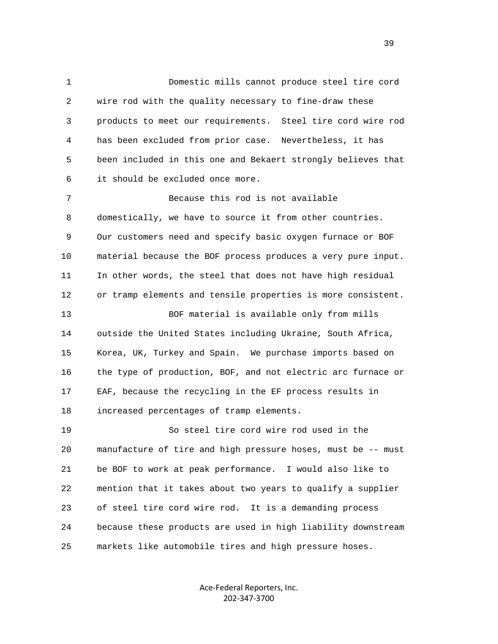1 Domestic mills cannot produce steel tire cord 2 wire rod with the quality necessary to fine-draw these 3 products to meet our requirements. Steel tire cord wire rod 4 has been excluded from prior case. Nevertheless, it has 5 been included in this one and Bekaert strongly believes that 6 it should be excluded once more. 7 Because this rod is not available 8 domestically, we have to source it from other countries. 9 Our customers need and specify basic oxygen furnace or BOF 10 material because the BOF process produces a very pure input. 11 In other words, the steel that does not have high residual 12 or tramp elements and tensile properties is more consistent. 13 BOF material is available only from mills 14 outside the United States including Ukraine, South Africa, 15 Korea, UK, Turkey and Spain. We purchase imports based on 16 the type of production, BOF, and not electric arc furnace or 17 EAF, because the recycling in the EF process results in 18 increased percentages of tramp elements. 19 So steel tire cord wire rod used in the 20 manufacture of tire and high pressure hoses, must be -- must 21 be BOF to work at peak performance. I would also like to 22 mention that it takes about two years to qualify a supplier 23 of steel tire cord wire rod. It is a demanding process 24 because these products are used in high liability downstream

25 markets like automobile tires and high pressure hoses.

Ace‐Federal Reporters, Inc. 202‐347‐3700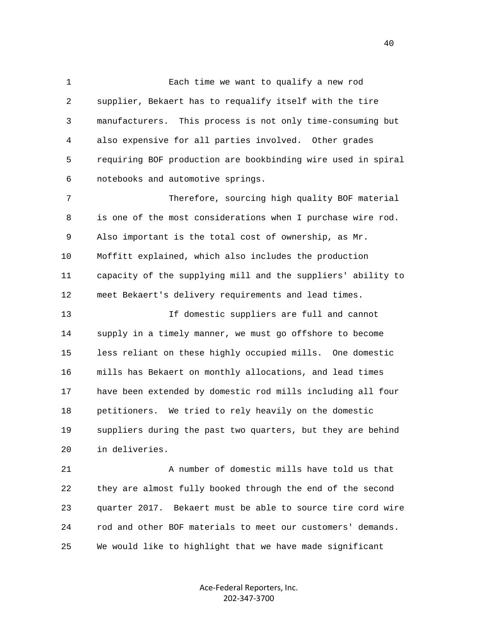1 Each time we want to qualify a new rod 2 supplier, Bekaert has to requalify itself with the tire 3 manufacturers. This process is not only time-consuming but 4 also expensive for all parties involved. Other grades 5 requiring BOF production are bookbinding wire used in spiral 6 notebooks and automotive springs.

 7 Therefore, sourcing high quality BOF material 8 is one of the most considerations when I purchase wire rod. 9 Also important is the total cost of ownership, as Mr. 10 Moffitt explained, which also includes the production 11 capacity of the supplying mill and the suppliers' ability to 12 meet Bekaert's delivery requirements and lead times.

 13 If domestic suppliers are full and cannot 14 supply in a timely manner, we must go offshore to become 15 less reliant on these highly occupied mills. One domestic 16 mills has Bekaert on monthly allocations, and lead times 17 have been extended by domestic rod mills including all four 18 petitioners. We tried to rely heavily on the domestic 19 suppliers during the past two quarters, but they are behind 20 in deliveries.

 21 A number of domestic mills have told us that 22 they are almost fully booked through the end of the second 23 quarter 2017. Bekaert must be able to source tire cord wire 24 rod and other BOF materials to meet our customers' demands. 25 We would like to highlight that we have made significant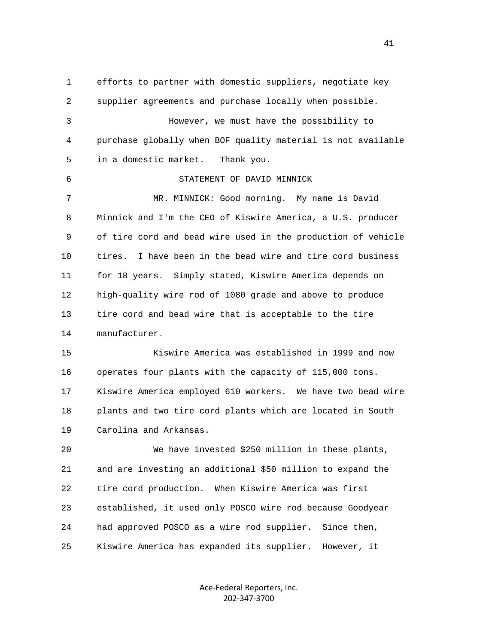1 efforts to partner with domestic suppliers, negotiate key 2 supplier agreements and purchase locally when possible. 3 However, we must have the possibility to 4 purchase globally when BOF quality material is not available 5 in a domestic market. Thank you. 6 STATEMENT OF DAVID MINNICK 7 MR. MINNICK: Good morning. My name is David 8 Minnick and I'm the CEO of Kiswire America, a U.S. producer 9 of tire cord and bead wire used in the production of vehicle 10 tires. I have been in the bead wire and tire cord business 11 for 18 years. Simply stated, Kiswire America depends on 12 high-quality wire rod of 1080 grade and above to produce 13 tire cord and bead wire that is acceptable to the tire 14 manufacturer. 15 Kiswire America was established in 1999 and now 16 operates four plants with the capacity of 115,000 tons. 17 Kiswire America employed 610 workers. We have two bead wire 18 plants and two tire cord plants which are located in South 19 Carolina and Arkansas. 20 We have invested \$250 million in these plants, 21 and are investing an additional \$50 million to expand the 22 tire cord production. When Kiswire America was first 23 established, it used only POSCO wire rod because Goodyear 24 had approved POSCO as a wire rod supplier. Since then, 25 Kiswire America has expanded its supplier. However, it

> Ace‐Federal Reporters, Inc. 202‐347‐3700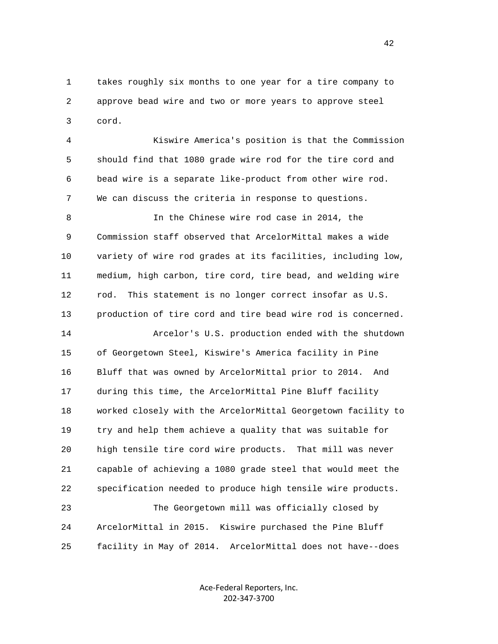1 takes roughly six months to one year for a tire company to 2 approve bead wire and two or more years to approve steel 3 cord.

 4 Kiswire America's position is that the Commission 5 should find that 1080 grade wire rod for the tire cord and 6 bead wire is a separate like-product from other wire rod. 7 We can discuss the criteria in response to questions.

 8 In the Chinese wire rod case in 2014, the 9 Commission staff observed that ArcelorMittal makes a wide 10 variety of wire rod grades at its facilities, including low, 11 medium, high carbon, tire cord, tire bead, and welding wire 12 rod. This statement is no longer correct insofar as U.S. 13 production of tire cord and tire bead wire rod is concerned.

 14 Arcelor's U.S. production ended with the shutdown 15 of Georgetown Steel, Kiswire's America facility in Pine 16 Bluff that was owned by ArcelorMittal prior to 2014. And 17 during this time, the ArcelorMittal Pine Bluff facility 18 worked closely with the ArcelorMittal Georgetown facility to 19 try and help them achieve a quality that was suitable for 20 high tensile tire cord wire products. That mill was never 21 capable of achieving a 1080 grade steel that would meet the 22 specification needed to produce high tensile wire products.

 23 The Georgetown mill was officially closed by 24 ArcelorMittal in 2015. Kiswire purchased the Pine Bluff 25 facility in May of 2014. ArcelorMittal does not have--does

> Ace‐Federal Reporters, Inc. 202‐347‐3700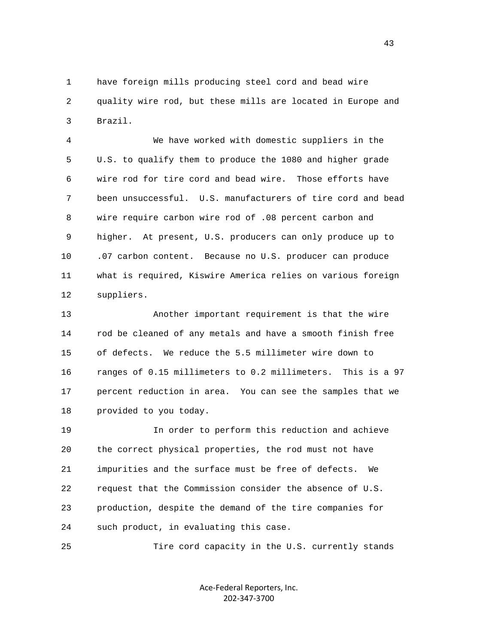1 have foreign mills producing steel cord and bead wire 2 quality wire rod, but these mills are located in Europe and 3 Brazil.

 4 We have worked with domestic suppliers in the 5 U.S. to qualify them to produce the 1080 and higher grade 6 wire rod for tire cord and bead wire. Those efforts have 7 been unsuccessful. U.S. manufacturers of tire cord and bead 8 wire require carbon wire rod of .08 percent carbon and 9 higher. At present, U.S. producers can only produce up to 10 .07 carbon content. Because no U.S. producer can produce 11 what is required, Kiswire America relies on various foreign 12 suppliers.

 13 Another important requirement is that the wire 14 rod be cleaned of any metals and have a smooth finish free 15 of defects. We reduce the 5.5 millimeter wire down to 16 ranges of 0.15 millimeters to 0.2 millimeters. This is a 97 17 percent reduction in area. You can see the samples that we 18 provided to you today.

 19 In order to perform this reduction and achieve 20 the correct physical properties, the rod must not have 21 impurities and the surface must be free of defects. We 22 request that the Commission consider the absence of U.S. 23 production, despite the demand of the tire companies for 24 such product, in evaluating this case.

25 Tire cord capacity in the U.S. currently stands

Ace‐Federal Reporters, Inc. 202‐347‐3700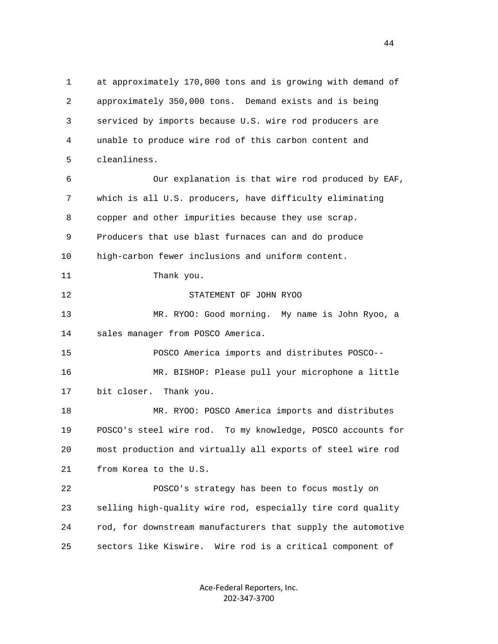1 at approximately 170,000 tons and is growing with demand of 2 approximately 350,000 tons. Demand exists and is being 3 serviced by imports because U.S. wire rod producers are 4 unable to produce wire rod of this carbon content and 5 cleanliness. 6 Our explanation is that wire rod produced by EAF, 7 which is all U.S. producers, have difficulty eliminating 8 copper and other impurities because they use scrap. 9 Producers that use blast furnaces can and do produce 10 high-carbon fewer inclusions and uniform content. 11 Thank you. 12 STATEMENT OF JOHN RYOO 13 MR. RYOO: Good morning. My name is John Ryoo, a 14 sales manager from POSCO America. 15 POSCO America imports and distributes POSCO-- 16 MR. BISHOP: Please pull your microphone a little 17 bit closer. Thank you. 18 MR. RYOO: POSCO America imports and distributes 19 POSCO's steel wire rod. To my knowledge, POSCO accounts for 20 most production and virtually all exports of steel wire rod 21 from Korea to the U.S. 22 POSCO's strategy has been to focus mostly on 23 selling high-quality wire rod, especially tire cord quality 24 rod, for downstream manufacturers that supply the automotive 25 sectors like Kiswire. Wire rod is a critical component of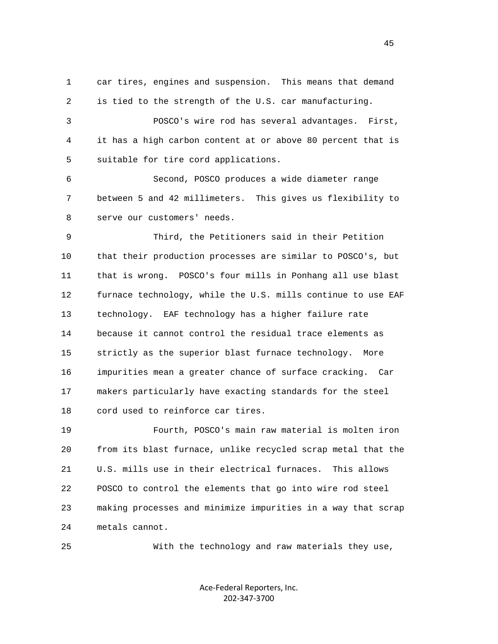1 car tires, engines and suspension. This means that demand 2 is tied to the strength of the U.S. car manufacturing.

 3 POSCO's wire rod has several advantages. First, 4 it has a high carbon content at or above 80 percent that is 5 suitable for tire cord applications.

 6 Second, POSCO produces a wide diameter range 7 between 5 and 42 millimeters. This gives us flexibility to 8 serve our customers' needs.

 9 Third, the Petitioners said in their Petition 10 that their production processes are similar to POSCO's, but 11 that is wrong. POSCO's four mills in Ponhang all use blast 12 furnace technology, while the U.S. mills continue to use EAF 13 technology. EAF technology has a higher failure rate 14 because it cannot control the residual trace elements as 15 strictly as the superior blast furnace technology. More 16 impurities mean a greater chance of surface cracking. Car 17 makers particularly have exacting standards for the steel 18 cord used to reinforce car tires.

 19 Fourth, POSCO's main raw material is molten iron 20 from its blast furnace, unlike recycled scrap metal that the 21 U.S. mills use in their electrical furnaces. This allows 22 POSCO to control the elements that go into wire rod steel 23 making processes and minimize impurities in a way that scrap 24 metals cannot.

25 With the technology and raw materials they use,

Ace‐Federal Reporters, Inc. 202‐347‐3700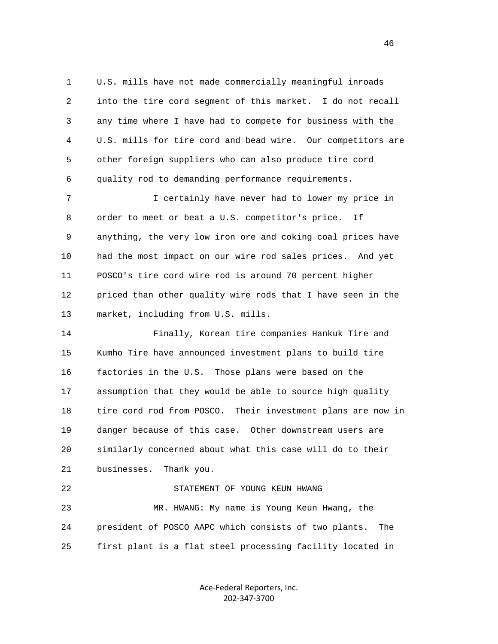1 U.S. mills have not made commercially meaningful inroads 2 into the tire cord segment of this market. I do not recall 3 any time where I have had to compete for business with the 4 U.S. mills for tire cord and bead wire. Our competitors are 5 other foreign suppliers who can also produce tire cord 6 quality rod to demanding performance requirements.

 7 I certainly have never had to lower my price in 8 order to meet or beat a U.S. competitor's price. If 9 anything, the very low iron ore and coking coal prices have 10 had the most impact on our wire rod sales prices. And yet 11 POSCO's tire cord wire rod is around 70 percent higher 12 priced than other quality wire rods that I have seen in the 13 market, including from U.S. mills.

 14 Finally, Korean tire companies Hankuk Tire and 15 Kumho Tire have announced investment plans to build tire 16 factories in the U.S. Those plans were based on the 17 assumption that they would be able to source high quality 18 tire cord rod from POSCO. Their investment plans are now in 19 danger because of this case. Other downstream users are 20 similarly concerned about what this case will do to their 21 businesses. Thank you. 22 STATEMENT OF YOUNG KEUN HWANG 23 MR. HWANG: My name is Young Keun Hwang, the 24 president of POSCO AAPC which consists of two plants. The

25 first plant is a flat steel processing facility located in

Ace‐Federal Reporters, Inc. 202‐347‐3700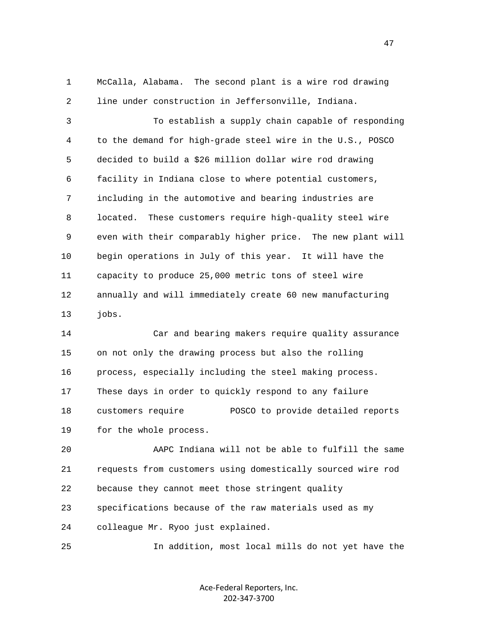1 McCalla, Alabama. The second plant is a wire rod drawing 2 line under construction in Jeffersonville, Indiana.

 3 To establish a supply chain capable of responding 4 to the demand for high-grade steel wire in the U.S., POSCO 5 decided to build a \$26 million dollar wire rod drawing 6 facility in Indiana close to where potential customers, 7 including in the automotive and bearing industries are 8 located. These customers require high-quality steel wire 9 even with their comparably higher price. The new plant will 10 begin operations in July of this year. It will have the 11 capacity to produce 25,000 metric tons of steel wire 12 annually and will immediately create 60 new manufacturing 13 jobs.

 14 Car and bearing makers require quality assurance 15 on not only the drawing process but also the rolling 16 process, especially including the steel making process. 17 These days in order to quickly respond to any failure 18 customers require POSCO to provide detailed reports 19 for the whole process.

 20 AAPC Indiana will not be able to fulfill the same 21 requests from customers using domestically sourced wire rod 22 because they cannot meet those stringent quality 23 specifications because of the raw materials used as my 24 colleague Mr. Ryoo just explained.

25 In addition, most local mills do not yet have the

Ace‐Federal Reporters, Inc. 202‐347‐3700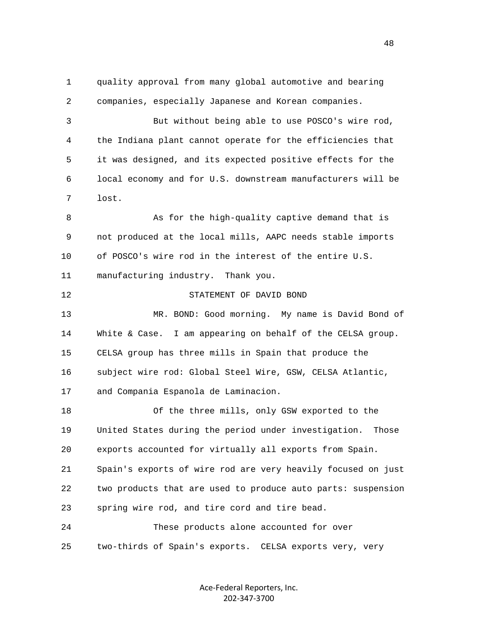1 quality approval from many global automotive and bearing 2 companies, especially Japanese and Korean companies. 3 But without being able to use POSCO's wire rod, 4 the Indiana plant cannot operate for the efficiencies that 5 it was designed, and its expected positive effects for the 6 local economy and for U.S. downstream manufacturers will be 7 lost. 8 As for the high-quality captive demand that is 9 not produced at the local mills, AAPC needs stable imports 10 of POSCO's wire rod in the interest of the entire U.S. 11 manufacturing industry. Thank you. 12 STATEMENT OF DAVID BOND 13 MR. BOND: Good morning. My name is David Bond of 14 White & Case. I am appearing on behalf of the CELSA group. 15 CELSA group has three mills in Spain that produce the 16 subject wire rod: Global Steel Wire, GSW, CELSA Atlantic, 17 and Compania Espanola de Laminacion. 18 Of the three mills, only GSW exported to the 19 United States during the period under investigation. Those 20 exports accounted for virtually all exports from Spain. 21 Spain's exports of wire rod are very heavily focused on just 22 two products that are used to produce auto parts: suspension 23 spring wire rod, and tire cord and tire bead. 24 These products alone accounted for over 25 two-thirds of Spain's exports. CELSA exports very, very

> Ace‐Federal Reporters, Inc. 202‐347‐3700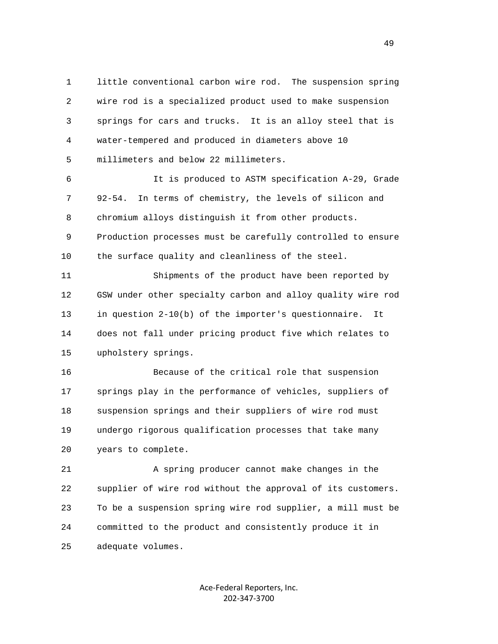1 little conventional carbon wire rod. The suspension spring 2 wire rod is a specialized product used to make suspension 3 springs for cars and trucks. It is an alloy steel that is 4 water-tempered and produced in diameters above 10 5 millimeters and below 22 millimeters.

 6 It is produced to ASTM specification A-29, Grade 7 92-54. In terms of chemistry, the levels of silicon and 8 chromium alloys distinguish it from other products. 9 Production processes must be carefully controlled to ensure 10 the surface quality and cleanliness of the steel.

 11 Shipments of the product have been reported by 12 GSW under other specialty carbon and alloy quality wire rod 13 in question 2-10(b) of the importer's questionnaire. It 14 does not fall under pricing product five which relates to 15 upholstery springs.

 16 Because of the critical role that suspension 17 springs play in the performance of vehicles, suppliers of 18 suspension springs and their suppliers of wire rod must 19 undergo rigorous qualification processes that take many 20 years to complete.

 21 A spring producer cannot make changes in the 22 supplier of wire rod without the approval of its customers. 23 To be a suspension spring wire rod supplier, a mill must be 24 committed to the product and consistently produce it in 25 adequate volumes.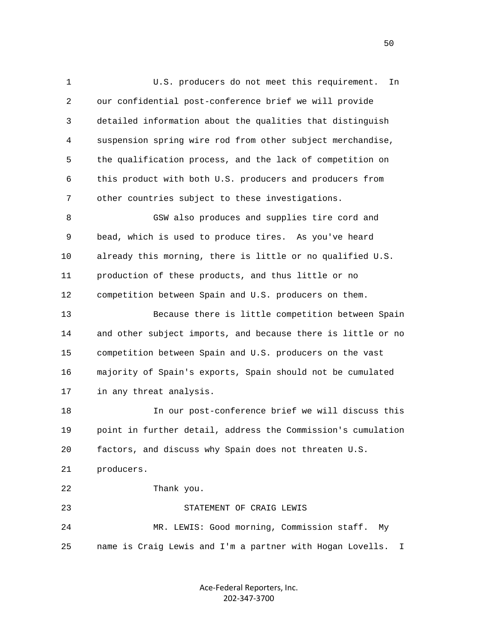1 U.S. producers do not meet this requirement. In 2 our confidential post-conference brief we will provide 3 detailed information about the qualities that distinguish 4 suspension spring wire rod from other subject merchandise, 5 the qualification process, and the lack of competition on 6 this product with both U.S. producers and producers from 7 other countries subject to these investigations. 8 GSW also produces and supplies tire cord and 9 bead, which is used to produce tires. As you've heard 10 already this morning, there is little or no qualified U.S. 11 production of these products, and thus little or no 12 competition between Spain and U.S. producers on them. 13 Because there is little competition between Spain 14 and other subject imports, and because there is little or no 15 competition between Spain and U.S. producers on the vast 16 majority of Spain's exports, Spain should not be cumulated 17 in any threat analysis. 18 In our post-conference brief we will discuss this 19 point in further detail, address the Commission's cumulation 20 factors, and discuss why Spain does not threaten U.S. 21 producers. 22 Thank you. 23 STATEMENT OF CRAIG LEWIS 24 MR. LEWIS: Good morning, Commission staff. My 25 name is Craig Lewis and I'm a partner with Hogan Lovells. I

> Ace‐Federal Reporters, Inc. 202‐347‐3700

 $50<sub>50</sub>$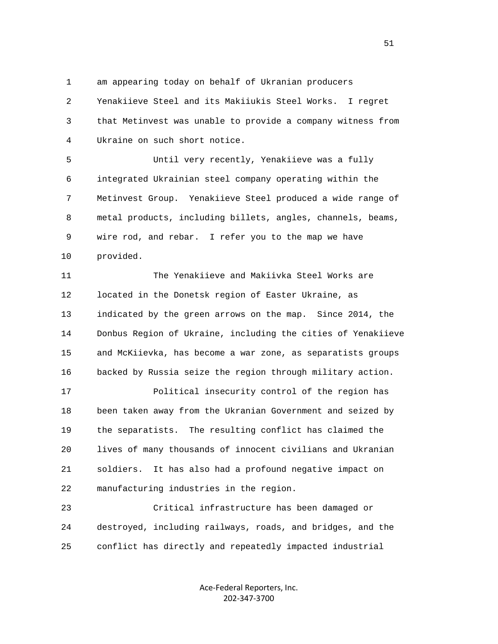1 am appearing today on behalf of Ukranian producers

 2 Yenakiieve Steel and its Makiiukis Steel Works. I regret 3 that Metinvest was unable to provide a company witness from 4 Ukraine on such short notice.

 5 Until very recently, Yenakiieve was a fully 6 integrated Ukrainian steel company operating within the 7 Metinvest Group. Yenakiieve Steel produced a wide range of 8 metal products, including billets, angles, channels, beams, 9 wire rod, and rebar. I refer you to the map we have 10 provided.

 11 The Yenakiieve and Makiivka Steel Works are 12 located in the Donetsk region of Easter Ukraine, as 13 indicated by the green arrows on the map. Since 2014, the 14 Donbus Region of Ukraine, including the cities of Yenakiieve 15 and McKiievka, has become a war zone, as separatists groups 16 backed by Russia seize the region through military action.

 17 Political insecurity control of the region has 18 been taken away from the Ukranian Government and seized by 19 the separatists. The resulting conflict has claimed the 20 lives of many thousands of innocent civilians and Ukranian 21 soldiers. It has also had a profound negative impact on 22 manufacturing industries in the region.

 23 Critical infrastructure has been damaged or 24 destroyed, including railways, roads, and bridges, and the 25 conflict has directly and repeatedly impacted industrial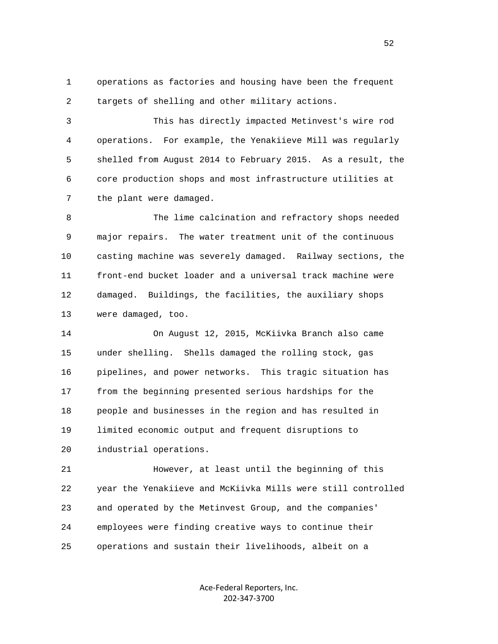1 operations as factories and housing have been the frequent 2 targets of shelling and other military actions.

 3 This has directly impacted Metinvest's wire rod 4 operations. For example, the Yenakiieve Mill was regularly 5 shelled from August 2014 to February 2015. As a result, the 6 core production shops and most infrastructure utilities at 7 the plant were damaged.

 8 The lime calcination and refractory shops needed 9 major repairs. The water treatment unit of the continuous 10 casting machine was severely damaged. Railway sections, the 11 front-end bucket loader and a universal track machine were 12 damaged. Buildings, the facilities, the auxiliary shops 13 were damaged, too.

 14 On August 12, 2015, McKiivka Branch also came 15 under shelling. Shells damaged the rolling stock, gas 16 pipelines, and power networks. This tragic situation has 17 from the beginning presented serious hardships for the 18 people and businesses in the region and has resulted in 19 limited economic output and frequent disruptions to 20 industrial operations.

 21 However, at least until the beginning of this 22 year the Yenakiieve and McKiivka Mills were still controlled 23 and operated by the Metinvest Group, and the companies' 24 employees were finding creative ways to continue their 25 operations and sustain their livelihoods, albeit on a

> Ace‐Federal Reporters, Inc. 202‐347‐3700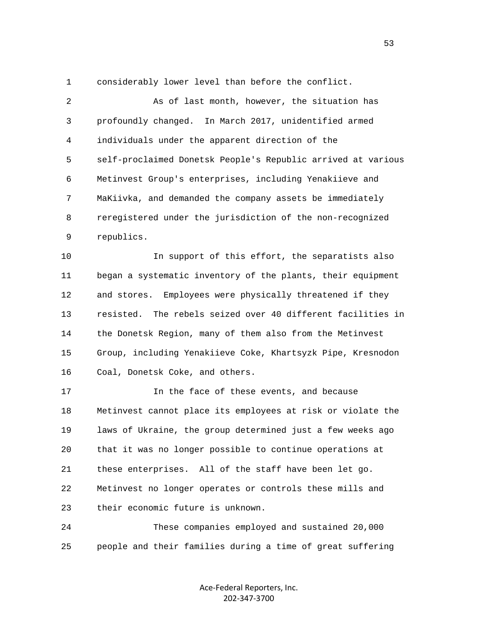1 considerably lower level than before the conflict.

 2 As of last month, however, the situation has 3 profoundly changed. In March 2017, unidentified armed 4 individuals under the apparent direction of the 5 self-proclaimed Donetsk People's Republic arrived at various 6 Metinvest Group's enterprises, including Yenakiieve and 7 MaKiivka, and demanded the company assets be immediately 8 reregistered under the jurisdiction of the non-recognized 9 republics.

 10 In support of this effort, the separatists also 11 began a systematic inventory of the plants, their equipment 12 and stores. Employees were physically threatened if they 13 resisted. The rebels seized over 40 different facilities in 14 the Donetsk Region, many of them also from the Metinvest 15 Group, including Yenakiieve Coke, Khartsyzk Pipe, Kresnodon 16 Coal, Donetsk Coke, and others.

 17 In the face of these events, and because 18 Metinvest cannot place its employees at risk or violate the 19 laws of Ukraine, the group determined just a few weeks ago 20 that it was no longer possible to continue operations at 21 these enterprises. All of the staff have been let go. 22 Metinvest no longer operates or controls these mills and 23 their economic future is unknown.

 24 These companies employed and sustained 20,000 25 people and their families during a time of great suffering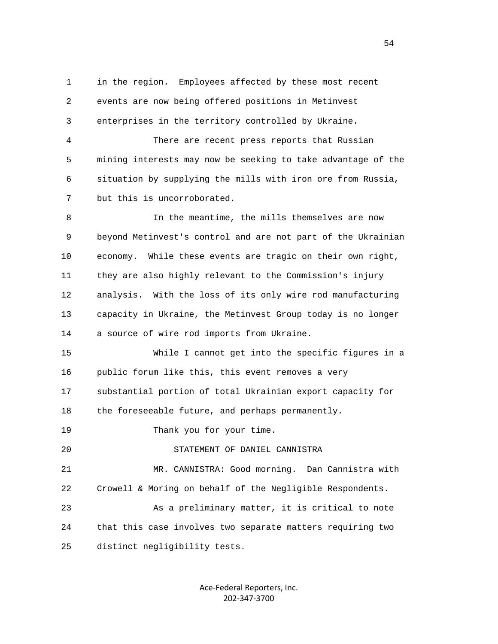1 in the region. Employees affected by these most recent 2 events are now being offered positions in Metinvest 3 enterprises in the territory controlled by Ukraine.

 4 There are recent press reports that Russian 5 mining interests may now be seeking to take advantage of the 6 situation by supplying the mills with iron ore from Russia, 7 but this is uncorroborated.

 8 In the meantime, the mills themselves are now 9 beyond Metinvest's control and are not part of the Ukrainian 10 economy. While these events are tragic on their own right, 11 they are also highly relevant to the Commission's injury 12 analysis. With the loss of its only wire rod manufacturing 13 capacity in Ukraine, the Metinvest Group today is no longer 14 a source of wire rod imports from Ukraine.

 15 While I cannot get into the specific figures in a 16 public forum like this, this event removes a very 17 substantial portion of total Ukrainian export capacity for 18 the foreseeable future, and perhaps permanently.

19 Thank you for your time.

20 STATEMENT OF DANIEL CANNISTRA

 21 MR. CANNISTRA: Good morning. Dan Cannistra with 22 Crowell & Moring on behalf of the Negligible Respondents.

 23 As a preliminary matter, it is critical to note 24 that this case involves two separate matters requiring two 25 distinct negligibility tests.

> Ace‐Federal Reporters, Inc. 202‐347‐3700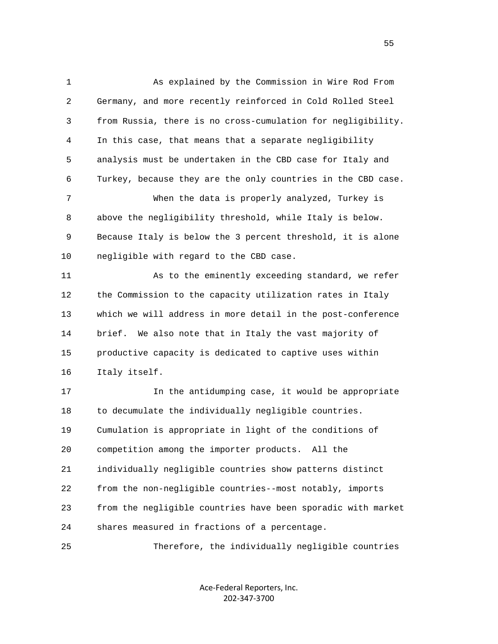1 As explained by the Commission in Wire Rod From 2 Germany, and more recently reinforced in Cold Rolled Steel 3 from Russia, there is no cross-cumulation for negligibility. 4 In this case, that means that a separate negligibility 5 analysis must be undertaken in the CBD case for Italy and 6 Turkey, because they are the only countries in the CBD case. 7 When the data is properly analyzed, Turkey is 8 above the negligibility threshold, while Italy is below. 9 Because Italy is below the 3 percent threshold, it is alone 10 negligible with regard to the CBD case. 11 As to the eminently exceeding standard, we refer 12 the Commission to the capacity utilization rates in Italy 13 which we will address in more detail in the post-conference 14 brief. We also note that in Italy the vast majority of 15 productive capacity is dedicated to captive uses within 16 Italy itself. 17 In the antidumping case, it would be appropriate 18 to decumulate the individually negligible countries. 19 Cumulation is appropriate in light of the conditions of 20 competition among the importer products. All the 21 individually negligible countries show patterns distinct 22 from the non-negligible countries--most notably, imports 23 from the negligible countries have been sporadic with market 24 shares measured in fractions of a percentage.

25 Therefore, the individually negligible countries

Ace‐Federal Reporters, Inc. 202‐347‐3700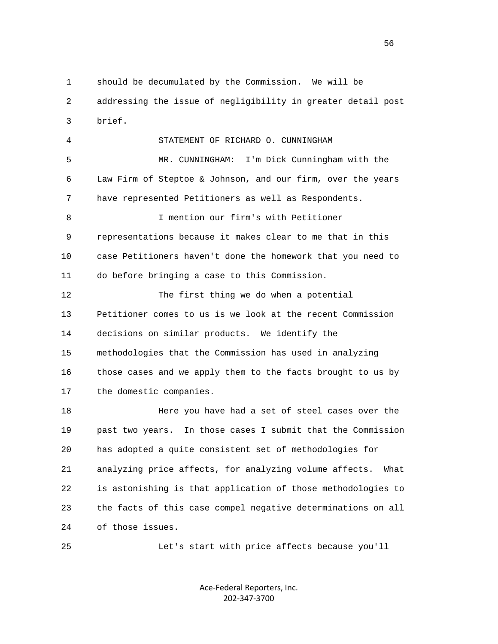1 should be decumulated by the Commission. We will be 2 addressing the issue of negligibility in greater detail post 3 brief.

 4 STATEMENT OF RICHARD O. CUNNINGHAM 5 MR. CUNNINGHAM: I'm Dick Cunningham with the 6 Law Firm of Steptoe & Johnson, and our firm, over the years 7 have represented Petitioners as well as Respondents. 8 I mention our firm's with Petitioner 9 representations because it makes clear to me that in this 10 case Petitioners haven't done the homework that you need to 11 do before bringing a case to this Commission. 12 The first thing we do when a potential 13 Petitioner comes to us is we look at the recent Commission 14 decisions on similar products. We identify the 15 methodologies that the Commission has used in analyzing 16 those cases and we apply them to the facts brought to us by 17 the domestic companies.

 18 Here you have had a set of steel cases over the 19 past two years. In those cases I submit that the Commission 20 has adopted a quite consistent set of methodologies for 21 analyzing price affects, for analyzing volume affects. What 22 is astonishing is that application of those methodologies to 23 the facts of this case compel negative determinations on all 24 of those issues.

25 Let's start with price affects because you'll

Ace‐Federal Reporters, Inc. 202‐347‐3700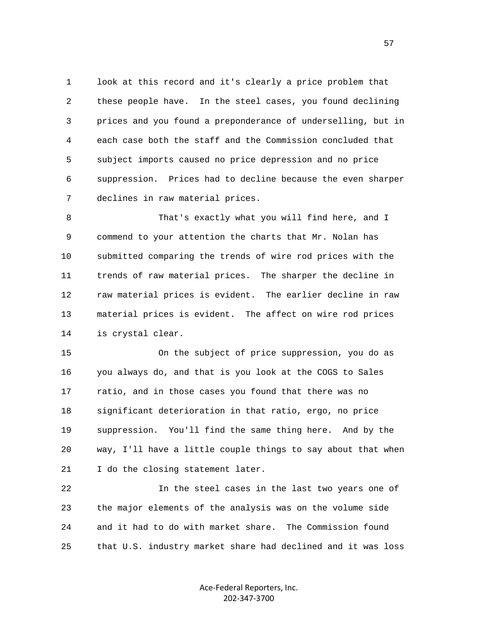1 look at this record and it's clearly a price problem that 2 these people have. In the steel cases, you found declining 3 prices and you found a preponderance of underselling, but in 4 each case both the staff and the Commission concluded that 5 subject imports caused no price depression and no price 6 suppression. Prices had to decline because the even sharper 7 declines in raw material prices.

 8 That's exactly what you will find here, and I 9 commend to your attention the charts that Mr. Nolan has 10 submitted comparing the trends of wire rod prices with the 11 trends of raw material prices. The sharper the decline in 12 raw material prices is evident. The earlier decline in raw 13 material prices is evident. The affect on wire rod prices 14 is crystal clear.

 15 On the subject of price suppression, you do as 16 you always do, and that is you look at the COGS to Sales 17 ratio, and in those cases you found that there was no 18 significant deterioration in that ratio, ergo, no price 19 suppression. You'll find the same thing here. And by the 20 way, I'll have a little couple things to say about that when 21 I do the closing statement later.

 22 In the steel cases in the last two years one of 23 the major elements of the analysis was on the volume side 24 and it had to do with market share. The Commission found 25 that U.S. industry market share had declined and it was loss

> Ace‐Federal Reporters, Inc. 202‐347‐3700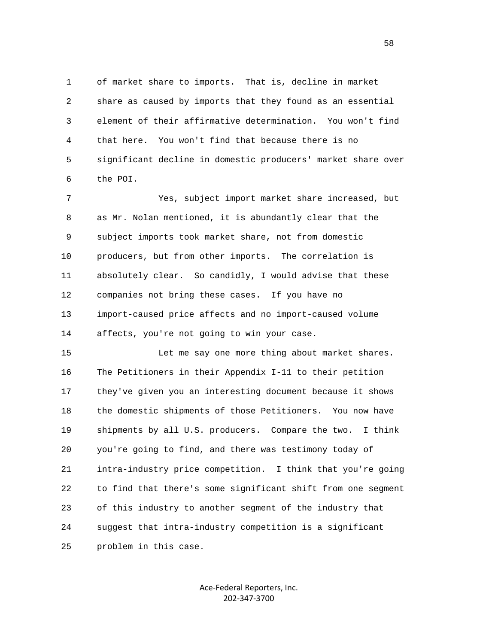1 of market share to imports. That is, decline in market 2 share as caused by imports that they found as an essential 3 element of their affirmative determination. You won't find 4 that here. You won't find that because there is no 5 significant decline in domestic producers' market share over 6 the POI.

 7 Yes, subject import market share increased, but 8 as Mr. Nolan mentioned, it is abundantly clear that the 9 subject imports took market share, not from domestic 10 producers, but from other imports. The correlation is 11 absolutely clear. So candidly, I would advise that these 12 companies not bring these cases. If you have no 13 import-caused price affects and no import-caused volume 14 affects, you're not going to win your case.

 15 Let me say one more thing about market shares. 16 The Petitioners in their Appendix I-11 to their petition 17 they've given you an interesting document because it shows 18 the domestic shipments of those Petitioners. You now have 19 shipments by all U.S. producers. Compare the two. I think 20 you're going to find, and there was testimony today of 21 intra-industry price competition. I think that you're going 22 to find that there's some significant shift from one segment 23 of this industry to another segment of the industry that 24 suggest that intra-industry competition is a significant 25 problem in this case.

> Ace‐Federal Reporters, Inc. 202‐347‐3700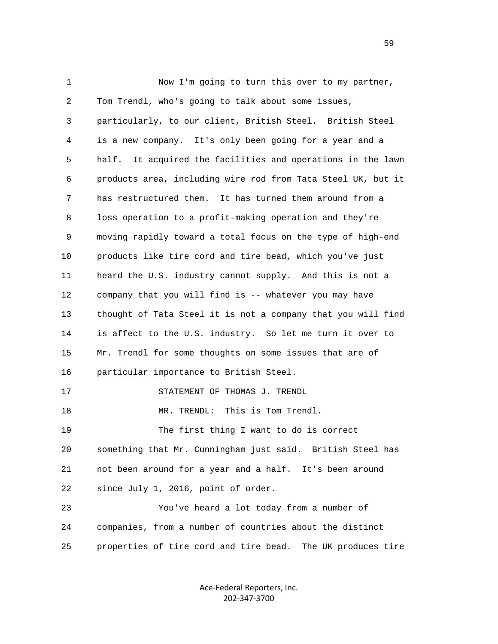1 Now I'm going to turn this over to my partner, 2 Tom Trendl, who's going to talk about some issues, 3 particularly, to our client, British Steel. British Steel 4 is a new company. It's only been going for a year and a 5 half. It acquired the facilities and operations in the lawn 6 products area, including wire rod from Tata Steel UK, but it 7 has restructured them. It has turned them around from a 8 loss operation to a profit-making operation and they're 9 moving rapidly toward a total focus on the type of high-end 10 products like tire cord and tire bead, which you've just 11 heard the U.S. industry cannot supply. And this is not a 12 company that you will find is -- whatever you may have 13 thought of Tata Steel it is not a company that you will find 14 is affect to the U.S. industry. So let me turn it over to 15 Mr. Trendl for some thoughts on some issues that are of 16 particular importance to British Steel. 17 STATEMENT OF THOMAS J. TRENDL 18 MR. TRENDL: This is Tom Trendl. 19 The first thing I want to do is correct 20 something that Mr. Cunningham just said. British Steel has 21 not been around for a year and a half. It's been around 22 since July 1, 2016, point of order. 23 You've heard a lot today from a number of 24 companies, from a number of countries about the distinct 25 properties of tire cord and tire bead. The UK produces tire

> Ace‐Federal Reporters, Inc. 202‐347‐3700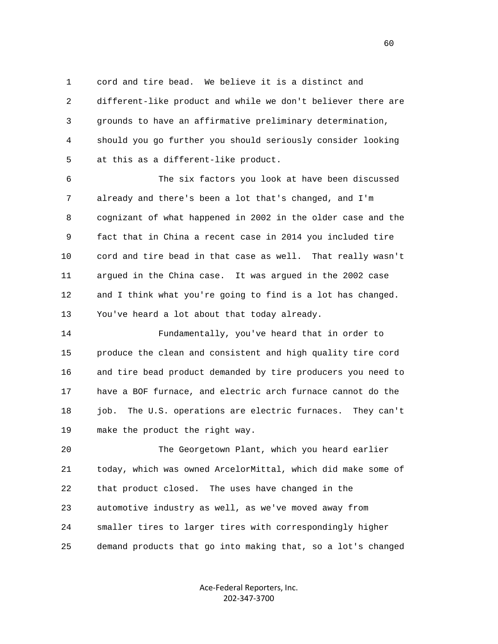1 cord and tire bead. We believe it is a distinct and 2 different-like product and while we don't believer there are 3 grounds to have an affirmative preliminary determination, 4 should you go further you should seriously consider looking 5 at this as a different-like product.

 6 The six factors you look at have been discussed 7 already and there's been a lot that's changed, and I'm 8 cognizant of what happened in 2002 in the older case and the 9 fact that in China a recent case in 2014 you included tire 10 cord and tire bead in that case as well. That really wasn't 11 argued in the China case. It was argued in the 2002 case 12 and I think what you're going to find is a lot has changed. 13 You've heard a lot about that today already.

 14 Fundamentally, you've heard that in order to 15 produce the clean and consistent and high quality tire cord 16 and tire bead product demanded by tire producers you need to 17 have a BOF furnace, and electric arch furnace cannot do the 18 job. The U.S. operations are electric furnaces. They can't 19 make the product the right way.

 20 The Georgetown Plant, which you heard earlier 21 today, which was owned ArcelorMittal, which did make some of 22 that product closed. The uses have changed in the 23 automotive industry as well, as we've moved away from 24 smaller tires to larger tires with correspondingly higher 25 demand products that go into making that, so a lot's changed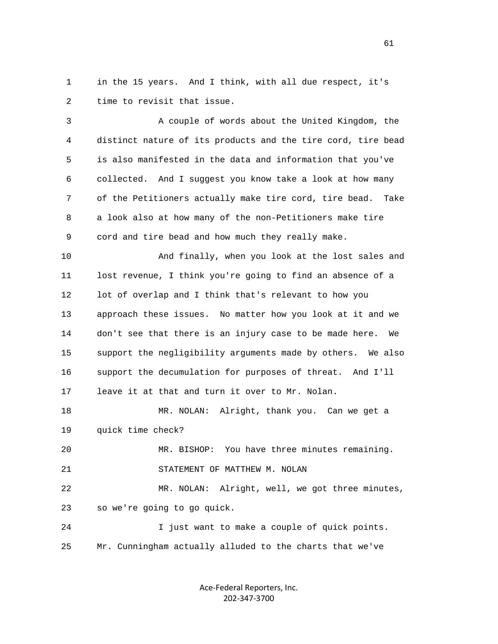1 in the 15 years. And I think, with all due respect, it's 2 time to revisit that issue.

 3 A couple of words about the United Kingdom, the 4 distinct nature of its products and the tire cord, tire bead 5 is also manifested in the data and information that you've 6 collected. And I suggest you know take a look at how many 7 of the Petitioners actually make tire cord, tire bead. Take 8 a look also at how many of the non-Petitioners make tire 9 cord and tire bead and how much they really make.

 10 And finally, when you look at the lost sales and 11 lost revenue, I think you're going to find an absence of a 12 lot of overlap and I think that's relevant to how you 13 approach these issues. No matter how you look at it and we 14 don't see that there is an injury case to be made here. We 15 support the negligibility arguments made by others. We also 16 support the decumulation for purposes of threat. And I'll 17 leave it at that and turn it over to Mr. Nolan.

 18 MR. NOLAN: Alright, thank you. Can we get a 19 quick time check?

 20 MR. BISHOP: You have three minutes remaining. 21 STATEMENT OF MATTHEW M. NOLAN

 22 MR. NOLAN: Alright, well, we got three minutes, 23 so we're going to go quick.

 24 I just want to make a couple of quick points. 25 Mr. Cunningham actually alluded to the charts that we've

> Ace‐Federal Reporters, Inc. 202‐347‐3700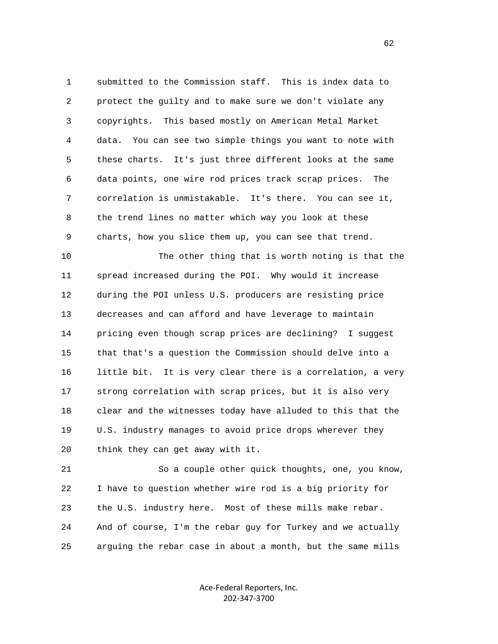1 submitted to the Commission staff. This is index data to 2 protect the guilty and to make sure we don't violate any 3 copyrights. This based mostly on American Metal Market 4 data. You can see two simple things you want to note with 5 these charts. It's just three different looks at the same 6 data points, one wire rod prices track scrap prices. The 7 correlation is unmistakable. It's there. You can see it, 8 the trend lines no matter which way you look at these 9 charts, how you slice them up, you can see that trend.

 10 The other thing that is worth noting is that the 11 spread increased during the POI. Why would it increase 12 during the POI unless U.S. producers are resisting price 13 decreases and can afford and have leverage to maintain 14 pricing even though scrap prices are declining? I suggest 15 that that's a question the Commission should delve into a 16 little bit. It is very clear there is a correlation, a very 17 strong correlation with scrap prices, but it is also very 18 clear and the witnesses today have alluded to this that the 19 U.S. industry manages to avoid price drops wherever they 20 think they can get away with it.

 21 So a couple other quick thoughts, one, you know, 22 I have to question whether wire rod is a big priority for 23 the U.S. industry here. Most of these mills make rebar. 24 And of course, I'm the rebar guy for Turkey and we actually 25 arguing the rebar case in about a month, but the same mills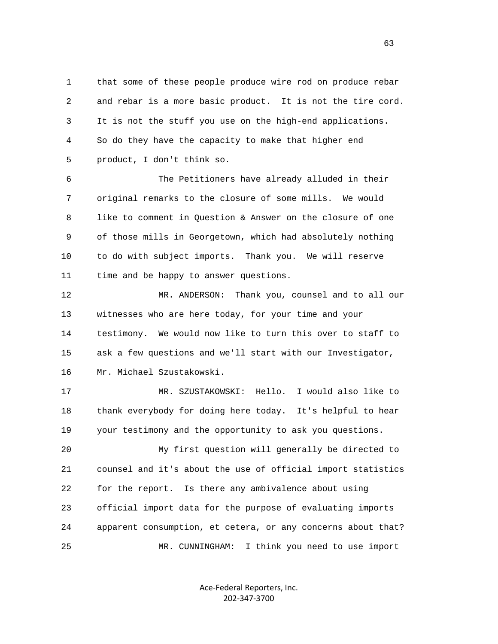1 that some of these people produce wire rod on produce rebar 2 and rebar is a more basic product. It is not the tire cord. 3 It is not the stuff you use on the high-end applications. 4 So do they have the capacity to make that higher end 5 product, I don't think so.

 6 The Petitioners have already alluded in their 7 original remarks to the closure of some mills. We would 8 like to comment in Question & Answer on the closure of one 9 of those mills in Georgetown, which had absolutely nothing 10 to do with subject imports. Thank you. We will reserve 11 time and be happy to answer questions.

 12 MR. ANDERSON: Thank you, counsel and to all our 13 witnesses who are here today, for your time and your 14 testimony. We would now like to turn this over to staff to 15 ask a few questions and we'll start with our Investigator, 16 Mr. Michael Szustakowski.

 17 MR. SZUSTAKOWSKI: Hello. I would also like to 18 thank everybody for doing here today. It's helpful to hear 19 your testimony and the opportunity to ask you questions.

 20 My first question will generally be directed to 21 counsel and it's about the use of official import statistics 22 for the report. Is there any ambivalence about using 23 official import data for the purpose of evaluating imports 24 apparent consumption, et cetera, or any concerns about that? 25 MR. CUNNINGHAM: I think you need to use import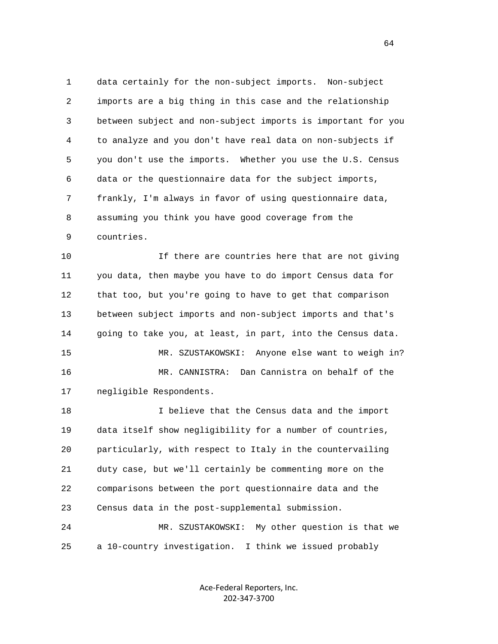1 data certainly for the non-subject imports. Non-subject 2 imports are a big thing in this case and the relationship 3 between subject and non-subject imports is important for you 4 to analyze and you don't have real data on non-subjects if 5 you don't use the imports. Whether you use the U.S. Census 6 data or the questionnaire data for the subject imports, 7 frankly, I'm always in favor of using questionnaire data, 8 assuming you think you have good coverage from the 9 countries.

 10 If there are countries here that are not giving 11 you data, then maybe you have to do import Census data for 12 that too, but you're going to have to get that comparison 13 between subject imports and non-subject imports and that's 14 going to take you, at least, in part, into the Census data. 15 MR. SZUSTAKOWSKI: Anyone else want to weigh in? 16 MR. CANNISTRA: Dan Cannistra on behalf of the 17 negligible Respondents. 18 I believe that the Census data and the import

 19 data itself show negligibility for a number of countries, 20 particularly, with respect to Italy in the countervailing 21 duty case, but we'll certainly be commenting more on the 22 comparisons between the port questionnaire data and the 23 Census data in the post-supplemental submission. 24 MR. SZUSTAKOWSKI: My other question is that we

25 a 10-country investigation. I think we issued probably

Ace‐Federal Reporters, Inc. 202‐347‐3700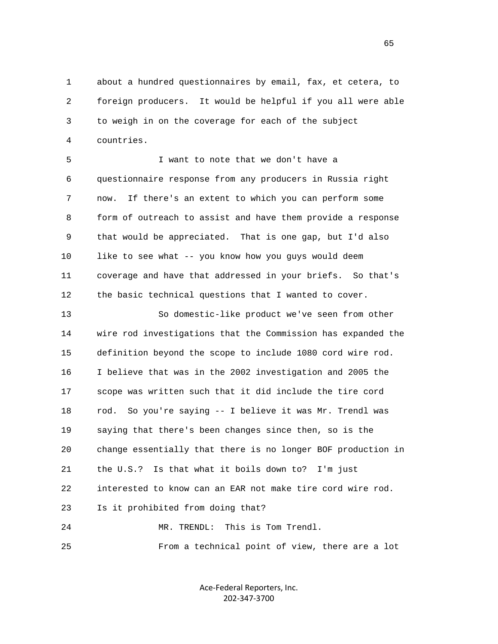1 about a hundred questionnaires by email, fax, et cetera, to 2 foreign producers. It would be helpful if you all were able 3 to weigh in on the coverage for each of the subject 4 countries.

 5 I want to note that we don't have a 6 questionnaire response from any producers in Russia right 7 now. If there's an extent to which you can perform some 8 form of outreach to assist and have them provide a response 9 that would be appreciated. That is one gap, but I'd also 10 like to see what -- you know how you guys would deem 11 coverage and have that addressed in your briefs. So that's 12 the basic technical questions that I wanted to cover.

 13 So domestic-like product we've seen from other 14 wire rod investigations that the Commission has expanded the 15 definition beyond the scope to include 1080 cord wire rod. 16 I believe that was in the 2002 investigation and 2005 the 17 scope was written such that it did include the tire cord 18 rod. So you're saying -- I believe it was Mr. Trendl was 19 saying that there's been changes since then, so is the 20 change essentially that there is no longer BOF production in 21 the U.S.? Is that what it boils down to? I'm just 22 interested to know can an EAR not make tire cord wire rod. 23 Is it prohibited from doing that? 24 MR. TRENDL: This is Tom Trendl.

25 From a technical point of view, there are a lot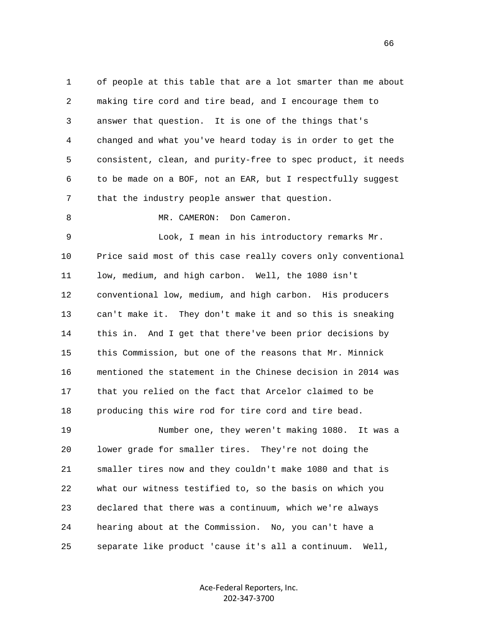1 of people at this table that are a lot smarter than me about 2 making tire cord and tire bead, and I encourage them to 3 answer that question. It is one of the things that's 4 changed and what you've heard today is in order to get the 5 consistent, clean, and purity-free to spec product, it needs 6 to be made on a BOF, not an EAR, but I respectfully suggest 7 that the industry people answer that question. 8 MR. CAMERON: Don Cameron. 9 Look, I mean in his introductory remarks Mr. 10 Price said most of this case really covers only conventional 11 low, medium, and high carbon. Well, the 1080 isn't 12 conventional low, medium, and high carbon. His producers 13 can't make it. They don't make it and so this is sneaking 14 this in. And I get that there've been prior decisions by 15 this Commission, but one of the reasons that Mr. Minnick 16 mentioned the statement in the Chinese decision in 2014 was 17 that you relied on the fact that Arcelor claimed to be 18 producing this wire rod for tire cord and tire bead. 19 Number one, they weren't making 1080. It was a 20 lower grade for smaller tires. They're not doing the 21 smaller tires now and they couldn't make 1080 and that is 22 what our witness testified to, so the basis on which you 23 declared that there was a continuum, which we're always 24 hearing about at the Commission. No, you can't have a 25 separate like product 'cause it's all a continuum. Well,

> Ace‐Federal Reporters, Inc. 202‐347‐3700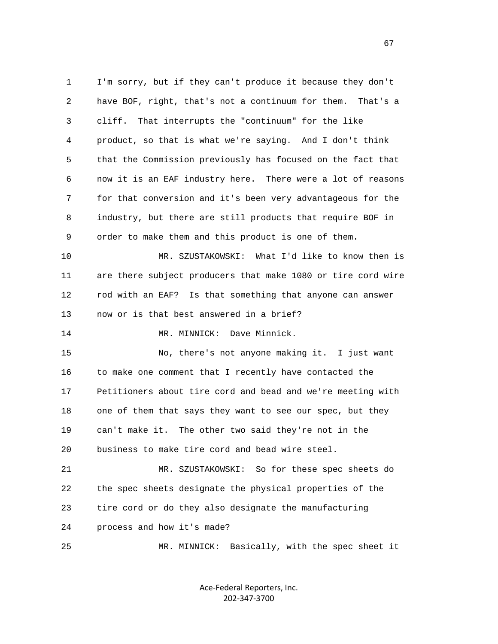1 I'm sorry, but if they can't produce it because they don't 2 have BOF, right, that's not a continuum for them. That's a 3 cliff. That interrupts the "continuum" for the like 4 product, so that is what we're saying. And I don't think 5 that the Commission previously has focused on the fact that 6 now it is an EAF industry here. There were a lot of reasons 7 for that conversion and it's been very advantageous for the 8 industry, but there are still products that require BOF in 9 order to make them and this product is one of them. 10 MR. SZUSTAKOWSKI: What I'd like to know then is 11 are there subject producers that make 1080 or tire cord wire 12 rod with an EAF? Is that something that anyone can answer 13 now or is that best answered in a brief? 14 MR. MINNICK: Dave Minnick. 15 No, there's not anyone making it. I just want 16 to make one comment that I recently have contacted the 17 Petitioners about tire cord and bead and we're meeting with 18 one of them that says they want to see our spec, but they 19 can't make it. The other two said they're not in the 20 business to make tire cord and bead wire steel. 21 MR. SZUSTAKOWSKI: So for these spec sheets do 22 the spec sheets designate the physical properties of the 23 tire cord or do they also designate the manufacturing 24 process and how it's made? 25 MR. MINNICK: Basically, with the spec sheet it

> Ace‐Federal Reporters, Inc. 202‐347‐3700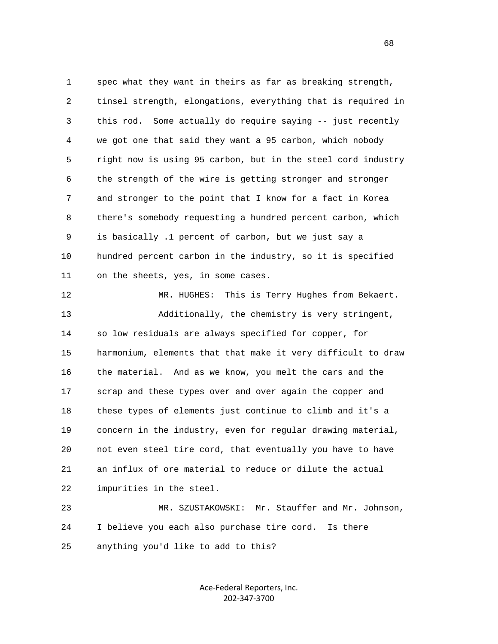1 spec what they want in theirs as far as breaking strength, 2 tinsel strength, elongations, everything that is required in 3 this rod. Some actually do require saying -- just recently 4 we got one that said they want a 95 carbon, which nobody 5 right now is using 95 carbon, but in the steel cord industry 6 the strength of the wire is getting stronger and stronger 7 and stronger to the point that I know for a fact in Korea 8 there's somebody requesting a hundred percent carbon, which 9 is basically .1 percent of carbon, but we just say a 10 hundred percent carbon in the industry, so it is specified 11 on the sheets, yes, in some cases.

 12 MR. HUGHES: This is Terry Hughes from Bekaert. 13 Additionally, the chemistry is very stringent, 14 so low residuals are always specified for copper, for 15 harmonium, elements that that make it very difficult to draw 16 the material. And as we know, you melt the cars and the 17 scrap and these types over and over again the copper and 18 these types of elements just continue to climb and it's a 19 concern in the industry, even for regular drawing material, 20 not even steel tire cord, that eventually you have to have 21 an influx of ore material to reduce or dilute the actual 22 impurities in the steel.

 23 MR. SZUSTAKOWSKI: Mr. Stauffer and Mr. Johnson, 24 I believe you each also purchase tire cord. Is there 25 anything you'd like to add to this?

> Ace‐Federal Reporters, Inc. 202‐347‐3700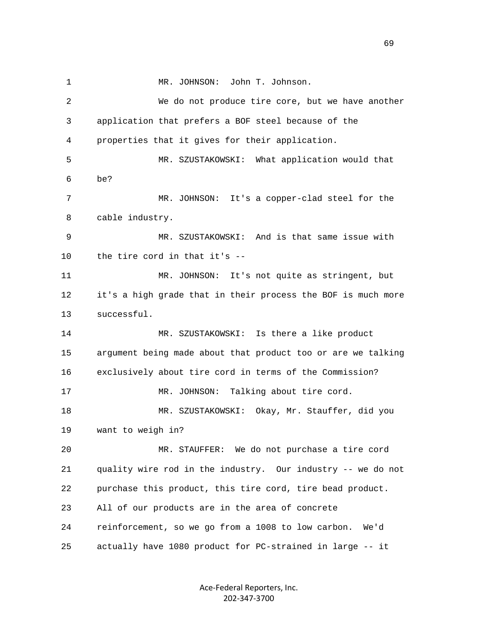1 MR. JOHNSON: John T. Johnson. 2 We do not produce tire core, but we have another 3 application that prefers a BOF steel because of the 4 properties that it gives for their application. 5 MR. SZUSTAKOWSKI: What application would that 6 be? 7 MR. JOHNSON: It's a copper-clad steel for the 8 cable industry. 9 MR. SZUSTAKOWSKI: And is that same issue with 10 the tire cord in that it's -- 11 MR. JOHNSON: It's not quite as stringent, but 12 it's a high grade that in their process the BOF is much more 13 successful. 14 MR. SZUSTAKOWSKI: Is there a like product 15 argument being made about that product too or are we talking 16 exclusively about tire cord in terms of the Commission? 17 MR. JOHNSON: Talking about tire cord. 18 MR. SZUSTAKOWSKI: Okay, Mr. Stauffer, did you 19 want to weigh in? 20 MR. STAUFFER: We do not purchase a tire cord 21 quality wire rod in the industry. Our industry -- we do not 22 purchase this product, this tire cord, tire bead product. 23 All of our products are in the area of concrete 24 reinforcement, so we go from a 1008 to low carbon. We'd 25 actually have 1080 product for PC-strained in large -- it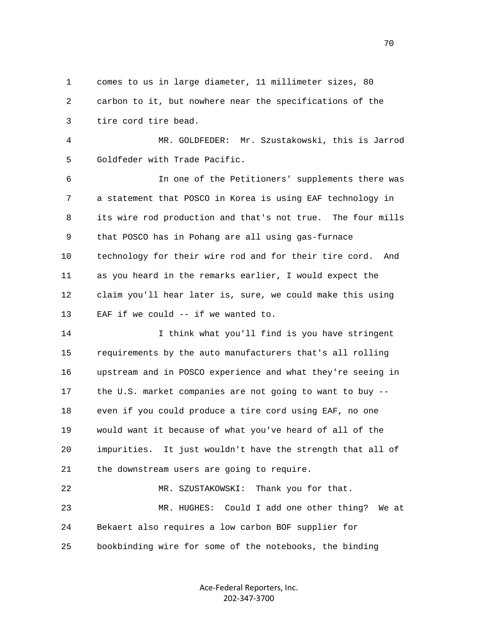1 comes to us in large diameter, 11 millimeter sizes, 80 2 carbon to it, but nowhere near the specifications of the 3 tire cord tire bead.

 4 MR. GOLDFEDER: Mr. Szustakowski, this is Jarrod 5 Goldfeder with Trade Pacific.

 6 In one of the Petitioners' supplements there was 7 a statement that POSCO in Korea is using EAF technology in 8 its wire rod production and that's not true. The four mills 9 that POSCO has in Pohang are all using gas-furnace 10 technology for their wire rod and for their tire cord. And 11 as you heard in the remarks earlier, I would expect the 12 claim you'll hear later is, sure, we could make this using 13 EAF if we could -- if we wanted to.

 14 I think what you'll find is you have stringent 15 requirements by the auto manufacturers that's all rolling 16 upstream and in POSCO experience and what they're seeing in 17 the U.S. market companies are not going to want to buy -- 18 even if you could produce a tire cord using EAF, no one 19 would want it because of what you've heard of all of the 20 impurities. It just wouldn't have the strength that all of 21 the downstream users are going to require.

 22 MR. SZUSTAKOWSKI: Thank you for that. 23 MR. HUGHES: Could I add one other thing? We at 24 Bekaert also requires a low carbon BOF supplier for 25 bookbinding wire for some of the notebooks, the binding

> Ace‐Federal Reporters, Inc. 202‐347‐3700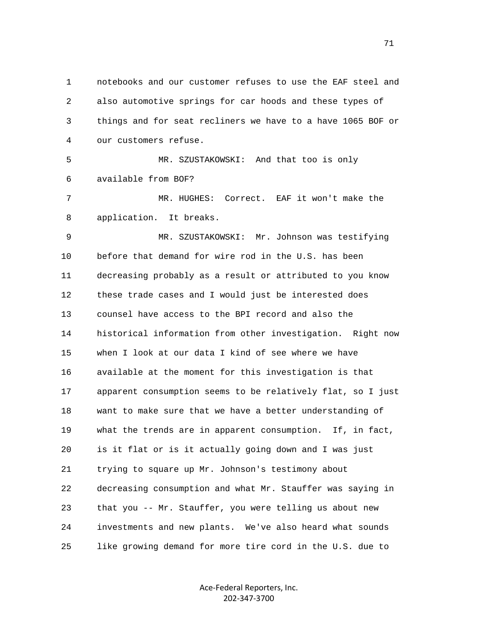1 notebooks and our customer refuses to use the EAF steel and 2 also automotive springs for car hoods and these types of 3 things and for seat recliners we have to a have 1065 BOF or 4 our customers refuse. 5 MR. SZUSTAKOWSKI: And that too is only 6 available from BOF? 7 MR. HUGHES: Correct. EAF it won't make the 8 application. It breaks. 9 MR. SZUSTAKOWSKI: Mr. Johnson was testifying 10 before that demand for wire rod in the U.S. has been 11 decreasing probably as a result or attributed to you know 12 these trade cases and I would just be interested does 13 counsel have access to the BPI record and also the 14 historical information from other investigation. Right now 15 when I look at our data I kind of see where we have 16 available at the moment for this investigation is that 17 apparent consumption seems to be relatively flat, so I just 18 want to make sure that we have a better understanding of 19 what the trends are in apparent consumption. If, in fact, 20 is it flat or is it actually going down and I was just 21 trying to square up Mr. Johnson's testimony about 22 decreasing consumption and what Mr. Stauffer was saying in 23 that you -- Mr. Stauffer, you were telling us about new 24 investments and new plants. We've also heard what sounds 25 like growing demand for more tire cord in the U.S. due to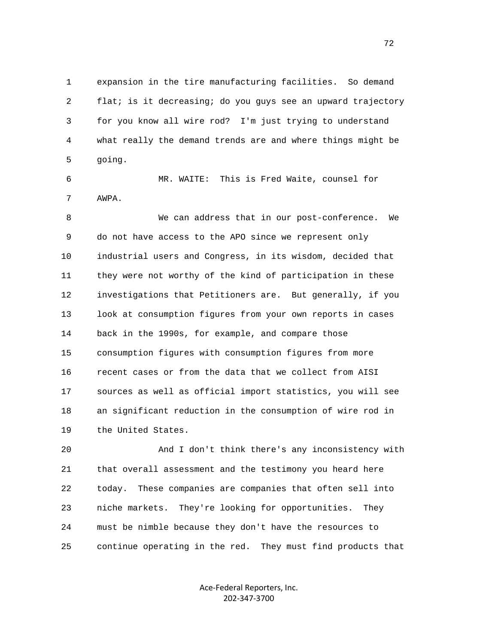1 expansion in the tire manufacturing facilities. So demand 2 flat; is it decreasing; do you guys see an upward trajectory 3 for you know all wire rod? I'm just trying to understand 4 what really the demand trends are and where things might be 5 going.

 6 MR. WAITE: This is Fred Waite, counsel for 7 AWPA.

 8 We can address that in our post-conference. We 9 do not have access to the APO since we represent only 10 industrial users and Congress, in its wisdom, decided that 11 they were not worthy of the kind of participation in these 12 investigations that Petitioners are. But generally, if you 13 look at consumption figures from your own reports in cases 14 back in the 1990s, for example, and compare those 15 consumption figures with consumption figures from more 16 recent cases or from the data that we collect from AISI 17 sources as well as official import statistics, you will see 18 an significant reduction in the consumption of wire rod in 19 the United States.

 20 And I don't think there's any inconsistency with 21 that overall assessment and the testimony you heard here 22 today. These companies are companies that often sell into 23 niche markets. They're looking for opportunities. They 24 must be nimble because they don't have the resources to 25 continue operating in the red. They must find products that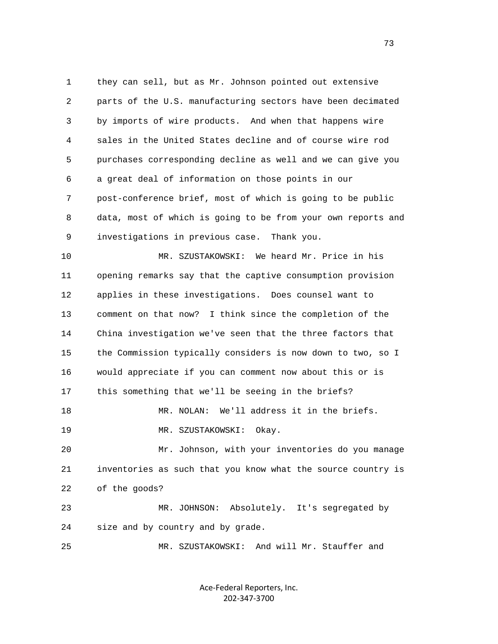1 they can sell, but as Mr. Johnson pointed out extensive 2 parts of the U.S. manufacturing sectors have been decimated 3 by imports of wire products. And when that happens wire 4 sales in the United States decline and of course wire rod 5 purchases corresponding decline as well and we can give you 6 a great deal of information on those points in our 7 post-conference brief, most of which is going to be public 8 data, most of which is going to be from your own reports and 9 investigations in previous case. Thank you. 10 MR. SZUSTAKOWSKI: We heard Mr. Price in his 11 opening remarks say that the captive consumption provision 12 applies in these investigations. Does counsel want to 13 comment on that now? I think since the completion of the 14 China investigation we've seen that the three factors that 15 the Commission typically considers is now down to two, so I 16 would appreciate if you can comment now about this or is 17 this something that we'll be seeing in the briefs? 18 MR. NOLAN: We'll address it in the briefs. 19 MR. SZUSTAKOWSKI: Okay. 20 Mr. Johnson, with your inventories do you manage 21 inventories as such that you know what the source country is 22 of the goods? 23 MR. JOHNSON: Absolutely. It's segregated by 24 size and by country and by grade. 25 MR. SZUSTAKOWSKI: And will Mr. Stauffer and

> Ace‐Federal Reporters, Inc. 202‐347‐3700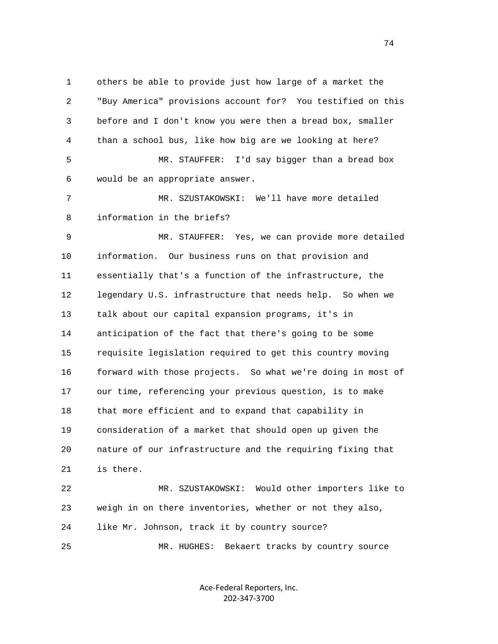1 others be able to provide just how large of a market the 2 "Buy America" provisions account for? You testified on this 3 before and I don't know you were then a bread box, smaller 4 than a school bus, like how big are we looking at here? 5 MR. STAUFFER: I'd say bigger than a bread box 6 would be an appropriate answer. 7 MR. SZUSTAKOWSKI: We'll have more detailed 8 information in the briefs? 9 MR. STAUFFER: Yes, we can provide more detailed 10 information. Our business runs on that provision and 11 essentially that's a function of the infrastructure, the 12 legendary U.S. infrastructure that needs help. So when we 13 talk about our capital expansion programs, it's in 14 anticipation of the fact that there's going to be some 15 requisite legislation required to get this country moving 16 forward with those projects. So what we're doing in most of 17 our time, referencing your previous question, is to make 18 that more efficient and to expand that capability in 19 consideration of a market that should open up given the 20 nature of our infrastructure and the requiring fixing that 21 is there. 22 MR. SZUSTAKOWSKI: Would other importers like to 23 weigh in on there inventories, whether or not they also, 24 like Mr. Johnson, track it by country source?

Ace‐Federal Reporters, Inc.

25 MR. HUGHES: Bekaert tracks by country source

202‐347‐3700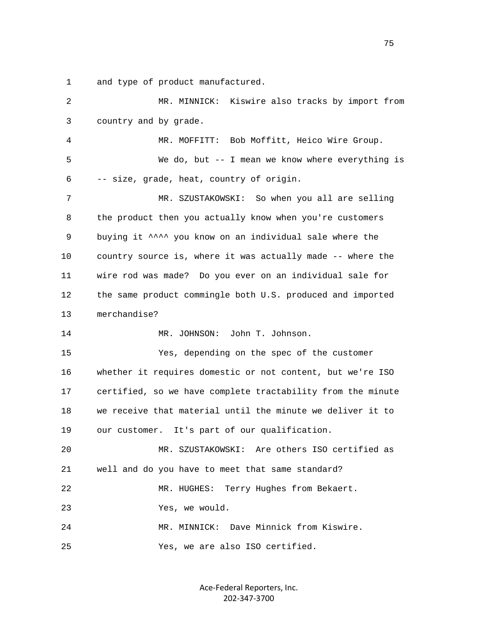1 and type of product manufactured.

| $\overline{2}$ | MR. MINNICK: Kiswire also tracks by import from             |
|----------------|-------------------------------------------------------------|
| 3              | country and by grade.                                       |
| 4              | MR. MOFFITT: Bob Moffitt, Heico Wire Group.                 |
| 5              | We do, but $-$ - I mean we know where everything is         |
| 6              | -- size, grade, heat, country of origin.                    |
| 7              | MR. SZUSTAKOWSKI: So when you all are selling               |
| 8              | the product then you actually know when you're customers    |
| 9              | buying it ^^^^ you know on an individual sale where the     |
| 10             | country source is, where it was actually made -- where the  |
| 11             | wire rod was made? Do you ever on an individual sale for    |
| 12             | the same product commingle both U.S. produced and imported  |
| 13             | merchandise?                                                |
| 14             | MR. JOHNSON: John T. Johnson.                               |
| 15             | Yes, depending on the spec of the customer                  |
| 16             | whether it requires domestic or not content, but we're ISO  |
| 17             | certified, so we have complete tractability from the minute |
| 18             | we receive that material until the minute we deliver it to  |
| 19             | our customer. It's part of our qualification.               |
| 20             | MR. SZUSTAKOWSKI: Are others ISO certified as               |
| 21             | well and do you have to meet that same standard?            |
| 22             | Terry Hughes from Bekaert.<br>MR. HUGHES:                   |
| 23             | Yes, we would.                                              |
| 24             | Dave Minnick from Kiswire.<br>MR. MINNICK:                  |
| 25             | Yes, we are also ISO certified.                             |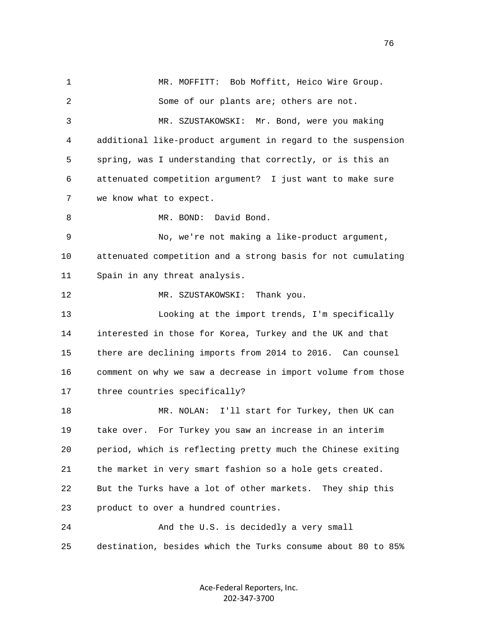1 MR. MOFFITT: Bob Moffitt, Heico Wire Group. 2 Some of our plants are; others are not. 3 MR. SZUSTAKOWSKI: Mr. Bond, were you making 4 additional like-product argument in regard to the suspension 5 spring, was I understanding that correctly, or is this an 6 attenuated competition argument? I just want to make sure 7 we know what to expect. 8 MR. BOND: David Bond. 9 No, we're not making a like-product argument, 10 attenuated competition and a strong basis for not cumulating 11 Spain in any threat analysis. 12 MR. SZUSTAKOWSKI: Thank you. 13 Looking at the import trends, I'm specifically 14 interested in those for Korea, Turkey and the UK and that 15 there are declining imports from 2014 to 2016. Can counsel 16 comment on why we saw a decrease in import volume from those 17 three countries specifically? 18 MR. NOLAN: I'll start for Turkey, then UK can 19 take over. For Turkey you saw an increase in an interim 20 period, which is reflecting pretty much the Chinese exiting 21 the market in very smart fashion so a hole gets created. 22 But the Turks have a lot of other markets. They ship this 23 product to over a hundred countries. 24 And the U.S. is decidedly a very small 25 destination, besides which the Turks consume about 80 to 85%

> Ace‐Federal Reporters, Inc. 202‐347‐3700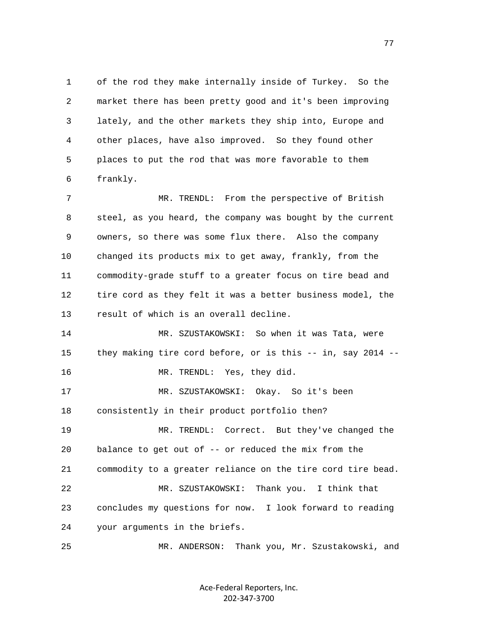1 of the rod they make internally inside of Turkey. So the 2 market there has been pretty good and it's been improving 3 lately, and the other markets they ship into, Europe and 4 other places, have also improved. So they found other 5 places to put the rod that was more favorable to them 6 frankly.

 7 MR. TRENDL: From the perspective of British 8 steel, as you heard, the company was bought by the current 9 owners, so there was some flux there. Also the company 10 changed its products mix to get away, frankly, from the 11 commodity-grade stuff to a greater focus on tire bead and 12 tire cord as they felt it was a better business model, the 13 result of which is an overall decline.

 14 MR. SZUSTAKOWSKI: So when it was Tata, were 15 they making tire cord before, or is this -- in, say 2014 -- 16 MR. TRENDL: Yes, they did. 17 MR. SZUSTAKOWSKI: Okay. So it's been 18 consistently in their product portfolio then? 19 MR. TRENDL: Correct. But they've changed the 20 balance to get out of -- or reduced the mix from the 21 commodity to a greater reliance on the tire cord tire bead. 22 MR. SZUSTAKOWSKI: Thank you. I think that 23 concludes my questions for now. I look forward to reading 24 your arguments in the briefs. 25 MR. ANDERSON: Thank you, Mr. Szustakowski, and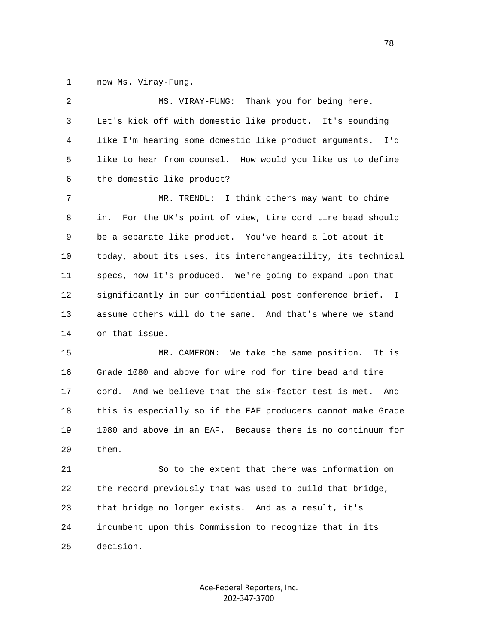1 now Ms. Viray-Fung.

| 2  | MS. VIRAY-FUNG: Thank you for being here.                       |
|----|-----------------------------------------------------------------|
| 3  | Let's kick off with domestic like product. It's sounding        |
| 4  | like I'm hearing some domestic like product arguments.<br>I'd   |
| 5  | like to hear from counsel. How would you like us to define      |
| 6  | the domestic like product?                                      |
| 7  | MR. TRENDL: I think others may want to chime                    |
| 8  | For the UK's point of view, tire cord tire bead should<br>in.   |
| 9  | be a separate like product. You've heard a lot about it         |
| 10 | today, about its uses, its interchangeability, its technical    |
| 11 | specs, how it's produced. We're going to expand upon that       |
| 12 | significantly in our confidential post conference brief. I      |
| 13 | assume others will do the same. And that's where we stand       |
| 14 | on that issue.                                                  |
| 15 | MR. CAMERON: We take the same position.<br>It is                |
| 16 | Grade 1080 and above for wire rod for tire bead and tire        |
| 17 | And we believe that the six-factor test is met.<br>cord.<br>And |
| 18 | this is especially so if the EAF producers cannot make Grade    |
| 19 | 1080 and above in an EAF. Because there is no continuum for     |
| 20 | them.                                                           |
| 21 | So to the extent that there was information on                  |
| 22 | the record previously that was used to build that bridge,       |

 24 incumbent upon this Commission to recognize that in its 25 decision.

23 that bridge no longer exists. And as a result, it's

Ace‐Federal Reporters, Inc. 202‐347‐3700

n and the state of the state of the state of the state of the state of the state of the state of the state of the state of the state of the state of the state of the state of the state of the state of the state of the stat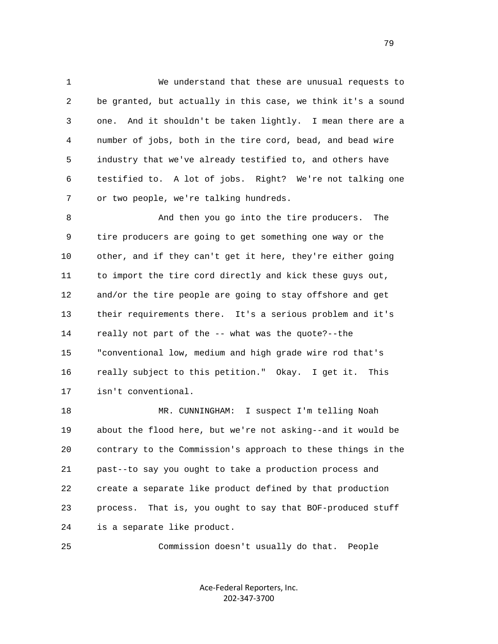1 We understand that these are unusual requests to 2 be granted, but actually in this case, we think it's a sound 3 one. And it shouldn't be taken lightly. I mean there are a 4 number of jobs, both in the tire cord, bead, and bead wire 5 industry that we've already testified to, and others have 6 testified to. A lot of jobs. Right? We're not talking one 7 or two people, we're talking hundreds.

 8 And then you go into the tire producers. The 9 tire producers are going to get something one way or the 10 other, and if they can't get it here, they're either going 11 to import the tire cord directly and kick these guys out, 12 and/or the tire people are going to stay offshore and get 13 their requirements there. It's a serious problem and it's 14 really not part of the -- what was the quote?--the 15 "conventional low, medium and high grade wire rod that's 16 really subject to this petition." Okay. I get it. This 17 isn't conventional.

 18 MR. CUNNINGHAM: I suspect I'm telling Noah 19 about the flood here, but we're not asking--and it would be 20 contrary to the Commission's approach to these things in the 21 past--to say you ought to take a production process and 22 create a separate like product defined by that production 23 process. That is, you ought to say that BOF-produced stuff 24 is a separate like product.

25 Commission doesn't usually do that. People

Ace‐Federal Reporters, Inc. 202‐347‐3700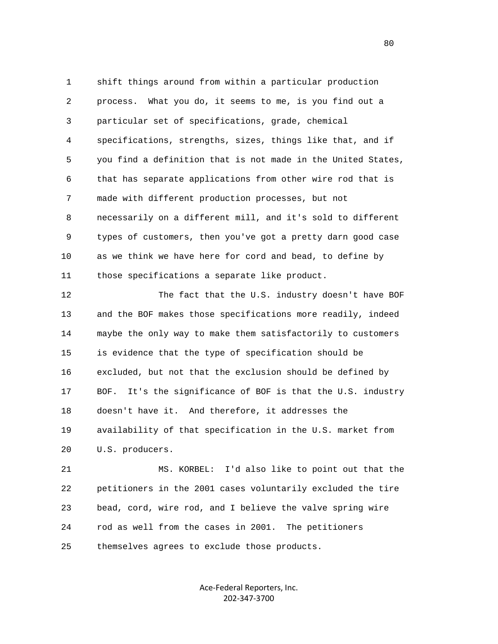1 shift things around from within a particular production 2 process. What you do, it seems to me, is you find out a 3 particular set of specifications, grade, chemical 4 specifications, strengths, sizes, things like that, and if 5 you find a definition that is not made in the United States, 6 that has separate applications from other wire rod that is 7 made with different production processes, but not 8 necessarily on a different mill, and it's sold to different 9 types of customers, then you've got a pretty darn good case 10 as we think we have here for cord and bead, to define by 11 those specifications a separate like product.

12 The fact that the U.S. industry doesn't have BOF 13 and the BOF makes those specifications more readily, indeed 14 maybe the only way to make them satisfactorily to customers 15 is evidence that the type of specification should be 16 excluded, but not that the exclusion should be defined by 17 BOF. It's the significance of BOF is that the U.S. industry 18 doesn't have it. And therefore, it addresses the 19 availability of that specification in the U.S. market from 20 U.S. producers.

 21 MS. KORBEL: I'd also like to point out that the 22 petitioners in the 2001 cases voluntarily excluded the tire 23 bead, cord, wire rod, and I believe the valve spring wire 24 rod as well from the cases in 2001. The petitioners 25 themselves agrees to exclude those products.

> Ace‐Federal Reporters, Inc. 202‐347‐3700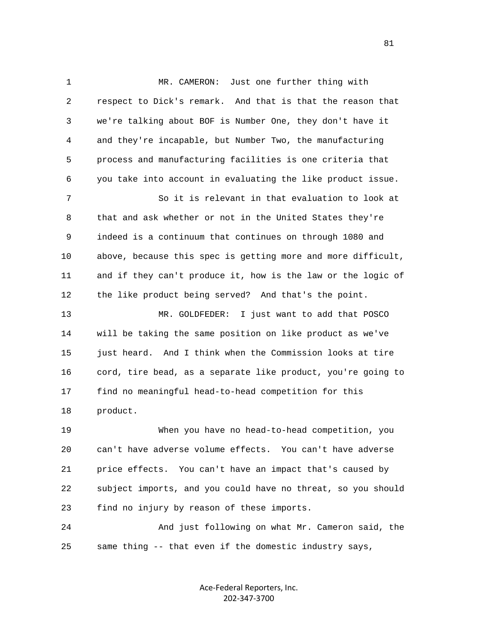1 MR. CAMERON: Just one further thing with 2 respect to Dick's remark. And that is that the reason that 3 we're talking about BOF is Number One, they don't have it 4 and they're incapable, but Number Two, the manufacturing 5 process and manufacturing facilities is one criteria that 6 you take into account in evaluating the like product issue. 7 So it is relevant in that evaluation to look at 8 that and ask whether or not in the United States they're 9 indeed is a continuum that continues on through 1080 and 10 above, because this spec is getting more and more difficult, 11 and if they can't produce it, how is the law or the logic of 12 the like product being served? And that's the point. 13 MR. GOLDFEDER: I just want to add that POSCO 14 will be taking the same position on like product as we've 15 just heard. And I think when the Commission looks at tire 16 cord, tire bead, as a separate like product, you're going to 17 find no meaningful head-to-head competition for this 18 product. 19 When you have no head-to-head competition, you 20 can't have adverse volume effects. You can't have adverse 21 price effects. You can't have an impact that's caused by 22 subject imports, and you could have no threat, so you should 23 find no injury by reason of these imports. 24 And just following on what Mr. Cameron said, the 25 same thing -- that even if the domestic industry says,

> Ace‐Federal Reporters, Inc. 202‐347‐3700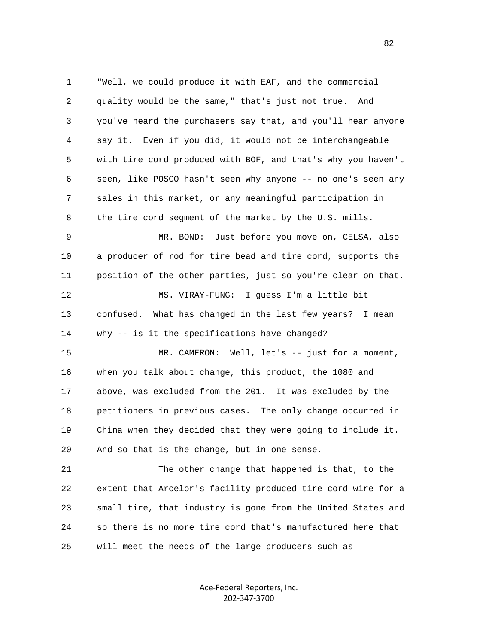1 "Well, we could produce it with EAF, and the commercial 2 quality would be the same," that's just not true. And 3 you've heard the purchasers say that, and you'll hear anyone 4 say it. Even if you did, it would not be interchangeable 5 with tire cord produced with BOF, and that's why you haven't 6 seen, like POSCO hasn't seen why anyone -- no one's seen any 7 sales in this market, or any meaningful participation in 8 the tire cord segment of the market by the U.S. mills. 9 MR. BOND: Just before you move on, CELSA, also 10 a producer of rod for tire bead and tire cord, supports the 11 position of the other parties, just so you're clear on that. 12 MS. VIRAY-FUNG: I guess I'm a little bit 13 confused. What has changed in the last few years? I mean 14 why -- is it the specifications have changed? 15 MR. CAMERON: Well, let's -- just for a moment, 16 when you talk about change, this product, the 1080 and 17 above, was excluded from the 201. It was excluded by the 18 petitioners in previous cases. The only change occurred in 19 China when they decided that they were going to include it. 20 And so that is the change, but in one sense.

 21 The other change that happened is that, to the 22 extent that Arcelor's facility produced tire cord wire for a 23 small tire, that industry is gone from the United States and 24 so there is no more tire cord that's manufactured here that 25 will meet the needs of the large producers such as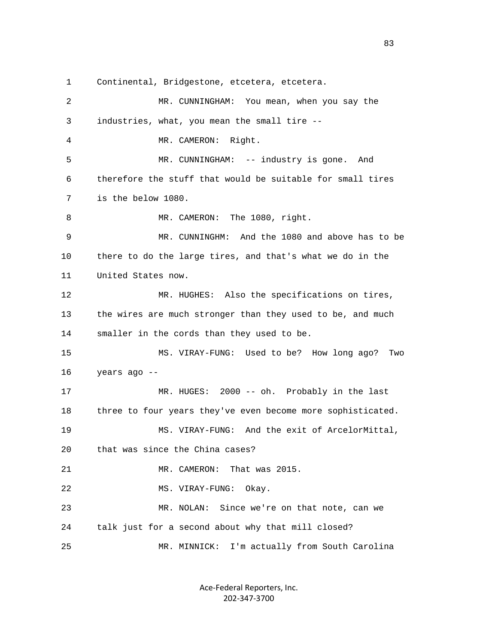1 Continental, Bridgestone, etcetera, etcetera.

 2 MR. CUNNINGHAM: You mean, when you say the 3 industries, what, you mean the small tire -- 4 MR. CAMERON: Right. 5 MR. CUNNINGHAM: -- industry is gone. And 6 therefore the stuff that would be suitable for small tires 7 is the below 1080. 8 MR. CAMERON: The 1080, right. 9 MR. CUNNINGHM: And the 1080 and above has to be 10 there to do the large tires, and that's what we do in the 11 United States now. 12 MR. HUGHES: Also the specifications on tires, 13 the wires are much stronger than they used to be, and much 14 smaller in the cords than they used to be. 15 MS. VIRAY-FUNG: Used to be? How long ago? Two 16 years ago -- 17 MR. HUGES: 2000 -- oh. Probably in the last 18 three to four years they've even become more sophisticated. 19 MS. VIRAY-FUNG: And the exit of ArcelorMittal, 20 that was since the China cases? 21 MR. CAMERON: That was 2015. 22 MS. VIRAY-FUNG: Okay. 23 MR. NOLAN: Since we're on that note, can we 24 talk just for a second about why that mill closed? 25 MR. MINNICK: I'm actually from South Carolina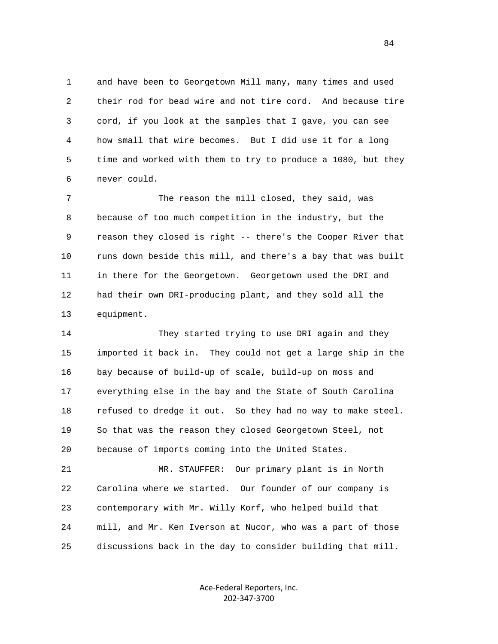1 and have been to Georgetown Mill many, many times and used 2 their rod for bead wire and not tire cord. And because tire 3 cord, if you look at the samples that I gave, you can see 4 how small that wire becomes. But I did use it for a long 5 time and worked with them to try to produce a 1080, but they 6 never could.

 7 The reason the mill closed, they said, was 8 because of too much competition in the industry, but the 9 reason they closed is right -- there's the Cooper River that 10 runs down beside this mill, and there's a bay that was built 11 in there for the Georgetown. Georgetown used the DRI and 12 had their own DRI-producing plant, and they sold all the 13 equipment.

 14 They started trying to use DRI again and they 15 imported it back in. They could not get a large ship in the 16 bay because of build-up of scale, build-up on moss and 17 everything else in the bay and the State of South Carolina 18 refused to dredge it out. So they had no way to make steel. 19 So that was the reason they closed Georgetown Steel, not 20 because of imports coming into the United States.

 21 MR. STAUFFER: Our primary plant is in North 22 Carolina where we started. Our founder of our company is 23 contemporary with Mr. Willy Korf, who helped build that 24 mill, and Mr. Ken Iverson at Nucor, who was a part of those 25 discussions back in the day to consider building that mill.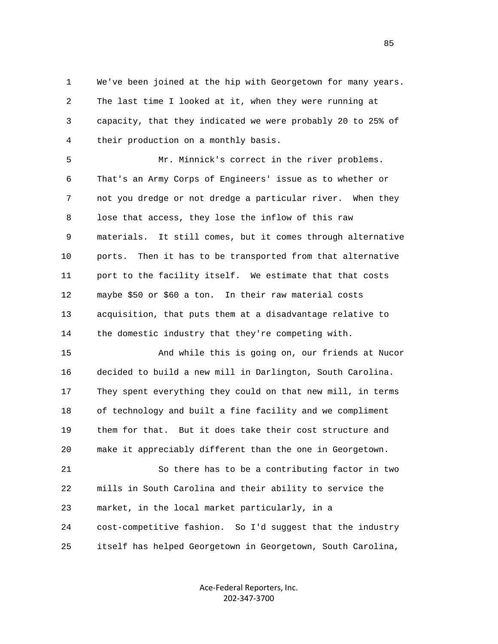1 We've been joined at the hip with Georgetown for many years. 2 The last time I looked at it, when they were running at 3 capacity, that they indicated we were probably 20 to 25% of 4 their production on a monthly basis.

 5 Mr. Minnick's correct in the river problems. 6 That's an Army Corps of Engineers' issue as to whether or 7 not you dredge or not dredge a particular river. When they 8 lose that access, they lose the inflow of this raw 9 materials. It still comes, but it comes through alternative 10 ports. Then it has to be transported from that alternative 11 port to the facility itself. We estimate that that costs 12 maybe \$50 or \$60 a ton. In their raw material costs 13 acquisition, that puts them at a disadvantage relative to 14 the domestic industry that they're competing with.

 15 And while this is going on, our friends at Nucor 16 decided to build a new mill in Darlington, South Carolina. 17 They spent everything they could on that new mill, in terms 18 of technology and built a fine facility and we compliment 19 them for that. But it does take their cost structure and 20 make it appreciably different than the one in Georgetown.

 21 So there has to be a contributing factor in two 22 mills in South Carolina and their ability to service the 23 market, in the local market particularly, in a 24 cost-competitive fashion. So I'd suggest that the industry 25 itself has helped Georgetown in Georgetown, South Carolina,

> Ace‐Federal Reporters, Inc. 202‐347‐3700

<u>85</u>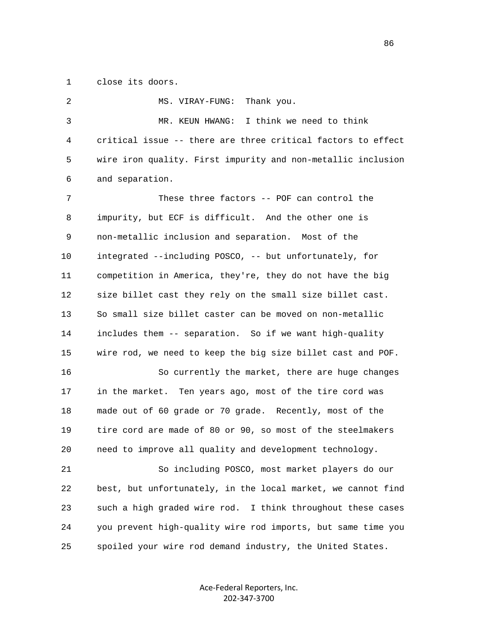1 close its doors.

2 MS. VIRAY-FUNG: Thank you. 3 MR. KEUN HWANG: I think we need to think 4 critical issue -- there are three critical factors to effect 5 wire iron quality. First impurity and non-metallic inclusion 6 and separation. 7 These three factors -- POF can control the 8 impurity, but ECF is difficult. And the other one is 9 non-metallic inclusion and separation. Most of the 10 integrated --including POSCO, -- but unfortunately, for 11 competition in America, they're, they do not have the big 12 size billet cast they rely on the small size billet cast. 13 So small size billet caster can be moved on non-metallic 14 includes them -- separation. So if we want high-quality 15 wire rod, we need to keep the big size billet cast and POF. 16 So currently the market, there are huge changes 17 in the market. Ten years ago, most of the tire cord was 18 made out of 60 grade or 70 grade. Recently, most of the 19 tire cord are made of 80 or 90, so most of the steelmakers 20 need to improve all quality and development technology. 21 So including POSCO, most market players do our 22 best, but unfortunately, in the local market, we cannot find 23 such a high graded wire rod. I think throughout these cases 24 you prevent high-quality wire rod imports, but same time you 25 spoiled your wire rod demand industry, the United States.

> Ace‐Federal Reporters, Inc. 202‐347‐3700

<u>86 and 2001 and 2002 and 2003 and 2003 and 2003 and 2003 and 2003 and 2003 and 2003 and 2003 and 2003 and 200</u>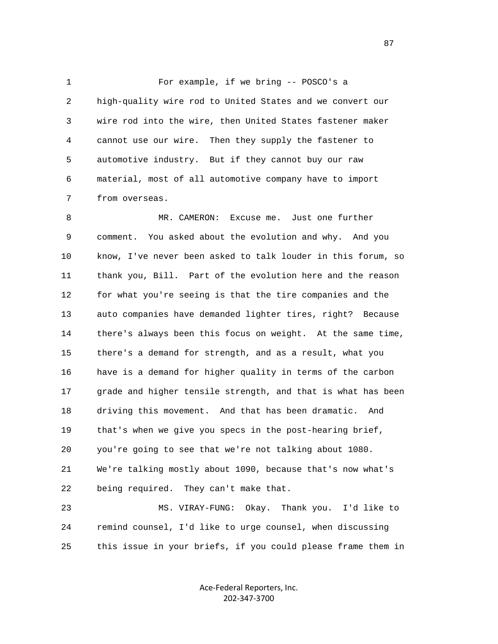1 For example, if we bring -- POSCO's a 2 high-quality wire rod to United States and we convert our 3 wire rod into the wire, then United States fastener maker 4 cannot use our wire. Then they supply the fastener to 5 automotive industry. But if they cannot buy our raw 6 material, most of all automotive company have to import 7 from overseas.

 8 MR. CAMERON: Excuse me. Just one further 9 comment. You asked about the evolution and why. And you 10 know, I've never been asked to talk louder in this forum, so 11 thank you, Bill. Part of the evolution here and the reason 12 for what you're seeing is that the tire companies and the 13 auto companies have demanded lighter tires, right? Because 14 there's always been this focus on weight. At the same time, 15 there's a demand for strength, and as a result, what you 16 have is a demand for higher quality in terms of the carbon 17 grade and higher tensile strength, and that is what has been 18 driving this movement. And that has been dramatic. And 19 that's when we give you specs in the post-hearing brief, 20 you're going to see that we're not talking about 1080. 21 We're talking mostly about 1090, because that's now what's 22 being required. They can't make that.

 23 MS. VIRAY-FUNG: Okay. Thank you. I'd like to 24 remind counsel, I'd like to urge counsel, when discussing 25 this issue in your briefs, if you could please frame them in

> Ace‐Federal Reporters, Inc. 202‐347‐3700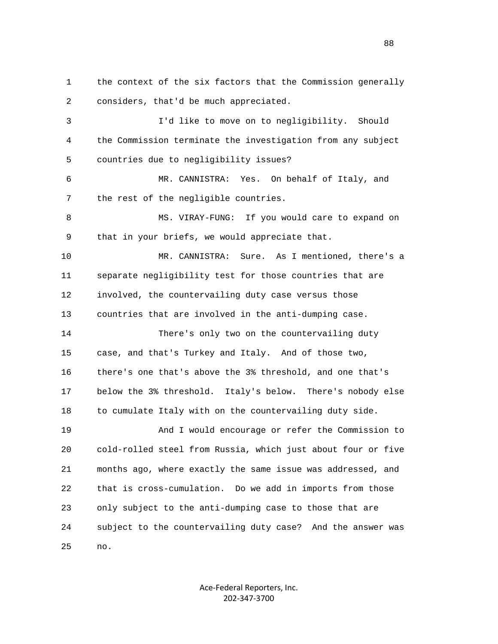1 the context of the six factors that the Commission generally 2 considers, that'd be much appreciated.

 3 I'd like to move on to negligibility. Should 4 the Commission terminate the investigation from any subject 5 countries due to negligibility issues?

 6 MR. CANNISTRA: Yes. On behalf of Italy, and 7 the rest of the negligible countries.

 8 MS. VIRAY-FUNG: If you would care to expand on 9 that in your briefs, we would appreciate that.

 10 MR. CANNISTRA: Sure. As I mentioned, there's a 11 separate negligibility test for those countries that are 12 involved, the countervailing duty case versus those 13 countries that are involved in the anti-dumping case.

 14 There's only two on the countervailing duty 15 case, and that's Turkey and Italy. And of those two, 16 there's one that's above the 3% threshold, and one that's 17 below the 3% threshold. Italy's below. There's nobody else 18 to cumulate Italy with on the countervailing duty side.

 19 And I would encourage or refer the Commission to 20 cold-rolled steel from Russia, which just about four or five 21 months ago, where exactly the same issue was addressed, and 22 that is cross-cumulation. Do we add in imports from those 23 only subject to the anti-dumping case to those that are 24 subject to the countervailing duty case? And the answer was 25 no.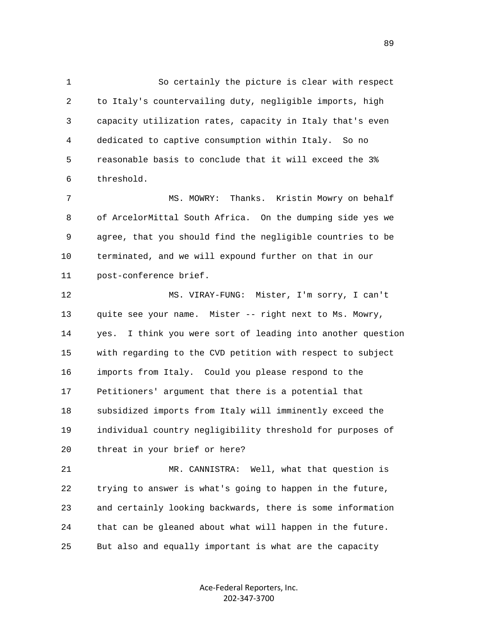1 So certainly the picture is clear with respect 2 to Italy's countervailing duty, negligible imports, high 3 capacity utilization rates, capacity in Italy that's even 4 dedicated to captive consumption within Italy. So no 5 reasonable basis to conclude that it will exceed the 3% 6 threshold.

 7 MS. MOWRY: Thanks. Kristin Mowry on behalf 8 of ArcelorMittal South Africa. On the dumping side yes we 9 agree, that you should find the negligible countries to be 10 terminated, and we will expound further on that in our 11 post-conference brief.

 12 MS. VIRAY-FUNG: Mister, I'm sorry, I can't 13 quite see your name. Mister -- right next to Ms. Mowry, 14 yes. I think you were sort of leading into another question 15 with regarding to the CVD petition with respect to subject 16 imports from Italy. Could you please respond to the 17 Petitioners' argument that there is a potential that 18 subsidized imports from Italy will imminently exceed the 19 individual country negligibility threshold for purposes of 20 threat in your brief or here?

 21 MR. CANNISTRA: Well, what that question is 22 trying to answer is what's going to happen in the future, 23 and certainly looking backwards, there is some information 24 that can be gleaned about what will happen in the future. 25 But also and equally important is what are the capacity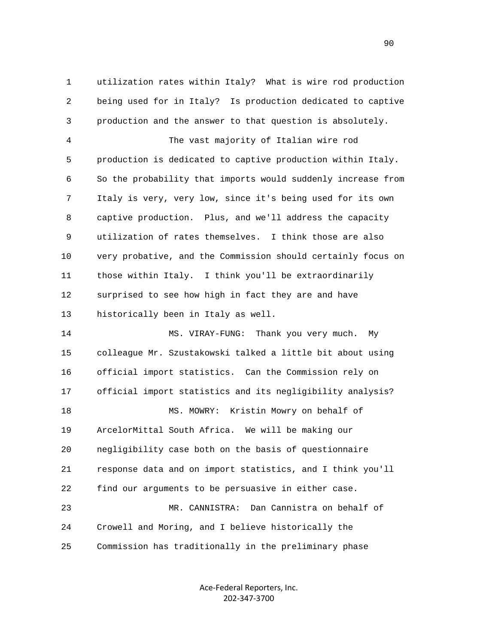1 utilization rates within Italy? What is wire rod production 2 being used for in Italy? Is production dedicated to captive 3 production and the answer to that question is absolutely.

 4 The vast majority of Italian wire rod 5 production is dedicated to captive production within Italy. 6 So the probability that imports would suddenly increase from 7 Italy is very, very low, since it's being used for its own 8 captive production. Plus, and we'll address the capacity 9 utilization of rates themselves. I think those are also 10 very probative, and the Commission should certainly focus on 11 those within Italy. I think you'll be extraordinarily 12 surprised to see how high in fact they are and have 13 historically been in Italy as well.

 14 MS. VIRAY-FUNG: Thank you very much. My 15 colleague Mr. Szustakowski talked a little bit about using 16 official import statistics. Can the Commission rely on 17 official import statistics and its negligibility analysis? 18 MS. MOWRY: Kristin Mowry on behalf of 19 ArcelorMittal South Africa. We will be making our 20 negligibility case both on the basis of questionnaire 21 response data and on import statistics, and I think you'll 22 find our arguments to be persuasive in either case. 23 MR. CANNISTRA: Dan Cannistra on behalf of 24 Crowell and Moring, and I believe historically the 25 Commission has traditionally in the preliminary phase

> Ace‐Federal Reporters, Inc. 202‐347‐3700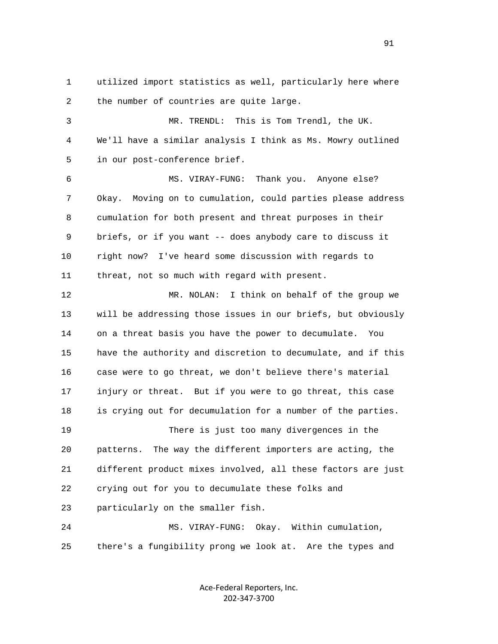1 utilized import statistics as well, particularly here where 2 the number of countries are quite large.

 3 MR. TRENDL: This is Tom Trendl, the UK. 4 We'll have a similar analysis I think as Ms. Mowry outlined 5 in our post-conference brief. 6 MS. VIRAY-FUNG: Thank you. Anyone else? 7 Okay. Moving on to cumulation, could parties please address 8 cumulation for both present and threat purposes in their 9 briefs, or if you want -- does anybody care to discuss it 10 right now? I've heard some discussion with regards to 11 threat, not so much with regard with present.

 12 MR. NOLAN: I think on behalf of the group we 13 will be addressing those issues in our briefs, but obviously 14 on a threat basis you have the power to decumulate. You 15 have the authority and discretion to decumulate, and if this 16 case were to go threat, we don't believe there's material 17 injury or threat. But if you were to go threat, this case 18 is crying out for decumulation for a number of the parties. 19 There is just too many divergences in the 20 patterns. The way the different importers are acting, the 21 different product mixes involved, all these factors are just 22 crying out for you to decumulate these folks and 23 particularly on the smaller fish. 24 MS. VIRAY-FUNG: Okay. Within cumulation,

25 there's a fungibility prong we look at. Are the types and

Ace‐Federal Reporters, Inc. 202‐347‐3700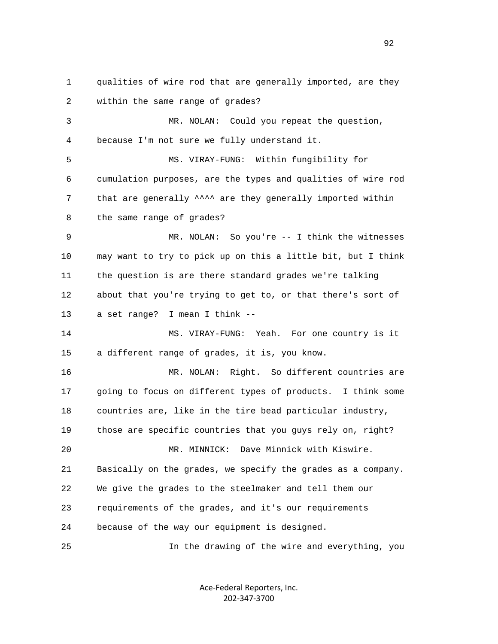1 qualities of wire rod that are generally imported, are they 2 within the same range of grades? 3 MR. NOLAN: Could you repeat the question, 4 because I'm not sure we fully understand it. 5 MS. VIRAY-FUNG: Within fungibility for 6 cumulation purposes, are the types and qualities of wire rod 7 that are generally  $\wedge \wedge \wedge$  are they generally imported within 8 the same range of grades? 9 MR. NOLAN: So you're -- I think the witnesses 10 may want to try to pick up on this a little bit, but I think 11 the question is are there standard grades we're talking 12 about that you're trying to get to, or that there's sort of 13 a set range? I mean I think -- 14 MS. VIRAY-FUNG: Yeah. For one country is it 15 a different range of grades, it is, you know. 16 MR. NOLAN: Right. So different countries are 17 going to focus on different types of products. I think some 18 countries are, like in the tire bead particular industry, 19 those are specific countries that you guys rely on, right? 20 MR. MINNICK: Dave Minnick with Kiswire. 21 Basically on the grades, we specify the grades as a company. 22 We give the grades to the steelmaker and tell them our 23 requirements of the grades, and it's our requirements 24 because of the way our equipment is designed. 25 In the drawing of the wire and everything, you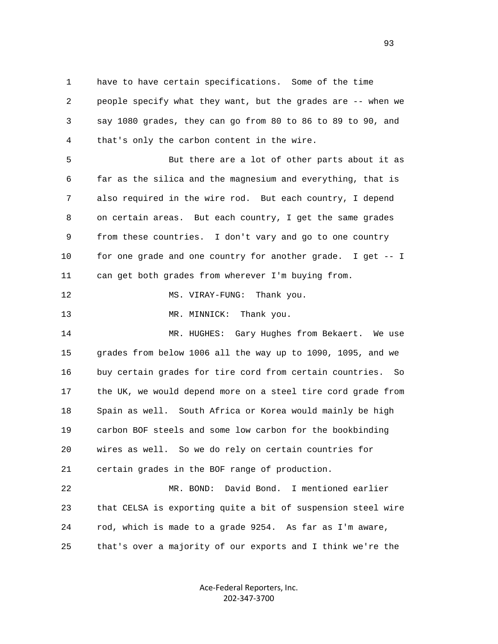1 have to have certain specifications. Some of the time 2 people specify what they want, but the grades are -- when we 3 say 1080 grades, they can go from 80 to 86 to 89 to 90, and 4 that's only the carbon content in the wire.

 5 But there are a lot of other parts about it as 6 far as the silica and the magnesium and everything, that is 7 also required in the wire rod. But each country, I depend 8 on certain areas. But each country, I get the same grades 9 from these countries. I don't vary and go to one country 10 for one grade and one country for another grade. I get -- I 11 can get both grades from wherever I'm buying from.

12 MS. VIRAY-FUNG: Thank you.

13 MR. MINNICK: Thank you.

 14 MR. HUGHES: Gary Hughes from Bekaert. We use 15 grades from below 1006 all the way up to 1090, 1095, and we 16 buy certain grades for tire cord from certain countries. So 17 the UK, we would depend more on a steel tire cord grade from 18 Spain as well. South Africa or Korea would mainly be high 19 carbon BOF steels and some low carbon for the bookbinding 20 wires as well. So we do rely on certain countries for 21 certain grades in the BOF range of production.

 22 MR. BOND: David Bond. I mentioned earlier 23 that CELSA is exporting quite a bit of suspension steel wire 24 rod, which is made to a grade 9254. As far as I'm aware, 25 that's over a majority of our exports and I think we're the

> Ace‐Federal Reporters, Inc. 202‐347‐3700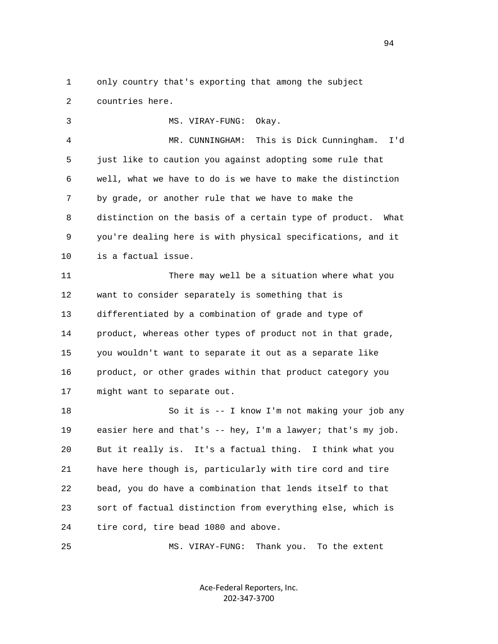1 only country that's exporting that among the subject 2 countries here.

 3 MS. VIRAY-FUNG: Okay. 4 MR. CUNNINGHAM: This is Dick Cunningham. I'd 5 just like to caution you against adopting some rule that 6 well, what we have to do is we have to make the distinction 7 by grade, or another rule that we have to make the 8 distinction on the basis of a certain type of product. What 9 you're dealing here is with physical specifications, and it 10 is a factual issue. 11 There may well be a situation where what you 12 want to consider separately is something that is

 13 differentiated by a combination of grade and type of 14 product, whereas other types of product not in that grade, 15 you wouldn't want to separate it out as a separate like 16 product, or other grades within that product category you 17 might want to separate out.

 18 So it is -- I know I'm not making your job any 19 easier here and that's -- hey, I'm a lawyer; that's my job. 20 But it really is. It's a factual thing. I think what you 21 have here though is, particularly with tire cord and tire 22 bead, you do have a combination that lends itself to that 23 sort of factual distinction from everything else, which is 24 tire cord, tire bead 1080 and above.

25 MS. VIRAY-FUNG: Thank you. To the extent

Ace‐Federal Reporters, Inc. 202‐347‐3700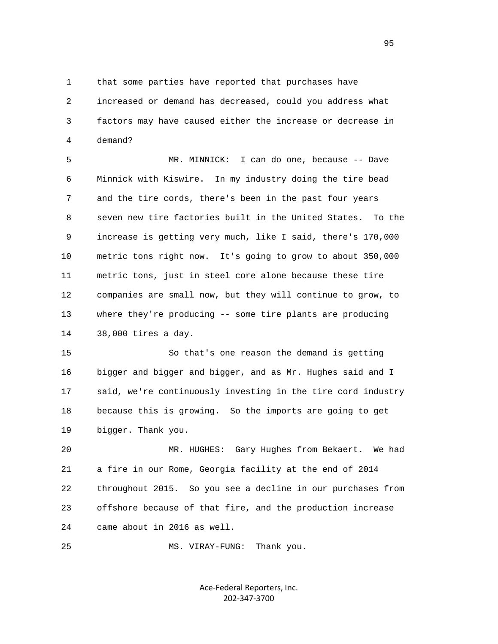1 that some parties have reported that purchases have 2 increased or demand has decreased, could you address what 3 factors may have caused either the increase or decrease in 4 demand?

 5 MR. MINNICK: I can do one, because -- Dave 6 Minnick with Kiswire. In my industry doing the tire bead 7 and the tire cords, there's been in the past four years 8 seven new tire factories built in the United States. To the 9 increase is getting very much, like I said, there's 170,000 10 metric tons right now. It's going to grow to about 350,000 11 metric tons, just in steel core alone because these tire 12 companies are small now, but they will continue to grow, to 13 where they're producing -- some tire plants are producing 14 38,000 tires a day.

 15 So that's one reason the demand is getting 16 bigger and bigger and bigger, and as Mr. Hughes said and I 17 said, we're continuously investing in the tire cord industry 18 because this is growing. So the imports are going to get 19 bigger. Thank you.

 20 MR. HUGHES: Gary Hughes from Bekaert. We had 21 a fire in our Rome, Georgia facility at the end of 2014 22 throughout 2015. So you see a decline in our purchases from 23 offshore because of that fire, and the production increase 24 came about in 2016 as well.

25 MS. VIRAY-FUNG: Thank you.

Ace‐Federal Reporters, Inc. 202‐347‐3700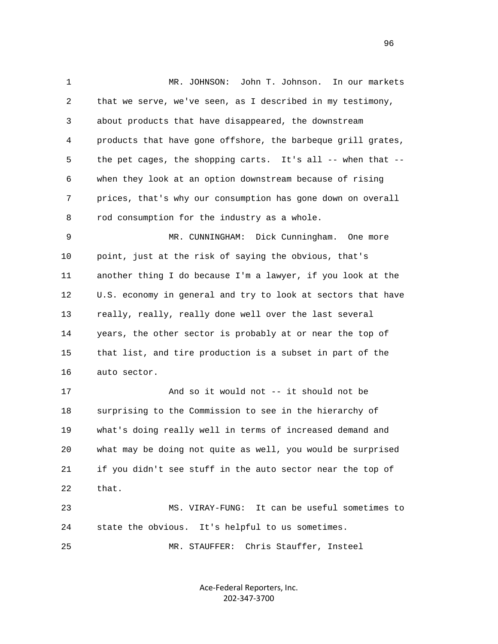1 MR. JOHNSON: John T. Johnson. In our markets 2 that we serve, we've seen, as I described in my testimony, 3 about products that have disappeared, the downstream 4 products that have gone offshore, the barbeque grill grates, 5 the pet cages, the shopping carts. It's all -- when that -- 6 when they look at an option downstream because of rising 7 prices, that's why our consumption has gone down on overall 8 rod consumption for the industry as a whole. 9 MR. CUNNINGHAM: Dick Cunningham. One more 10 point, just at the risk of saying the obvious, that's 11 another thing I do because I'm a lawyer, if you look at the 12 U.S. economy in general and try to look at sectors that have 13 really, really, really done well over the last several 14 years, the other sector is probably at or near the top of 15 that list, and tire production is a subset in part of the 16 auto sector. 17 And so it would not -- it should not be 18 surprising to the Commission to see in the hierarchy of 19 what's doing really well in terms of increased demand and 20 what may be doing not quite as well, you would be surprised 21 if you didn't see stuff in the auto sector near the top of 22 that.

 23 MS. VIRAY-FUNG: It can be useful sometimes to 24 state the obvious. It's helpful to us sometimes.

25 MR. STAUFFER: Chris Stauffer, Insteel

Ace‐Federal Reporters, Inc. 202‐347‐3700

<u>96</u>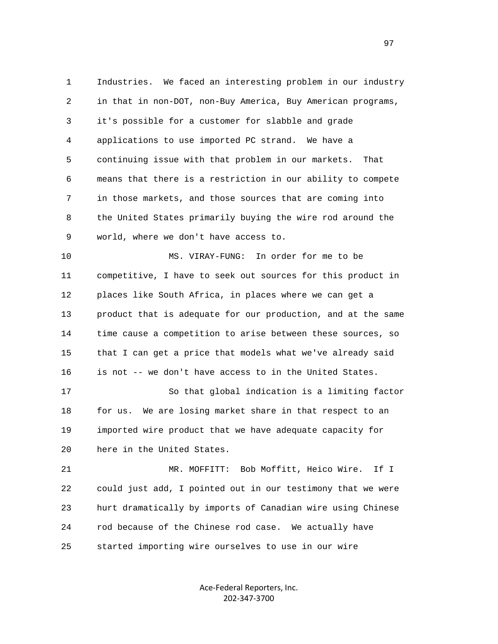1 Industries. We faced an interesting problem in our industry 2 in that in non-DOT, non-Buy America, Buy American programs, 3 it's possible for a customer for slabble and grade 4 applications to use imported PC strand. We have a 5 continuing issue with that problem in our markets. That 6 means that there is a restriction in our ability to compete 7 in those markets, and those sources that are coming into 8 the United States primarily buying the wire rod around the 9 world, where we don't have access to. 10 MS. VIRAY-FUNG: In order for me to be

 11 competitive, I have to seek out sources for this product in 12 places like South Africa, in places where we can get a 13 product that is adequate for our production, and at the same 14 time cause a competition to arise between these sources, so 15 that I can get a price that models what we've already said 16 is not -- we don't have access to in the United States.

 17 So that global indication is a limiting factor 18 for us. We are losing market share in that respect to an 19 imported wire product that we have adequate capacity for 20 here in the United States.

 21 MR. MOFFITT: Bob Moffitt, Heico Wire. If I 22 could just add, I pointed out in our testimony that we were 23 hurt dramatically by imports of Canadian wire using Chinese 24 rod because of the Chinese rod case. We actually have 25 started importing wire ourselves to use in our wire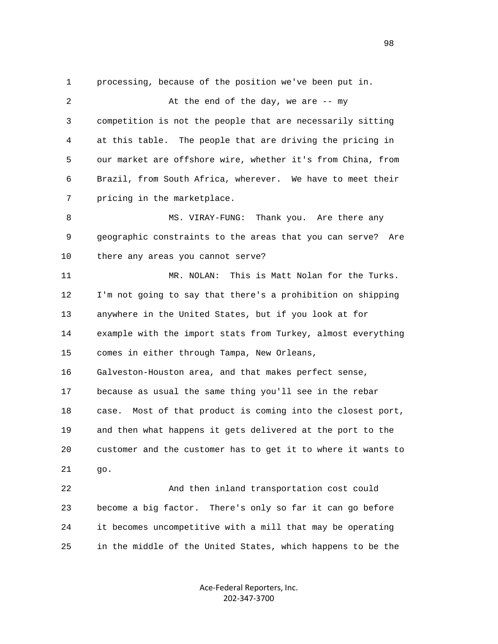1 processing, because of the position we've been put in. 2 At the end of the day, we are -- my 3 competition is not the people that are necessarily sitting 4 at this table. The people that are driving the pricing in 5 our market are offshore wire, whether it's from China, from 6 Brazil, from South Africa, wherever. We have to meet their 7 pricing in the marketplace. 8 MS. VIRAY-FUNG: Thank you. Are there any 9 geographic constraints to the areas that you can serve? Are 10 there any areas you cannot serve? 11 MR. NOLAN: This is Matt Nolan for the Turks. 12 I'm not going to say that there's a prohibition on shipping 13 anywhere in the United States, but if you look at for 14 example with the import stats from Turkey, almost everything 15 comes in either through Tampa, New Orleans, 16 Galveston-Houston area, and that makes perfect sense, 17 because as usual the same thing you'll see in the rebar 18 case. Most of that product is coming into the closest port, 19 and then what happens it gets delivered at the port to the 20 customer and the customer has to get it to where it wants to 21 go. 22 And then inland transportation cost could 23 become a big factor. There's only so far it can go before 24 it becomes uncompetitive with a mill that may be operating 25 in the middle of the United States, which happens to be the

> Ace‐Federal Reporters, Inc. 202‐347‐3700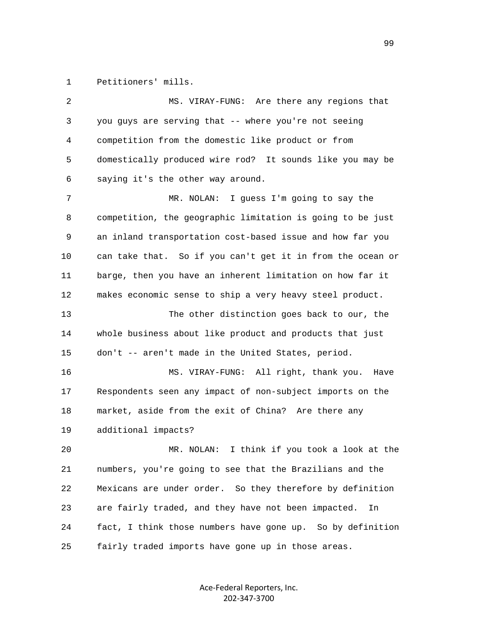1 Petitioners' mills.

| 2  | MS. VIRAY-FUNG: Are there any regions that                 |
|----|------------------------------------------------------------|
| 3  | you guys are serving that -- where you're not seeing       |
| 4  | competition from the domestic like product or from         |
| 5  | domestically produced wire rod? It sounds like you may be  |
| 6  | saying it's the other way around.                          |
| 7  | I guess I'm going to say the<br>MR. NOLAN:                 |
| 8  | competition, the geographic limitation is going to be just |
| 9  | an inland transportation cost-based issue and how far you  |
| 10 | can take that. So if you can't get it in from the ocean or |
| 11 | barge, then you have an inherent limitation on how far it  |
| 12 | makes economic sense to ship a very heavy steel product.   |
| 13 | The other distinction goes back to our, the                |
| 14 | whole business about like product and products that just   |
| 15 | don't -- aren't made in the United States, period.         |
| 16 | MS. VIRAY-FUNG: All right, thank you.<br>Have              |
| 17 | Respondents seen any impact of non-subject imports on the  |
| 18 | market, aside from the exit of China? Are there any        |
| 19 | additional impacts?                                        |
| 20 | I think if you took a look at the<br>MR. NOLAN:            |
| 21 | numbers, you're going to see that the Brazilians and the   |
| 22 | Mexicans are under order. So they therefore by definition  |
| 23 | are fairly traded, and they have not been impacted.<br>In  |
| 24 | fact, I think those numbers have gone up. So by definition |
| 25 | fairly traded imports have gone up in those areas.         |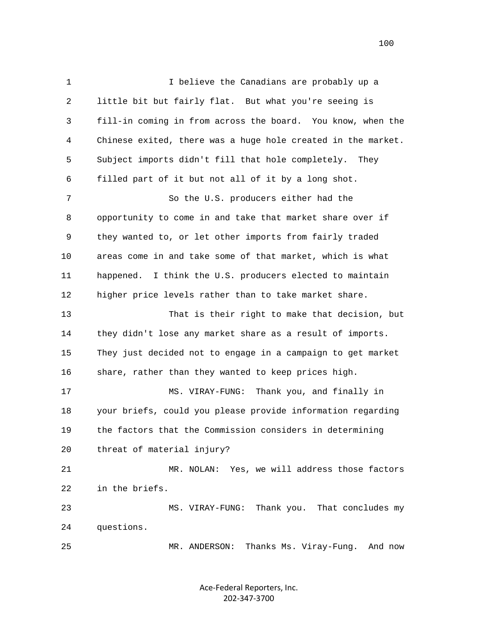1 I believe the Canadians are probably up a 2 little bit but fairly flat. But what you're seeing is 3 fill-in coming in from across the board. You know, when the 4 Chinese exited, there was a huge hole created in the market. 5 Subject imports didn't fill that hole completely. They 6 filled part of it but not all of it by a long shot. 7 So the U.S. producers either had the 8 opportunity to come in and take that market share over if 9 they wanted to, or let other imports from fairly traded 10 areas come in and take some of that market, which is what 11 happened. I think the U.S. producers elected to maintain 12 higher price levels rather than to take market share. 13 That is their right to make that decision, but 14 they didn't lose any market share as a result of imports. 15 They just decided not to engage in a campaign to get market 16 share, rather than they wanted to keep prices high. 17 MS. VIRAY-FUNG: Thank you, and finally in 18 your briefs, could you please provide information regarding 19 the factors that the Commission considers in determining 20 threat of material injury? 21 MR. NOLAN: Yes, we will address those factors 22 in the briefs. 23 MS. VIRAY-FUNG: Thank you. That concludes my 24 questions. 25 MR. ANDERSON: Thanks Ms. Viray-Fung. And now

> Ace‐Federal Reporters, Inc. 202‐347‐3700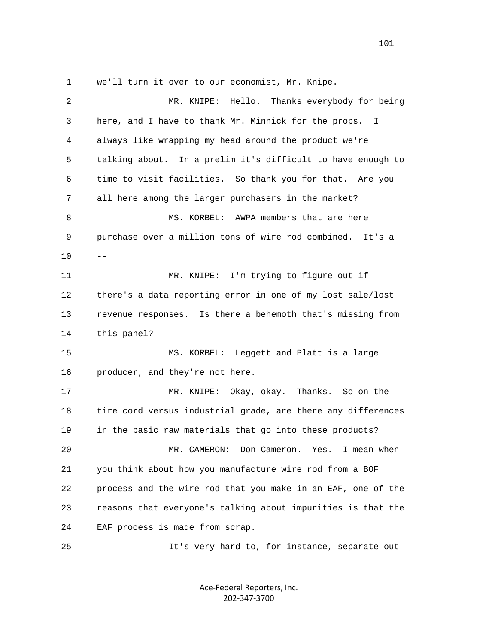1 we'll turn it over to our economist, Mr. Knipe.

| $\overline{a}$ | MR. KNIPE: Hello. Thanks everybody for being                 |
|----------------|--------------------------------------------------------------|
| 3              | here, and I have to thank Mr. Minnick for the props. I       |
|                |                                                              |
| 4              | always like wrapping my head around the product we're        |
| 5              | talking about. In a prelim it's difficult to have enough to  |
| 6              | time to visit facilities. So thank you for that. Are you     |
| 7              | all here among the larger purchasers in the market?          |
| 8              | MS. KORBEL: AWPA members that are here                       |
| 9              | purchase over a million tons of wire rod combined. It's a    |
| 10             | $- -$                                                        |
| 11             | MR. KNIPE: I'm trying to figure out if                       |
| 12             | there's a data reporting error in one of my lost sale/lost   |
| 13             | revenue responses. Is there a behemoth that's missing from   |
| 14             | this panel?                                                  |
| 15             | MS. KORBEL: Leggett and Platt is a large                     |
| 16             | producer, and they're not here.                              |
| 17             | MR. KNIPE: Okay, okay. Thanks. So on the                     |
| 18             | tire cord versus industrial grade, are there any differences |
| 19             | in the basic raw materials that go into these products?      |
| 20             | MR. CAMERON:<br>Don Cameron.<br>Yes.<br>I mean when          |
| 21             | you think about how you manufacture wire rod from a BOF      |
| 22             | process and the wire rod that you make in an EAF, one of the |
| 23             | reasons that everyone's talking about impurities is that the |
| 24             | EAF process is made from scrap.                              |
| 25             | It's very hard to, for instance, separate out                |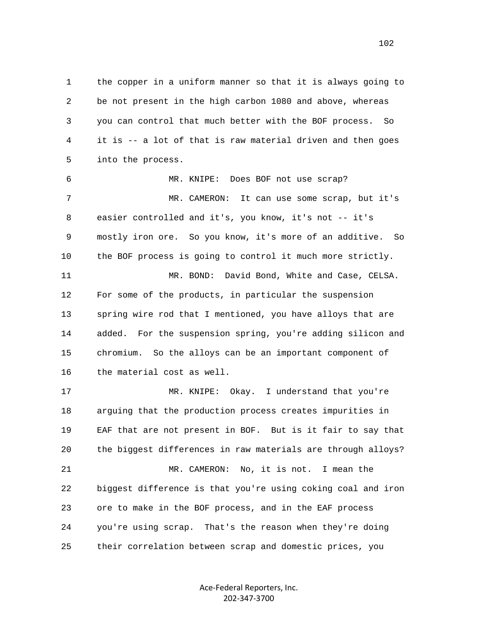1 the copper in a uniform manner so that it is always going to 2 be not present in the high carbon 1080 and above, whereas 3 you can control that much better with the BOF process. So 4 it is -- a lot of that is raw material driven and then goes 5 into the process. 6 MR. KNIPE: Does BOF not use scrap?

 7 MR. CAMERON: It can use some scrap, but it's 8 easier controlled and it's, you know, it's not -- it's 9 mostly iron ore. So you know, it's more of an additive. So 10 the BOF process is going to control it much more strictly. 11 MR. BOND: David Bond, White and Case, CELSA. 12 For some of the products, in particular the suspension 13 spring wire rod that I mentioned, you have alloys that are 14 added. For the suspension spring, you're adding silicon and 15 chromium. So the alloys can be an important component of 16 the material cost as well.

 17 MR. KNIPE: Okay. I understand that you're 18 arguing that the production process creates impurities in 19 EAF that are not present in BOF. But is it fair to say that 20 the biggest differences in raw materials are through alloys? 21 MR. CAMERON: No, it is not. I mean the 22 biggest difference is that you're using coking coal and iron 23 ore to make in the BOF process, and in the EAF process 24 you're using scrap. That's the reason when they're doing 25 their correlation between scrap and domestic prices, you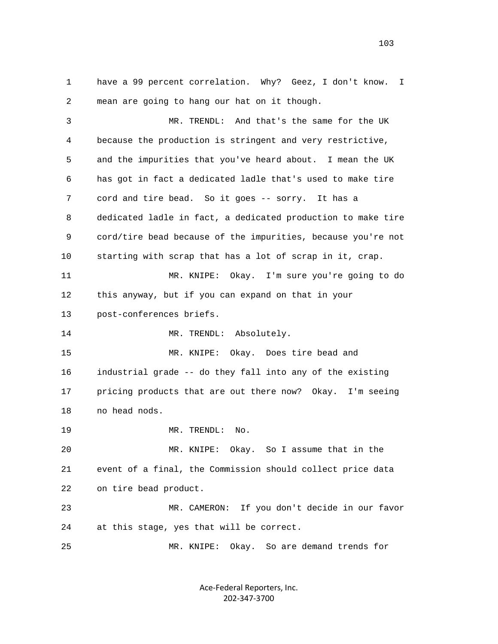1 have a 99 percent correlation. Why? Geez, I don't know. I 2 mean are going to hang our hat on it though.

 3 MR. TRENDL: And that's the same for the UK 4 because the production is stringent and very restrictive, 5 and the impurities that you've heard about. I mean the UK 6 has got in fact a dedicated ladle that's used to make tire 7 cord and tire bead. So it goes -- sorry. It has a 8 dedicated ladle in fact, a dedicated production to make tire 9 cord/tire bead because of the impurities, because you're not 10 starting with scrap that has a lot of scrap in it, crap. 11 MR. KNIPE: Okay. I'm sure you're going to do 12 this anyway, but if you can expand on that in your 13 post-conferences briefs. 14 MR. TRENDL: Absolutely. 15 MR. KNIPE: Okay. Does tire bead and 16 industrial grade -- do they fall into any of the existing 17 pricing products that are out there now? Okay. I'm seeing 18 no head nods. 19 MR. TRENDL: No. 20 MR. KNIPE: Okay. So I assume that in the 21 event of a final, the Commission should collect price data 22 on tire bead product. 23 MR. CAMERON: If you don't decide in our favor 24 at this stage, yes that will be correct. 25 MR. KNIPE: Okay. So are demand trends for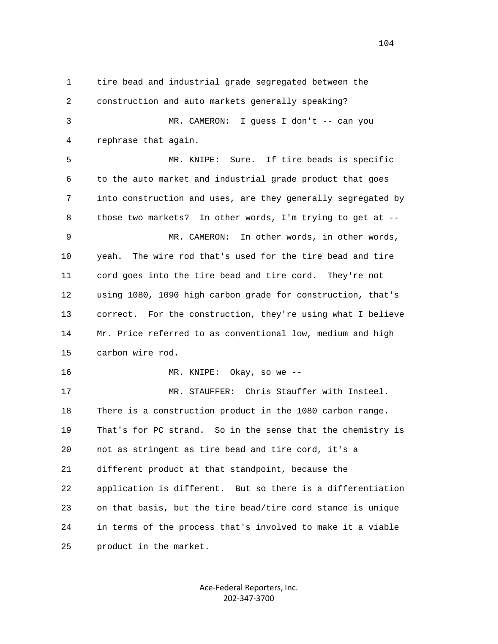1 tire bead and industrial grade segregated between the 2 construction and auto markets generally speaking? 3 MR. CAMERON: I guess I don't -- can you 4 rephrase that again. 5 MR. KNIPE: Sure. If tire beads is specific 6 to the auto market and industrial grade product that goes 7 into construction and uses, are they generally segregated by 8 those two markets? In other words, I'm trying to get at -- 9 MR. CAMERON: In other words, in other words, 10 yeah. The wire rod that's used for the tire bead and tire 11 cord goes into the tire bead and tire cord. They're not 12 using 1080, 1090 high carbon grade for construction, that's 13 correct. For the construction, they're using what I believe 14 Mr. Price referred to as conventional low, medium and high 15 carbon wire rod. 16 MR. KNIPE: Okay, so we -- 17 MR. STAUFFER: Chris Stauffer with Insteel. 18 There is a construction product in the 1080 carbon range. 19 That's for PC strand. So in the sense that the chemistry is 20 not as stringent as tire bead and tire cord, it's a 21 different product at that standpoint, because the 22 application is different. But so there is a differentiation 23 on that basis, but the tire bead/tire cord stance is unique 24 in terms of the process that's involved to make it a viable 25 product in the market.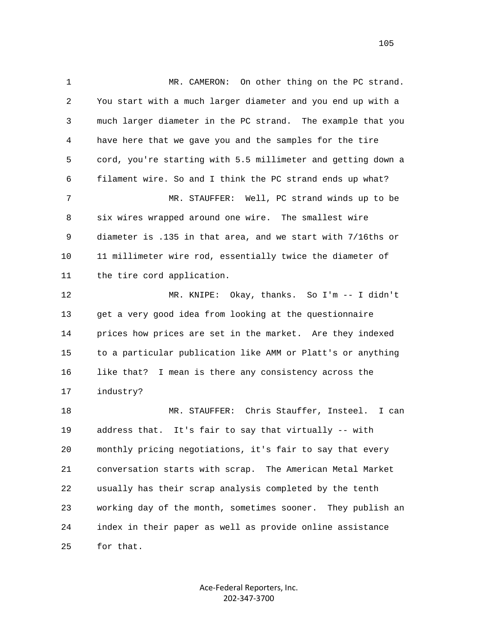1 MR. CAMERON: On other thing on the PC strand. 2 You start with a much larger diameter and you end up with a 3 much larger diameter in the PC strand. The example that you 4 have here that we gave you and the samples for the tire 5 cord, you're starting with 5.5 millimeter and getting down a 6 filament wire. So and I think the PC strand ends up what? 7 MR. STAUFFER: Well, PC strand winds up to be 8 six wires wrapped around one wire. The smallest wire 9 diameter is .135 in that area, and we start with 7/16ths or 10 11 millimeter wire rod, essentially twice the diameter of 11 the tire cord application. 12 MR. KNIPE: Okay, thanks. So I'm -- I didn't 13 get a very good idea from looking at the questionnaire 14 prices how prices are set in the market. Are they indexed 15 to a particular publication like AMM or Platt's or anything 16 like that? I mean is there any consistency across the 17 industry? 18 MR. STAUFFER: Chris Stauffer, Insteel. I can 19 address that. It's fair to say that virtually -- with 20 monthly pricing negotiations, it's fair to say that every 21 conversation starts with scrap. The American Metal Market 22 usually has their scrap analysis completed by the tenth 23 working day of the month, sometimes sooner. They publish an 24 index in their paper as well as provide online assistance 25 for that.

> Ace‐Federal Reporters, Inc. 202‐347‐3700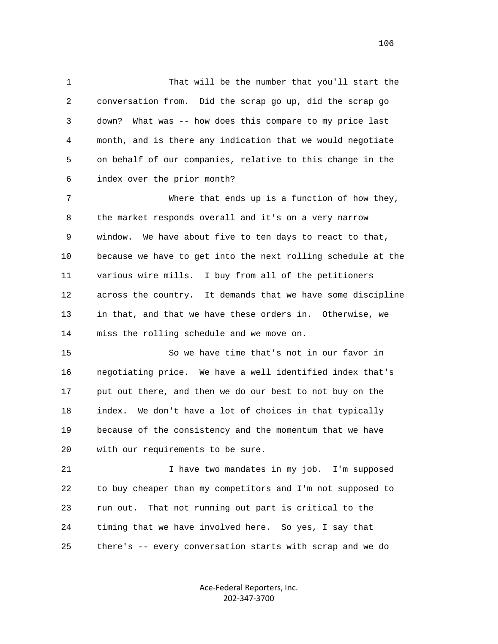1 That will be the number that you'll start the 2 conversation from. Did the scrap go up, did the scrap go 3 down? What was -- how does this compare to my price last 4 month, and is there any indication that we would negotiate 5 on behalf of our companies, relative to this change in the 6 index over the prior month?

 7 Where that ends up is a function of how they, 8 the market responds overall and it's on a very narrow 9 window. We have about five to ten days to react to that, 10 because we have to get into the next rolling schedule at the 11 various wire mills. I buy from all of the petitioners 12 across the country. It demands that we have some discipline 13 in that, and that we have these orders in. Otherwise, we 14 miss the rolling schedule and we move on.

 15 So we have time that's not in our favor in 16 negotiating price. We have a well identified index that's 17 put out there, and then we do our best to not buy on the 18 index. We don't have a lot of choices in that typically 19 because of the consistency and the momentum that we have 20 with our requirements to be sure.

 21 I have two mandates in my job. I'm supposed 22 to buy cheaper than my competitors and I'm not supposed to 23 run out. That not running out part is critical to the 24 timing that we have involved here. So yes, I say that 25 there's -- every conversation starts with scrap and we do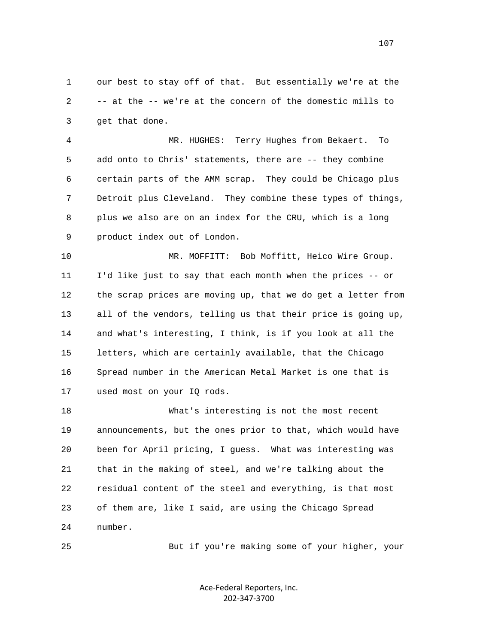1 our best to stay off of that. But essentially we're at the 2 -- at the -- we're at the concern of the domestic mills to 3 get that done.

 4 MR. HUGHES: Terry Hughes from Bekaert. To 5 add onto to Chris' statements, there are -- they combine 6 certain parts of the AMM scrap. They could be Chicago plus 7 Detroit plus Cleveland. They combine these types of things, 8 plus we also are on an index for the CRU, which is a long 9 product index out of London.

 10 MR. MOFFITT: Bob Moffitt, Heico Wire Group. 11 I'd like just to say that each month when the prices -- or 12 the scrap prices are moving up, that we do get a letter from 13 all of the vendors, telling us that their price is going up, 14 and what's interesting, I think, is if you look at all the 15 letters, which are certainly available, that the Chicago 16 Spread number in the American Metal Market is one that is 17 used most on your IQ rods.

 18 What's interesting is not the most recent 19 announcements, but the ones prior to that, which would have 20 been for April pricing, I guess. What was interesting was 21 that in the making of steel, and we're talking about the 22 residual content of the steel and everything, is that most 23 of them are, like I said, are using the Chicago Spread 24 number.

25 But if you're making some of your higher, your

Ace‐Federal Reporters, Inc. 202‐347‐3700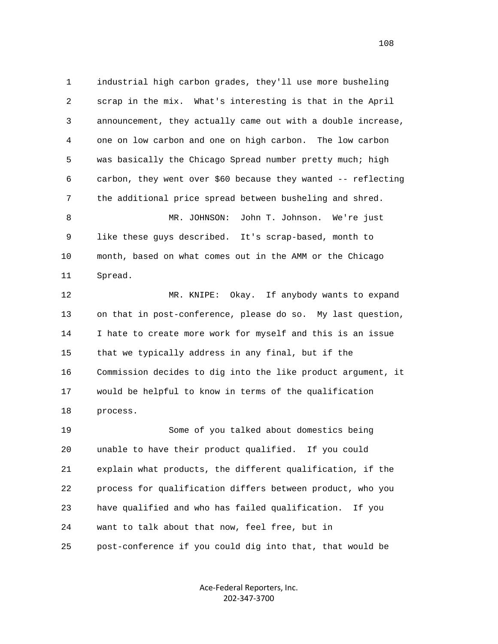1 industrial high carbon grades, they'll use more busheling 2 scrap in the mix. What's interesting is that in the April 3 announcement, they actually came out with a double increase, 4 one on low carbon and one on high carbon. The low carbon 5 was basically the Chicago Spread number pretty much; high 6 carbon, they went over \$60 because they wanted -- reflecting 7 the additional price spread between busheling and shred. 8 MR. JOHNSON: John T. Johnson. We're just 9 like these guys described. It's scrap-based, month to 10 month, based on what comes out in the AMM or the Chicago 11 Spread. 12 MR. KNIPE: Okay. If anybody wants to expand 13 on that in post-conference, please do so. My last question, 14 I hate to create more work for myself and this is an issue 15 that we typically address in any final, but if the 16 Commission decides to dig into the like product argument, it 17 would be helpful to know in terms of the qualification 18 process. 19 Some of you talked about domestics being 20 unable to have their product qualified. If you could 21 explain what products, the different qualification, if the 22 process for qualification differs between product, who you 23 have qualified and who has failed qualification. If you 24 want to talk about that now, feel free, but in 25 post-conference if you could dig into that, that would be

> Ace‐Federal Reporters, Inc. 202‐347‐3700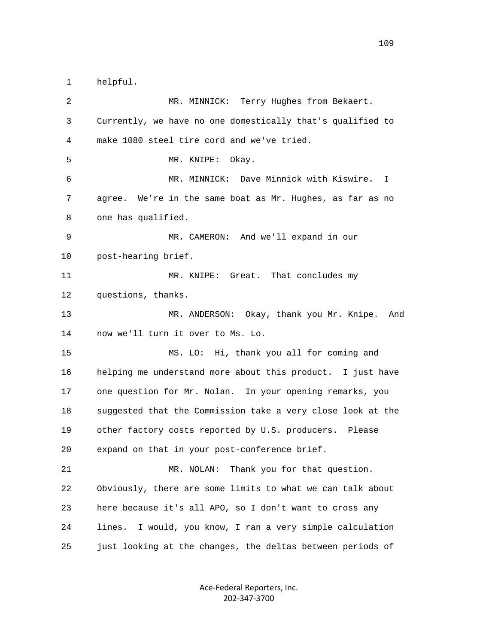1 helpful.

 2 MR. MINNICK: Terry Hughes from Bekaert. 3 Currently, we have no one domestically that's qualified to 4 make 1080 steel tire cord and we've tried. 5 MR. KNIPE: Okay. 6 MR. MINNICK: Dave Minnick with Kiswire. I 7 agree. We're in the same boat as Mr. Hughes, as far as no 8 one has qualified. 9 MR. CAMERON: And we'll expand in our 10 post-hearing brief. 11 MR. KNIPE: Great. That concludes my 12 questions, thanks. 13 MR. ANDERSON: Okay, thank you Mr. Knipe. And 14 now we'll turn it over to Ms. Lo. 15 MS. LO: Hi, thank you all for coming and 16 helping me understand more about this product. I just have 17 one question for Mr. Nolan. In your opening remarks, you 18 suggested that the Commission take a very close look at the 19 other factory costs reported by U.S. producers. Please 20 expand on that in your post-conference brief. 21 MR. NOLAN: Thank you for that question. 22 Obviously, there are some limits to what we can talk about 23 here because it's all APO, so I don't want to cross any 24 lines. I would, you know, I ran a very simple calculation 25 just looking at the changes, the deltas between periods of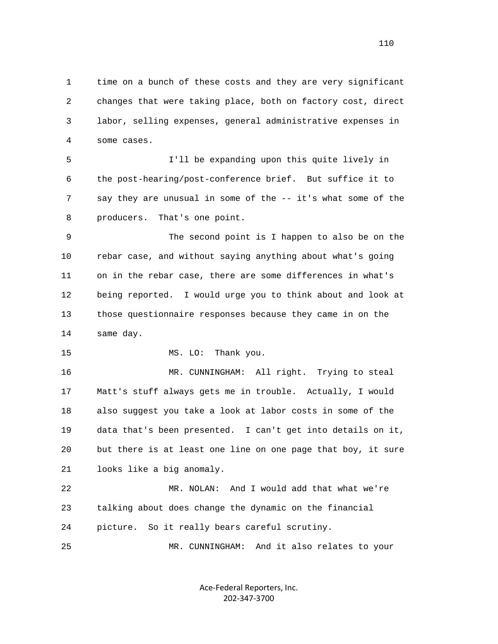1 time on a bunch of these costs and they are very significant 2 changes that were taking place, both on factory cost, direct 3 labor, selling expenses, general administrative expenses in 4 some cases.

 5 I'll be expanding upon this quite lively in 6 the post-hearing/post-conference brief. But suffice it to 7 say they are unusual in some of the -- it's what some of the 8 producers. That's one point.

 9 The second point is I happen to also be on the 10 rebar case, and without saying anything about what's going 11 on in the rebar case, there are some differences in what's 12 being reported. I would urge you to think about and look at 13 those questionnaire responses because they came in on the 14 same day.

15 MS. LO: Thank you.

 16 MR. CUNNINGHAM: All right. Trying to steal 17 Matt's stuff always gets me in trouble. Actually, I would 18 also suggest you take a look at labor costs in some of the 19 data that's been presented. I can't get into details on it, 20 but there is at least one line on one page that boy, it sure 21 looks like a big anomaly.

 22 MR. NOLAN: And I would add that what we're 23 talking about does change the dynamic on the financial 24 picture. So it really bears careful scrutiny.

25 MR. CUNNINGHAM: And it also relates to your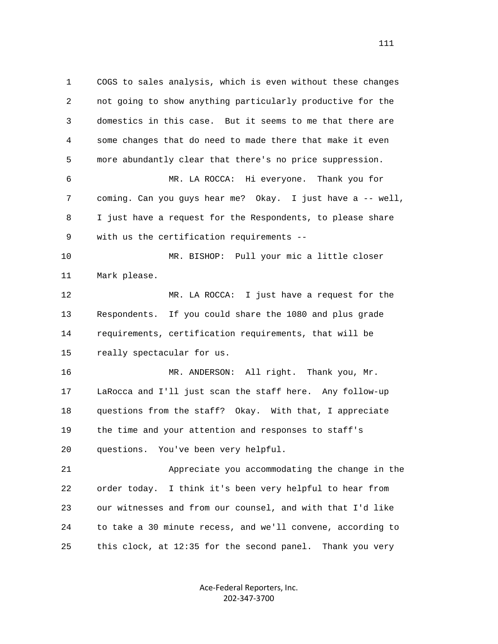1 COGS to sales analysis, which is even without these changes 2 not going to show anything particularly productive for the 3 domestics in this case. But it seems to me that there are 4 some changes that do need to made there that make it even 5 more abundantly clear that there's no price suppression. 6 MR. LA ROCCA: Hi everyone. Thank you for 7 coming. Can you guys hear me? Okay. I just have a -- well, 8 I just have a request for the Respondents, to please share 9 with us the certification requirements -- 10 MR. BISHOP: Pull your mic a little closer 11 Mark please. 12 MR. LA ROCCA: I just have a request for the 13 Respondents. If you could share the 1080 and plus grade 14 requirements, certification requirements, that will be 15 really spectacular for us. 16 MR. ANDERSON: All right. Thank you, Mr. 17 LaRocca and I'll just scan the staff here. Any follow-up 18 questions from the staff? Okay. With that, I appreciate 19 the time and your attention and responses to staff's 20 questions. You've been very helpful. 21 Appreciate you accommodating the change in the 22 order today. I think it's been very helpful to hear from 23 our witnesses and from our counsel, and with that I'd like 24 to take a 30 minute recess, and we'll convene, according to 25 this clock, at 12:35 for the second panel. Thank you very

> Ace‐Federal Reporters, Inc. 202‐347‐3700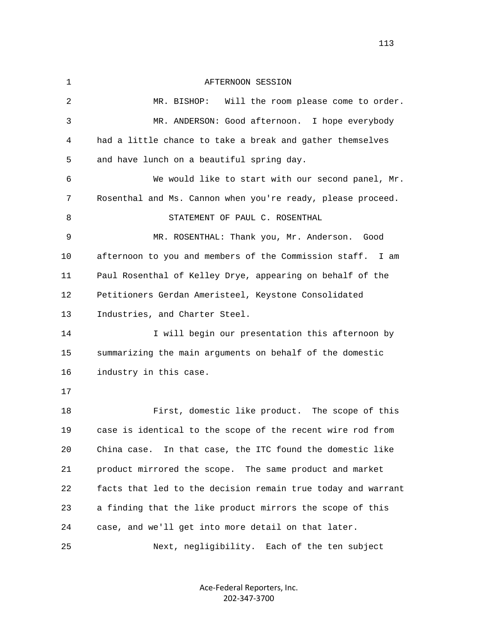1 AFTERNOON SESSION 2 MR. BISHOP: Will the room please come to order. 3 MR. ANDERSON: Good afternoon. I hope everybody 4 had a little chance to take a break and gather themselves 5 and have lunch on a beautiful spring day. 6 We would like to start with our second panel, Mr. 7 Rosenthal and Ms. Cannon when you're ready, please proceed. 8 STATEMENT OF PAUL C. ROSENTHAL 9 MR. ROSENTHAL: Thank you, Mr. Anderson. Good 10 afternoon to you and members of the Commission staff. I am 11 Paul Rosenthal of Kelley Drye, appearing on behalf of the 12 Petitioners Gerdan Ameristeel, Keystone Consolidated 13 Industries, and Charter Steel. 14 I will begin our presentation this afternoon by 15 summarizing the main arguments on behalf of the domestic 16 industry in this case. 17 18 First, domestic like product. The scope of this 19 case is identical to the scope of the recent wire rod from 20 China case. In that case, the ITC found the domestic like 21 product mirrored the scope. The same product and market 22 facts that led to the decision remain true today and warrant 23 a finding that the like product mirrors the scope of this 24 case, and we'll get into more detail on that later. 25 Next, negligibility. Each of the ten subject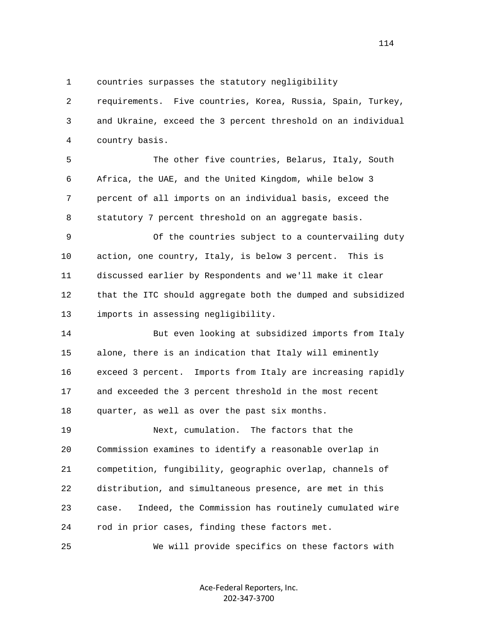1 countries surpasses the statutory negligibility

 2 requirements. Five countries, Korea, Russia, Spain, Turkey, 3 and Ukraine, exceed the 3 percent threshold on an individual 4 country basis.

 5 The other five countries, Belarus, Italy, South 6 Africa, the UAE, and the United Kingdom, while below 3 7 percent of all imports on an individual basis, exceed the 8 statutory 7 percent threshold on an aggregate basis.

 9 Of the countries subject to a countervailing duty 10 action, one country, Italy, is below 3 percent. This is 11 discussed earlier by Respondents and we'll make it clear 12 that the ITC should aggregate both the dumped and subsidized 13 imports in assessing negligibility.

 14 But even looking at subsidized imports from Italy 15 alone, there is an indication that Italy will eminently 16 exceed 3 percent. Imports from Italy are increasing rapidly 17 and exceeded the 3 percent threshold in the most recent 18 quarter, as well as over the past six months.

 19 Next, cumulation. The factors that the 20 Commission examines to identify a reasonable overlap in 21 competition, fungibility, geographic overlap, channels of 22 distribution, and simultaneous presence, are met in this 23 case. Indeed, the Commission has routinely cumulated wire 24 rod in prior cases, finding these factors met.

25 We will provide specifics on these factors with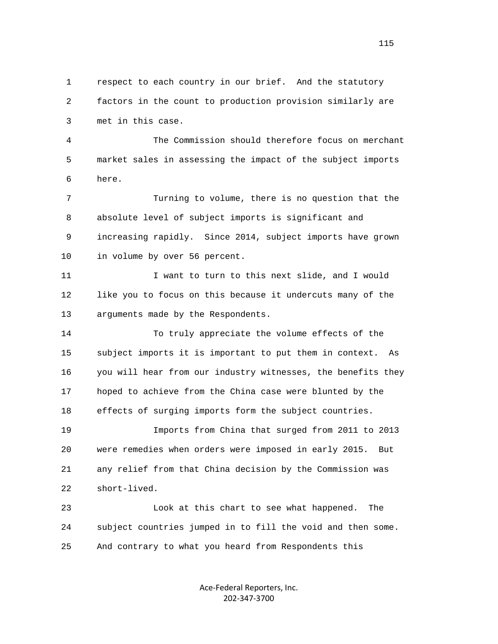1 respect to each country in our brief. And the statutory 2 factors in the count to production provision similarly are 3 met in this case.

 4 The Commission should therefore focus on merchant 5 market sales in assessing the impact of the subject imports 6 here.

 7 Turning to volume, there is no question that the 8 absolute level of subject imports is significant and 9 increasing rapidly. Since 2014, subject imports have grown 10 in volume by over 56 percent.

11 I want to turn to this next slide, and I would 12 like you to focus on this because it undercuts many of the 13 arguments made by the Respondents.

 14 To truly appreciate the volume effects of the 15 subject imports it is important to put them in context. As 16 you will hear from our industry witnesses, the benefits they 17 hoped to achieve from the China case were blunted by the 18 effects of surging imports form the subject countries.

 19 Imports from China that surged from 2011 to 2013 20 were remedies when orders were imposed in early 2015. But 21 any relief from that China decision by the Commission was 22 short-lived.

 23 Look at this chart to see what happened. The 24 subject countries jumped in to fill the void and then some. 25 And contrary to what you heard from Respondents this

> Ace‐Federal Reporters, Inc. 202‐347‐3700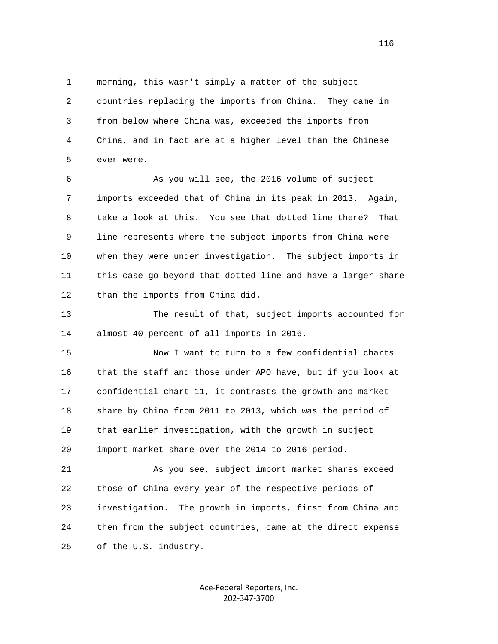1 morning, this wasn't simply a matter of the subject 2 countries replacing the imports from China. They came in 3 from below where China was, exceeded the imports from 4 China, and in fact are at a higher level than the Chinese 5 ever were.

 6 As you will see, the 2016 volume of subject 7 imports exceeded that of China in its peak in 2013. Again, 8 take a look at this. You see that dotted line there? That 9 line represents where the subject imports from China were 10 when they were under investigation. The subject imports in 11 this case go beyond that dotted line and have a larger share 12 than the imports from China did.

 13 The result of that, subject imports accounted for 14 almost 40 percent of all imports in 2016.

 15 Now I want to turn to a few confidential charts 16 that the staff and those under APO have, but if you look at 17 confidential chart 11, it contrasts the growth and market 18 share by China from 2011 to 2013, which was the period of 19 that earlier investigation, with the growth in subject 20 import market share over the 2014 to 2016 period.

 21 As you see, subject import market shares exceed 22 those of China every year of the respective periods of 23 investigation. The growth in imports, first from China and 24 then from the subject countries, came at the direct expense 25 of the U.S. industry.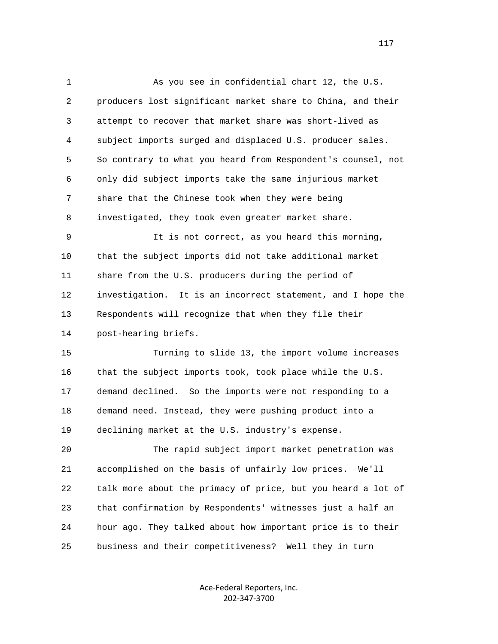1 As you see in confidential chart 12, the U.S. 2 producers lost significant market share to China, and their 3 attempt to recover that market share was short-lived as 4 subject imports surged and displaced U.S. producer sales. 5 So contrary to what you heard from Respondent's counsel, not 6 only did subject imports take the same injurious market 7 share that the Chinese took when they were being 8 investigated, they took even greater market share. 9 It is not correct, as you heard this morning, 10 that the subject imports did not take additional market 11 share from the U.S. producers during the period of 12 investigation. It is an incorrect statement, and I hope the 13 Respondents will recognize that when they file their 14 post-hearing briefs. 15 Turning to slide 13, the import volume increases 16 that the subject imports took, took place while the U.S. 17 demand declined. So the imports were not responding to a 18 demand need. Instead, they were pushing product into a 19 declining market at the U.S. industry's expense. 20 The rapid subject import market penetration was 21 accomplished on the basis of unfairly low prices. We'll 22 talk more about the primacy of price, but you heard a lot of 23 that confirmation by Respondents' witnesses just a half an 24 hour ago. They talked about how important price is to their 25 business and their competitiveness? Well they in turn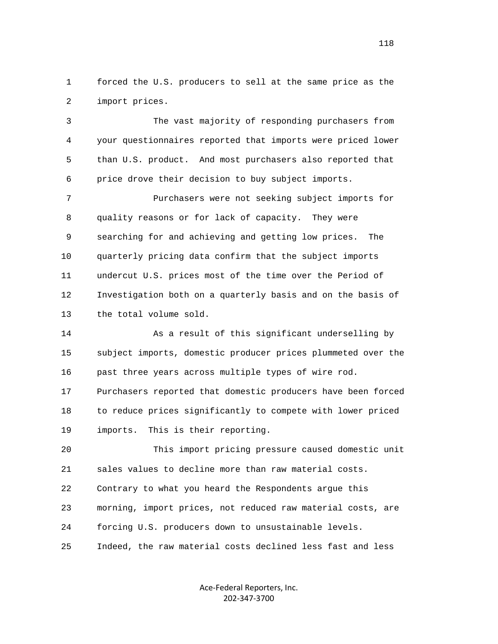1 forced the U.S. producers to sell at the same price as the 2 import prices.

 3 The vast majority of responding purchasers from 4 your questionnaires reported that imports were priced lower 5 than U.S. product. And most purchasers also reported that 6 price drove their decision to buy subject imports.

 7 Purchasers were not seeking subject imports for 8 quality reasons or for lack of capacity. They were 9 searching for and achieving and getting low prices. The 10 quarterly pricing data confirm that the subject imports 11 undercut U.S. prices most of the time over the Period of 12 Investigation both on a quarterly basis and on the basis of 13 the total volume sold.

 14 As a result of this significant underselling by 15 subject imports, domestic producer prices plummeted over the 16 past three years across multiple types of wire rod.

 17 Purchasers reported that domestic producers have been forced 18 to reduce prices significantly to compete with lower priced 19 imports. This is their reporting.

 20 This import pricing pressure caused domestic unit 21 sales values to decline more than raw material costs. 22 Contrary to what you heard the Respondents argue this 23 morning, import prices, not reduced raw material costs, are 24 forcing U.S. producers down to unsustainable levels. 25 Indeed, the raw material costs declined less fast and less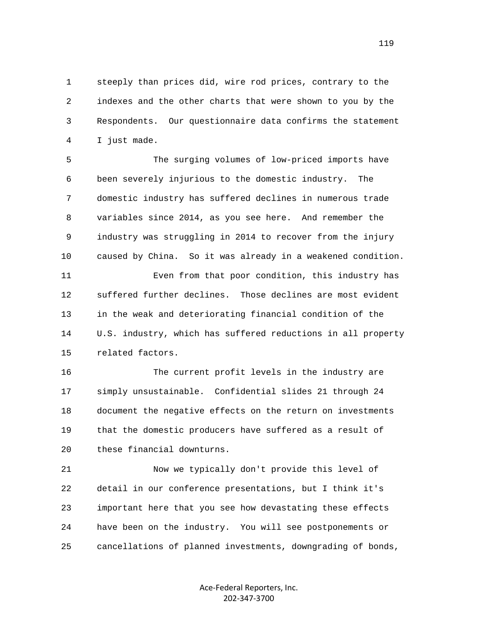1 steeply than prices did, wire rod prices, contrary to the 2 indexes and the other charts that were shown to you by the 3 Respondents. Our questionnaire data confirms the statement 4 I just made.

 5 The surging volumes of low-priced imports have 6 been severely injurious to the domestic industry. The 7 domestic industry has suffered declines in numerous trade 8 variables since 2014, as you see here. And remember the 9 industry was struggling in 2014 to recover from the injury 10 caused by China. So it was already in a weakened condition.

 11 Even from that poor condition, this industry has 12 suffered further declines. Those declines are most evident 13 in the weak and deteriorating financial condition of the 14 U.S. industry, which has suffered reductions in all property 15 related factors.

 16 The current profit levels in the industry are 17 simply unsustainable. Confidential slides 21 through 24 18 document the negative effects on the return on investments 19 that the domestic producers have suffered as a result of 20 these financial downturns.

 21 Now we typically don't provide this level of 22 detail in our conference presentations, but I think it's 23 important here that you see how devastating these effects 24 have been on the industry. You will see postponements or 25 cancellations of planned investments, downgrading of bonds,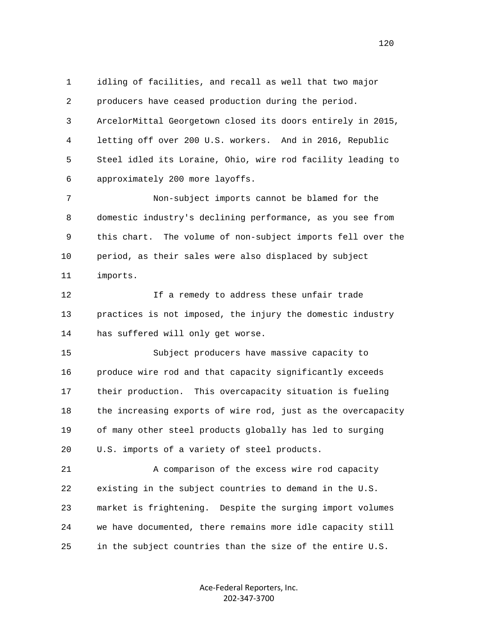1 idling of facilities, and recall as well that two major 2 producers have ceased production during the period. 3 ArcelorMittal Georgetown closed its doors entirely in 2015, 4 letting off over 200 U.S. workers. And in 2016, Republic 5 Steel idled its Loraine, Ohio, wire rod facility leading to 6 approximately 200 more layoffs.

 7 Non-subject imports cannot be blamed for the 8 domestic industry's declining performance, as you see from 9 this chart. The volume of non-subject imports fell over the 10 period, as their sales were also displaced by subject 11 imports.

 12 If a remedy to address these unfair trade 13 practices is not imposed, the injury the domestic industry 14 has suffered will only get worse.

 15 Subject producers have massive capacity to 16 produce wire rod and that capacity significantly exceeds 17 their production. This overcapacity situation is fueling 18 the increasing exports of wire rod, just as the overcapacity 19 of many other steel products globally has led to surging 20 U.S. imports of a variety of steel products.

 21 A comparison of the excess wire rod capacity 22 existing in the subject countries to demand in the U.S. 23 market is frightening. Despite the surging import volumes 24 we have documented, there remains more idle capacity still 25 in the subject countries than the size of the entire U.S.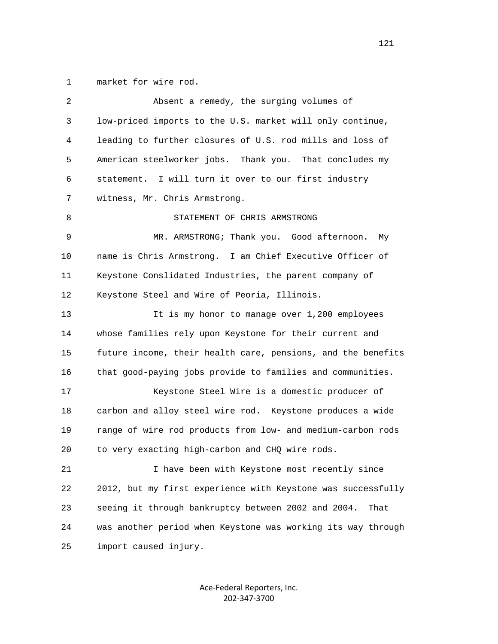1 market for wire rod.

| 2  | Absent a remedy, the surging volumes of                      |
|----|--------------------------------------------------------------|
| 3  | low-priced imports to the U.S. market will only continue,    |
| 4  | leading to further closures of U.S. rod mills and loss of    |
| 5  | American steelworker jobs. Thank you. That concludes my      |
| 6  | statement. I will turn it over to our first industry         |
| 7  | witness, Mr. Chris Armstrong.                                |
| 8  | STATEMENT OF CHRIS ARMSTRONG                                 |
| 9  | MR. ARMSTRONG; Thank you. Good afternoon.<br>My              |
| 10 | name is Chris Armstrong. I am Chief Executive Officer of     |
| 11 | Keystone Conslidated Industries, the parent company of       |
| 12 | Keystone Steel and Wire of Peoria, Illinois.                 |
| 13 | It is my honor to manage over 1,200 employees                |
| 14 | whose families rely upon Keystone for their current and      |
| 15 | future income, their health care, pensions, and the benefits |
| 16 | that good-paying jobs provide to families and communities.   |
| 17 | Keystone Steel Wire is a domestic producer of                |
| 18 | carbon and alloy steel wire rod. Keystone produces a wide    |
| 19 | range of wire rod products from low- and medium-carbon rods  |
| 20 | to very exacting high-carbon and CHQ wire rods.              |
| 21 | I have been with Keystone most recently since                |
| 22 | 2012, but my first experience with Keystone was successfully |
| 23 | seeing it through bankruptcy between 2002 and 2004.<br>That  |
| 24 | was another period when Keystone was working its way through |
| 25 | import caused injury.                                        |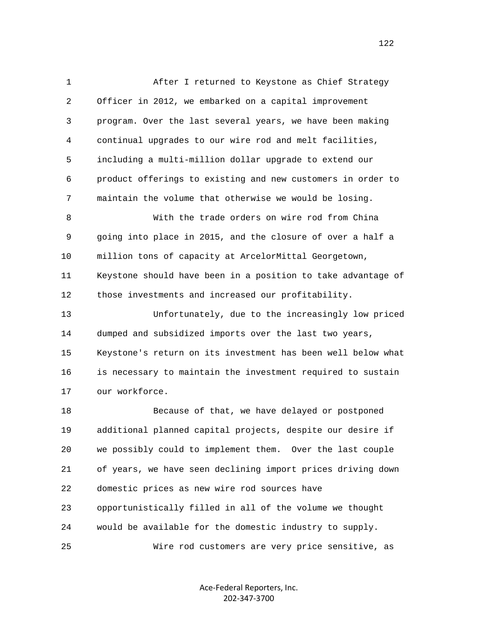1 After I returned to Keystone as Chief Strategy 2 Officer in 2012, we embarked on a capital improvement 3 program. Over the last several years, we have been making 4 continual upgrades to our wire rod and melt facilities, 5 including a multi-million dollar upgrade to extend our 6 product offerings to existing and new customers in order to 7 maintain the volume that otherwise we would be losing. 8 With the trade orders on wire rod from China 9 going into place in 2015, and the closure of over a half a 10 million tons of capacity at ArcelorMittal Georgetown, 11 Keystone should have been in a position to take advantage of 12 those investments and increased our profitability. 13 Unfortunately, due to the increasingly low priced 14 dumped and subsidized imports over the last two years, 15 Keystone's return on its investment has been well below what 16 is necessary to maintain the investment required to sustain 17 our workforce. 18 Because of that, we have delayed or postponed 19 additional planned capital projects, despite our desire if 20 we possibly could to implement them. Over the last couple 21 of years, we have seen declining import prices driving down 22 domestic prices as new wire rod sources have 23 opportunistically filled in all of the volume we thought 24 would be available for the domestic industry to supply.

25 Wire rod customers are very price sensitive, as

Ace‐Federal Reporters, Inc. 202‐347‐3700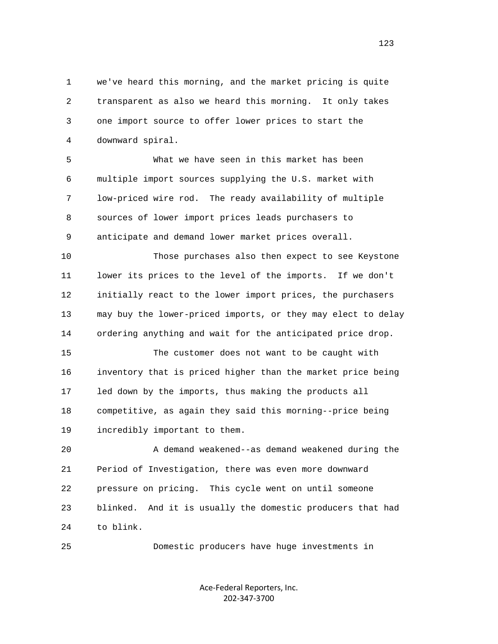1 we've heard this morning, and the market pricing is quite 2 transparent as also we heard this morning. It only takes 3 one import source to offer lower prices to start the 4 downward spiral.

 5 What we have seen in this market has been 6 multiple import sources supplying the U.S. market with 7 low-priced wire rod. The ready availability of multiple 8 sources of lower import prices leads purchasers to 9 anticipate and demand lower market prices overall.

 10 Those purchases also then expect to see Keystone 11 lower its prices to the level of the imports. If we don't 12 initially react to the lower import prices, the purchasers 13 may buy the lower-priced imports, or they may elect to delay 14 ordering anything and wait for the anticipated price drop.

 15 The customer does not want to be caught with 16 inventory that is priced higher than the market price being 17 led down by the imports, thus making the products all 18 competitive, as again they said this morning--price being 19 incredibly important to them.

 20 A demand weakened--as demand weakened during the 21 Period of Investigation, there was even more downward 22 pressure on pricing. This cycle went on until someone 23 blinked. And it is usually the domestic producers that had 24 to blink.

25 Domestic producers have huge investments in

Ace‐Federal Reporters, Inc. 202‐347‐3700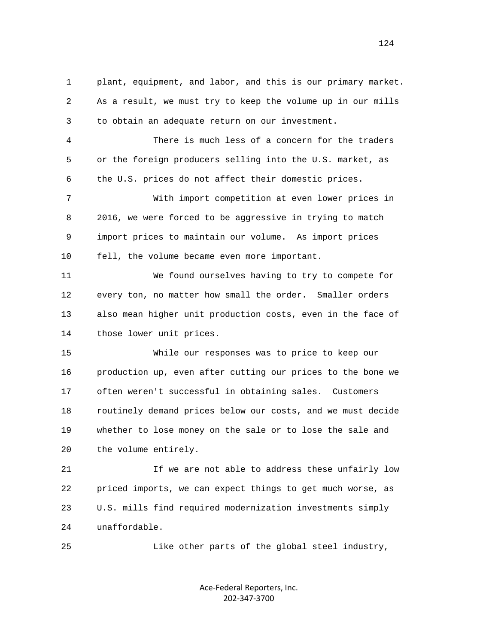1 plant, equipment, and labor, and this is our primary market. 2 As a result, we must try to keep the volume up in our mills 3 to obtain an adequate return on our investment.

 4 There is much less of a concern for the traders 5 or the foreign producers selling into the U.S. market, as 6 the U.S. prices do not affect their domestic prices.

 7 With import competition at even lower prices in 8 2016, we were forced to be aggressive in trying to match 9 import prices to maintain our volume. As import prices 10 fell, the volume became even more important.

 11 We found ourselves having to try to compete for 12 every ton, no matter how small the order. Smaller orders 13 also mean higher unit production costs, even in the face of 14 those lower unit prices.

 15 While our responses was to price to keep our 16 production up, even after cutting our prices to the bone we 17 often weren't successful in obtaining sales. Customers 18 routinely demand prices below our costs, and we must decide 19 whether to lose money on the sale or to lose the sale and 20 the volume entirely.

21 15 We are not able to address these unfairly low 22 priced imports, we can expect things to get much worse, as 23 U.S. mills find required modernization investments simply 24 unaffordable.

25 Like other parts of the global steel industry,

Ace‐Federal Reporters, Inc. 202‐347‐3700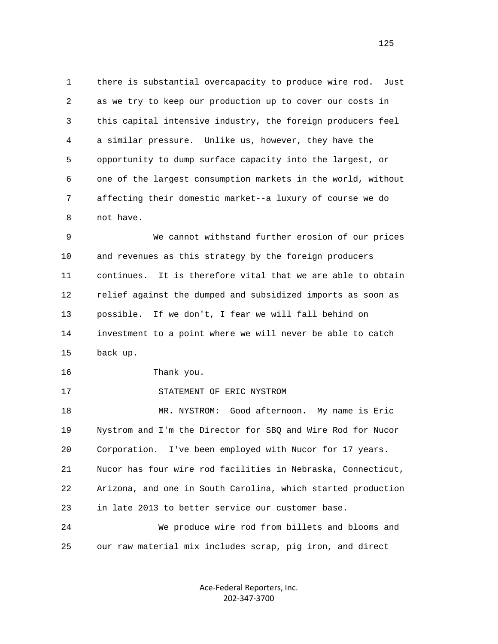1 there is substantial overcapacity to produce wire rod. Just 2 as we try to keep our production up to cover our costs in 3 this capital intensive industry, the foreign producers feel 4 a similar pressure. Unlike us, however, they have the 5 opportunity to dump surface capacity into the largest, or 6 one of the largest consumption markets in the world, without 7 affecting their domestic market--a luxury of course we do 8 not have.

 9 We cannot withstand further erosion of our prices 10 and revenues as this strategy by the foreign producers 11 continues. It is therefore vital that we are able to obtain 12 relief against the dumped and subsidized imports as soon as 13 possible. If we don't, I fear we will fall behind on 14 investment to a point where we will never be able to catch 15 back up.

16 Thank you.

17 STATEMENT OF ERIC NYSTROM

 18 MR. NYSTROM: Good afternoon. My name is Eric 19 Nystrom and I'm the Director for SBQ and Wire Rod for Nucor 20 Corporation. I've been employed with Nucor for 17 years. 21 Nucor has four wire rod facilities in Nebraska, Connecticut, 22 Arizona, and one in South Carolina, which started production 23 in late 2013 to better service our customer base. 24 We produce wire rod from billets and blooms and

25 our raw material mix includes scrap, pig iron, and direct

Ace‐Federal Reporters, Inc. 202‐347‐3700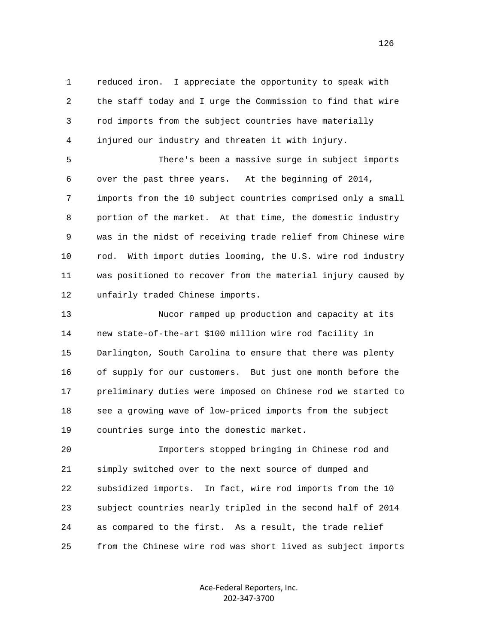1 reduced iron. I appreciate the opportunity to speak with 2 the staff today and I urge the Commission to find that wire 3 rod imports from the subject countries have materially 4 injured our industry and threaten it with injury.

 5 There's been a massive surge in subject imports 6 over the past three years. At the beginning of 2014, 7 imports from the 10 subject countries comprised only a small 8 portion of the market. At that time, the domestic industry 9 was in the midst of receiving trade relief from Chinese wire 10 rod. With import duties looming, the U.S. wire rod industry 11 was positioned to recover from the material injury caused by 12 unfairly traded Chinese imports.

 13 Nucor ramped up production and capacity at its 14 new state-of-the-art \$100 million wire rod facility in 15 Darlington, South Carolina to ensure that there was plenty 16 of supply for our customers. But just one month before the 17 preliminary duties were imposed on Chinese rod we started to 18 see a growing wave of low-priced imports from the subject 19 countries surge into the domestic market.

 20 Importers stopped bringing in Chinese rod and 21 simply switched over to the next source of dumped and 22 subsidized imports. In fact, wire rod imports from the 10 23 subject countries nearly tripled in the second half of 2014 24 as compared to the first. As a result, the trade relief 25 from the Chinese wire rod was short lived as subject imports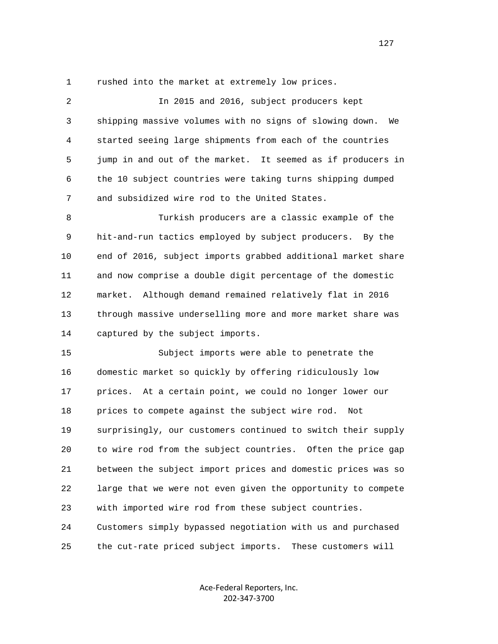1 rushed into the market at extremely low prices.

 2 In 2015 and 2016, subject producers kept 3 shipping massive volumes with no signs of slowing down. We 4 started seeing large shipments from each of the countries 5 jump in and out of the market. It seemed as if producers in 6 the 10 subject countries were taking turns shipping dumped 7 and subsidized wire rod to the United States. 8 Turkish producers are a classic example of the 9 hit-and-run tactics employed by subject producers. By the 10 end of 2016, subject imports grabbed additional market share 11 and now comprise a double digit percentage of the domestic 12 market. Although demand remained relatively flat in 2016 13 through massive underselling more and more market share was 14 captured by the subject imports. 15 Subject imports were able to penetrate the 16 domestic market so quickly by offering ridiculously low 17 prices. At a certain point, we could no longer lower our 18 prices to compete against the subject wire rod. Not 19 surprisingly, our customers continued to switch their supply 20 to wire rod from the subject countries. Often the price gap 21 between the subject import prices and domestic prices was so 22 large that we were not even given the opportunity to compete 23 with imported wire rod from these subject countries. 24 Customers simply bypassed negotiation with us and purchased 25 the cut-rate priced subject imports. These customers will

> Ace‐Federal Reporters, Inc. 202‐347‐3700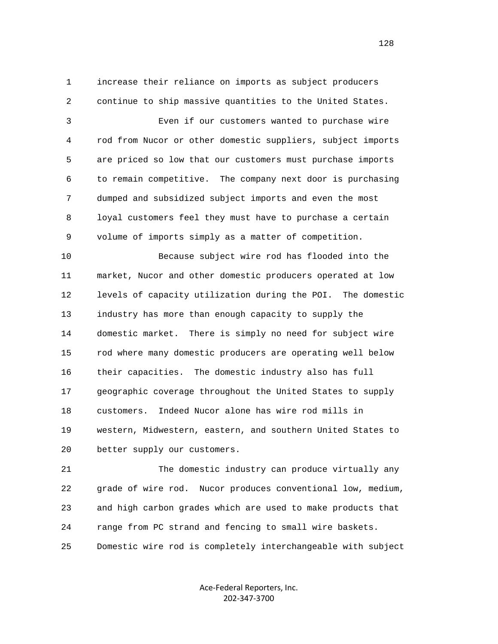1 increase their reliance on imports as subject producers 2 continue to ship massive quantities to the United States.

 3 Even if our customers wanted to purchase wire 4 rod from Nucor or other domestic suppliers, subject imports 5 are priced so low that our customers must purchase imports 6 to remain competitive. The company next door is purchasing 7 dumped and subsidized subject imports and even the most 8 loyal customers feel they must have to purchase a certain 9 volume of imports simply as a matter of competition.

 10 Because subject wire rod has flooded into the 11 market, Nucor and other domestic producers operated at low 12 levels of capacity utilization during the POI. The domestic 13 industry has more than enough capacity to supply the 14 domestic market. There is simply no need for subject wire 15 rod where many domestic producers are operating well below 16 their capacities. The domestic industry also has full 17 geographic coverage throughout the United States to supply 18 customers. Indeed Nucor alone has wire rod mills in 19 western, Midwestern, eastern, and southern United States to 20 better supply our customers.

 21 The domestic industry can produce virtually any 22 grade of wire rod. Nucor produces conventional low, medium, 23 and high carbon grades which are used to make products that 24 range from PC strand and fencing to small wire baskets. 25 Domestic wire rod is completely interchangeable with subject

> Ace‐Federal Reporters, Inc. 202‐347‐3700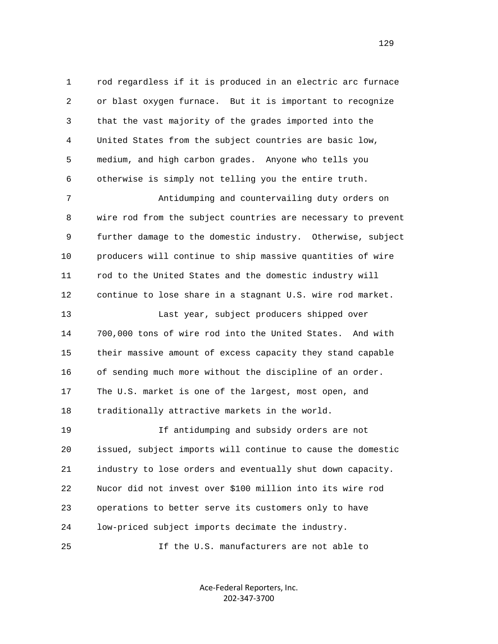1 rod regardless if it is produced in an electric arc furnace 2 or blast oxygen furnace. But it is important to recognize 3 that the vast majority of the grades imported into the 4 United States from the subject countries are basic low, 5 medium, and high carbon grades. Anyone who tells you 6 otherwise is simply not telling you the entire truth.

 7 Antidumping and countervailing duty orders on 8 wire rod from the subject countries are necessary to prevent 9 further damage to the domestic industry. Otherwise, subject 10 producers will continue to ship massive quantities of wire 11 rod to the United States and the domestic industry will 12 continue to lose share in a stagnant U.S. wire rod market. 13 Last year, subject producers shipped over 14 700,000 tons of wire rod into the United States. And with 15 their massive amount of excess capacity they stand capable 16 of sending much more without the discipline of an order. 17 The U.S. market is one of the largest, most open, and 18 traditionally attractive markets in the world.

 19 If antidumping and subsidy orders are not 20 issued, subject imports will continue to cause the domestic 21 industry to lose orders and eventually shut down capacity. 22 Nucor did not invest over \$100 million into its wire rod 23 operations to better serve its customers only to have 24 low-priced subject imports decimate the industry.

25 If the U.S. manufacturers are not able to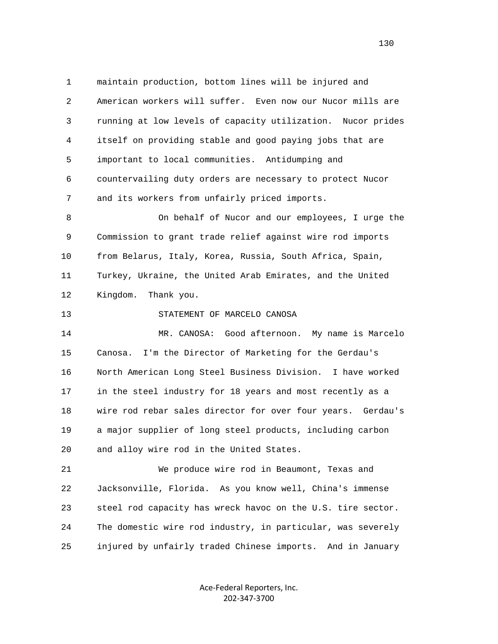1 maintain production, bottom lines will be injured and 2 American workers will suffer. Even now our Nucor mills are 3 running at low levels of capacity utilization. Nucor prides 4 itself on providing stable and good paying jobs that are 5 important to local communities. Antidumping and 6 countervailing duty orders are necessary to protect Nucor 7 and its workers from unfairly priced imports. 8 On behalf of Nucor and our employees, I urge the

 9 Commission to grant trade relief against wire rod imports 10 from Belarus, Italy, Korea, Russia, South Africa, Spain, 11 Turkey, Ukraine, the United Arab Emirates, and the United 12 Kingdom. Thank you.

13 STATEMENT OF MARCELO CANOSA

 14 MR. CANOSA: Good afternoon. My name is Marcelo 15 Canosa. I'm the Director of Marketing for the Gerdau's 16 North American Long Steel Business Division. I have worked 17 in the steel industry for 18 years and most recently as a 18 wire rod rebar sales director for over four years. Gerdau's 19 a major supplier of long steel products, including carbon 20 and alloy wire rod in the United States.

 21 We produce wire rod in Beaumont, Texas and 22 Jacksonville, Florida. As you know well, China's immense 23 steel rod capacity has wreck havoc on the U.S. tire sector. 24 The domestic wire rod industry, in particular, was severely 25 injured by unfairly traded Chinese imports. And in January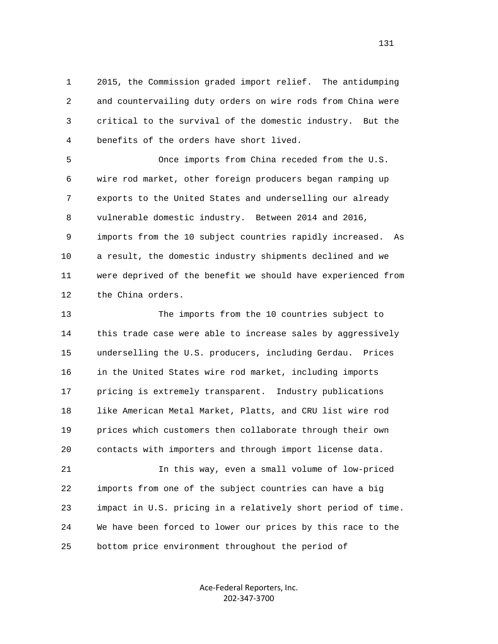1 2015, the Commission graded import relief. The antidumping 2 and countervailing duty orders on wire rods from China were 3 critical to the survival of the domestic industry. But the 4 benefits of the orders have short lived.

 5 Once imports from China receded from the U.S. 6 wire rod market, other foreign producers began ramping up 7 exports to the United States and underselling our already 8 vulnerable domestic industry. Between 2014 and 2016, 9 imports from the 10 subject countries rapidly increased. As 10 a result, the domestic industry shipments declined and we 11 were deprived of the benefit we should have experienced from 12 the China orders.

 13 The imports from the 10 countries subject to 14 this trade case were able to increase sales by aggressively 15 underselling the U.S. producers, including Gerdau. Prices 16 in the United States wire rod market, including imports 17 pricing is extremely transparent. Industry publications 18 like American Metal Market, Platts, and CRU list wire rod 19 prices which customers then collaborate through their own 20 contacts with importers and through import license data.

 21 In this way, even a small volume of low-priced 22 imports from one of the subject countries can have a big 23 impact in U.S. pricing in a relatively short period of time. 24 We have been forced to lower our prices by this race to the 25 bottom price environment throughout the period of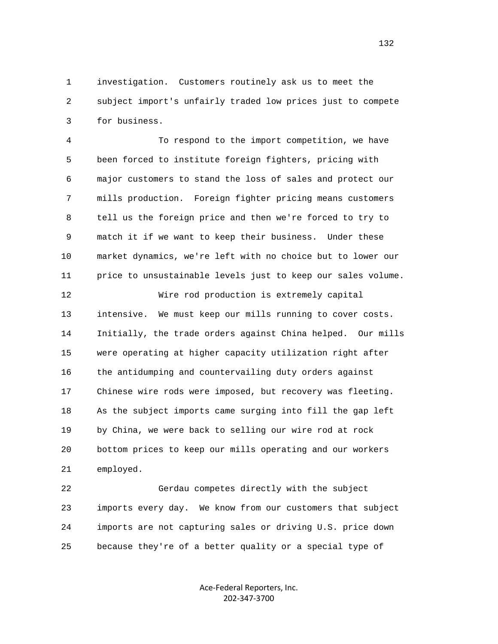1 investigation. Customers routinely ask us to meet the 2 subject import's unfairly traded low prices just to compete 3 for business.

 4 To respond to the import competition, we have 5 been forced to institute foreign fighters, pricing with 6 major customers to stand the loss of sales and protect our 7 mills production. Foreign fighter pricing means customers 8 tell us the foreign price and then we're forced to try to 9 match it if we want to keep their business. Under these 10 market dynamics, we're left with no choice but to lower our 11 price to unsustainable levels just to keep our sales volume.

 12 Wire rod production is extremely capital 13 intensive. We must keep our mills running to cover costs. 14 Initially, the trade orders against China helped. Our mills 15 were operating at higher capacity utilization right after 16 the antidumping and countervailing duty orders against 17 Chinese wire rods were imposed, but recovery was fleeting. 18 As the subject imports came surging into fill the gap left 19 by China, we were back to selling our wire rod at rock 20 bottom prices to keep our mills operating and our workers 21 employed.

 22 Gerdau competes directly with the subject 23 imports every day. We know from our customers that subject 24 imports are not capturing sales or driving U.S. price down 25 because they're of a better quality or a special type of

> Ace‐Federal Reporters, Inc. 202‐347‐3700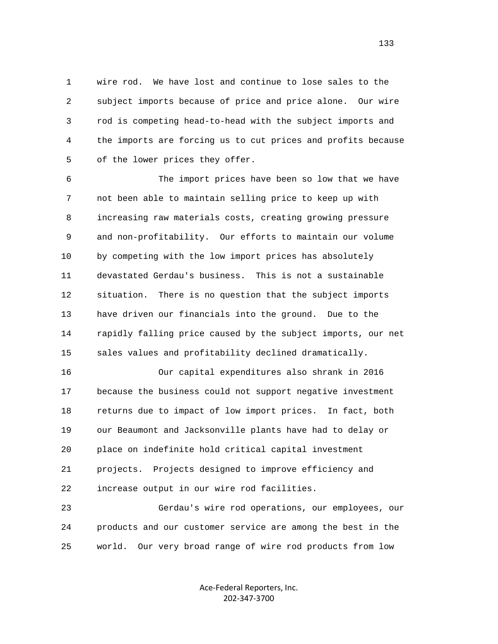1 wire rod. We have lost and continue to lose sales to the 2 subject imports because of price and price alone. Our wire 3 rod is competing head-to-head with the subject imports and 4 the imports are forcing us to cut prices and profits because 5 of the lower prices they offer.

 6 The import prices have been so low that we have 7 not been able to maintain selling price to keep up with 8 increasing raw materials costs, creating growing pressure 9 and non-profitability. Our efforts to maintain our volume 10 by competing with the low import prices has absolutely 11 devastated Gerdau's business. This is not a sustainable 12 situation. There is no question that the subject imports 13 have driven our financials into the ground. Due to the 14 rapidly falling price caused by the subject imports, our net 15 sales values and profitability declined dramatically.

 16 Our capital expenditures also shrank in 2016 17 because the business could not support negative investment 18 returns due to impact of low import prices. In fact, both 19 our Beaumont and Jacksonville plants have had to delay or 20 place on indefinite hold critical capital investment 21 projects. Projects designed to improve efficiency and 22 increase output in our wire rod facilities.

 23 Gerdau's wire rod operations, our employees, our 24 products and our customer service are among the best in the 25 world. Our very broad range of wire rod products from low

> Ace‐Federal Reporters, Inc. 202‐347‐3700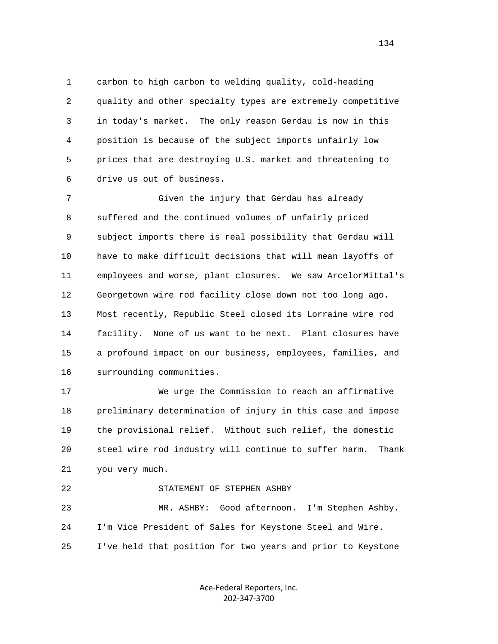1 carbon to high carbon to welding quality, cold-heading 2 quality and other specialty types are extremely competitive 3 in today's market. The only reason Gerdau is now in this 4 position is because of the subject imports unfairly low 5 prices that are destroying U.S. market and threatening to 6 drive us out of business.

 7 Given the injury that Gerdau has already 8 suffered and the continued volumes of unfairly priced 9 subject imports there is real possibility that Gerdau will 10 have to make difficult decisions that will mean layoffs of 11 employees and worse, plant closures. We saw ArcelorMittal's 12 Georgetown wire rod facility close down not too long ago. 13 Most recently, Republic Steel closed its Lorraine wire rod 14 facility. None of us want to be next. Plant closures have 15 a profound impact on our business, employees, families, and 16 surrounding communities.

 17 We urge the Commission to reach an affirmative 18 preliminary determination of injury in this case and impose 19 the provisional relief. Without such relief, the domestic 20 steel wire rod industry will continue to suffer harm. Thank 21 you very much.

```
 22 STATEMENT OF STEPHEN ASHBY 
23 MR. ASHBY: Good afternoon. I'm Stephen Ashby. 
24 I'm Vice President of Sales for Keystone Steel and Wire. 
25 I've held that position for two years and prior to Keystone
```
Ace‐Federal Reporters, Inc. 202‐347‐3700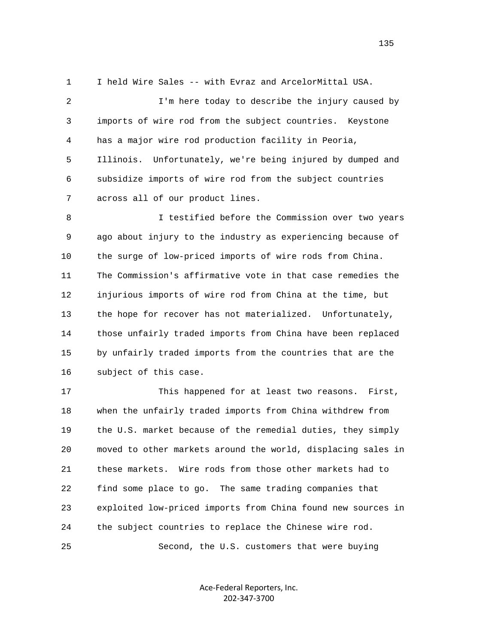1 I held Wire Sales -- with Evraz and ArcelorMittal USA.

 2 I'm here today to describe the injury caused by 3 imports of wire rod from the subject countries. Keystone 4 has a major wire rod production facility in Peoria, 5 Illinois. Unfortunately, we're being injured by dumped and 6 subsidize imports of wire rod from the subject countries 7 across all of our product lines.

 8 I testified before the Commission over two years 9 ago about injury to the industry as experiencing because of 10 the surge of low-priced imports of wire rods from China. 11 The Commission's affirmative vote in that case remedies the 12 injurious imports of wire rod from China at the time, but 13 the hope for recover has not materialized. Unfortunately, 14 those unfairly traded imports from China have been replaced 15 by unfairly traded imports from the countries that are the 16 subject of this case.

 17 This happened for at least two reasons. First, 18 when the unfairly traded imports from China withdrew from 19 the U.S. market because of the remedial duties, they simply 20 moved to other markets around the world, displacing sales in 21 these markets. Wire rods from those other markets had to 22 find some place to go. The same trading companies that 23 exploited low-priced imports from China found new sources in 24 the subject countries to replace the Chinese wire rod. 25 Second, the U.S. customers that were buying

> Ace‐Federal Reporters, Inc. 202‐347‐3700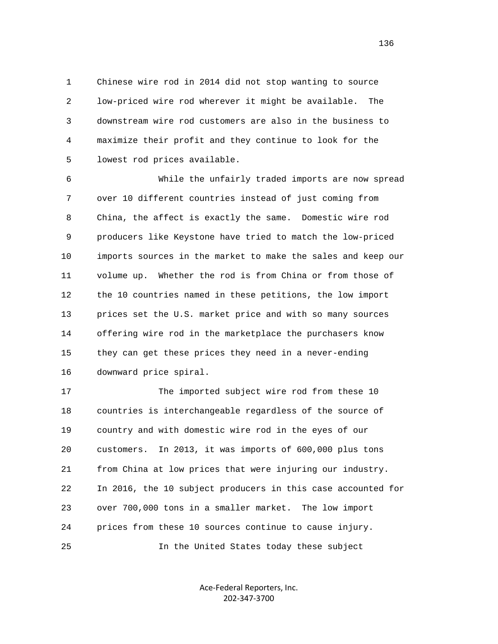1 Chinese wire rod in 2014 did not stop wanting to source 2 low-priced wire rod wherever it might be available. The 3 downstream wire rod customers are also in the business to 4 maximize their profit and they continue to look for the 5 lowest rod prices available.

 6 While the unfairly traded imports are now spread 7 over 10 different countries instead of just coming from 8 China, the affect is exactly the same. Domestic wire rod 9 producers like Keystone have tried to match the low-priced 10 imports sources in the market to make the sales and keep our 11 volume up. Whether the rod is from China or from those of 12 the 10 countries named in these petitions, the low import 13 prices set the U.S. market price and with so many sources 14 offering wire rod in the marketplace the purchasers know 15 they can get these prices they need in a never-ending 16 downward price spiral.

 17 The imported subject wire rod from these 10 18 countries is interchangeable regardless of the source of 19 country and with domestic wire rod in the eyes of our 20 customers. In 2013, it was imports of 600,000 plus tons 21 from China at low prices that were injuring our industry. 22 In 2016, the 10 subject producers in this case accounted for 23 over 700,000 tons in a smaller market. The low import 24 prices from these 10 sources continue to cause injury. 25 In the United States today these subject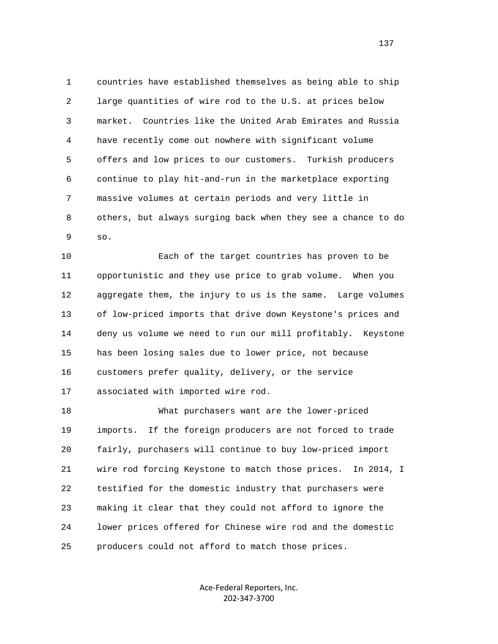1 countries have established themselves as being able to ship 2 large quantities of wire rod to the U.S. at prices below 3 market. Countries like the United Arab Emirates and Russia 4 have recently come out nowhere with significant volume 5 offers and low prices to our customers. Turkish producers 6 continue to play hit-and-run in the marketplace exporting 7 massive volumes at certain periods and very little in 8 others, but always surging back when they see a chance to do 9 so.

 10 Each of the target countries has proven to be 11 opportunistic and they use price to grab volume. When you 12 aggregate them, the injury to us is the same. Large volumes 13 of low-priced imports that drive down Keystone's prices and 14 deny us volume we need to run our mill profitably. Keystone 15 has been losing sales due to lower price, not because 16 customers prefer quality, delivery, or the service 17 associated with imported wire rod.

 18 What purchasers want are the lower-priced 19 imports. If the foreign producers are not forced to trade 20 fairly, purchasers will continue to buy low-priced import 21 wire rod forcing Keystone to match those prices. In 2014, I 22 testified for the domestic industry that purchasers were 23 making it clear that they could not afford to ignore the 24 lower prices offered for Chinese wire rod and the domestic 25 producers could not afford to match those prices.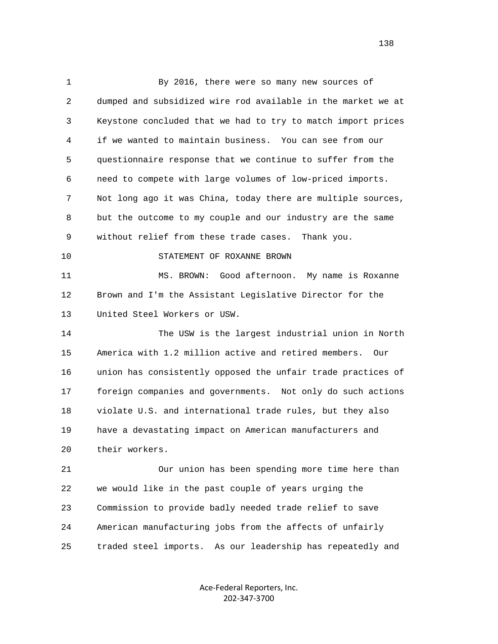1 By 2016, there were so many new sources of 2 dumped and subsidized wire rod available in the market we at 3 Keystone concluded that we had to try to match import prices 4 if we wanted to maintain business. You can see from our 5 questionnaire response that we continue to suffer from the 6 need to compete with large volumes of low-priced imports. 7 Not long ago it was China, today there are multiple sources, 8 but the outcome to my couple and our industry are the same 9 without relief from these trade cases. Thank you. 10 STATEMENT OF ROXANNE BROWN 11 MS. BROWN: Good afternoon. My name is Roxanne 12 Brown and I'm the Assistant Legislative Director for the 13 United Steel Workers or USW. 14 The USW is the largest industrial union in North 15 America with 1.2 million active and retired members. Our 16 union has consistently opposed the unfair trade practices of 17 foreign companies and governments. Not only do such actions 18 violate U.S. and international trade rules, but they also 19 have a devastating impact on American manufacturers and 20 their workers. 21 Our union has been spending more time here than 22 we would like in the past couple of years urging the 23 Commission to provide badly needed trade relief to save 24 American manufacturing jobs from the affects of unfairly 25 traded steel imports. As our leadership has repeatedly and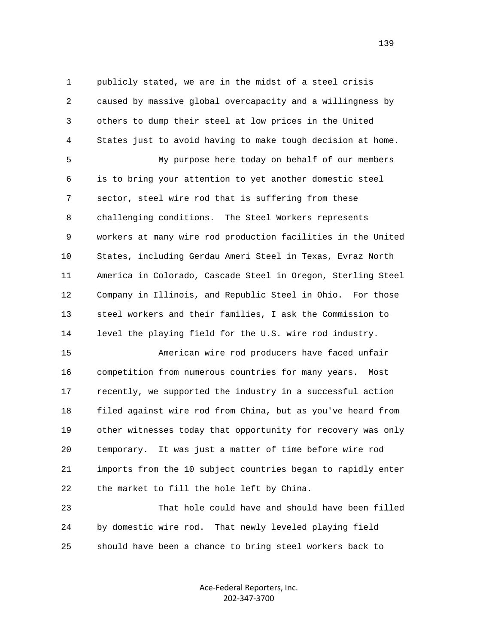1 publicly stated, we are in the midst of a steel crisis 2 caused by massive global overcapacity and a willingness by 3 others to dump their steel at low prices in the United 4 States just to avoid having to make tough decision at home. 5 My purpose here today on behalf of our members

 6 is to bring your attention to yet another domestic steel 7 sector, steel wire rod that is suffering from these 8 challenging conditions. The Steel Workers represents 9 workers at many wire rod production facilities in the United 10 States, including Gerdau Ameri Steel in Texas, Evraz North 11 America in Colorado, Cascade Steel in Oregon, Sterling Steel 12 Company in Illinois, and Republic Steel in Ohio. For those 13 steel workers and their families, I ask the Commission to 14 level the playing field for the U.S. wire rod industry.

 15 American wire rod producers have faced unfair 16 competition from numerous countries for many years. Most 17 recently, we supported the industry in a successful action 18 filed against wire rod from China, but as you've heard from 19 other witnesses today that opportunity for recovery was only 20 temporary. It was just a matter of time before wire rod 21 imports from the 10 subject countries began to rapidly enter 22 the market to fill the hole left by China.

 23 That hole could have and should have been filled 24 by domestic wire rod. That newly leveled playing field 25 should have been a chance to bring steel workers back to

> Ace‐Federal Reporters, Inc. 202‐347‐3700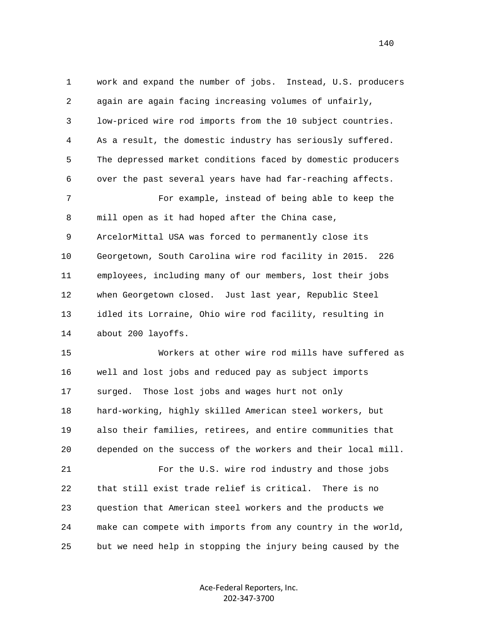1 work and expand the number of jobs. Instead, U.S. producers 2 again are again facing increasing volumes of unfairly, 3 low-priced wire rod imports from the 10 subject countries. 4 As a result, the domestic industry has seriously suffered. 5 The depressed market conditions faced by domestic producers 6 over the past several years have had far-reaching affects. 7 For example, instead of being able to keep the 8 mill open as it had hoped after the China case, 9 ArcelorMittal USA was forced to permanently close its 10 Georgetown, South Carolina wire rod facility in 2015. 226 11 employees, including many of our members, lost their jobs 12 when Georgetown closed. Just last year, Republic Steel 13 idled its Lorraine, Ohio wire rod facility, resulting in 14 about 200 layoffs. 15 Workers at other wire rod mills have suffered as 16 well and lost jobs and reduced pay as subject imports 17 surged. Those lost jobs and wages hurt not only 18 hard-working, highly skilled American steel workers, but

 19 also their families, retirees, and entire communities that 20 depended on the success of the workers and their local mill.

 21 For the U.S. wire rod industry and those jobs 22 that still exist trade relief is critical. There is no 23 question that American steel workers and the products we 24 make can compete with imports from any country in the world, 25 but we need help in stopping the injury being caused by the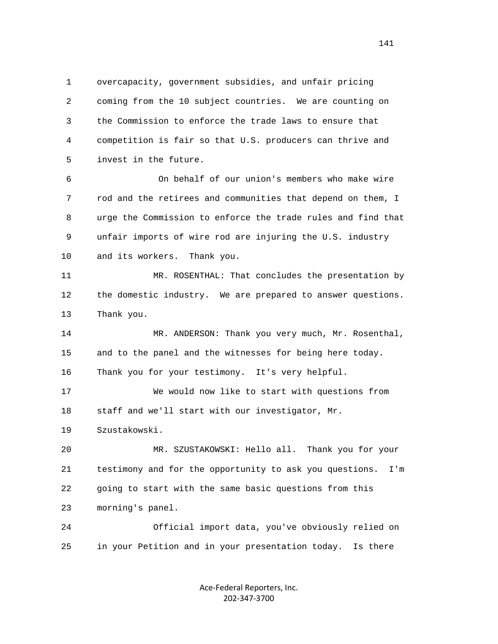1 overcapacity, government subsidies, and unfair pricing 2 coming from the 10 subject countries. We are counting on 3 the Commission to enforce the trade laws to ensure that 4 competition is fair so that U.S. producers can thrive and 5 invest in the future.

 6 On behalf of our union's members who make wire 7 rod and the retirees and communities that depend on them, I 8 urge the Commission to enforce the trade rules and find that 9 unfair imports of wire rod are injuring the U.S. industry 10 and its workers. Thank you.

 11 MR. ROSENTHAL: That concludes the presentation by 12 the domestic industry. We are prepared to answer questions. 13 Thank you.

14 MR. ANDERSON: Thank you very much, Mr. Rosenthal, 15 and to the panel and the witnesses for being here today. 16 Thank you for your testimony. It's very helpful.

 17 We would now like to start with questions from 18 staff and we'll start with our investigator, Mr.

19 Szustakowski.

 20 MR. SZUSTAKOWSKI: Hello all. Thank you for your 21 testimony and for the opportunity to ask you questions. I'm 22 going to start with the same basic questions from this 23 morning's panel.

 24 Official import data, you've obviously relied on 25 in your Petition and in your presentation today. Is there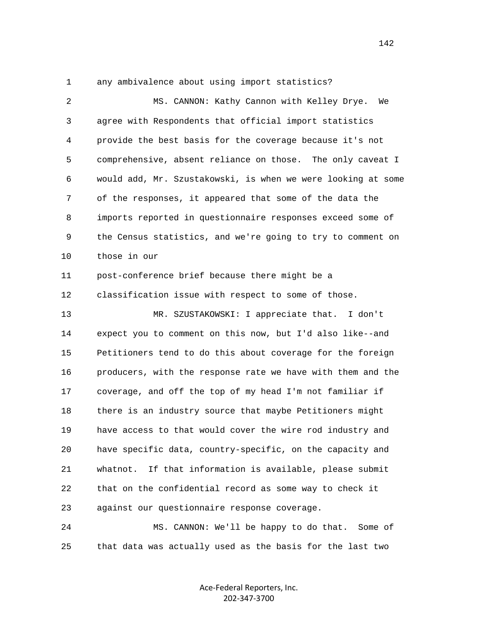1 any ambivalence about using import statistics?

| $\overline{a}$ | MS. CANNON: Kathy Cannon with Kelley Drye.<br>We             |
|----------------|--------------------------------------------------------------|
| 3              | agree with Respondents that official import statistics       |
| $\overline{4}$ | provide the best basis for the coverage because it's not     |
| 5              | comprehensive, absent reliance on those. The only caveat I   |
| 6              | would add, Mr. Szustakowski, is when we were looking at some |
| 7              | of the responses, it appeared that some of the data the      |
| 8              | imports reported in questionnaire responses exceed some of   |
| 9              | the Census statistics, and we're going to try to comment on  |
| 10             | those in our                                                 |
| 11             | post-conference brief because there might be a               |
| 12             | classification issue with respect to some of those.          |
| 13             | MR. SZUSTAKOWSKI: I appreciate that. I don't                 |
| 14             | expect you to comment on this now, but I'd also like--and    |
| 15             | Petitioners tend to do this about coverage for the foreign   |
| 16             | producers, with the response rate we have with them and the  |
| 17             | coverage, and off the top of my head I'm not familiar if     |
| 18             | there is an industry source that maybe Petitioners might     |
| 19             | have access to that would cover the wire rod industry and    |
| 20             | have specific data, country-specific, on the capacity and    |
| 21             | If that information is available, please submit<br>whatnot.  |
| 22             | that on the confidential record as some way to check it      |
| 23             | against our questionnaire response coverage.                 |
| 24             | MS. CANNON: We'll be happy to do that.<br>Some of            |

25 that data was actually used as the basis for the last two

Ace‐Federal Reporters, Inc. 202‐347‐3700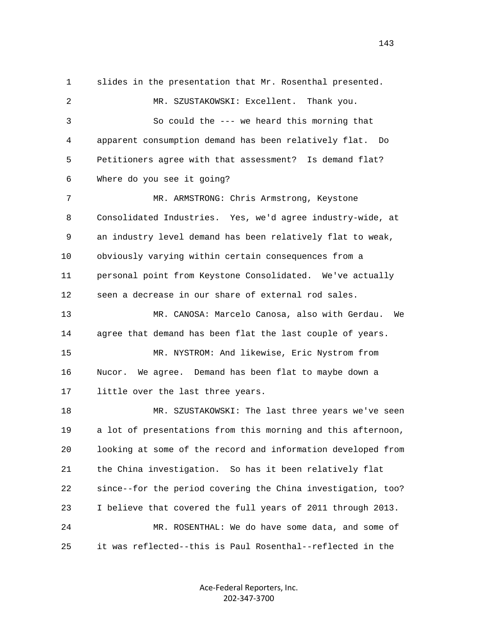1 slides in the presentation that Mr. Rosenthal presented. 2 MR. SZUSTAKOWSKI: Excellent. Thank you. 3 So could the --- we heard this morning that 4 apparent consumption demand has been relatively flat. Do 5 Petitioners agree with that assessment? Is demand flat? 6 Where do you see it going? 7 MR. ARMSTRONG: Chris Armstrong, Keystone 8 Consolidated Industries. Yes, we'd agree industry-wide, at 9 an industry level demand has been relatively flat to weak, 10 obviously varying within certain consequences from a 11 personal point from Keystone Consolidated. We've actually 12 seen a decrease in our share of external rod sales. 13 MR. CANOSA: Marcelo Canosa, also with Gerdau. We 14 agree that demand has been flat the last couple of years. 15 MR. NYSTROM: And likewise, Eric Nystrom from 16 Nucor. We agree. Demand has been flat to maybe down a 17 little over the last three years. 18 MR. SZUSTAKOWSKI: The last three years we've seen 19 a lot of presentations from this morning and this afternoon, 20 looking at some of the record and information developed from 21 the China investigation. So has it been relatively flat 22 since--for the period covering the China investigation, too? 23 I believe that covered the full years of 2011 through 2013. 24 MR. ROSENTHAL: We do have some data, and some of 25 it was reflected--this is Paul Rosenthal--reflected in the

> Ace‐Federal Reporters, Inc. 202‐347‐3700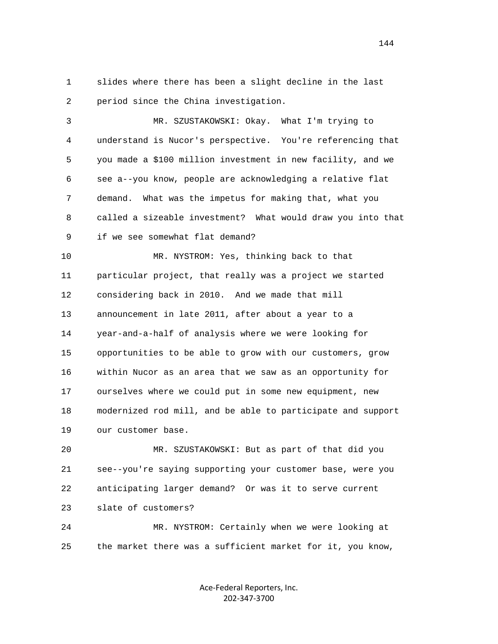1 slides where there has been a slight decline in the last 2 period since the China investigation.

 3 MR. SZUSTAKOWSKI: Okay. What I'm trying to 4 understand is Nucor's perspective. You're referencing that 5 you made a \$100 million investment in new facility, and we 6 see a--you know, people are acknowledging a relative flat 7 demand. What was the impetus for making that, what you 8 called a sizeable investment? What would draw you into that 9 if we see somewhat flat demand?

 10 MR. NYSTROM: Yes, thinking back to that 11 particular project, that really was a project we started 12 considering back in 2010. And we made that mill 13 announcement in late 2011, after about a year to a 14 year-and-a-half of analysis where we were looking for 15 opportunities to be able to grow with our customers, grow 16 within Nucor as an area that we saw as an opportunity for 17 ourselves where we could put in some new equipment, new 18 modernized rod mill, and be able to participate and support 19 our customer base.

 20 MR. SZUSTAKOWSKI: But as part of that did you 21 see--you're saying supporting your customer base, were you 22 anticipating larger demand? Or was it to serve current 23 slate of customers?

 24 MR. NYSTROM: Certainly when we were looking at 25 the market there was a sufficient market for it, you know,

> Ace‐Federal Reporters, Inc. 202‐347‐3700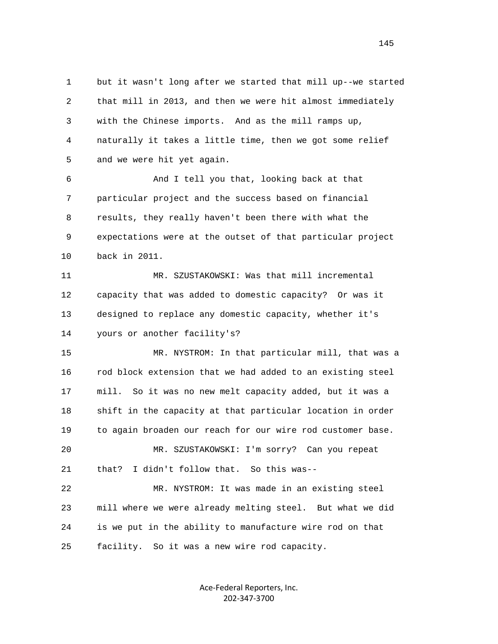1 but it wasn't long after we started that mill up--we started 2 that mill in 2013, and then we were hit almost immediately 3 with the Chinese imports. And as the mill ramps up, 4 naturally it takes a little time, then we got some relief 5 and we were hit yet again.

 6 And I tell you that, looking back at that 7 particular project and the success based on financial 8 results, they really haven't been there with what the 9 expectations were at the outset of that particular project 10 back in 2011.

11 MR. SZUSTAKOWSKI: Was that mill incremental 12 capacity that was added to domestic capacity? Or was it 13 designed to replace any domestic capacity, whether it's 14 yours or another facility's?

 15 MR. NYSTROM: In that particular mill, that was a 16 rod block extension that we had added to an existing steel 17 mill. So it was no new melt capacity added, but it was a 18 shift in the capacity at that particular location in order 19 to again broaden our reach for our wire rod customer base.

 20 MR. SZUSTAKOWSKI: I'm sorry? Can you repeat 21 that? I didn't follow that. So this was--

 22 MR. NYSTROM: It was made in an existing steel 23 mill where we were already melting steel. But what we did 24 is we put in the ability to manufacture wire rod on that 25 facility. So it was a new wire rod capacity.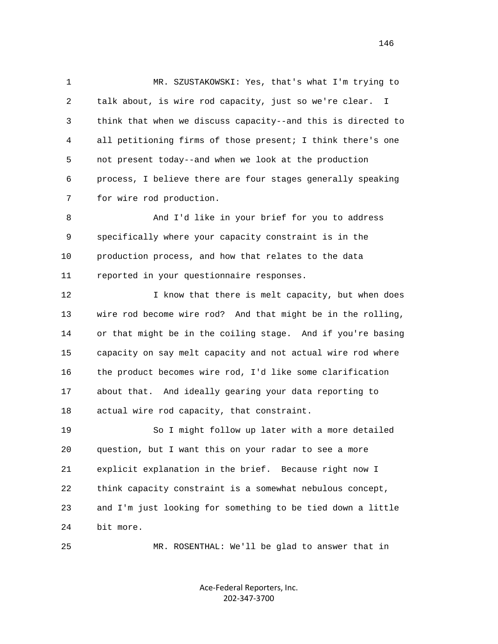1 MR. SZUSTAKOWSKI: Yes, that's what I'm trying to 2 talk about, is wire rod capacity, just so we're clear. I 3 think that when we discuss capacity--and this is directed to 4 all petitioning firms of those present; I think there's one 5 not present today--and when we look at the production 6 process, I believe there are four stages generally speaking 7 for wire rod production.

 8 And I'd like in your brief for you to address 9 specifically where your capacity constraint is in the 10 production process, and how that relates to the data 11 reported in your questionnaire responses.

12 12 I know that there is melt capacity, but when does 13 wire rod become wire rod? And that might be in the rolling, 14 or that might be in the coiling stage. And if you're basing 15 capacity on say melt capacity and not actual wire rod where 16 the product becomes wire rod, I'd like some clarification 17 about that. And ideally gearing your data reporting to 18 actual wire rod capacity, that constraint.

 19 So I might follow up later with a more detailed 20 question, but I want this on your radar to see a more 21 explicit explanation in the brief. Because right now I 22 think capacity constraint is a somewhat nebulous concept, 23 and I'm just looking for something to be tied down a little 24 bit more.

25 MR. ROSENTHAL: We'll be glad to answer that in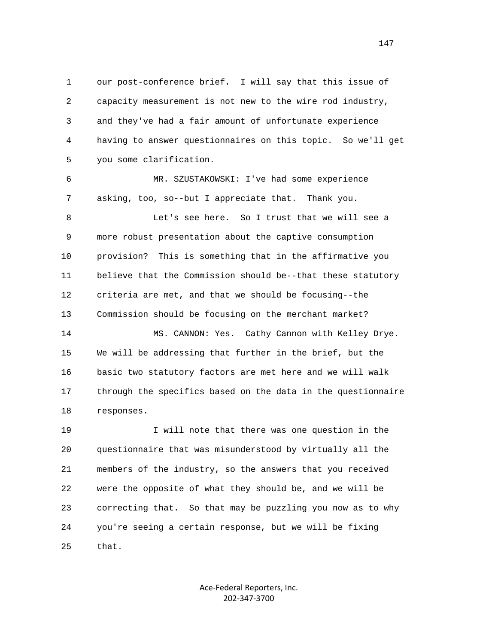1 our post-conference brief. I will say that this issue of 2 capacity measurement is not new to the wire rod industry, 3 and they've had a fair amount of unfortunate experience 4 having to answer questionnaires on this topic. So we'll get 5 you some clarification.

 6 MR. SZUSTAKOWSKI: I've had some experience 7 asking, too, so--but I appreciate that. Thank you.

 8 Let's see here. So I trust that we will see a 9 more robust presentation about the captive consumption 10 provision? This is something that in the affirmative you 11 believe that the Commission should be--that these statutory 12 criteria are met, and that we should be focusing--the 13 Commission should be focusing on the merchant market?

 14 MS. CANNON: Yes. Cathy Cannon with Kelley Drye. 15 We will be addressing that further in the brief, but the 16 basic two statutory factors are met here and we will walk 17 through the specifics based on the data in the questionnaire 18 responses.

 19 I will note that there was one question in the 20 questionnaire that was misunderstood by virtually all the 21 members of the industry, so the answers that you received 22 were the opposite of what they should be, and we will be 23 correcting that. So that may be puzzling you now as to why 24 you're seeing a certain response, but we will be fixing 25 that.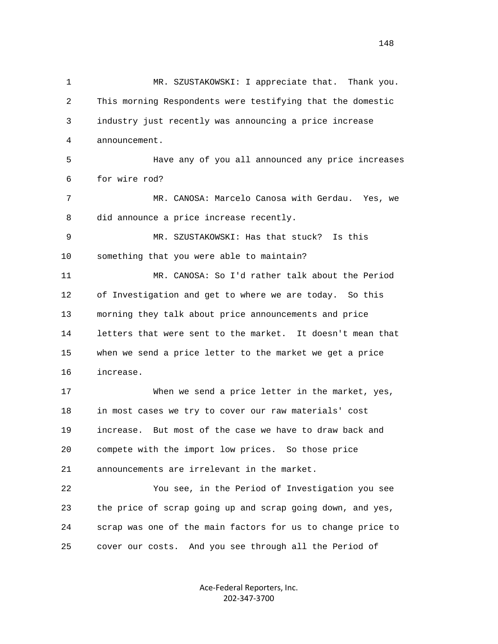1 MR. SZUSTAKOWSKI: I appreciate that. Thank you. 2 This morning Respondents were testifying that the domestic 3 industry just recently was announcing a price increase 4 announcement. 5 Have any of you all announced any price increases 6 for wire rod? 7 MR. CANOSA: Marcelo Canosa with Gerdau. Yes, we 8 did announce a price increase recently. 9 MR. SZUSTAKOWSKI: Has that stuck? Is this 10 something that you were able to maintain? 11 MR. CANOSA: So I'd rather talk about the Period 12 of Investigation and get to where we are today. So this 13 morning they talk about price announcements and price 14 letters that were sent to the market. It doesn't mean that 15 when we send a price letter to the market we get a price 16 increase. 17 When we send a price letter in the market, yes, 18 in most cases we try to cover our raw materials' cost 19 increase. But most of the case we have to draw back and 20 compete with the import low prices. So those price 21 announcements are irrelevant in the market. 22 You see, in the Period of Investigation you see 23 the price of scrap going up and scrap going down, and yes, 24 scrap was one of the main factors for us to change price to 25 cover our costs. And you see through all the Period of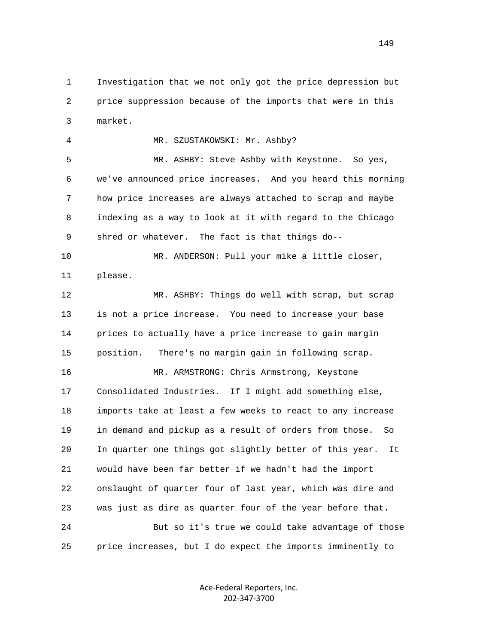1 Investigation that we not only got the price depression but 2 price suppression because of the imports that were in this 3 market.

 4 MR. SZUSTAKOWSKI: Mr. Ashby? 5 MR. ASHBY: Steve Ashby with Keystone. So yes, 6 we've announced price increases. And you heard this morning 7 how price increases are always attached to scrap and maybe 8 indexing as a way to look at it with regard to the Chicago 9 shred or whatever. The fact is that things do-- 10 MR. ANDERSON: Pull your mike a little closer,

11 please.

 12 MR. ASHBY: Things do well with scrap, but scrap 13 is not a price increase. You need to increase your base 14 prices to actually have a price increase to gain margin 15 position. There's no margin gain in following scrap.

 16 MR. ARMSTRONG: Chris Armstrong, Keystone 17 Consolidated Industries. If I might add something else, 18 imports take at least a few weeks to react to any increase 19 in demand and pickup as a result of orders from those. So 20 In quarter one things got slightly better of this year. It 21 would have been far better if we hadn't had the import 22 onslaught of quarter four of last year, which was dire and 23 was just as dire as quarter four of the year before that. 24 But so it's true we could take advantage of those

25 price increases, but I do expect the imports imminently to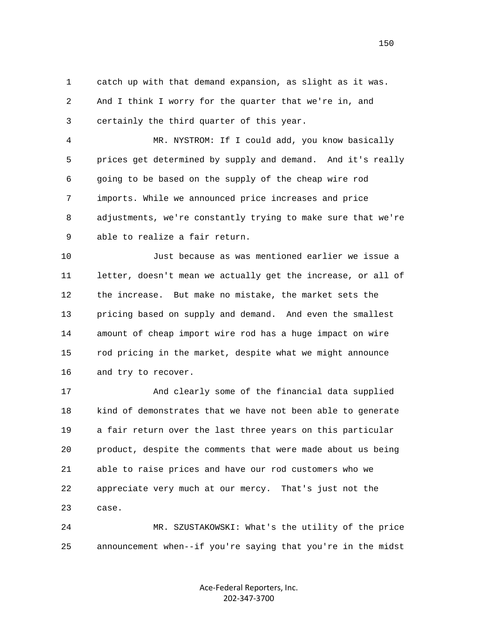1 catch up with that demand expansion, as slight as it was. 2 And I think I worry for the quarter that we're in, and 3 certainly the third quarter of this year.

 4 MR. NYSTROM: If I could add, you know basically 5 prices get determined by supply and demand. And it's really 6 going to be based on the supply of the cheap wire rod 7 imports. While we announced price increases and price 8 adjustments, we're constantly trying to make sure that we're 9 able to realize a fair return.

 10 Just because as was mentioned earlier we issue a 11 letter, doesn't mean we actually get the increase, or all of 12 the increase. But make no mistake, the market sets the 13 pricing based on supply and demand. And even the smallest 14 amount of cheap import wire rod has a huge impact on wire 15 rod pricing in the market, despite what we might announce 16 and try to recover.

 17 And clearly some of the financial data supplied 18 kind of demonstrates that we have not been able to generate 19 a fair return over the last three years on this particular 20 product, despite the comments that were made about us being 21 able to raise prices and have our rod customers who we 22 appreciate very much at our mercy. That's just not the 23 case.

 24 MR. SZUSTAKOWSKI: What's the utility of the price 25 announcement when--if you're saying that you're in the midst

> Ace‐Federal Reporters, Inc. 202‐347‐3700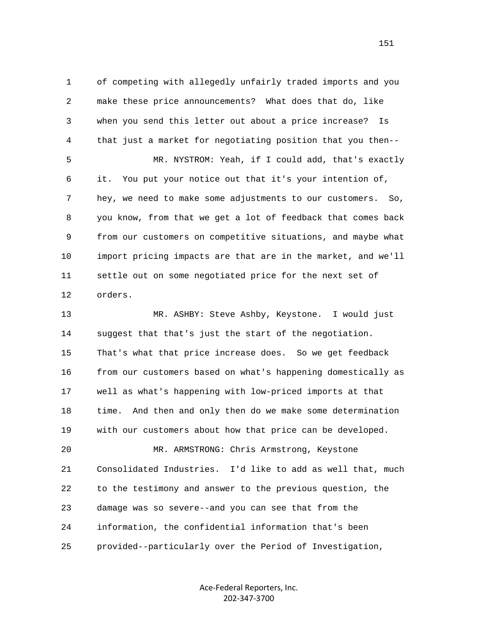1 of competing with allegedly unfairly traded imports and you 2 make these price announcements? What does that do, like 3 when you send this letter out about a price increase? Is 4 that just a market for negotiating position that you then-- 5 MR. NYSTROM: Yeah, if I could add, that's exactly 6 it. You put your notice out that it's your intention of, 7 hey, we need to make some adjustments to our customers. So, 8 you know, from that we get a lot of feedback that comes back 9 from our customers on competitive situations, and maybe what 10 import pricing impacts are that are in the market, and we'll 11 settle out on some negotiated price for the next set of 12 orders.

 13 MR. ASHBY: Steve Ashby, Keystone. I would just 14 suggest that that's just the start of the negotiation. 15 That's what that price increase does. So we get feedback 16 from our customers based on what's happening domestically as 17 well as what's happening with low-priced imports at that 18 time. And then and only then do we make some determination 19 with our customers about how that price can be developed. 20 MR. ARMSTRONG: Chris Armstrong, Keystone 21 Consolidated Industries. I'd like to add as well that, much 22 to the testimony and answer to the previous question, the 23 damage was so severe--and you can see that from the 24 information, the confidential information that's been 25 provided--particularly over the Period of Investigation,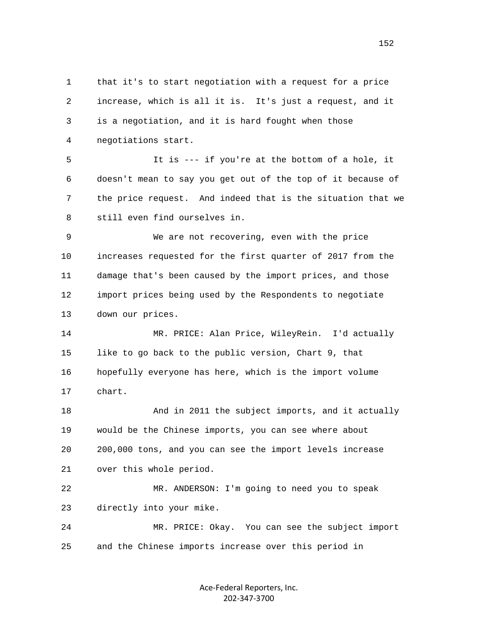1 that it's to start negotiation with a request for a price 2 increase, which is all it is. It's just a request, and it 3 is a negotiation, and it is hard fought when those 4 negotiations start.

 5 It is --- if you're at the bottom of a hole, it 6 doesn't mean to say you get out of the top of it because of 7 the price request. And indeed that is the situation that we 8 still even find ourselves in.

 9 We are not recovering, even with the price 10 increases requested for the first quarter of 2017 from the 11 damage that's been caused by the import prices, and those 12 import prices being used by the Respondents to negotiate 13 down our prices.

 14 MR. PRICE: Alan Price, WileyRein. I'd actually 15 like to go back to the public version, Chart 9, that 16 hopefully everyone has here, which is the import volume 17 chart.

18 And in 2011 the subject imports, and it actually 19 would be the Chinese imports, you can see where about 20 200,000 tons, and you can see the import levels increase 21 over this whole period.

 22 MR. ANDERSON: I'm going to need you to speak 23 directly into your mike.

 24 MR. PRICE: Okay. You can see the subject import 25 and the Chinese imports increase over this period in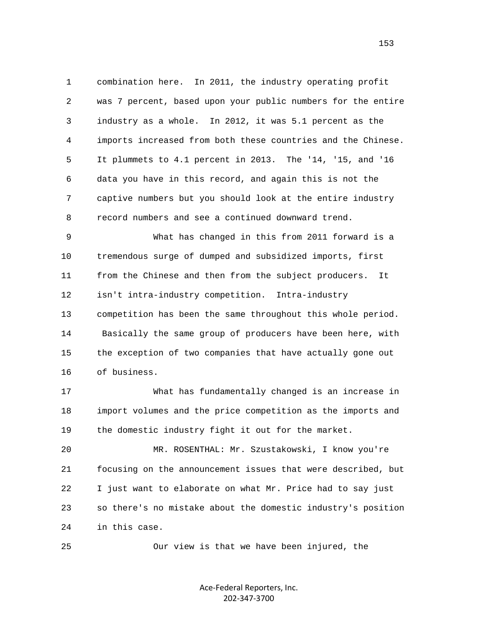1 combination here. In 2011, the industry operating profit 2 was 7 percent, based upon your public numbers for the entire 3 industry as a whole. In 2012, it was 5.1 percent as the 4 imports increased from both these countries and the Chinese. 5 It plummets to 4.1 percent in 2013. The '14, '15, and '16 6 data you have in this record, and again this is not the 7 captive numbers but you should look at the entire industry 8 record numbers and see a continued downward trend.

 9 What has changed in this from 2011 forward is a 10 tremendous surge of dumped and subsidized imports, first 11 from the Chinese and then from the subject producers. It 12 isn't intra-industry competition. Intra-industry 13 competition has been the same throughout this whole period. 14 Basically the same group of producers have been here, with 15 the exception of two companies that have actually gone out 16 of business.

 17 What has fundamentally changed is an increase in 18 import volumes and the price competition as the imports and 19 the domestic industry fight it out for the market.

 20 MR. ROSENTHAL: Mr. Szustakowski, I know you're 21 focusing on the announcement issues that were described, but 22 I just want to elaborate on what Mr. Price had to say just 23 so there's no mistake about the domestic industry's position 24 in this case.

25 Our view is that we have been injured, the

Ace‐Federal Reporters, Inc. 202‐347‐3700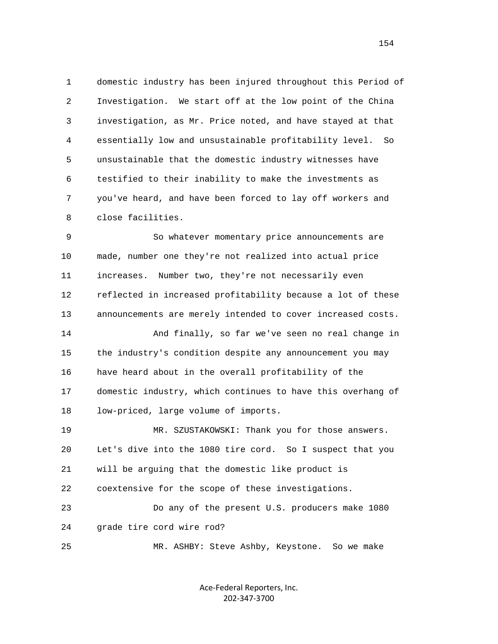1 domestic industry has been injured throughout this Period of 2 Investigation. We start off at the low point of the China 3 investigation, as Mr. Price noted, and have stayed at that 4 essentially low and unsustainable profitability level. So 5 unsustainable that the domestic industry witnesses have 6 testified to their inability to make the investments as 7 you've heard, and have been forced to lay off workers and 8 close facilities.

 9 So whatever momentary price announcements are 10 made, number one they're not realized into actual price 11 increases. Number two, they're not necessarily even 12 reflected in increased profitability because a lot of these 13 announcements are merely intended to cover increased costs. 14 And finally, so far we've seen no real change in 15 the industry's condition despite any announcement you may 16 have heard about in the overall profitability of the 17 domestic industry, which continues to have this overhang of 18 low-priced, large volume of imports. 19 MR. SZUSTAKOWSKI: Thank you for those answers.

 20 Let's dive into the 1080 tire cord. So I suspect that you 21 will be arguing that the domestic like product is 22 coextensive for the scope of these investigations. 23 Do any of the present U.S. producers make 1080 24 grade tire cord wire rod?

25 MR. ASHBY: Steve Ashby, Keystone. So we make

Ace‐Federal Reporters, Inc. 202‐347‐3700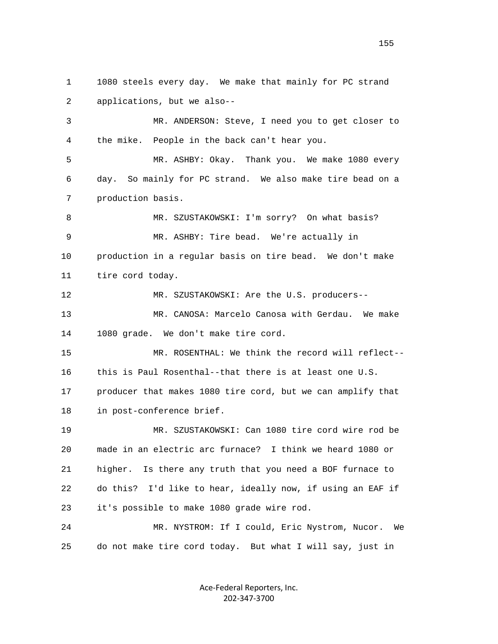1 1080 steels every day. We make that mainly for PC strand 2 applications, but we also--

 3 MR. ANDERSON: Steve, I need you to get closer to 4 the mike. People in the back can't hear you.

 5 MR. ASHBY: Okay. Thank you. We make 1080 every 6 day. So mainly for PC strand. We also make tire bead on a 7 production basis.

 8 MR. SZUSTAKOWSKI: I'm sorry? On what basis? 9 MR. ASHBY: Tire bead. We're actually in 10 production in a regular basis on tire bead. We don't make 11 tire cord today.

12 MR. SZUSTAKOWSKI: Are the U.S. producers--

 13 MR. CANOSA: Marcelo Canosa with Gerdau. We make 14 1080 grade. We don't make tire cord.

 15 MR. ROSENTHAL: We think the record will reflect-- 16 this is Paul Rosenthal--that there is at least one U.S. 17 producer that makes 1080 tire cord, but we can amplify that 18 in post-conference brief.

 19 MR. SZUSTAKOWSKI: Can 1080 tire cord wire rod be 20 made in an electric arc furnace? I think we heard 1080 or 21 higher. Is there any truth that you need a BOF furnace to 22 do this? I'd like to hear, ideally now, if using an EAF if 23 it's possible to make 1080 grade wire rod.

 24 MR. NYSTROM: If I could, Eric Nystrom, Nucor. We 25 do not make tire cord today. But what I will say, just in

> Ace‐Federal Reporters, Inc. 202‐347‐3700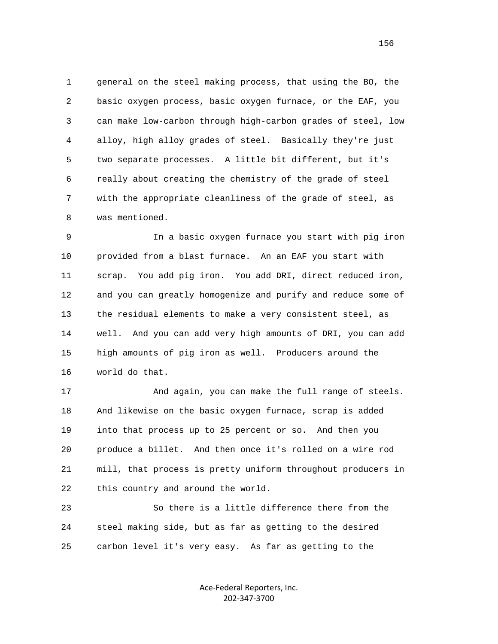1 general on the steel making process, that using the BO, the 2 basic oxygen process, basic oxygen furnace, or the EAF, you 3 can make low-carbon through high-carbon grades of steel, low 4 alloy, high alloy grades of steel. Basically they're just 5 two separate processes. A little bit different, but it's 6 really about creating the chemistry of the grade of steel 7 with the appropriate cleanliness of the grade of steel, as 8 was mentioned.

 9 In a basic oxygen furnace you start with pig iron 10 provided from a blast furnace. An an EAF you start with 11 scrap. You add pig iron. You add DRI, direct reduced iron, 12 and you can greatly homogenize and purify and reduce some of 13 the residual elements to make a very consistent steel, as 14 well. And you can add very high amounts of DRI, you can add 15 high amounts of pig iron as well. Producers around the 16 world do that.

 17 And again, you can make the full range of steels. 18 And likewise on the basic oxygen furnace, scrap is added 19 into that process up to 25 percent or so. And then you 20 produce a billet. And then once it's rolled on a wire rod 21 mill, that process is pretty uniform throughout producers in 22 this country and around the world.

 23 So there is a little difference there from the 24 steel making side, but as far as getting to the desired 25 carbon level it's very easy. As far as getting to the

> Ace‐Federal Reporters, Inc. 202‐347‐3700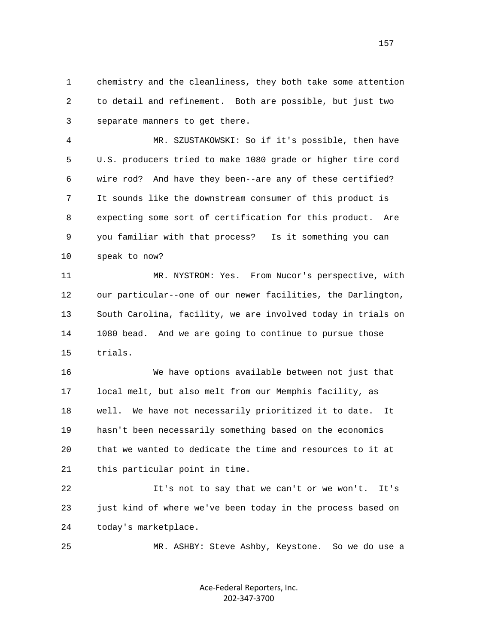1 chemistry and the cleanliness, they both take some attention 2 to detail and refinement. Both are possible, but just two 3 separate manners to get there.

 4 MR. SZUSTAKOWSKI: So if it's possible, then have 5 U.S. producers tried to make 1080 grade or higher tire cord 6 wire rod? And have they been--are any of these certified? 7 It sounds like the downstream consumer of this product is 8 expecting some sort of certification for this product. Are 9 you familiar with that process? Is it something you can 10 speak to now?

 11 MR. NYSTROM: Yes. From Nucor's perspective, with 12 our particular--one of our newer facilities, the Darlington, 13 South Carolina, facility, we are involved today in trials on 14 1080 bead. And we are going to continue to pursue those 15 trials.

 16 We have options available between not just that 17 local melt, but also melt from our Memphis facility, as 18 well. We have not necessarily prioritized it to date. It 19 hasn't been necessarily something based on the economics 20 that we wanted to dedicate the time and resources to it at 21 this particular point in time.

 22 It's not to say that we can't or we won't. It's 23 just kind of where we've been today in the process based on 24 today's marketplace.

25 MR. ASHBY: Steve Ashby, Keystone. So we do use a

Ace‐Federal Reporters, Inc. 202‐347‐3700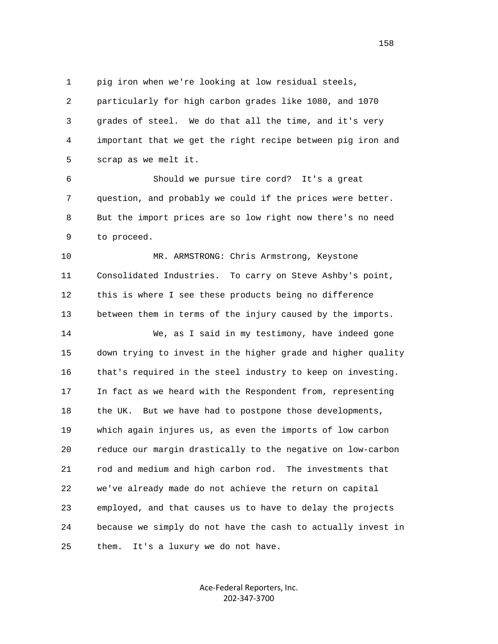1 pig iron when we're looking at low residual steels,

 2 particularly for high carbon grades like 1080, and 1070 3 grades of steel. We do that all the time, and it's very 4 important that we get the right recipe between pig iron and 5 scrap as we melt it.

 6 Should we pursue tire cord? It's a great 7 question, and probably we could if the prices were better. 8 But the import prices are so low right now there's no need 9 to proceed.

10 MR. ARMSTRONG: Chris Armstrong, Keystone 11 Consolidated Industries. To carry on Steve Ashby's point, 12 this is where I see these products being no difference 13 between them in terms of the injury caused by the imports.

 14 We, as I said in my testimony, have indeed gone 15 down trying to invest in the higher grade and higher quality 16 that's required in the steel industry to keep on investing. 17 In fact as we heard with the Respondent from, representing 18 the UK. But we have had to postpone those developments, 19 which again injures us, as even the imports of low carbon 20 reduce our margin drastically to the negative on low-carbon 21 rod and medium and high carbon rod. The investments that 22 we've already made do not achieve the return on capital 23 employed, and that causes us to have to delay the projects 24 because we simply do not have the cash to actually invest in 25 them. It's a luxury we do not have.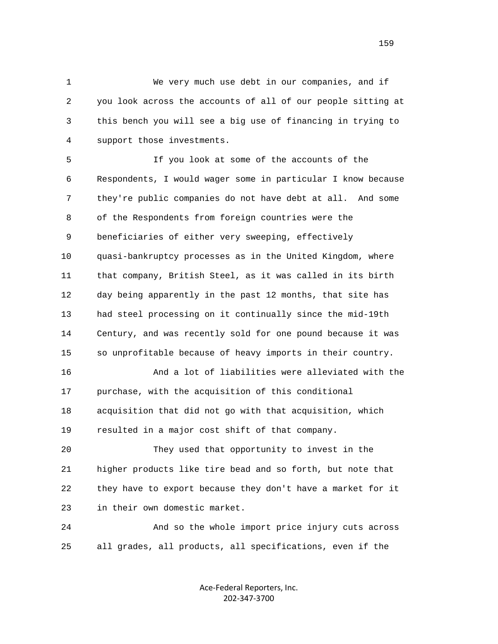1 We very much use debt in our companies, and if 2 you look across the accounts of all of our people sitting at 3 this bench you will see a big use of financing in trying to 4 support those investments.

 5 If you look at some of the accounts of the 6 Respondents, I would wager some in particular I know because 7 they're public companies do not have debt at all. And some 8 of the Respondents from foreign countries were the 9 beneficiaries of either very sweeping, effectively 10 quasi-bankruptcy processes as in the United Kingdom, where 11 that company, British Steel, as it was called in its birth 12 day being apparently in the past 12 months, that site has 13 had steel processing on it continually since the mid-19th 14 Century, and was recently sold for one pound because it was 15 so unprofitable because of heavy imports in their country.

 16 And a lot of liabilities were alleviated with the 17 purchase, with the acquisition of this conditional 18 acquisition that did not go with that acquisition, which 19 resulted in a major cost shift of that company.

 20 They used that opportunity to invest in the 21 higher products like tire bead and so forth, but note that 22 they have to export because they don't have a market for it 23 in their own domestic market.

 24 And so the whole import price injury cuts across 25 all grades, all products, all specifications, even if the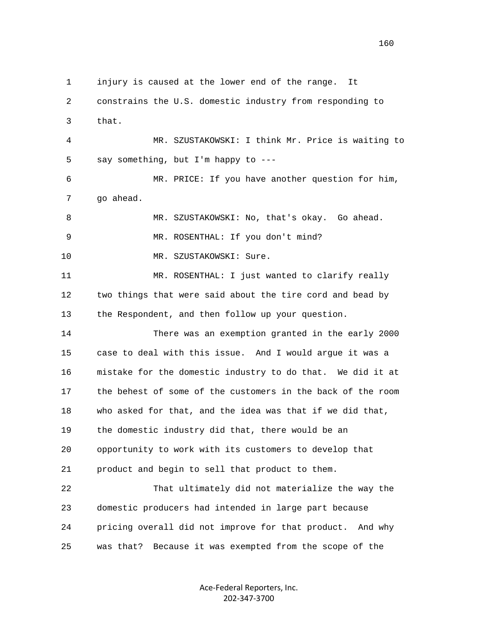1 injury is caused at the lower end of the range. It 2 constrains the U.S. domestic industry from responding to 3 that. 4 MR. SZUSTAKOWSKI: I think Mr. Price is waiting to 5 say something, but I'm happy to --- 6 MR. PRICE: If you have another question for him, 7 go ahead. 8 MR. SZUSTAKOWSKI: No, that's okay. Go ahead. 9 MR. ROSENTHAL: If you don't mind? 10 MR. SZUSTAKOWSKI: Sure. 11 MR. ROSENTHAL: I just wanted to clarify really 12 two things that were said about the tire cord and bead by 13 the Respondent, and then follow up your question. 14 There was an exemption granted in the early 2000 15 case to deal with this issue. And I would argue it was a 16 mistake for the domestic industry to do that. We did it at 17 the behest of some of the customers in the back of the room 18 who asked for that, and the idea was that if we did that, 19 the domestic industry did that, there would be an 20 opportunity to work with its customers to develop that 21 product and begin to sell that product to them. 22 That ultimately did not materialize the way the 23 domestic producers had intended in large part because 24 pricing overall did not improve for that product. And why 25 was that? Because it was exempted from the scope of the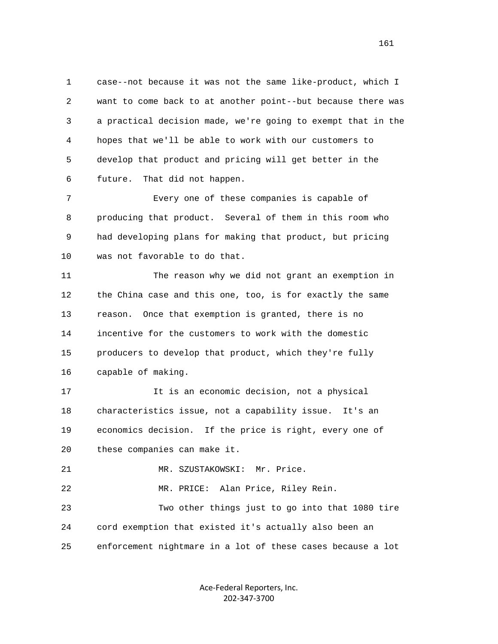1 case--not because it was not the same like-product, which I 2 want to come back to at another point--but because there was 3 a practical decision made, we're going to exempt that in the 4 hopes that we'll be able to work with our customers to 5 develop that product and pricing will get better in the 6 future. That did not happen.

 7 Every one of these companies is capable of 8 producing that product. Several of them in this room who 9 had developing plans for making that product, but pricing 10 was not favorable to do that.

 11 The reason why we did not grant an exemption in 12 the China case and this one, too, is for exactly the same 13 reason. Once that exemption is granted, there is no 14 incentive for the customers to work with the domestic 15 producers to develop that product, which they're fully 16 capable of making.

 17 It is an economic decision, not a physical 18 characteristics issue, not a capability issue. It's an 19 economics decision. If the price is right, every one of 20 these companies can make it.

21 MR. SZUSTAKOWSKI: Mr. Price.

22 MR. PRICE: Alan Price, Riley Rein.

 23 Two other things just to go into that 1080 tire 24 cord exemption that existed it's actually also been an 25 enforcement nightmare in a lot of these cases because a lot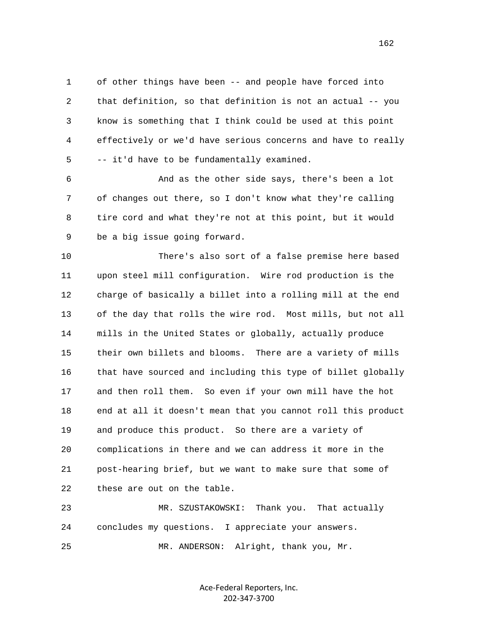1 of other things have been -- and people have forced into 2 that definition, so that definition is not an actual -- you 3 know is something that I think could be used at this point 4 effectively or we'd have serious concerns and have to really 5 -- it'd have to be fundamentally examined.

 6 And as the other side says, there's been a lot 7 of changes out there, so I don't know what they're calling 8 tire cord and what they're not at this point, but it would 9 be a big issue going forward.

 10 There's also sort of a false premise here based 11 upon steel mill configuration. Wire rod production is the 12 charge of basically a billet into a rolling mill at the end 13 of the day that rolls the wire rod. Most mills, but not all 14 mills in the United States or globally, actually produce 15 their own billets and blooms. There are a variety of mills 16 that have sourced and including this type of billet globally 17 and then roll them. So even if your own mill have the hot 18 end at all it doesn't mean that you cannot roll this product 19 and produce this product. So there are a variety of 20 complications in there and we can address it more in the 21 post-hearing brief, but we want to make sure that some of 22 these are out on the table.

 23 MR. SZUSTAKOWSKI: Thank you. That actually 24 concludes my questions. I appreciate your answers. 25 MR. ANDERSON: Alright, thank you, Mr.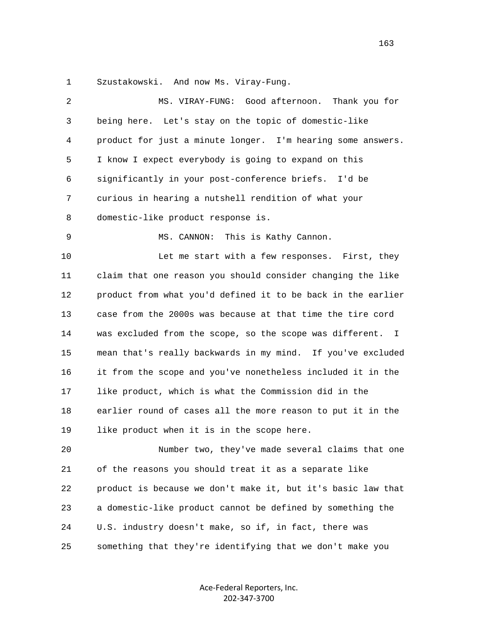1 Szustakowski. And now Ms. Viray-Fung.

| $\overline{2}$ | MS. VIRAY-FUNG: Good afternoon. Thank you for                |
|----------------|--------------------------------------------------------------|
| 3              | being here. Let's stay on the topic of domestic-like         |
| 4              | product for just a minute longer. I'm hearing some answers.  |
| 5              | I know I expect everybody is going to expand on this         |
| 6              | significantly in your post-conference briefs. I'd be         |
| 7              | curious in hearing a nutshell rendition of what your         |
| 8              | domestic-like product response is.                           |
| 9              | MS. CANNON:<br>This is Kathy Cannon.                         |
| 10             | Let me start with a few responses. First, they               |
| 11             | claim that one reason you should consider changing the like  |
| 12             | product from what you'd defined it to be back in the earlier |
| 13             | case from the 2000s was because at that time the tire cord   |
| 14             | was excluded from the scope, so the scope was different. I   |
| 15             | mean that's really backwards in my mind. If you've excluded  |
| 16             | it from the scope and you've nonetheless included it in the  |
| 17             | like product, which is what the Commission did in the        |
| 18             | earlier round of cases all the more reason to put it in the  |
| 19             | like product when it is in the scope here.                   |
| 20             | Number two, they've made several claims that one             |
| 21             | of the reasons you should treat it as a separate like        |
| 22             | product is because we don't make it, but it's basic law that |
| 23             | a domestic-like product cannot be defined by something the   |
| 24             | U.S. industry doesn't make, so if, in fact, there was        |
| 25             | something that they're identifying that we don't make you    |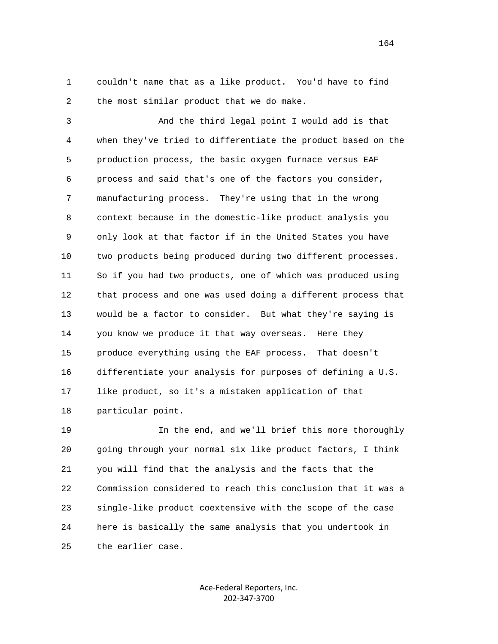1 couldn't name that as a like product. You'd have to find 2 the most similar product that we do make.

 3 And the third legal point I would add is that 4 when they've tried to differentiate the product based on the 5 production process, the basic oxygen furnace versus EAF 6 process and said that's one of the factors you consider, 7 manufacturing process. They're using that in the wrong 8 context because in the domestic-like product analysis you 9 only look at that factor if in the United States you have 10 two products being produced during two different processes. 11 So if you had two products, one of which was produced using 12 that process and one was used doing a different process that 13 would be a factor to consider. But what they're saying is 14 you know we produce it that way overseas. Here they 15 produce everything using the EAF process. That doesn't 16 differentiate your analysis for purposes of defining a U.S. 17 like product, so it's a mistaken application of that 18 particular point.

 19 In the end, and we'll brief this more thoroughly 20 going through your normal six like product factors, I think 21 you will find that the analysis and the facts that the 22 Commission considered to reach this conclusion that it was a 23 single-like product coextensive with the scope of the case 24 here is basically the same analysis that you undertook in 25 the earlier case.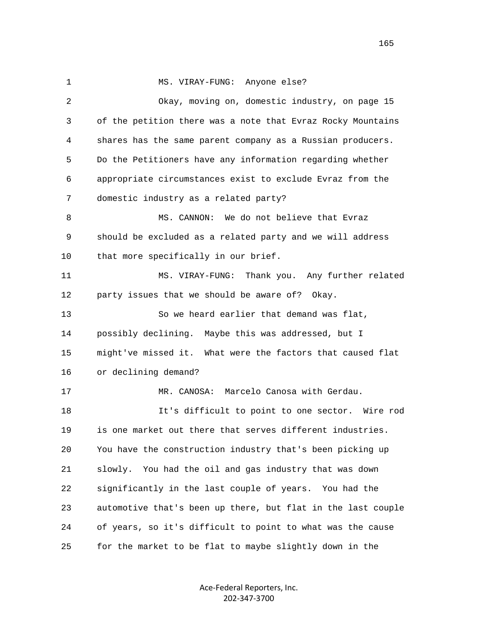1 MS. VIRAY-FUNG: Anyone else? 2 Okay, moving on, domestic industry, on page 15 3 of the petition there was a note that Evraz Rocky Mountains 4 shares has the same parent company as a Russian producers. 5 Do the Petitioners have any information regarding whether 6 appropriate circumstances exist to exclude Evraz from the 7 domestic industry as a related party? 8 MS. CANNON: We do not believe that Evraz 9 should be excluded as a related party and we will address 10 that more specifically in our brief. 11 MS. VIRAY-FUNG: Thank you. Any further related 12 party issues that we should be aware of? Okay. 13 So we heard earlier that demand was flat, 14 possibly declining. Maybe this was addressed, but I 15 might've missed it. What were the factors that caused flat 16 or declining demand? 17 MR. CANOSA: Marcelo Canosa with Gerdau. 18 It's difficult to point to one sector. Wire rod 19 is one market out there that serves different industries. 20 You have the construction industry that's been picking up 21 slowly. You had the oil and gas industry that was down 22 significantly in the last couple of years. You had the 23 automotive that's been up there, but flat in the last couple 24 of years, so it's difficult to point to what was the cause 25 for the market to be flat to maybe slightly down in the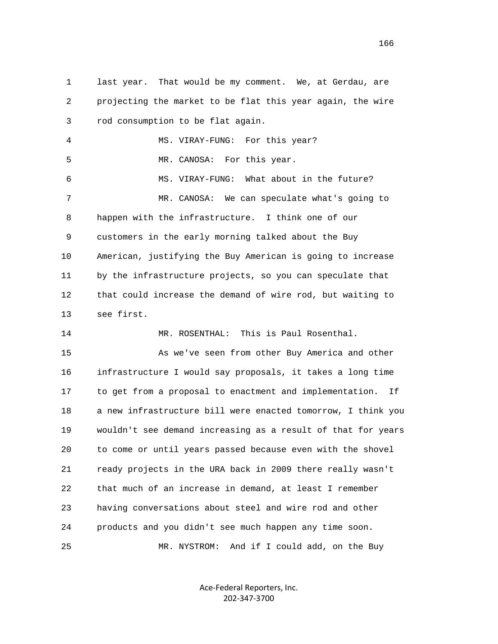1 last year. That would be my comment. We, at Gerdau, are 2 projecting the market to be flat this year again, the wire 3 rod consumption to be flat again. 4 MS. VIRAY-FUNG: For this year? 5 MR. CANOSA: For this year. 6 MS. VIRAY-FUNG: What about in the future? 7 MR. CANOSA: We can speculate what's going to 8 happen with the infrastructure. I think one of our 9 customers in the early morning talked about the Buy 10 American, justifying the Buy American is going to increase 11 by the infrastructure projects, so you can speculate that 12 that could increase the demand of wire rod, but waiting to 13 see first. 14 MR. ROSENTHAL: This is Paul Rosenthal. 15 As we've seen from other Buy America and other 16 infrastructure I would say proposals, it takes a long time 17 to get from a proposal to enactment and implementation. If 18 a new infrastructure bill were enacted tomorrow, I think you 19 wouldn't see demand increasing as a result of that for years 20 to come or until years passed because even with the shovel 21 ready projects in the URA back in 2009 there really wasn't 22 that much of an increase in demand, at least I remember 23 having conversations about steel and wire rod and other 24 products and you didn't see much happen any time soon.

25 MR. NYSTROM: And if I could add, on the Buy

Ace‐Federal Reporters, Inc. 202‐347‐3700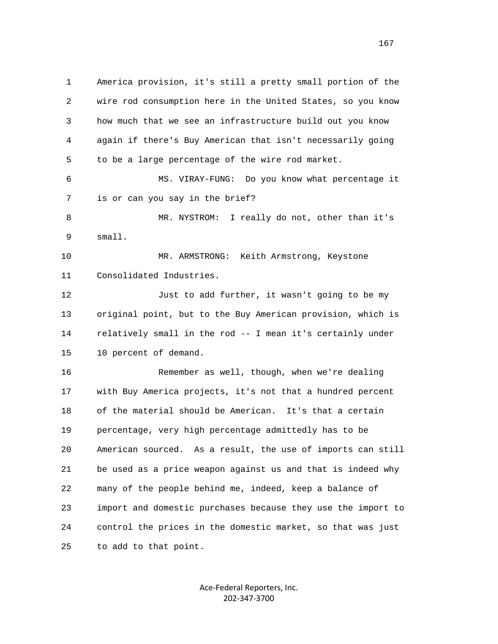1 America provision, it's still a pretty small portion of the 2 wire rod consumption here in the United States, so you know 3 how much that we see an infrastructure build out you know 4 again if there's Buy American that isn't necessarily going 5 to be a large percentage of the wire rod market. 6 MS. VIRAY-FUNG: Do you know what percentage it 7 is or can you say in the brief? 8 MR. NYSTROM: I really do not, other than it's 9 small. 10 MR. ARMSTRONG: Keith Armstrong, Keystone 11 Consolidated Industries. 12 Just to add further, it wasn't going to be my 13 original point, but to the Buy American provision, which is 14 relatively small in the rod -- I mean it's certainly under 15 10 percent of demand. 16 Remember as well, though, when we're dealing 17 with Buy America projects, it's not that a hundred percent 18 of the material should be American. It's that a certain 19 percentage, very high percentage admittedly has to be 20 American sourced. As a result, the use of imports can still 21 be used as a price weapon against us and that is indeed why 22 many of the people behind me, indeed, keep a balance of 23 import and domestic purchases because they use the import to 24 control the prices in the domestic market, so that was just 25 to add to that point.

> Ace‐Federal Reporters, Inc. 202‐347‐3700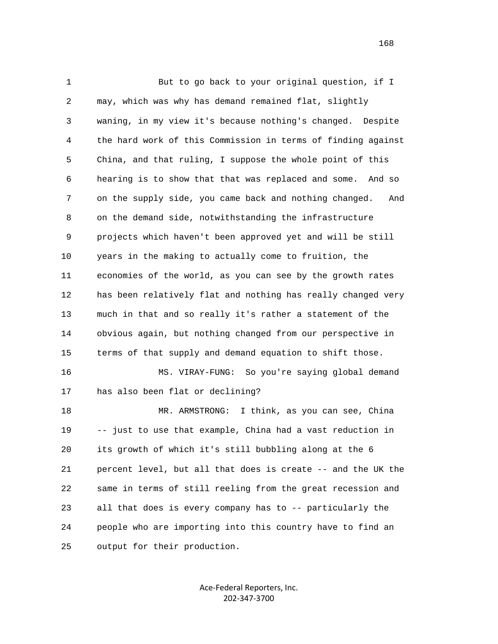1 But to go back to your original question, if I 2 may, which was why has demand remained flat, slightly 3 waning, in my view it's because nothing's changed. Despite 4 the hard work of this Commission in terms of finding against 5 China, and that ruling, I suppose the whole point of this 6 hearing is to show that that was replaced and some. And so 7 on the supply side, you came back and nothing changed. And 8 on the demand side, notwithstanding the infrastructure 9 projects which haven't been approved yet and will be still 10 years in the making to actually come to fruition, the 11 economies of the world, as you can see by the growth rates 12 has been relatively flat and nothing has really changed very 13 much in that and so really it's rather a statement of the 14 obvious again, but nothing changed from our perspective in 15 terms of that supply and demand equation to shift those. 16 MS. VIRAY-FUNG: So you're saying global demand 17 has also been flat or declining? 18 MR. ARMSTRONG: I think, as you can see, China 19 -- just to use that example, China had a vast reduction in 20 its growth of which it's still bubbling along at the 6 21 percent level, but all that does is create -- and the UK the 22 same in terms of still reeling from the great recession and 23 all that does is every company has to -- particularly the 24 people who are importing into this country have to find an 25 output for their production.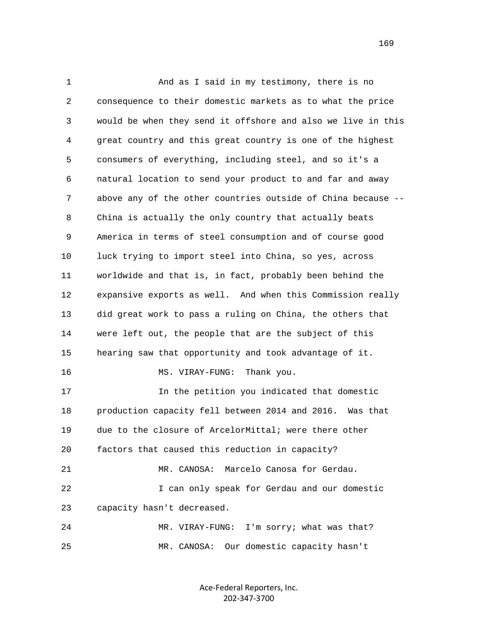1 And as I said in my testimony, there is no 2 consequence to their domestic markets as to what the price 3 would be when they send it offshore and also we live in this 4 great country and this great country is one of the highest 5 consumers of everything, including steel, and so it's a 6 natural location to send your product to and far and away 7 above any of the other countries outside of China because -- 8 China is actually the only country that actually beats 9 America in terms of steel consumption and of course good 10 luck trying to import steel into China, so yes, across 11 worldwide and that is, in fact, probably been behind the 12 expansive exports as well. And when this Commission really 13 did great work to pass a ruling on China, the others that 14 were left out, the people that are the subject of this 15 hearing saw that opportunity and took advantage of it. 16 MS. VIRAY-FUNG: Thank you. 17 In the petition you indicated that domestic 18 production capacity fell between 2014 and 2016. Was that 19 due to the closure of ArcelorMittal; were there other 20 factors that caused this reduction in capacity? 21 MR. CANOSA: Marcelo Canosa for Gerdau. 22 I can only speak for Gerdau and our domestic 23 capacity hasn't decreased. 24 MR. VIRAY-FUNG: I'm sorry; what was that? 25 MR. CANOSA: Our domestic capacity hasn't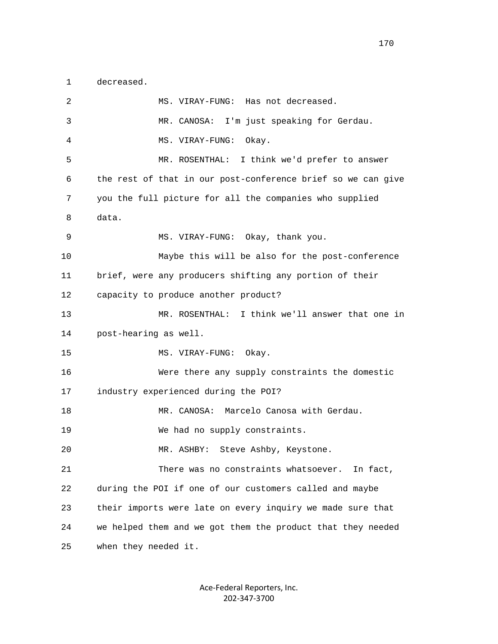1 decreased.

 2 MS. VIRAY-FUNG: Has not decreased. 3 MR. CANOSA: I'm just speaking for Gerdau. 4 MS. VIRAY-FUNG: Okay. 5 MR. ROSENTHAL: I think we'd prefer to answer 6 the rest of that in our post-conference brief so we can give 7 you the full picture for all the companies who supplied 8 data. 9 MS. VIRAY-FUNG: Okay, thank you. 10 Maybe this will be also for the post-conference 11 brief, were any producers shifting any portion of their 12 capacity to produce another product? 13 MR. ROSENTHAL: I think we'll answer that one in 14 post-hearing as well. 15 MS. VIRAY-FUNG: Okay. 16 Were there any supply constraints the domestic 17 industry experienced during the POI? 18 MR. CANOSA: Marcelo Canosa with Gerdau. 19 We had no supply constraints. 20 MR. ASHBY: Steve Ashby, Keystone. 21 There was no constraints whatsoever. In fact, 22 during the POI if one of our customers called and maybe 23 their imports were late on every inquiry we made sure that 24 we helped them and we got them the product that they needed 25 when they needed it.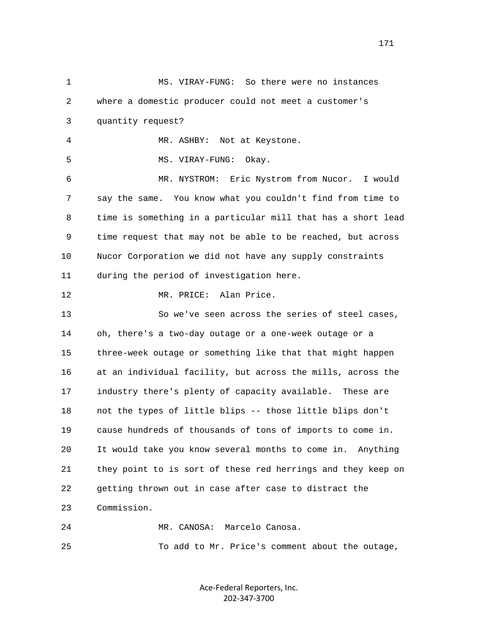1 MS. VIRAY-FUNG: So there were no instances 2 where a domestic producer could not meet a customer's 3 quantity request? 4 MR. ASHBY: Not at Keystone. 5 MS. VIRAY-FUNG: Okay. 6 MR. NYSTROM: Eric Nystrom from Nucor. I would 7 say the same. You know what you couldn't find from time to 8 time is something in a particular mill that has a short lead 9 time request that may not be able to be reached, but across 10 Nucor Corporation we did not have any supply constraints 11 during the period of investigation here. 12 MR. PRICE: Alan Price. 13 So we've seen across the series of steel cases, 14 oh, there's a two-day outage or a one-week outage or a 15 three-week outage or something like that that might happen 16 at an individual facility, but across the mills, across the 17 industry there's plenty of capacity available. These are 18 not the types of little blips -- those little blips don't 19 cause hundreds of thousands of tons of imports to come in. 20 It would take you know several months to come in. Anything 21 they point to is sort of these red herrings and they keep on 22 getting thrown out in case after case to distract the 23 Commission. 24 MR. CANOSA: Marcelo Canosa. 25 To add to Mr. Price's comment about the outage,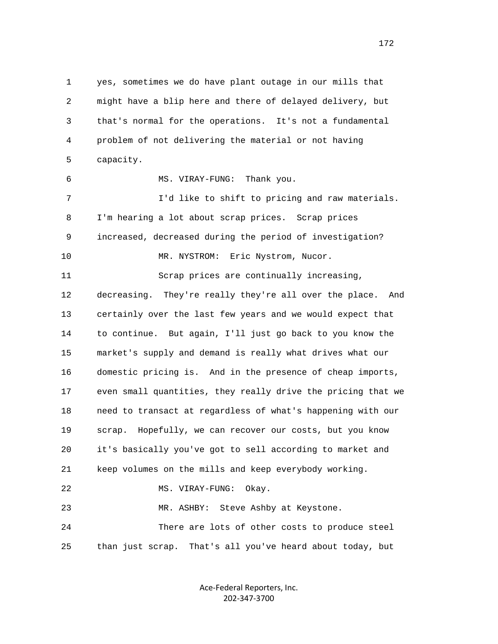1 yes, sometimes we do have plant outage in our mills that 2 might have a blip here and there of delayed delivery, but 3 that's normal for the operations. It's not a fundamental 4 problem of not delivering the material or not having 5 capacity. 6 MS. VIRAY-FUNG: Thank you. 7 I'd like to shift to pricing and raw materials. 8 I'm hearing a lot about scrap prices. Scrap prices 9 increased, decreased during the period of investigation? 10 MR. NYSTROM: Eric Nystrom, Nucor. 11 Scrap prices are continually increasing, 12 decreasing. They're really they're all over the place. And 13 certainly over the last few years and we would expect that 14 to continue. But again, I'll just go back to you know the 15 market's supply and demand is really what drives what our 16 domestic pricing is. And in the presence of cheap imports, 17 even small quantities, they really drive the pricing that we 18 need to transact at regardless of what's happening with our 19 scrap. Hopefully, we can recover our costs, but you know 20 it's basically you've got to sell according to market and 21 keep volumes on the mills and keep everybody working. 22 MS. VIRAY-FUNG: Okay. 23 MR. ASHBY: Steve Ashby at Keystone. 24 There are lots of other costs to produce steel 25 than just scrap. That's all you've heard about today, but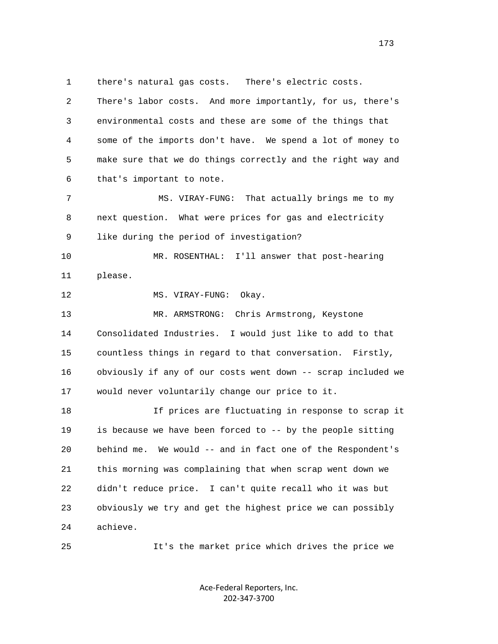1 there's natural gas costs. There's electric costs. 2 There's labor costs. And more importantly, for us, there's 3 environmental costs and these are some of the things that 4 some of the imports don't have. We spend a lot of money to 5 make sure that we do things correctly and the right way and 6 that's important to note. 7 MS. VIRAY-FUNG: That actually brings me to my 8 next question. What were prices for gas and electricity 9 like during the period of investigation? 10 MR. ROSENTHAL: I'll answer that post-hearing 11 please. 12 MS. VIRAY-FUNG: Okay. 13 MR. ARMSTRONG: Chris Armstrong, Keystone 14 Consolidated Industries. I would just like to add to that 15 countless things in regard to that conversation. Firstly, 16 obviously if any of our costs went down -- scrap included we 17 would never voluntarily change our price to it. 18 If prices are fluctuating in response to scrap it 19 is because we have been forced to -- by the people sitting 20 behind me. We would -- and in fact one of the Respondent's 21 this morning was complaining that when scrap went down we 22 didn't reduce price. I can't quite recall who it was but 23 obviously we try and get the highest price we can possibly 24 achieve.

25 It's the market price which drives the price we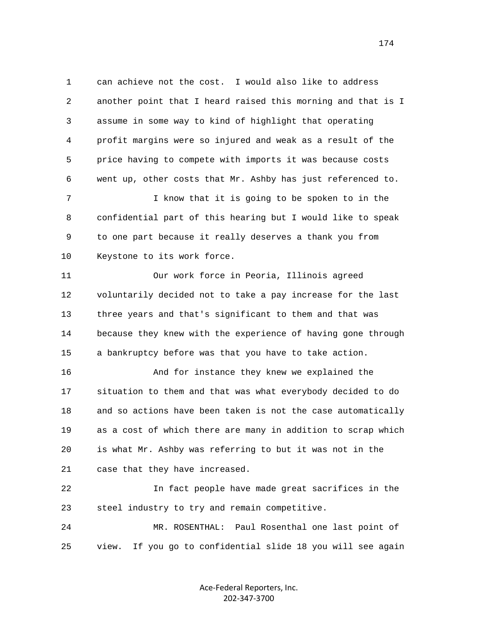1 can achieve not the cost. I would also like to address 2 another point that I heard raised this morning and that is I 3 assume in some way to kind of highlight that operating 4 profit margins were so injured and weak as a result of the 5 price having to compete with imports it was because costs 6 went up, other costs that Mr. Ashby has just referenced to.

 7 I know that it is going to be spoken to in the 8 confidential part of this hearing but I would like to speak 9 to one part because it really deserves a thank you from 10 Keystone to its work force.

 11 Our work force in Peoria, Illinois agreed 12 voluntarily decided not to take a pay increase for the last 13 three years and that's significant to them and that was 14 because they knew with the experience of having gone through 15 a bankruptcy before was that you have to take action.

 16 And for instance they knew we explained the 17 situation to them and that was what everybody decided to do 18 and so actions have been taken is not the case automatically 19 as a cost of which there are many in addition to scrap which 20 is what Mr. Ashby was referring to but it was not in the 21 case that they have increased.

 22 In fact people have made great sacrifices in the 23 steel industry to try and remain competitive.

 24 MR. ROSENTHAL: Paul Rosenthal one last point of 25 view. If you go to confidential slide 18 you will see again

> Ace‐Federal Reporters, Inc. 202‐347‐3700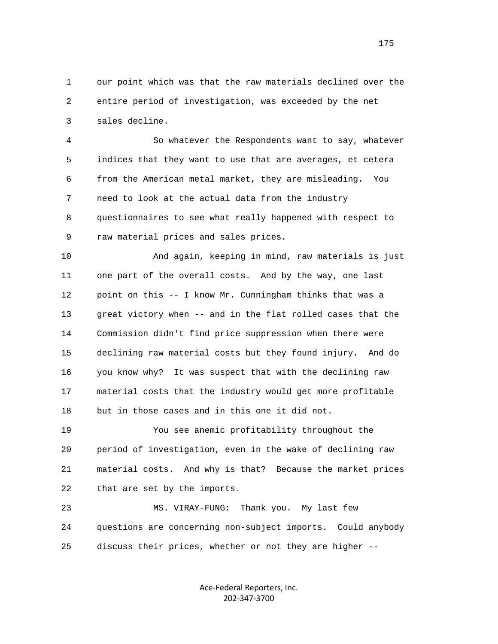1 our point which was that the raw materials declined over the 2 entire period of investigation, was exceeded by the net 3 sales decline.

 4 So whatever the Respondents want to say, whatever 5 indices that they want to use that are averages, et cetera 6 from the American metal market, they are misleading. You 7 need to look at the actual data from the industry 8 questionnaires to see what really happened with respect to 9 raw material prices and sales prices.

 10 And again, keeping in mind, raw materials is just 11 one part of the overall costs. And by the way, one last 12 point on this -- I know Mr. Cunningham thinks that was a 13 great victory when -- and in the flat rolled cases that the 14 Commission didn't find price suppression when there were 15 declining raw material costs but they found injury. And do 16 you know why? It was suspect that with the declining raw 17 material costs that the industry would get more profitable 18 but in those cases and in this one it did not.

 19 You see anemic profitability throughout the 20 period of investigation, even in the wake of declining raw 21 material costs. And why is that? Because the market prices 22 that are set by the imports.

 23 MS. VIRAY-FUNG: Thank you. My last few 24 questions are concerning non-subject imports. Could anybody 25 discuss their prices, whether or not they are higher --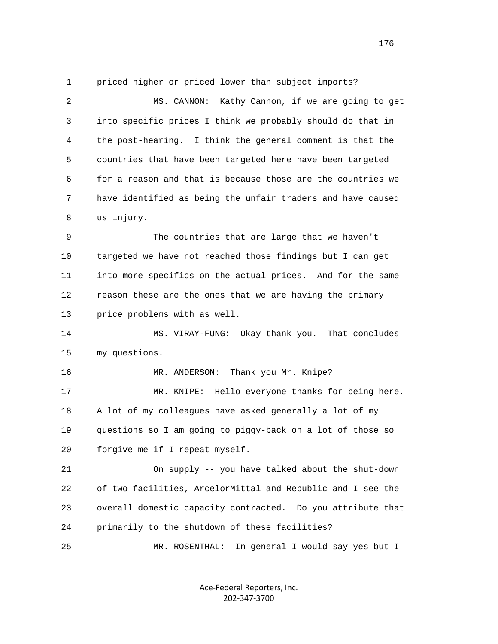1 priced higher or priced lower than subject imports?

 2 MS. CANNON: Kathy Cannon, if we are going to get 3 into specific prices I think we probably should do that in 4 the post-hearing. I think the general comment is that the 5 countries that have been targeted here have been targeted 6 for a reason and that is because those are the countries we 7 have identified as being the unfair traders and have caused 8 us injury.

 9 The countries that are large that we haven't 10 targeted we have not reached those findings but I can get 11 into more specifics on the actual prices. And for the same 12 reason these are the ones that we are having the primary 13 price problems with as well.

 14 MS. VIRAY-FUNG: Okay thank you. That concludes 15 my questions.

16 MR. ANDERSON: Thank you Mr. Knipe?

 17 MR. KNIPE: Hello everyone thanks for being here. 18 A lot of my colleagues have asked generally a lot of my 19 questions so I am going to piggy-back on a lot of those so 20 forgive me if I repeat myself.

 21 On supply -- you have talked about the shut-down 22 of two facilities, ArcelorMittal and Republic and I see the 23 overall domestic capacity contracted. Do you attribute that 24 primarily to the shutdown of these facilities?

25 MR. ROSENTHAL: In general I would say yes but I

Ace‐Federal Reporters, Inc. 202‐347‐3700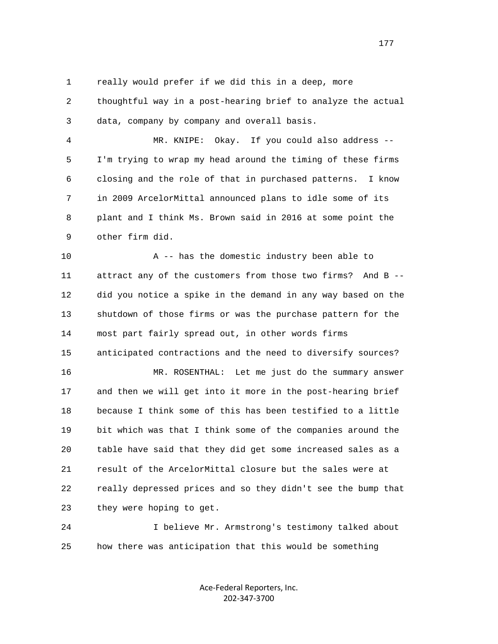1 really would prefer if we did this in a deep, more

 2 thoughtful way in a post-hearing brief to analyze the actual 3 data, company by company and overall basis.

 4 MR. KNIPE: Okay. If you could also address -- 5 I'm trying to wrap my head around the timing of these firms 6 closing and the role of that in purchased patterns. I know 7 in 2009 ArcelorMittal announced plans to idle some of its 8 plant and I think Ms. Brown said in 2016 at some point the 9 other firm did.

 10 A -- has the domestic industry been able to 11 attract any of the customers from those two firms? And B -- 12 did you notice a spike in the demand in any way based on the 13 shutdown of those firms or was the purchase pattern for the 14 most part fairly spread out, in other words firms 15 anticipated contractions and the need to diversify sources? 16 MR. ROSENTHAL: Let me just do the summary answer 17 and then we will get into it more in the post-hearing brief 18 because I think some of this has been testified to a little 19 bit which was that I think some of the companies around the 20 table have said that they did get some increased sales as a 21 result of the ArcelorMittal closure but the sales were at

 22 really depressed prices and so they didn't see the bump that 23 they were hoping to get.

 24 I believe Mr. Armstrong's testimony talked about 25 how there was anticipation that this would be something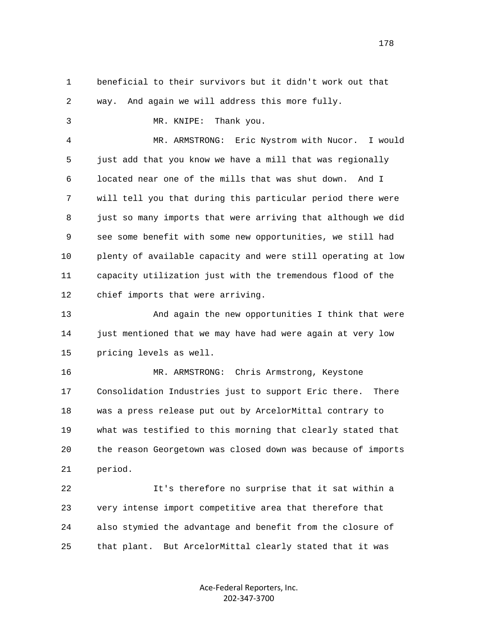1 beneficial to their survivors but it didn't work out that 2 way. And again we will address this more fully. 3 MR. KNIPE: Thank you. 4 MR. ARMSTRONG: Eric Nystrom with Nucor. I would 5 just add that you know we have a mill that was regionally 6 located near one of the mills that was shut down. And I 7 will tell you that during this particular period there were 8 just so many imports that were arriving that although we did 9 see some benefit with some new opportunities, we still had 10 plenty of available capacity and were still operating at low 11 capacity utilization just with the tremendous flood of the 12 chief imports that were arriving. 13 And again the new opportunities I think that were 14 just mentioned that we may have had were again at very low 15 pricing levels as well. 16 MR. ARMSTRONG: Chris Armstrong, Keystone 17 Consolidation Industries just to support Eric there. There 18 was a press release put out by ArcelorMittal contrary to 19 what was testified to this morning that clearly stated that 20 the reason Georgetown was closed down was because of imports

21 period.

 22 It's therefore no surprise that it sat within a 23 very intense import competitive area that therefore that 24 also stymied the advantage and benefit from the closure of 25 that plant. But ArcelorMittal clearly stated that it was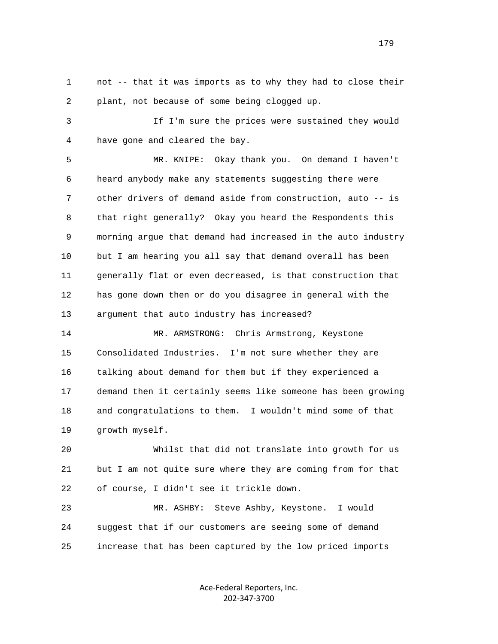1 not -- that it was imports as to why they had to close their 2 plant, not because of some being clogged up.

 3 If I'm sure the prices were sustained they would 4 have gone and cleared the bay.

 5 MR. KNIPE: Okay thank you. On demand I haven't 6 heard anybody make any statements suggesting there were 7 other drivers of demand aside from construction, auto -- is 8 that right generally? Okay you heard the Respondents this 9 morning argue that demand had increased in the auto industry 10 but I am hearing you all say that demand overall has been 11 generally flat or even decreased, is that construction that 12 has gone down then or do you disagree in general with the 13 argument that auto industry has increased?

14 MR. ARMSTRONG: Chris Armstrong, Keystone 15 Consolidated Industries. I'm not sure whether they are 16 talking about demand for them but if they experienced a 17 demand then it certainly seems like someone has been growing 18 and congratulations to them. I wouldn't mind some of that 19 growth myself.

 20 Whilst that did not translate into growth for us 21 but I am not quite sure where they are coming from for that 22 of course, I didn't see it trickle down.

 23 MR. ASHBY: Steve Ashby, Keystone. I would 24 suggest that if our customers are seeing some of demand 25 increase that has been captured by the low priced imports

> Ace‐Federal Reporters, Inc. 202‐347‐3700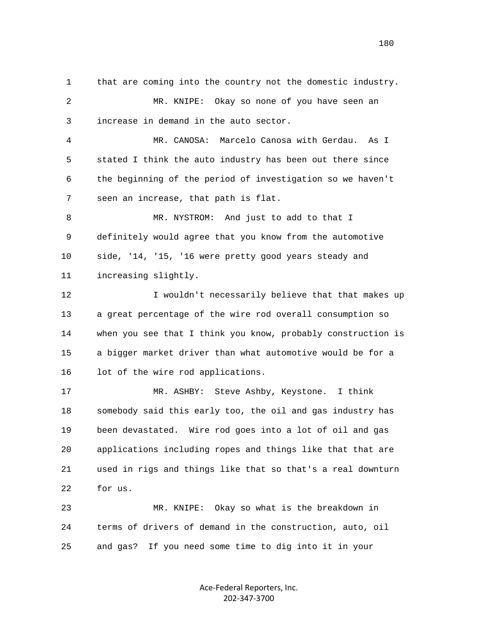1 that are coming into the country not the domestic industry. 2 MR. KNIPE: Okay so none of you have seen an 3 increase in demand in the auto sector. 4 MR. CANOSA: Marcelo Canosa with Gerdau. As I 5 stated I think the auto industry has been out there since 6 the beginning of the period of investigation so we haven't 7 seen an increase, that path is flat. 8 MR. NYSTROM: And just to add to that I 9 definitely would agree that you know from the automotive 10 side, '14, '15, '16 were pretty good years steady and 11 increasing slightly. 12 I wouldn't necessarily believe that that makes up 13 a great percentage of the wire rod overall consumption so 14 when you see that I think you know, probably construction is 15 a bigger market driver than what automotive would be for a 16 lot of the wire rod applications. 17 MR. ASHBY: Steve Ashby, Keystone. I think 18 somebody said this early too, the oil and gas industry has 19 been devastated. Wire rod goes into a lot of oil and gas 20 applications including ropes and things like that that are 21 used in rigs and things like that so that's a real downturn 22 for us. 23 MR. KNIPE: Okay so what is the breakdown in 24 terms of drivers of demand in the construction, auto, oil 25 and gas? If you need some time to dig into it in your

> Ace‐Federal Reporters, Inc. 202‐347‐3700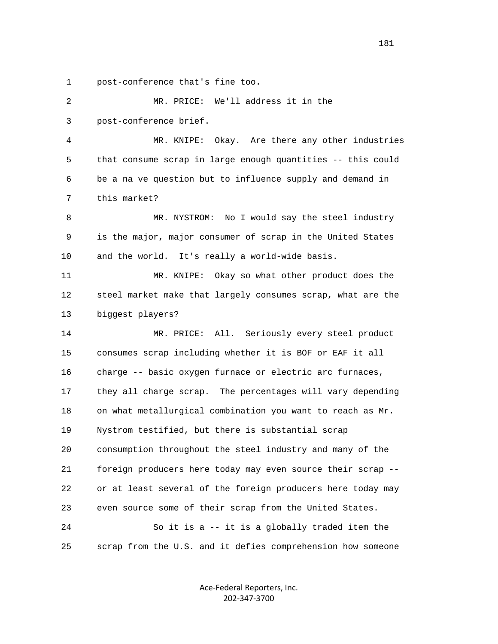1 post-conference that's fine too.

 2 MR. PRICE: We'll address it in the 3 post-conference brief. 4 MR. KNIPE: Okay. Are there any other industries 5 that consume scrap in large enough quantities -- this could 6 be a na ve question but to influence supply and demand in 7 this market? 8 MR. NYSTROM: No I would say the steel industry 9 is the major, major consumer of scrap in the United States 10 and the world. It's really a world-wide basis. 11 MR. KNIPE: Okay so what other product does the 12 steel market make that largely consumes scrap, what are the 13 biggest players? 14 MR. PRICE: All. Seriously every steel product 15 consumes scrap including whether it is BOF or EAF it all 16 charge -- basic oxygen furnace or electric arc furnaces, 17 they all charge scrap. The percentages will vary depending 18 on what metallurgical combination you want to reach as Mr. 19 Nystrom testified, but there is substantial scrap 20 consumption throughout the steel industry and many of the 21 foreign producers here today may even source their scrap -- 22 or at least several of the foreign producers here today may 23 even source some of their scrap from the United States. 24 So it is a -- it is a globally traded item the 25 scrap from the U.S. and it defies comprehension how someone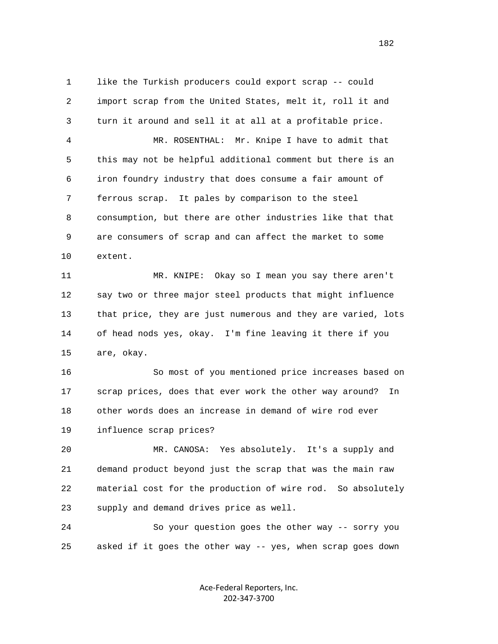1 like the Turkish producers could export scrap -- could 2 import scrap from the United States, melt it, roll it and 3 turn it around and sell it at all at a profitable price. 4 MR. ROSENTHAL: Mr. Knipe I have to admit that 5 this may not be helpful additional comment but there is an 6 iron foundry industry that does consume a fair amount of 7 ferrous scrap. It pales by comparison to the steel 8 consumption, but there are other industries like that that 9 are consumers of scrap and can affect the market to some 10 extent.

 11 MR. KNIPE: Okay so I mean you say there aren't 12 say two or three major steel products that might influence 13 that price, they are just numerous and they are varied, lots 14 of head nods yes, okay. I'm fine leaving it there if you 15 are, okay.

 16 So most of you mentioned price increases based on 17 scrap prices, does that ever work the other way around? In 18 other words does an increase in demand of wire rod ever 19 influence scrap prices?

 20 MR. CANOSA: Yes absolutely. It's a supply and 21 demand product beyond just the scrap that was the main raw 22 material cost for the production of wire rod. So absolutely 23 supply and demand drives price as well.

 24 So your question goes the other way -- sorry you 25 asked if it goes the other way -- yes, when scrap goes down

> Ace‐Federal Reporters, Inc. 202‐347‐3700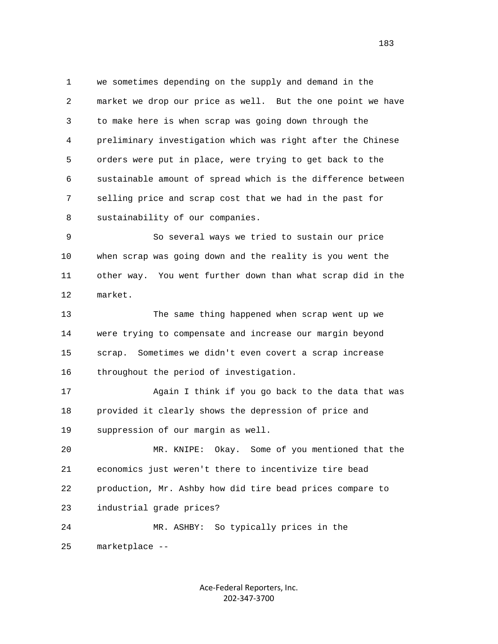1 we sometimes depending on the supply and demand in the 2 market we drop our price as well. But the one point we have 3 to make here is when scrap was going down through the 4 preliminary investigation which was right after the Chinese 5 orders were put in place, were trying to get back to the 6 sustainable amount of spread which is the difference between 7 selling price and scrap cost that we had in the past for 8 sustainability of our companies.

 9 So several ways we tried to sustain our price 10 when scrap was going down and the reality is you went the 11 other way. You went further down than what scrap did in the 12 market.

 13 The same thing happened when scrap went up we 14 were trying to compensate and increase our margin beyond 15 scrap. Sometimes we didn't even covert a scrap increase 16 throughout the period of investigation.

 17 Again I think if you go back to the data that was 18 provided it clearly shows the depression of price and 19 suppression of our margin as well.

 20 MR. KNIPE: Okay. Some of you mentioned that the 21 economics just weren't there to incentivize tire bead 22 production, Mr. Ashby how did tire bead prices compare to 23 industrial grade prices?

 24 MR. ASHBY: So typically prices in the 25 marketplace --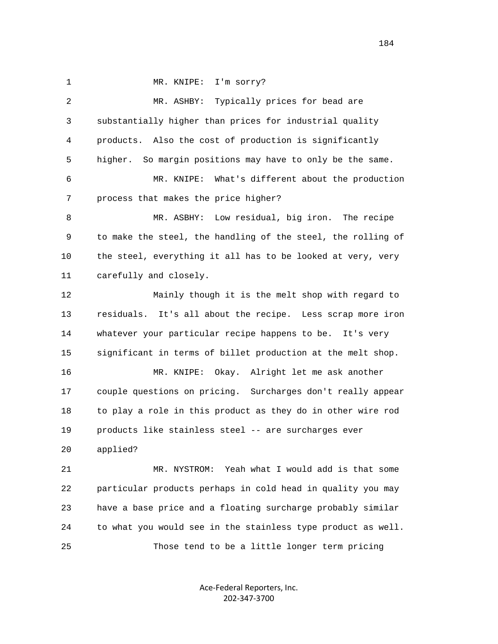1 MR. KNIPE: I'm sorry?

 2 MR. ASHBY: Typically prices for bead are 3 substantially higher than prices for industrial quality 4 products. Also the cost of production is significantly 5 higher. So margin positions may have to only be the same. 6 MR. KNIPE: What's different about the production 7 process that makes the price higher? 8 MR. ASBHY: Low residual, big iron. The recipe 9 to make the steel, the handling of the steel, the rolling of 10 the steel, everything it all has to be looked at very, very 11 carefully and closely. 12 Mainly though it is the melt shop with regard to 13 residuals. It's all about the recipe. Less scrap more iron 14 whatever your particular recipe happens to be. It's very 15 significant in terms of billet production at the melt shop. 16 MR. KNIPE: Okay. Alright let me ask another 17 couple questions on pricing. Surcharges don't really appear 18 to play a role in this product as they do in other wire rod 19 products like stainless steel -- are surcharges ever 20 applied? 21 MR. NYSTROM: Yeah what I would add is that some 22 particular products perhaps in cold head in quality you may 23 have a base price and a floating surcharge probably similar 24 to what you would see in the stainless type product as well. 25 Those tend to be a little longer term pricing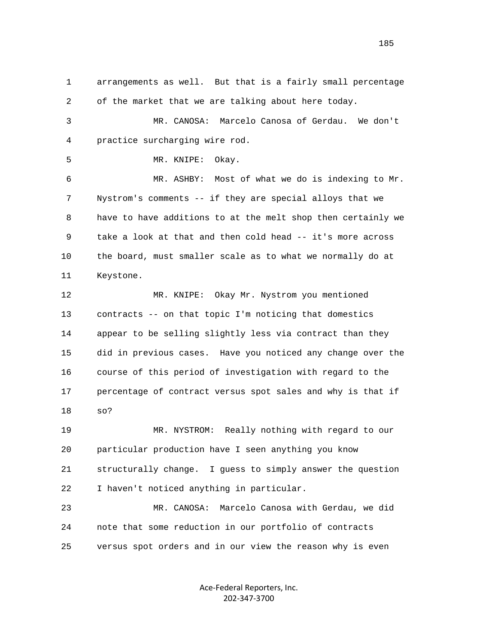1 arrangements as well. But that is a fairly small percentage 2 of the market that we are talking about here today. 3 MR. CANOSA: Marcelo Canosa of Gerdau. We don't 4 practice surcharging wire rod. 5 MR. KNIPE: Okay. 6 MR. ASHBY: Most of what we do is indexing to Mr. 7 Nystrom's comments -- if they are special alloys that we 8 have to have additions to at the melt shop then certainly we 9 take a look at that and then cold head -- it's more across 10 the board, must smaller scale as to what we normally do at 11 Keystone. 12 MR. KNIPE: Okay Mr. Nystrom you mentioned 13 contracts -- on that topic I'm noticing that domestics 14 appear to be selling slightly less via contract than they 15 did in previous cases. Have you noticed any change over the 16 course of this period of investigation with regard to the 17 percentage of contract versus spot sales and why is that if 18 so? 19 MR. NYSTROM: Really nothing with regard to our 20 particular production have I seen anything you know 21 structurally change. I guess to simply answer the question 22 I haven't noticed anything in particular. 23 MR. CANOSA: Marcelo Canosa with Gerdau, we did 24 note that some reduction in our portfolio of contracts

25 versus spot orders and in our view the reason why is even

Ace‐Federal Reporters, Inc. 202‐347‐3700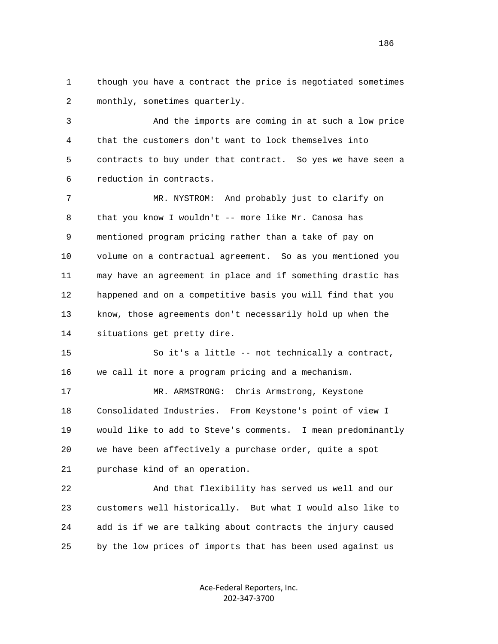1 though you have a contract the price is negotiated sometimes 2 monthly, sometimes quarterly.

 3 And the imports are coming in at such a low price 4 that the customers don't want to lock themselves into 5 contracts to buy under that contract. So yes we have seen a 6 reduction in contracts.

 7 MR. NYSTROM: And probably just to clarify on 8 that you know I wouldn't -- more like Mr. Canosa has 9 mentioned program pricing rather than a take of pay on 10 volume on a contractual agreement. So as you mentioned you 11 may have an agreement in place and if something drastic has 12 happened and on a competitive basis you will find that you 13 know, those agreements don't necessarily hold up when the 14 situations get pretty dire.

 15 So it's a little -- not technically a contract, 16 we call it more a program pricing and a mechanism.

 17 MR. ARMSTRONG: Chris Armstrong, Keystone 18 Consolidated Industries. From Keystone's point of view I 19 would like to add to Steve's comments. I mean predominantly 20 we have been affectively a purchase order, quite a spot 21 purchase kind of an operation.

 22 And that flexibility has served us well and our 23 customers well historically. But what I would also like to 24 add is if we are talking about contracts the injury caused 25 by the low prices of imports that has been used against us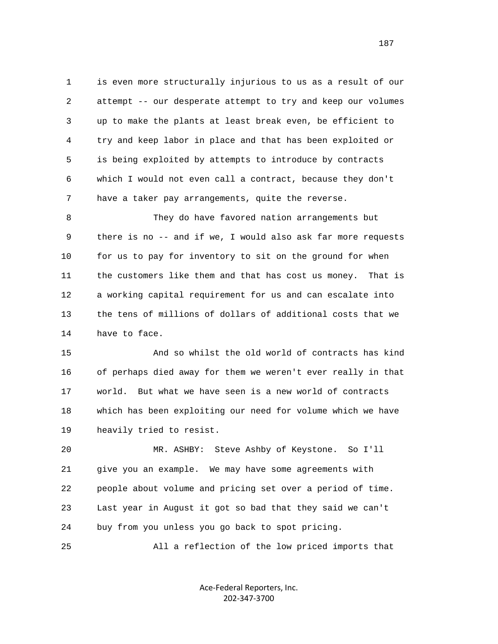1 is even more structurally injurious to us as a result of our 2 attempt -- our desperate attempt to try and keep our volumes 3 up to make the plants at least break even, be efficient to 4 try and keep labor in place and that has been exploited or 5 is being exploited by attempts to introduce by contracts 6 which I would not even call a contract, because they don't 7 have a taker pay arrangements, quite the reverse.

 8 They do have favored nation arrangements but 9 there is no -- and if we, I would also ask far more requests 10 for us to pay for inventory to sit on the ground for when 11 the customers like them and that has cost us money. That is 12 a working capital requirement for us and can escalate into 13 the tens of millions of dollars of additional costs that we 14 have to face.

 15 And so whilst the old world of contracts has kind 16 of perhaps died away for them we weren't ever really in that 17 world. But what we have seen is a new world of contracts 18 which has been exploiting our need for volume which we have 19 heavily tried to resist.

 20 MR. ASHBY: Steve Ashby of Keystone. So I'll 21 give you an example. We may have some agreements with 22 people about volume and pricing set over a period of time. 23 Last year in August it got so bad that they said we can't 24 buy from you unless you go back to spot pricing.

25 All a reflection of the low priced imports that

Ace‐Federal Reporters, Inc. 202‐347‐3700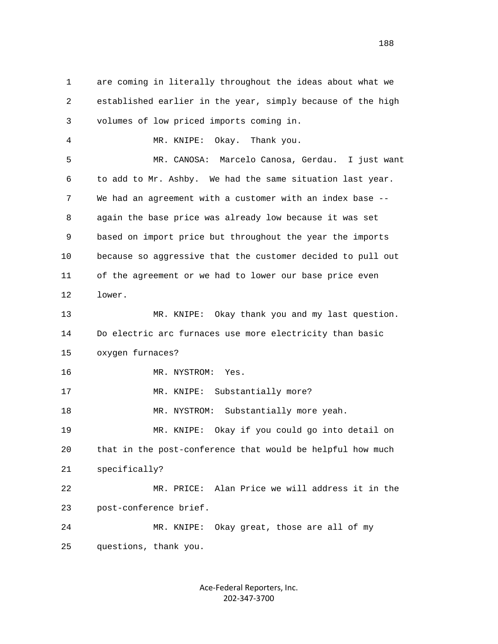1 are coming in literally throughout the ideas about what we 2 established earlier in the year, simply because of the high 3 volumes of low priced imports coming in. 4 MR. KNIPE: Okay. Thank you. 5 MR. CANOSA: Marcelo Canosa, Gerdau. I just want 6 to add to Mr. Ashby. We had the same situation last year. 7 We had an agreement with a customer with an index base -- 8 again the base price was already low because it was set 9 based on import price but throughout the year the imports 10 because so aggressive that the customer decided to pull out 11 of the agreement or we had to lower our base price even 12 lower. 13 MR. KNIPE: Okay thank you and my last question. 14 Do electric arc furnaces use more electricity than basic 15 oxygen furnaces? 16 MR. NYSTROM: Yes. 17 MR. KNIPE: Substantially more? 18 MR. NYSTROM: Substantially more yeah. 19 MR. KNIPE: Okay if you could go into detail on 20 that in the post-conference that would be helpful how much 21 specifically? 22 MR. PRICE: Alan Price we will address it in the 23 post-conference brief. 24 MR. KNIPE: Okay great, those are all of my 25 questions, thank you.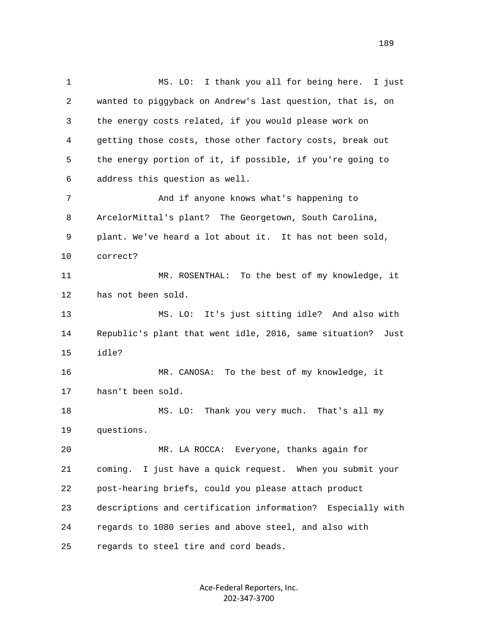1 MS. LO: I thank you all for being here. I just 2 wanted to piggyback on Andrew's last question, that is, on 3 the energy costs related, if you would please work on 4 getting those costs, those other factory costs, break out 5 the energy portion of it, if possible, if you're going to 6 address this question as well. 7 And if anyone knows what's happening to 8 ArcelorMittal's plant? The Georgetown, South Carolina, 9 plant. We've heard a lot about it. It has not been sold, 10 correct? 11 MR. ROSENTHAL: To the best of my knowledge, it 12 has not been sold. 13 MS. LO: It's just sitting idle? And also with 14 Republic's plant that went idle, 2016, same situation? Just 15 idle? 16 MR. CANOSA: To the best of my knowledge, it 17 hasn't been sold. 18 MS. LO: Thank you very much. That's all my 19 questions. 20 MR. LA ROCCA: Everyone, thanks again for 21 coming. I just have a quick request. When you submit your 22 post-hearing briefs, could you please attach product 23 descriptions and certification information? Especially with 24 regards to 1080 series and above steel, and also with 25 regards to steel tire and cord beads.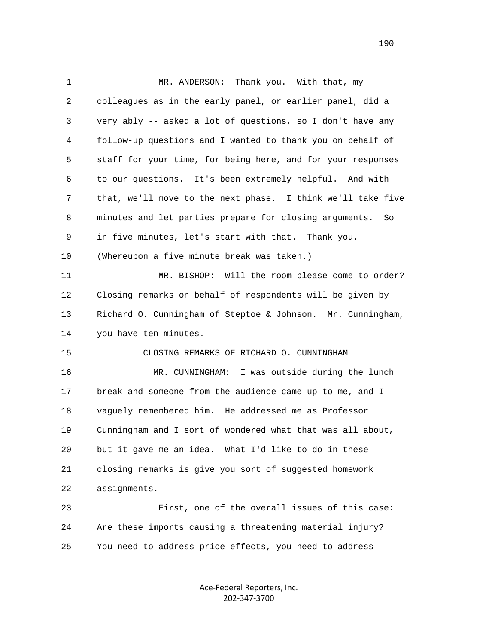1 MR. ANDERSON: Thank you. With that, my 2 colleagues as in the early panel, or earlier panel, did a 3 very ably -- asked a lot of questions, so I don't have any 4 follow-up questions and I wanted to thank you on behalf of 5 staff for your time, for being here, and for your responses 6 to our questions. It's been extremely helpful. And with 7 that, we'll move to the next phase. I think we'll take five 8 minutes and let parties prepare for closing arguments. So 9 in five minutes, let's start with that. Thank you. 10 (Whereupon a five minute break was taken.) 11 MR. BISHOP: Will the room please come to order? 12 Closing remarks on behalf of respondents will be given by 13 Richard O. Cunningham of Steptoe & Johnson. Mr. Cunningham, 14 you have ten minutes. 15 CLOSING REMARKS OF RICHARD O. CUNNINGHAM 16 MR. CUNNINGHAM: I was outside during the lunch 17 break and someone from the audience came up to me, and I 18 vaguely remembered him. He addressed me as Professor 19 Cunningham and I sort of wondered what that was all about, 20 but it gave me an idea. What I'd like to do in these 21 closing remarks is give you sort of suggested homework 22 assignments. 23 First, one of the overall issues of this case: 24 Are these imports causing a threatening material injury? 25 You need to address price effects, you need to address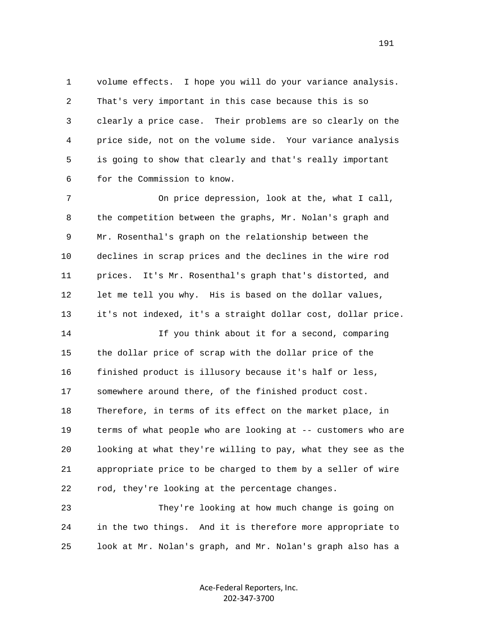1 volume effects. I hope you will do your variance analysis. 2 That's very important in this case because this is so 3 clearly a price case. Their problems are so clearly on the 4 price side, not on the volume side. Your variance analysis 5 is going to show that clearly and that's really important 6 for the Commission to know.

 7 On price depression, look at the, what I call, 8 the competition between the graphs, Mr. Nolan's graph and 9 Mr. Rosenthal's graph on the relationship between the 10 declines in scrap prices and the declines in the wire rod 11 prices. It's Mr. Rosenthal's graph that's distorted, and 12 let me tell you why. His is based on the dollar values, 13 it's not indexed, it's a straight dollar cost, dollar price.

 14 If you think about it for a second, comparing 15 the dollar price of scrap with the dollar price of the 16 finished product is illusory because it's half or less, 17 somewhere around there, of the finished product cost. 18 Therefore, in terms of its effect on the market place, in 19 terms of what people who are looking at -- customers who are 20 looking at what they're willing to pay, what they see as the 21 appropriate price to be charged to them by a seller of wire 22 rod, they're looking at the percentage changes.

 23 They're looking at how much change is going on 24 in the two things. And it is therefore more appropriate to 25 look at Mr. Nolan's graph, and Mr. Nolan's graph also has a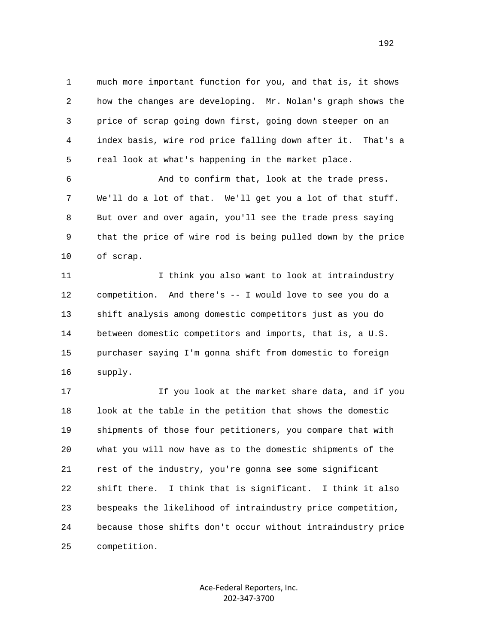1 much more important function for you, and that is, it shows 2 how the changes are developing. Mr. Nolan's graph shows the 3 price of scrap going down first, going down steeper on an 4 index basis, wire rod price falling down after it. That's a 5 real look at what's happening in the market place.

 6 And to confirm that, look at the trade press. 7 We'll do a lot of that. We'll get you a lot of that stuff. 8 But over and over again, you'll see the trade press saying 9 that the price of wire rod is being pulled down by the price 10 of scrap.

11 11 I think you also want to look at intraindustry 12 competition. And there's -- I would love to see you do a 13 shift analysis among domestic competitors just as you do 14 between domestic competitors and imports, that is, a U.S. 15 purchaser saying I'm gonna shift from domestic to foreign 16 supply.

 17 If you look at the market share data, and if you 18 look at the table in the petition that shows the domestic 19 shipments of those four petitioners, you compare that with 20 what you will now have as to the domestic shipments of the 21 rest of the industry, you're gonna see some significant 22 shift there. I think that is significant. I think it also 23 bespeaks the likelihood of intraindustry price competition, 24 because those shifts don't occur without intraindustry price 25 competition.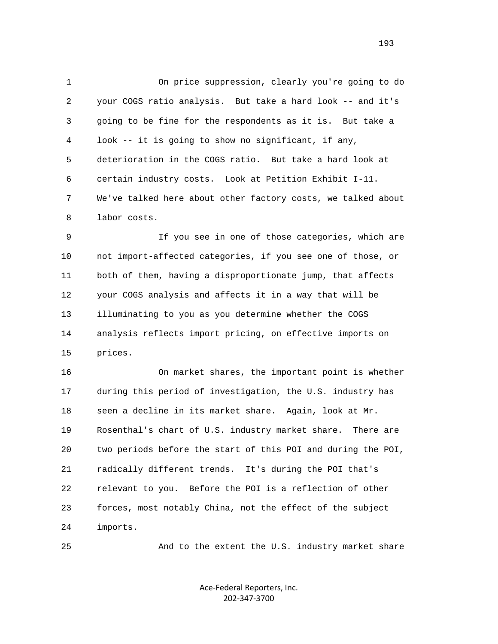1 On price suppression, clearly you're going to do 2 your COGS ratio analysis. But take a hard look -- and it's 3 going to be fine for the respondents as it is. But take a 4 look -- it is going to show no significant, if any, 5 deterioration in the COGS ratio. But take a hard look at 6 certain industry costs. Look at Petition Exhibit I-11. 7 We've talked here about other factory costs, we talked about 8 labor costs.

 9 If you see in one of those categories, which are 10 not import-affected categories, if you see one of those, or 11 both of them, having a disproportionate jump, that affects 12 your COGS analysis and affects it in a way that will be 13 illuminating to you as you determine whether the COGS 14 analysis reflects import pricing, on effective imports on 15 prices.

 16 On market shares, the important point is whether 17 during this period of investigation, the U.S. industry has 18 seen a decline in its market share. Again, look at Mr. 19 Rosenthal's chart of U.S. industry market share. There are 20 two periods before the start of this POI and during the POI, 21 radically different trends. It's during the POI that's 22 relevant to you. Before the POI is a reflection of other 23 forces, most notably China, not the effect of the subject 24 imports.

25 And to the extent the U.S. industry market share

Ace‐Federal Reporters, Inc. 202‐347‐3700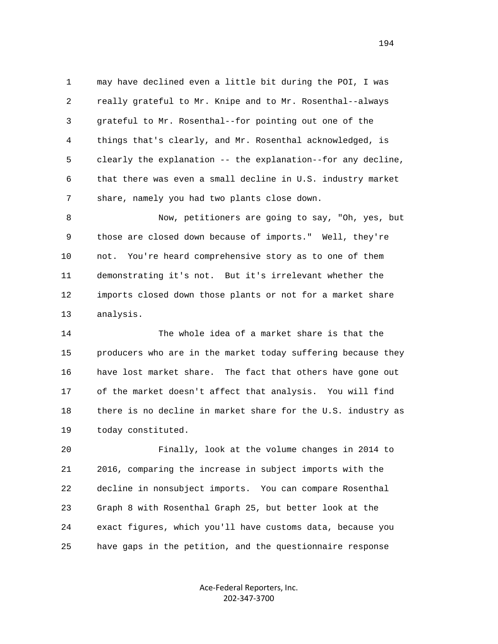1 may have declined even a little bit during the POI, I was 2 really grateful to Mr. Knipe and to Mr. Rosenthal--always 3 grateful to Mr. Rosenthal--for pointing out one of the 4 things that's clearly, and Mr. Rosenthal acknowledged, is 5 clearly the explanation -- the explanation--for any decline, 6 that there was even a small decline in U.S. industry market 7 share, namely you had two plants close down.

 8 Now, petitioners are going to say, "Oh, yes, but 9 those are closed down because of imports." Well, they're 10 not. You're heard comprehensive story as to one of them 11 demonstrating it's not. But it's irrelevant whether the 12 imports closed down those plants or not for a market share 13 analysis.

 14 The whole idea of a market share is that the 15 producers who are in the market today suffering because they 16 have lost market share. The fact that others have gone out 17 of the market doesn't affect that analysis. You will find 18 there is no decline in market share for the U.S. industry as 19 today constituted.

 20 Finally, look at the volume changes in 2014 to 21 2016, comparing the increase in subject imports with the 22 decline in nonsubject imports. You can compare Rosenthal 23 Graph 8 with Rosenthal Graph 25, but better look at the 24 exact figures, which you'll have customs data, because you 25 have gaps in the petition, and the questionnaire response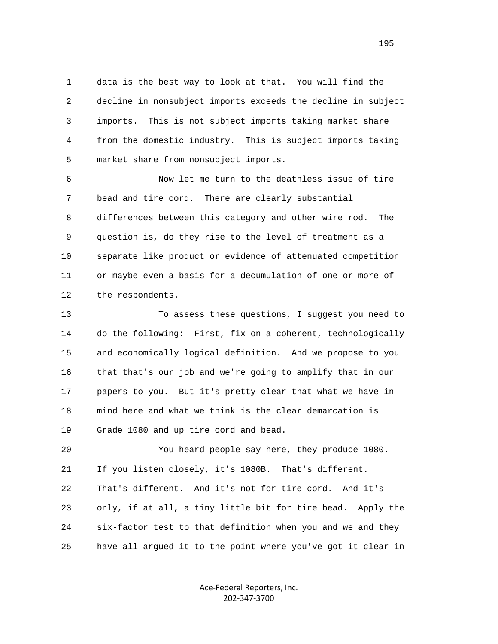1 data is the best way to look at that. You will find the 2 decline in nonsubject imports exceeds the decline in subject 3 imports. This is not subject imports taking market share 4 from the domestic industry. This is subject imports taking 5 market share from nonsubject imports.

 6 Now let me turn to the deathless issue of tire 7 bead and tire cord. There are clearly substantial 8 differences between this category and other wire rod. The 9 question is, do they rise to the level of treatment as a 10 separate like product or evidence of attenuated competition 11 or maybe even a basis for a decumulation of one or more of 12 the respondents.

 13 To assess these questions, I suggest you need to 14 do the following: First, fix on a coherent, technologically 15 and economically logical definition. And we propose to you 16 that that's our job and we're going to amplify that in our 17 papers to you. But it's pretty clear that what we have in 18 mind here and what we think is the clear demarcation is 19 Grade 1080 and up tire cord and bead.

 20 You heard people say here, they produce 1080. 21 If you listen closely, it's 1080B. That's different. 22 That's different. And it's not for tire cord. And it's 23 only, if at all, a tiny little bit for tire bead. Apply the 24 six-factor test to that definition when you and we and they 25 have all argued it to the point where you've got it clear in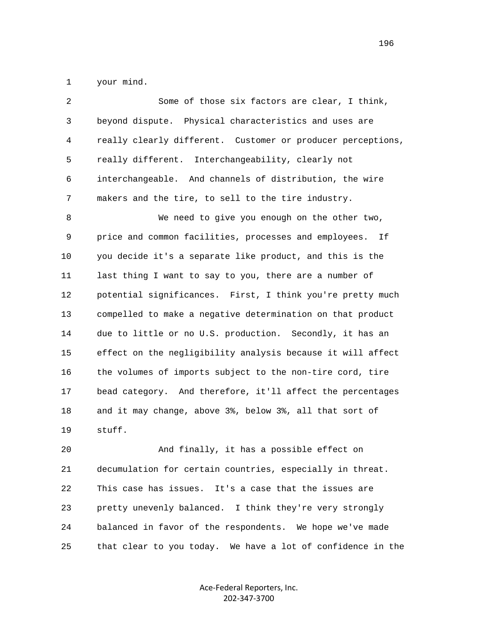1 your mind.

| $\overline{2}$ | Some of those six factors are clear, I think,               |
|----------------|-------------------------------------------------------------|
| $\mathsf{3}$   | beyond dispute. Physical characteristics and uses are       |
| $\overline{4}$ | really clearly different. Customer or producer perceptions, |
| 5              | really different. Interchangeability, clearly not           |
| 6              | interchangeable. And channels of distribution, the wire     |
| 7              | makers and the tire, to sell to the tire industry.          |
| 8              | We need to give you enough on the other two,                |
| 9              | price and common facilities, processes and employees.<br>Ιf |
| 10             | you decide it's a separate like product, and this is the    |
| 11             | last thing I want to say to you, there are a number of      |
| 12             | potential significances. First, I think you're pretty much  |
| 13             | compelled to make a negative determination on that product  |
| 14             | due to little or no U.S. production. Secondly, it has an    |
| 15             | effect on the negligibility analysis because it will affect |
| 16             | the volumes of imports subject to the non-tire cord, tire   |
| 17             | bead category. And therefore, it'll affect the percentages  |
| 18             | and it may change, above 3%, below 3%, all that sort of     |
| 19             | stuff.                                                      |
| 20             | And finally, it has a possible effect on                    |

 21 decumulation for certain countries, especially in threat. 22 This case has issues. It's a case that the issues are 23 pretty unevenly balanced. I think they're very strongly 24 balanced in favor of the respondents. We hope we've made 25 that clear to you today. We have a lot of confidence in the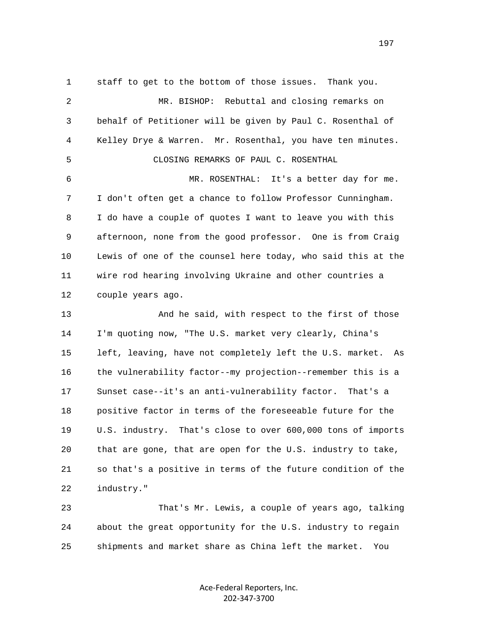1 staff to get to the bottom of those issues. Thank you. 2 MR. BISHOP: Rebuttal and closing remarks on 3 behalf of Petitioner will be given by Paul C. Rosenthal of 4 Kelley Drye & Warren. Mr. Rosenthal, you have ten minutes. 5 CLOSING REMARKS OF PAUL C. ROSENTHAL 6 MR. ROSENTHAL: It's a better day for me. 7 I don't often get a chance to follow Professor Cunningham. 8 I do have a couple of quotes I want to leave you with this 9 afternoon, none from the good professor. One is from Craig 10 Lewis of one of the counsel here today, who said this at the 11 wire rod hearing involving Ukraine and other countries a 12 couple years ago. 13 And he said, with respect to the first of those 14 I'm quoting now, "The U.S. market very clearly, China's 15 left, leaving, have not completely left the U.S. market. As 16 the vulnerability factor--my projection--remember this is a 17 Sunset case--it's an anti-vulnerability factor. That's a 18 positive factor in terms of the foreseeable future for the 19 U.S. industry. That's close to over 600,000 tons of imports 20 that are gone, that are open for the U.S. industry to take, 21 so that's a positive in terms of the future condition of the

22 industry."

 23 That's Mr. Lewis, a couple of years ago, talking 24 about the great opportunity for the U.S. industry to regain 25 shipments and market share as China left the market. You

> Ace‐Federal Reporters, Inc. 202‐347‐3700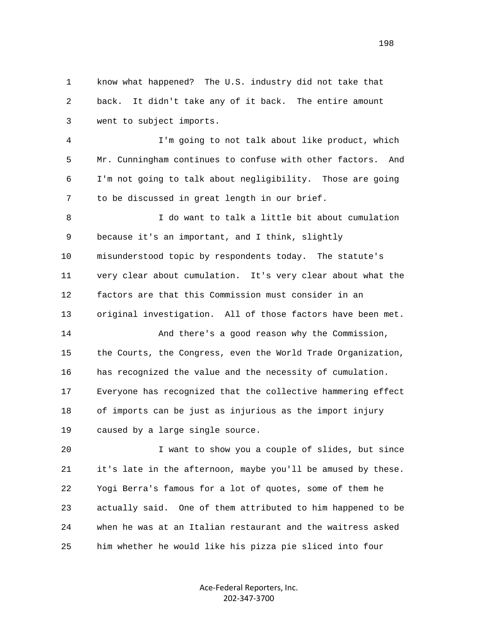1 know what happened? The U.S. industry did not take that 2 back. It didn't take any of it back. The entire amount 3 went to subject imports.

 4 I'm going to not talk about like product, which 5 Mr. Cunningham continues to confuse with other factors. And 6 I'm not going to talk about negligibility. Those are going 7 to be discussed in great length in our brief.

 8 I do want to talk a little bit about cumulation 9 because it's an important, and I think, slightly 10 misunderstood topic by respondents today. The statute's 11 very clear about cumulation. It's very clear about what the 12 factors are that this Commission must consider in an 13 original investigation. All of those factors have been met. 14 And there's a good reason why the Commission, 15 the Courts, the Congress, even the World Trade Organization, 16 has recognized the value and the necessity of cumulation. 17 Everyone has recognized that the collective hammering effect 18 of imports can be just as injurious as the import injury

19 caused by a large single source.

 20 I want to show you a couple of slides, but since 21 it's late in the afternoon, maybe you'll be amused by these. 22 Yogi Berra's famous for a lot of quotes, some of them he 23 actually said. One of them attributed to him happened to be 24 when he was at an Italian restaurant and the waitress asked 25 him whether he would like his pizza pie sliced into four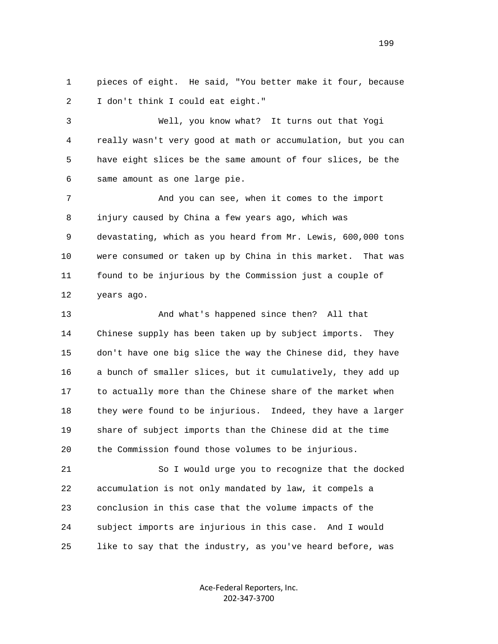1 pieces of eight. He said, "You better make it four, because 2 I don't think I could eat eight."

 3 Well, you know what? It turns out that Yogi 4 really wasn't very good at math or accumulation, but you can 5 have eight slices be the same amount of four slices, be the 6 same amount as one large pie.

 7 And you can see, when it comes to the import 8 injury caused by China a few years ago, which was 9 devastating, which as you heard from Mr. Lewis, 600,000 tons 10 were consumed or taken up by China in this market. That was 11 found to be injurious by the Commission just a couple of 12 years ago.

 13 And what's happened since then? All that 14 Chinese supply has been taken up by subject imports. They 15 don't have one big slice the way the Chinese did, they have 16 a bunch of smaller slices, but it cumulatively, they add up 17 to actually more than the Chinese share of the market when 18 they were found to be injurious. Indeed, they have a larger 19 share of subject imports than the Chinese did at the time 20 the Commission found those volumes to be injurious.

 21 So I would urge you to recognize that the docked 22 accumulation is not only mandated by law, it compels a 23 conclusion in this case that the volume impacts of the 24 subject imports are injurious in this case. And I would 25 like to say that the industry, as you've heard before, was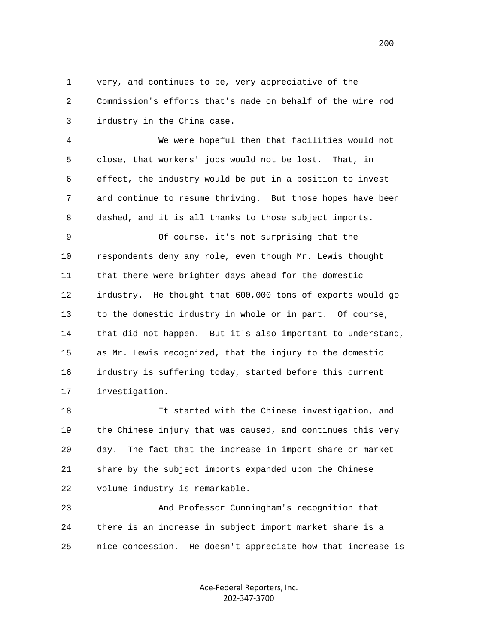1 very, and continues to be, very appreciative of the 2 Commission's efforts that's made on behalf of the wire rod 3 industry in the China case.

 4 We were hopeful then that facilities would not 5 close, that workers' jobs would not be lost. That, in 6 effect, the industry would be put in a position to invest 7 and continue to resume thriving. But those hopes have been 8 dashed, and it is all thanks to those subject imports.

 9 Of course, it's not surprising that the 10 respondents deny any role, even though Mr. Lewis thought 11 that there were brighter days ahead for the domestic 12 industry. He thought that 600,000 tons of exports would go 13 to the domestic industry in whole or in part. Of course, 14 that did not happen. But it's also important to understand, 15 as Mr. Lewis recognized, that the injury to the domestic 16 industry is suffering today, started before this current 17 investigation.

 18 It started with the Chinese investigation, and 19 the Chinese injury that was caused, and continues this very 20 day. The fact that the increase in import share or market 21 share by the subject imports expanded upon the Chinese 22 volume industry is remarkable.

 23 And Professor Cunningham's recognition that 24 there is an increase in subject import market share is a 25 nice concession. He doesn't appreciate how that increase is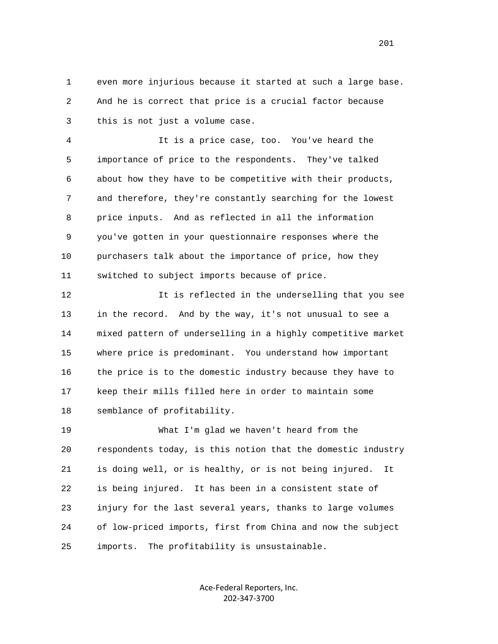1 even more injurious because it started at such a large base. 2 And he is correct that price is a crucial factor because 3 this is not just a volume case.

 4 It is a price case, too. You've heard the 5 importance of price to the respondents. They've talked 6 about how they have to be competitive with their products, 7 and therefore, they're constantly searching for the lowest 8 price inputs. And as reflected in all the information 9 you've gotten in your questionnaire responses where the 10 purchasers talk about the importance of price, how they 11 switched to subject imports because of price.

 12 It is reflected in the underselling that you see 13 in the record. And by the way, it's not unusual to see a 14 mixed pattern of underselling in a highly competitive market 15 where price is predominant. You understand how important 16 the price is to the domestic industry because they have to 17 keep their mills filled here in order to maintain some 18 semblance of profitability.

 19 What I'm glad we haven't heard from the 20 respondents today, is this notion that the domestic industry 21 is doing well, or is healthy, or is not being injured. It 22 is being injured. It has been in a consistent state of 23 injury for the last several years, thanks to large volumes 24 of low-priced imports, first from China and now the subject 25 imports. The profitability is unsustainable.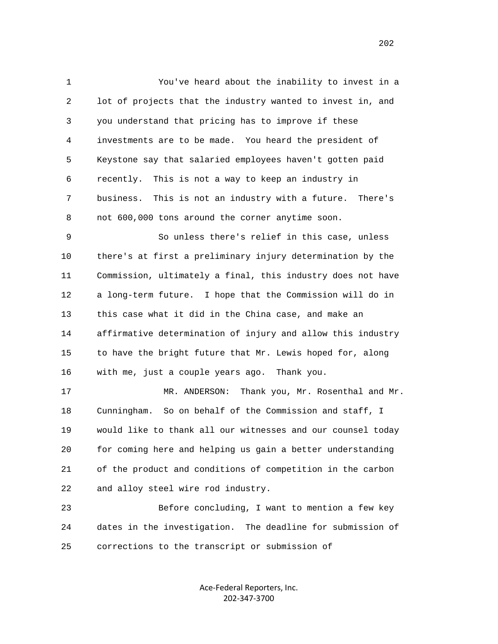1 You've heard about the inability to invest in a 2 lot of projects that the industry wanted to invest in, and 3 you understand that pricing has to improve if these 4 investments are to be made. You heard the president of 5 Keystone say that salaried employees haven't gotten paid 6 recently. This is not a way to keep an industry in 7 business. This is not an industry with a future. There's 8 not 600,000 tons around the corner anytime soon.

 9 So unless there's relief in this case, unless 10 there's at first a preliminary injury determination by the 11 Commission, ultimately a final, this industry does not have 12 a long-term future. I hope that the Commission will do in 13 this case what it did in the China case, and make an 14 affirmative determination of injury and allow this industry 15 to have the bright future that Mr. Lewis hoped for, along 16 with me, just a couple years ago. Thank you.

 17 MR. ANDERSON: Thank you, Mr. Rosenthal and Mr. 18 Cunningham. So on behalf of the Commission and staff, I 19 would like to thank all our witnesses and our counsel today 20 for coming here and helping us gain a better understanding 21 of the product and conditions of competition in the carbon 22 and alloy steel wire rod industry.

 23 Before concluding, I want to mention a few key 24 dates in the investigation. The deadline for submission of 25 corrections to the transcript or submission of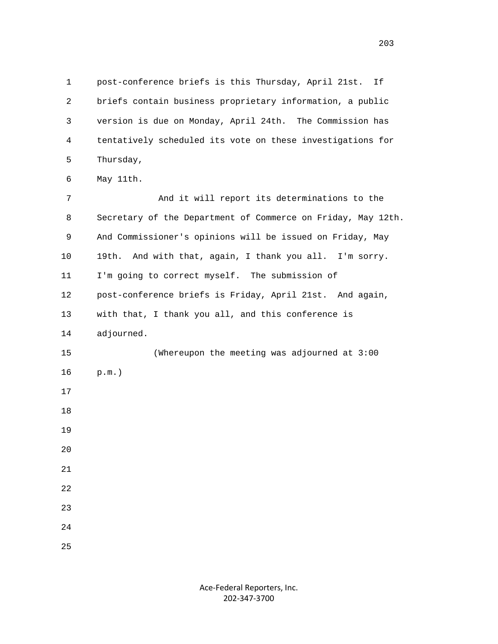1 post-conference briefs is this Thursday, April 21st. If 2 briefs contain business proprietary information, a public 3 version is due on Monday, April 24th. The Commission has 4 tentatively scheduled its vote on these investigations for 5 Thursday,

6 May 11th.

 7 And it will report its determinations to the 8 Secretary of the Department of Commerce on Friday, May 12th. 9 And Commissioner's opinions will be issued on Friday, May 10 19th. And with that, again, I thank you all. I'm sorry. 11 I'm going to correct myself. The submission of 12 post-conference briefs is Friday, April 21st. And again, 13 with that, I thank you all, and this conference is 14 adjourned. 15 (Whereupon the meeting was adjourned at 3:00 16 p.m.) 17 18 19 20 21 22 23 24 25